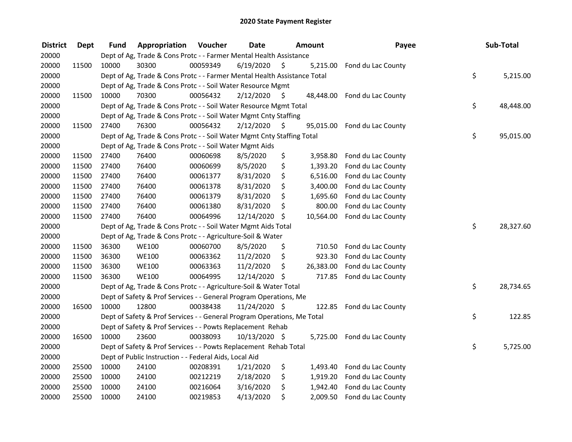| <b>District</b> | <b>Dept</b> | <b>Fund</b> | Appropriation                                                            | Voucher  | <b>Date</b>   |      | Amount    | Payee                        | Sub-Total       |
|-----------------|-------------|-------------|--------------------------------------------------------------------------|----------|---------------|------|-----------|------------------------------|-----------------|
| 20000           |             |             | Dept of Ag, Trade & Cons Protc - - Farmer Mental Health Assistance       |          |               |      |           |                              |                 |
| 20000           | 11500       | 10000       | 30300                                                                    | 00059349 | 6/19/2020     | \$   | 5,215.00  | Fond du Lac County           |                 |
| 20000           |             |             | Dept of Ag, Trade & Cons Protc - - Farmer Mental Health Assistance Total |          |               |      |           |                              | \$<br>5,215.00  |
| 20000           |             |             | Dept of Ag, Trade & Cons Protc - - Soil Water Resource Mgmt              |          |               |      |           |                              |                 |
| 20000           | 11500       | 10000       | 70300                                                                    | 00056432 | 2/12/2020     | \$   | 48,448.00 | Fond du Lac County           |                 |
| 20000           |             |             | Dept of Ag, Trade & Cons Protc - - Soil Water Resource Mgmt Total        |          |               |      |           |                              | \$<br>48,448.00 |
| 20000           |             |             | Dept of Ag, Trade & Cons Protc - - Soil Water Mgmt Cnty Staffing         |          |               |      |           |                              |                 |
| 20000           | 11500       | 27400       | 76300                                                                    | 00056432 | 2/12/2020     | - \$ |           | 95,015.00 Fond du Lac County |                 |
| 20000           |             |             | Dept of Ag, Trade & Cons Protc - - Soil Water Mgmt Cnty Staffing Total   |          |               |      |           |                              | \$<br>95,015.00 |
| 20000           |             |             | Dept of Ag, Trade & Cons Protc - - Soil Water Mgmt Aids                  |          |               |      |           |                              |                 |
| 20000           | 11500       | 27400       | 76400                                                                    | 00060698 | 8/5/2020      | \$   | 3,958.80  | Fond du Lac County           |                 |
| 20000           | 11500       | 27400       | 76400                                                                    | 00060699 | 8/5/2020      | \$   | 1,393.20  | Fond du Lac County           |                 |
| 20000           | 11500       | 27400       | 76400                                                                    | 00061377 | 8/31/2020     | \$   | 6,516.00  | Fond du Lac County           |                 |
| 20000           | 11500       | 27400       | 76400                                                                    | 00061378 | 8/31/2020     | \$   | 3,400.00  | Fond du Lac County           |                 |
| 20000           | 11500       | 27400       | 76400                                                                    | 00061379 | 8/31/2020     | \$   | 1,695.60  | Fond du Lac County           |                 |
| 20000           | 11500       | 27400       | 76400                                                                    | 00061380 | 8/31/2020     | \$   | 800.00    | Fond du Lac County           |                 |
| 20000           | 11500       | 27400       | 76400                                                                    | 00064996 | 12/14/2020    | \$   | 10,564.00 | Fond du Lac County           |                 |
| 20000           |             |             | Dept of Ag, Trade & Cons Protc - - Soil Water Mgmt Aids Total            |          |               |      |           |                              | \$<br>28,327.60 |
| 20000           |             |             | Dept of Ag, Trade & Cons Protc - - Agriculture-Soil & Water              |          |               |      |           |                              |                 |
| 20000           | 11500       | 36300       | <b>WE100</b>                                                             | 00060700 | 8/5/2020      | \$   | 710.50    | Fond du Lac County           |                 |
| 20000           | 11500       | 36300       | <b>WE100</b>                                                             | 00063362 | 11/2/2020     | \$   | 923.30    | Fond du Lac County           |                 |
| 20000           | 11500       | 36300       | <b>WE100</b>                                                             | 00063363 | 11/2/2020     | \$   | 26,383.00 | Fond du Lac County           |                 |
| 20000           | 11500       | 36300       | <b>WE100</b>                                                             | 00064995 | 12/14/2020 \$ |      | 717.85    | Fond du Lac County           |                 |
| 20000           |             |             | Dept of Ag, Trade & Cons Protc - - Agriculture-Soil & Water Total        |          |               |      |           |                              | \$<br>28,734.65 |
| 20000           |             |             | Dept of Safety & Prof Services - - General Program Operations, Me        |          |               |      |           |                              |                 |
| 20000           | 16500       | 10000       | 12800                                                                    | 00038438 | 11/24/2020 \$ |      | 122.85    | Fond du Lac County           |                 |
| 20000           |             |             | Dept of Safety & Prof Services - - General Program Operations, Me Total  |          |               |      |           |                              | \$<br>122.85    |
| 20000           |             |             | Dept of Safety & Prof Services - - Powts Replacement Rehab               |          |               |      |           |                              |                 |
| 20000           | 16500       | 10000       | 23600                                                                    | 00038093 | 10/13/2020 \$ |      | 5,725.00  | Fond du Lac County           |                 |
| 20000           |             |             | Dept of Safety & Prof Services - - Powts Replacement Rehab Total         |          |               |      |           |                              | \$<br>5,725.00  |
| 20000           |             |             | Dept of Public Instruction - - Federal Aids, Local Aid                   |          |               |      |           |                              |                 |
| 20000           | 25500       | 10000       | 24100                                                                    | 00208391 | 1/21/2020     | \$   | 1,493.40  | Fond du Lac County           |                 |
| 20000           | 25500       | 10000       | 24100                                                                    | 00212219 | 2/18/2020     | \$   | 1,919.20  | Fond du Lac County           |                 |
| 20000           | 25500       | 10000       | 24100                                                                    | 00216064 | 3/16/2020     | \$   | 1,942.40  | Fond du Lac County           |                 |
| 20000           | 25500       | 10000       | 24100                                                                    | 00219853 | 4/13/2020     | \$   | 2,009.50  | Fond du Lac County           |                 |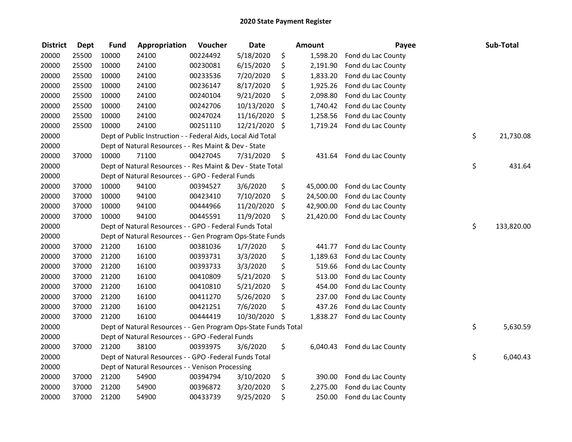| <b>District</b> | <b>Dept</b> | <b>Fund</b> | Appropriation                                                   | Voucher  | <b>Date</b>   | <b>Amount</b>   | Payee              | Sub-Total        |
|-----------------|-------------|-------------|-----------------------------------------------------------------|----------|---------------|-----------------|--------------------|------------------|
| 20000           | 25500       | 10000       | 24100                                                           | 00224492 | 5/18/2020     | \$<br>1,598.20  | Fond du Lac County |                  |
| 20000           | 25500       | 10000       | 24100                                                           | 00230081 | 6/15/2020     | \$<br>2,191.90  | Fond du Lac County |                  |
| 20000           | 25500       | 10000       | 24100                                                           | 00233536 | 7/20/2020     | \$<br>1,833.20  | Fond du Lac County |                  |
| 20000           | 25500       | 10000       | 24100                                                           | 00236147 | 8/17/2020     | \$<br>1,925.26  | Fond du Lac County |                  |
| 20000           | 25500       | 10000       | 24100                                                           | 00240104 | 9/21/2020     | \$<br>2,098.80  | Fond du Lac County |                  |
| 20000           | 25500       | 10000       | 24100                                                           | 00242706 | 10/13/2020    | \$<br>1,740.42  | Fond du Lac County |                  |
| 20000           | 25500       | 10000       | 24100                                                           | 00247024 | 11/16/2020    | \$<br>1,258.56  | Fond du Lac County |                  |
| 20000           | 25500       | 10000       | 24100                                                           | 00251110 | 12/21/2020 \$ | 1,719.24        | Fond du Lac County |                  |
| 20000           |             |             | Dept of Public Instruction - - Federal Aids, Local Aid Total    |          |               |                 |                    | \$<br>21,730.08  |
| 20000           |             |             | Dept of Natural Resources - - Res Maint & Dev - State           |          |               |                 |                    |                  |
| 20000           | 37000       | 10000       | 71100                                                           | 00427045 | 7/31/2020     | \$<br>431.64    | Fond du Lac County |                  |
| 20000           |             |             | Dept of Natural Resources - - Res Maint & Dev - State Total     |          |               |                 |                    | \$<br>431.64     |
| 20000           |             |             | Dept of Natural Resources - - GPO - Federal Funds               |          |               |                 |                    |                  |
| 20000           | 37000       | 10000       | 94100                                                           | 00394527 | 3/6/2020      | \$<br>45,000.00 | Fond du Lac County |                  |
| 20000           | 37000       | 10000       | 94100                                                           | 00423410 | 7/10/2020     | \$<br>24,500.00 | Fond du Lac County |                  |
| 20000           | 37000       | 10000       | 94100                                                           | 00444966 | 11/20/2020    | \$<br>42,900.00 | Fond du Lac County |                  |
| 20000           | 37000       | 10000       | 94100                                                           | 00445591 | 11/9/2020     | \$<br>21,420.00 | Fond du Lac County |                  |
| 20000           |             |             | Dept of Natural Resources - - GPO - Federal Funds Total         |          |               |                 |                    | \$<br>133,820.00 |
| 20000           |             |             | Dept of Natural Resources - - Gen Program Ops-State Funds       |          |               |                 |                    |                  |
| 20000           | 37000       | 21200       | 16100                                                           | 00381036 | 1/7/2020      | \$<br>441.77    | Fond du Lac County |                  |
| 20000           | 37000       | 21200       | 16100                                                           | 00393731 | 3/3/2020      | \$<br>1,189.63  | Fond du Lac County |                  |
| 20000           | 37000       | 21200       | 16100                                                           | 00393733 | 3/3/2020      | \$<br>519.66    | Fond du Lac County |                  |
| 20000           | 37000       | 21200       | 16100                                                           | 00410809 | 5/21/2020     | \$<br>513.00    | Fond du Lac County |                  |
| 20000           | 37000       | 21200       | 16100                                                           | 00410810 | 5/21/2020     | \$<br>454.00    | Fond du Lac County |                  |
| 20000           | 37000       | 21200       | 16100                                                           | 00411270 | 5/26/2020     | \$<br>237.00    | Fond du Lac County |                  |
| 20000           | 37000       | 21200       | 16100                                                           | 00421251 | 7/6/2020      | \$<br>437.26    | Fond du Lac County |                  |
| 20000           | 37000       | 21200       | 16100                                                           | 00444419 | 10/30/2020    | \$<br>1,838.27  | Fond du Lac County |                  |
| 20000           |             |             | Dept of Natural Resources - - Gen Program Ops-State Funds Total |          |               |                 |                    | \$<br>5,630.59   |
| 20000           |             |             | Dept of Natural Resources - - GPO -Federal Funds                |          |               |                 |                    |                  |
| 20000           | 37000       | 21200       | 38100                                                           | 00393975 | 3/6/2020      | \$<br>6,040.43  | Fond du Lac County |                  |
| 20000           |             |             | Dept of Natural Resources - - GPO -Federal Funds Total          |          |               |                 |                    | \$<br>6,040.43   |
| 20000           |             |             | Dept of Natural Resources - - Venison Processing                |          |               |                 |                    |                  |
| 20000           | 37000       | 21200       | 54900                                                           | 00394794 | 3/10/2020     | \$<br>390.00    | Fond du Lac County |                  |
| 20000           | 37000       | 21200       | 54900                                                           | 00396872 | 3/20/2020     | \$<br>2,275.00  | Fond du Lac County |                  |
| 20000           | 37000       | 21200       | 54900                                                           | 00433739 | 9/25/2020     | \$<br>250.00    | Fond du Lac County |                  |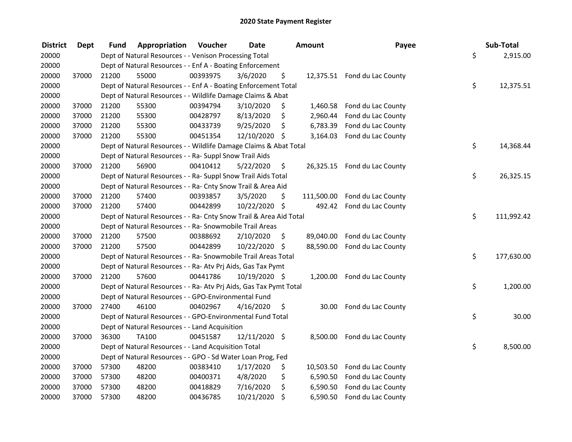| <b>District</b> | <b>Dept</b> | Fund  | Appropriation                                                      | Voucher  | <b>Date</b>   | Amount           | Payee                        | Sub-Total        |
|-----------------|-------------|-------|--------------------------------------------------------------------|----------|---------------|------------------|------------------------------|------------------|
| 20000           |             |       | Dept of Natural Resources - - Venison Processing Total             |          |               |                  |                              | \$<br>2,915.00   |
| 20000           |             |       | Dept of Natural Resources - - Enf A - Boating Enforcement          |          |               |                  |                              |                  |
| 20000           | 37000       | 21200 | 55000                                                              | 00393975 | 3/6/2020      | \$               | 12,375.51 Fond du Lac County |                  |
| 20000           |             |       | Dept of Natural Resources - - Enf A - Boating Enforcement Total    |          |               |                  |                              | \$<br>12,375.51  |
| 20000           |             |       | Dept of Natural Resources - - Wildlife Damage Claims & Abat        |          |               |                  |                              |                  |
| 20000           | 37000       | 21200 | 55300                                                              | 00394794 | 3/10/2020     | \$               | 1,460.58 Fond du Lac County  |                  |
| 20000           | 37000       | 21200 | 55300                                                              | 00428797 | 8/13/2020     | \$<br>2,960.44   | Fond du Lac County           |                  |
| 20000           | 37000       | 21200 | 55300                                                              | 00433739 | 9/25/2020     | \$<br>6,783.39   | Fond du Lac County           |                  |
| 20000           | 37000       | 21200 | 55300                                                              | 00451354 | 12/10/2020 \$ | 3,164.03         | Fond du Lac County           |                  |
| 20000           |             |       | Dept of Natural Resources - - Wildlife Damage Claims & Abat Total  |          |               |                  |                              | \$<br>14,368.44  |
| 20000           |             |       | Dept of Natural Resources - - Ra- Suppl Snow Trail Aids            |          |               |                  |                              |                  |
| 20000           | 37000       | 21200 | 56900                                                              | 00410412 | 5/22/2020     | \$               | 26,325.15 Fond du Lac County |                  |
| 20000           |             |       | Dept of Natural Resources - - Ra- Suppl Snow Trail Aids Total      |          |               |                  |                              | \$<br>26,325.15  |
| 20000           |             |       | Dept of Natural Resources - - Ra- Cnty Snow Trail & Area Aid       |          |               |                  |                              |                  |
| 20000           | 37000       | 21200 | 57400                                                              | 00393857 | 3/5/2020      | \$<br>111,500.00 | Fond du Lac County           |                  |
| 20000           | 37000       | 21200 | 57400                                                              | 00442899 | 10/22/2020 \$ | 492.42           | Fond du Lac County           |                  |
| 20000           |             |       | Dept of Natural Resources - - Ra- Cnty Snow Trail & Area Aid Total |          |               |                  |                              | \$<br>111,992.42 |
| 20000           |             |       | Dept of Natural Resources - - Ra- Snowmobile Trail Areas           |          |               |                  |                              |                  |
| 20000           | 37000       | 21200 | 57500                                                              | 00388692 | 2/10/2020     | \$<br>89,040.00  | Fond du Lac County           |                  |
| 20000           | 37000       | 21200 | 57500                                                              | 00442899 | 10/22/2020 \$ |                  | 88,590.00 Fond du Lac County |                  |
| 20000           |             |       | Dept of Natural Resources - - Ra- Snowmobile Trail Areas Total     |          |               |                  |                              | \$<br>177,630.00 |
| 20000           |             |       | Dept of Natural Resources - - Ra- Atv Prj Aids, Gas Tax Pymt       |          |               |                  |                              |                  |
| 20000           | 37000       | 21200 | 57600                                                              | 00441786 | 10/19/2020 \$ | 1,200.00         | Fond du Lac County           |                  |
| 20000           |             |       | Dept of Natural Resources - - Ra- Atv Prj Aids, Gas Tax Pymt Total |          |               |                  |                              | \$<br>1,200.00   |
| 20000           |             |       | Dept of Natural Resources - - GPO-Environmental Fund               |          |               |                  |                              |                  |
| 20000           | 37000       | 27400 | 46100                                                              | 00402967 | 4/16/2020     | \$<br>30.00      | Fond du Lac County           |                  |
| 20000           |             |       | Dept of Natural Resources - - GPO-Environmental Fund Total         |          |               |                  |                              | \$<br>30.00      |
| 20000           |             |       | Dept of Natural Resources - - Land Acquisition                     |          |               |                  |                              |                  |
| 20000           | 37000       | 36300 | <b>TA100</b>                                                       | 00451587 | 12/11/2020 \$ | 8,500.00         | Fond du Lac County           |                  |
| 20000           |             |       | Dept of Natural Resources - - Land Acquisition Total               |          |               |                  |                              | \$<br>8,500.00   |
| 20000           |             |       | Dept of Natural Resources - - GPO - Sd Water Loan Prog, Fed        |          |               |                  |                              |                  |
| 20000           | 37000       | 57300 | 48200                                                              | 00383410 | 1/17/2020     | \$               | 10,503.50 Fond du Lac County |                  |
| 20000           | 37000       | 57300 | 48200                                                              | 00400371 | 4/8/2020      | \$<br>6,590.50   | Fond du Lac County           |                  |
| 20000           | 37000       | 57300 | 48200                                                              | 00418829 | 7/16/2020     | \$<br>6,590.50   | Fond du Lac County           |                  |
| 20000           | 37000       | 57300 | 48200                                                              | 00436785 | 10/21/2020    | \$<br>6,590.50   | Fond du Lac County           |                  |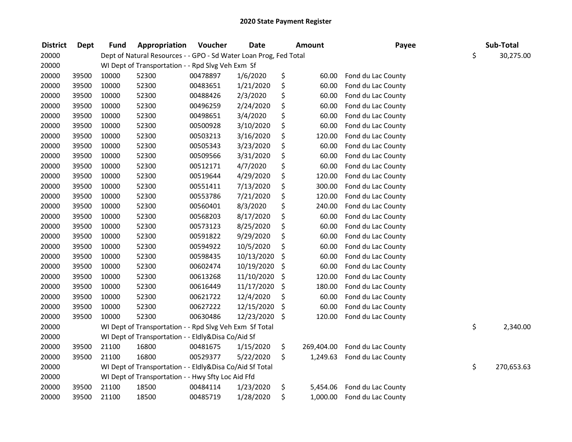| <b>District</b> | <b>Dept</b> | <b>Fund</b> | Appropriation                                                     | Voucher  | <b>Date</b> | Amount           | Payee              | Sub-Total        |
|-----------------|-------------|-------------|-------------------------------------------------------------------|----------|-------------|------------------|--------------------|------------------|
| 20000           |             |             | Dept of Natural Resources - - GPO - Sd Water Loan Prog, Fed Total |          |             |                  |                    | \$<br>30,275.00  |
| 20000           |             |             | WI Dept of Transportation - - Rpd Slvg Veh Exm Sf                 |          |             |                  |                    |                  |
| 20000           | 39500       | 10000       | 52300                                                             | 00478897 | 1/6/2020    | \$<br>60.00      | Fond du Lac County |                  |
| 20000           | 39500       | 10000       | 52300                                                             | 00483651 | 1/21/2020   | \$<br>60.00      | Fond du Lac County |                  |
| 20000           | 39500       | 10000       | 52300                                                             | 00488426 | 2/3/2020    | \$<br>60.00      | Fond du Lac County |                  |
| 20000           | 39500       | 10000       | 52300                                                             | 00496259 | 2/24/2020   | \$<br>60.00      | Fond du Lac County |                  |
| 20000           | 39500       | 10000       | 52300                                                             | 00498651 | 3/4/2020    | \$<br>60.00      | Fond du Lac County |                  |
| 20000           | 39500       | 10000       | 52300                                                             | 00500928 | 3/10/2020   | \$<br>60.00      | Fond du Lac County |                  |
| 20000           | 39500       | 10000       | 52300                                                             | 00503213 | 3/16/2020   | \$<br>120.00     | Fond du Lac County |                  |
| 20000           | 39500       | 10000       | 52300                                                             | 00505343 | 3/23/2020   | \$<br>60.00      | Fond du Lac County |                  |
| 20000           | 39500       | 10000       | 52300                                                             | 00509566 | 3/31/2020   | \$<br>60.00      | Fond du Lac County |                  |
| 20000           | 39500       | 10000       | 52300                                                             | 00512171 | 4/7/2020    | \$<br>60.00      | Fond du Lac County |                  |
| 20000           | 39500       | 10000       | 52300                                                             | 00519644 | 4/29/2020   | \$<br>120.00     | Fond du Lac County |                  |
| 20000           | 39500       | 10000       | 52300                                                             | 00551411 | 7/13/2020   | \$<br>300.00     | Fond du Lac County |                  |
| 20000           | 39500       | 10000       | 52300                                                             | 00553786 | 7/21/2020   | \$<br>120.00     | Fond du Lac County |                  |
| 20000           | 39500       | 10000       | 52300                                                             | 00560401 | 8/3/2020    | \$<br>240.00     | Fond du Lac County |                  |
| 20000           | 39500       | 10000       | 52300                                                             | 00568203 | 8/17/2020   | \$<br>60.00      | Fond du Lac County |                  |
| 20000           | 39500       | 10000       | 52300                                                             | 00573123 | 8/25/2020   | \$<br>60.00      | Fond du Lac County |                  |
| 20000           | 39500       | 10000       | 52300                                                             | 00591822 | 9/29/2020   | \$<br>60.00      | Fond du Lac County |                  |
| 20000           | 39500       | 10000       | 52300                                                             | 00594922 | 10/5/2020   | \$<br>60.00      | Fond du Lac County |                  |
| 20000           | 39500       | 10000       | 52300                                                             | 00598435 | 10/13/2020  | \$<br>60.00      | Fond du Lac County |                  |
| 20000           | 39500       | 10000       | 52300                                                             | 00602474 | 10/19/2020  | \$<br>60.00      | Fond du Lac County |                  |
| 20000           | 39500       | 10000       | 52300                                                             | 00613268 | 11/10/2020  | \$<br>120.00     | Fond du Lac County |                  |
| 20000           | 39500       | 10000       | 52300                                                             | 00616449 | 11/17/2020  | \$<br>180.00     | Fond du Lac County |                  |
| 20000           | 39500       | 10000       | 52300                                                             | 00621722 | 12/4/2020   | \$<br>60.00      | Fond du Lac County |                  |
| 20000           | 39500       | 10000       | 52300                                                             | 00627222 | 12/15/2020  | \$<br>60.00      | Fond du Lac County |                  |
| 20000           | 39500       | 10000       | 52300                                                             | 00630486 | 12/23/2020  | \$<br>120.00     | Fond du Lac County |                  |
| 20000           |             |             | WI Dept of Transportation - - Rpd Slvg Veh Exm Sf Total           |          |             |                  |                    | \$<br>2,340.00   |
| 20000           |             |             | WI Dept of Transportation - - Eldly&Disa Co/Aid Sf                |          |             |                  |                    |                  |
| 20000           | 39500       | 21100       | 16800                                                             | 00481675 | 1/15/2020   | \$<br>269,404.00 | Fond du Lac County |                  |
| 20000           | 39500       | 21100       | 16800                                                             | 00529377 | 5/22/2020   | \$<br>1,249.63   | Fond du Lac County |                  |
| 20000           |             |             | WI Dept of Transportation - - Eldly&Disa Co/Aid Sf Total          |          |             |                  |                    | \$<br>270,653.63 |
| 20000           |             |             | WI Dept of Transportation - - Hwy Sfty Loc Aid Ffd                |          |             |                  |                    |                  |
| 20000           | 39500       | 21100       | 18500                                                             | 00484114 | 1/23/2020   | \$<br>5,454.06   | Fond du Lac County |                  |
| 20000           | 39500       | 21100       | 18500                                                             | 00485719 | 1/28/2020   | \$<br>1,000.00   | Fond du Lac County |                  |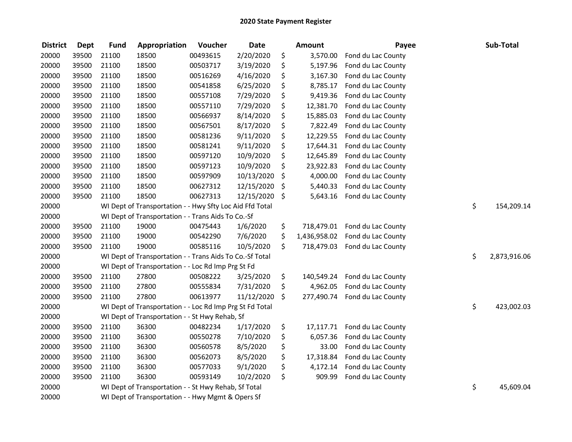| <b>District</b> | <b>Dept</b> | <b>Fund</b> | Appropriation                                            | Voucher  | <b>Date</b> | <b>Amount</b>      | Payee              | Sub-Total          |
|-----------------|-------------|-------------|----------------------------------------------------------|----------|-------------|--------------------|--------------------|--------------------|
| 20000           | 39500       | 21100       | 18500                                                    | 00493615 | 2/20/2020   | \$<br>3,570.00     | Fond du Lac County |                    |
| 20000           | 39500       | 21100       | 18500                                                    | 00503717 | 3/19/2020   | \$<br>5,197.96     | Fond du Lac County |                    |
| 20000           | 39500       | 21100       | 18500                                                    | 00516269 | 4/16/2020   | \$<br>3,167.30     | Fond du Lac County |                    |
| 20000           | 39500       | 21100       | 18500                                                    | 00541858 | 6/25/2020   | \$<br>8,785.17     | Fond du Lac County |                    |
| 20000           | 39500       | 21100       | 18500                                                    | 00557108 | 7/29/2020   | \$<br>9,419.36     | Fond du Lac County |                    |
| 20000           | 39500       | 21100       | 18500                                                    | 00557110 | 7/29/2020   | \$<br>12,381.70    | Fond du Lac County |                    |
| 20000           | 39500       | 21100       | 18500                                                    | 00566937 | 8/14/2020   | \$<br>15,885.03    | Fond du Lac County |                    |
| 20000           | 39500       | 21100       | 18500                                                    | 00567501 | 8/17/2020   | \$<br>7,822.49     | Fond du Lac County |                    |
| 20000           | 39500       | 21100       | 18500                                                    | 00581236 | 9/11/2020   | \$<br>12,229.55    | Fond du Lac County |                    |
| 20000           | 39500       | 21100       | 18500                                                    | 00581241 | 9/11/2020   | \$<br>17,644.31    | Fond du Lac County |                    |
| 20000           | 39500       | 21100       | 18500                                                    | 00597120 | 10/9/2020   | \$<br>12,645.89    | Fond du Lac County |                    |
| 20000           | 39500       | 21100       | 18500                                                    | 00597123 | 10/9/2020   | \$<br>23,922.83    | Fond du Lac County |                    |
| 20000           | 39500       | 21100       | 18500                                                    | 00597909 | 10/13/2020  | \$<br>4,000.00     | Fond du Lac County |                    |
| 20000           | 39500       | 21100       | 18500                                                    | 00627312 | 12/15/2020  | \$<br>5,440.33     | Fond du Lac County |                    |
| 20000           | 39500       | 21100       | 18500                                                    | 00627313 | 12/15/2020  | \$<br>5,643.16     | Fond du Lac County |                    |
| 20000           |             |             | WI Dept of Transportation - - Hwy Sfty Loc Aid Ffd Total |          |             |                    |                    | \$<br>154,209.14   |
| 20000           |             |             | WI Dept of Transportation - - Trans Aids To Co.-Sf       |          |             |                    |                    |                    |
| 20000           | 39500       | 21100       | 19000                                                    | 00475443 | 1/6/2020    | \$<br>718,479.01   | Fond du Lac County |                    |
| 20000           | 39500       | 21100       | 19000                                                    | 00542290 | 7/6/2020    | \$<br>1,436,958.02 | Fond du Lac County |                    |
| 20000           | 39500       | 21100       | 19000                                                    | 00585116 | 10/5/2020   | \$<br>718,479.03   | Fond du Lac County |                    |
| 20000           |             |             | WI Dept of Transportation - - Trans Aids To Co.-Sf Total |          |             |                    |                    | \$<br>2,873,916.06 |
| 20000           |             |             | WI Dept of Transportation - - Loc Rd Imp Prg St Fd       |          |             |                    |                    |                    |
| 20000           | 39500       | 21100       | 27800                                                    | 00508222 | 3/25/2020   | \$<br>140,549.24   | Fond du Lac County |                    |
| 20000           | 39500       | 21100       | 27800                                                    | 00555834 | 7/31/2020   | \$<br>4,962.05     | Fond du Lac County |                    |
| 20000           | 39500       | 21100       | 27800                                                    | 00613977 | 11/12/2020  | \$<br>277,490.74   | Fond du Lac County |                    |
| 20000           |             |             | WI Dept of Transportation - - Loc Rd Imp Prg St Fd Total |          |             |                    |                    | \$<br>423,002.03   |
| 20000           |             |             | WI Dept of Transportation - - St Hwy Rehab, Sf           |          |             |                    |                    |                    |
| 20000           | 39500       | 21100       | 36300                                                    | 00482234 | 1/17/2020   | \$<br>17,117.71    | Fond du Lac County |                    |
| 20000           | 39500       | 21100       | 36300                                                    | 00550278 | 7/10/2020   | \$<br>6,057.36     | Fond du Lac County |                    |
| 20000           | 39500       | 21100       | 36300                                                    | 00560578 | 8/5/2020    | \$<br>33.00        | Fond du Lac County |                    |
| 20000           | 39500       | 21100       | 36300                                                    | 00562073 | 8/5/2020    | \$<br>17,318.84    | Fond du Lac County |                    |
| 20000           | 39500       | 21100       | 36300                                                    | 00577033 | 9/1/2020    | \$<br>4,172.14     | Fond du Lac County |                    |
| 20000           | 39500       | 21100       | 36300                                                    | 00593149 | 10/2/2020   | \$<br>909.99       | Fond du Lac County |                    |
| 20000           |             |             | WI Dept of Transportation - - St Hwy Rehab, Sf Total     |          |             |                    |                    | \$<br>45,609.04    |
| 20000           |             |             | WI Dept of Transportation - - Hwy Mgmt & Opers Sf        |          |             |                    |                    |                    |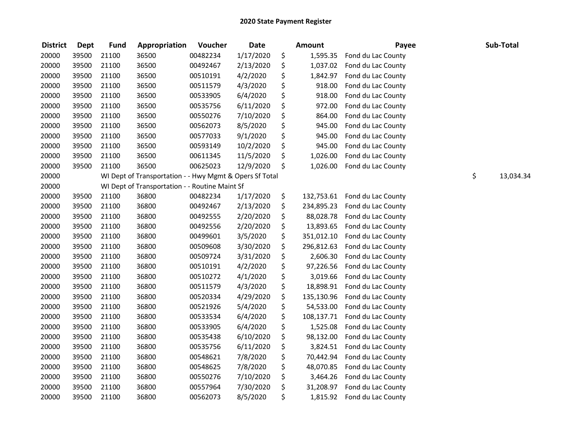| <b>District</b> | <b>Dept</b> | <b>Fund</b> | Appropriation                                           | Voucher  | <b>Date</b> | <b>Amount</b>    | Payee              | Sub-Total       |
|-----------------|-------------|-------------|---------------------------------------------------------|----------|-------------|------------------|--------------------|-----------------|
| 20000           | 39500       | 21100       | 36500                                                   | 00482234 | 1/17/2020   | \$<br>1,595.35   | Fond du Lac County |                 |
| 20000           | 39500       | 21100       | 36500                                                   | 00492467 | 2/13/2020   | \$<br>1,037.02   | Fond du Lac County |                 |
| 20000           | 39500       | 21100       | 36500                                                   | 00510191 | 4/2/2020    | \$<br>1,842.97   | Fond du Lac County |                 |
| 20000           | 39500       | 21100       | 36500                                                   | 00511579 | 4/3/2020    | \$<br>918.00     | Fond du Lac County |                 |
| 20000           | 39500       | 21100       | 36500                                                   | 00533905 | 6/4/2020    | \$<br>918.00     | Fond du Lac County |                 |
| 20000           | 39500       | 21100       | 36500                                                   | 00535756 | 6/11/2020   | \$<br>972.00     | Fond du Lac County |                 |
| 20000           | 39500       | 21100       | 36500                                                   | 00550276 | 7/10/2020   | \$<br>864.00     | Fond du Lac County |                 |
| 20000           | 39500       | 21100       | 36500                                                   | 00562073 | 8/5/2020    | \$<br>945.00     | Fond du Lac County |                 |
| 20000           | 39500       | 21100       | 36500                                                   | 00577033 | 9/1/2020    | \$<br>945.00     | Fond du Lac County |                 |
| 20000           | 39500       | 21100       | 36500                                                   | 00593149 | 10/2/2020   | \$<br>945.00     | Fond du Lac County |                 |
| 20000           | 39500       | 21100       | 36500                                                   | 00611345 | 11/5/2020   | \$<br>1,026.00   | Fond du Lac County |                 |
| 20000           | 39500       | 21100       | 36500                                                   | 00625023 | 12/9/2020   | \$<br>1,026.00   | Fond du Lac County |                 |
| 20000           |             |             | WI Dept of Transportation - - Hwy Mgmt & Opers Sf Total |          |             |                  |                    | \$<br>13,034.34 |
| 20000           |             |             | WI Dept of Transportation - - Routine Maint Sf          |          |             |                  |                    |                 |
| 20000           | 39500       | 21100       | 36800                                                   | 00482234 | 1/17/2020   | \$<br>132,753.61 | Fond du Lac County |                 |
| 20000           | 39500       | 21100       | 36800                                                   | 00492467 | 2/13/2020   | \$<br>234,895.23 | Fond du Lac County |                 |
| 20000           | 39500       | 21100       | 36800                                                   | 00492555 | 2/20/2020   | \$<br>88,028.78  | Fond du Lac County |                 |
| 20000           | 39500       | 21100       | 36800                                                   | 00492556 | 2/20/2020   | \$<br>13,893.65  | Fond du Lac County |                 |
| 20000           | 39500       | 21100       | 36800                                                   | 00499601 | 3/5/2020    | \$<br>351,012.10 | Fond du Lac County |                 |
| 20000           | 39500       | 21100       | 36800                                                   | 00509608 | 3/30/2020   | \$<br>296,812.63 | Fond du Lac County |                 |
| 20000           | 39500       | 21100       | 36800                                                   | 00509724 | 3/31/2020   | \$<br>2,606.30   | Fond du Lac County |                 |
| 20000           | 39500       | 21100       | 36800                                                   | 00510191 | 4/2/2020    | \$<br>97,226.56  | Fond du Lac County |                 |
| 20000           | 39500       | 21100       | 36800                                                   | 00510272 | 4/1/2020    | \$<br>3,019.66   | Fond du Lac County |                 |
| 20000           | 39500       | 21100       | 36800                                                   | 00511579 | 4/3/2020    | \$<br>18,898.91  | Fond du Lac County |                 |
| 20000           | 39500       | 21100       | 36800                                                   | 00520334 | 4/29/2020   | \$<br>135,130.96 | Fond du Lac County |                 |
| 20000           | 39500       | 21100       | 36800                                                   | 00521926 | 5/4/2020    | \$<br>54,533.00  | Fond du Lac County |                 |
| 20000           | 39500       | 21100       | 36800                                                   | 00533534 | 6/4/2020    | \$<br>108,137.71 | Fond du Lac County |                 |
| 20000           | 39500       | 21100       | 36800                                                   | 00533905 | 6/4/2020    | \$<br>1,525.08   | Fond du Lac County |                 |
| 20000           | 39500       | 21100       | 36800                                                   | 00535438 | 6/10/2020   | \$<br>98,132.00  | Fond du Lac County |                 |
| 20000           | 39500       | 21100       | 36800                                                   | 00535756 | 6/11/2020   | \$<br>3,824.51   | Fond du Lac County |                 |
| 20000           | 39500       | 21100       | 36800                                                   | 00548621 | 7/8/2020    | \$<br>70,442.94  | Fond du Lac County |                 |
| 20000           | 39500       | 21100       | 36800                                                   | 00548625 | 7/8/2020    | \$<br>48,070.85  | Fond du Lac County |                 |
| 20000           | 39500       | 21100       | 36800                                                   | 00550276 | 7/10/2020   | \$<br>3,464.26   | Fond du Lac County |                 |
| 20000           | 39500       | 21100       | 36800                                                   | 00557964 | 7/30/2020   | \$<br>31,208.97  | Fond du Lac County |                 |
| 20000           | 39500       | 21100       | 36800                                                   | 00562073 | 8/5/2020    | \$<br>1,815.92   | Fond du Lac County |                 |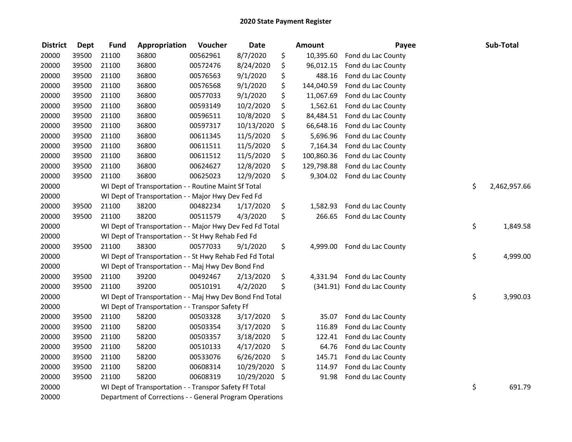| <b>District</b> | <b>Dept</b> | Fund  | Appropriation                                            | Voucher  | <b>Date</b> | Amount           | Payee                       | Sub-Total          |
|-----------------|-------------|-------|----------------------------------------------------------|----------|-------------|------------------|-----------------------------|--------------------|
| 20000           | 39500       | 21100 | 36800                                                    | 00562961 | 8/7/2020    | \$<br>10,395.60  | Fond du Lac County          |                    |
| 20000           | 39500       | 21100 | 36800                                                    | 00572476 | 8/24/2020   | \$<br>96,012.15  | Fond du Lac County          |                    |
| 20000           | 39500       | 21100 | 36800                                                    | 00576563 | 9/1/2020    | \$<br>488.16     | Fond du Lac County          |                    |
| 20000           | 39500       | 21100 | 36800                                                    | 00576568 | 9/1/2020    | \$<br>144,040.59 | Fond du Lac County          |                    |
| 20000           | 39500       | 21100 | 36800                                                    | 00577033 | 9/1/2020    | \$<br>11,067.69  | Fond du Lac County          |                    |
| 20000           | 39500       | 21100 | 36800                                                    | 00593149 | 10/2/2020   | \$<br>1,562.61   | Fond du Lac County          |                    |
| 20000           | 39500       | 21100 | 36800                                                    | 00596511 | 10/8/2020   | \$<br>84,484.51  | Fond du Lac County          |                    |
| 20000           | 39500       | 21100 | 36800                                                    | 00597317 | 10/13/2020  | \$<br>66,648.16  | Fond du Lac County          |                    |
| 20000           | 39500       | 21100 | 36800                                                    | 00611345 | 11/5/2020   | \$<br>5,696.96   | Fond du Lac County          |                    |
| 20000           | 39500       | 21100 | 36800                                                    | 00611511 | 11/5/2020   | \$<br>7,164.34   | Fond du Lac County          |                    |
| 20000           | 39500       | 21100 | 36800                                                    | 00611512 | 11/5/2020   | \$<br>100,860.36 | Fond du Lac County          |                    |
| 20000           | 39500       | 21100 | 36800                                                    | 00624627 | 12/8/2020   | \$<br>129,798.88 | Fond du Lac County          |                    |
| 20000           | 39500       | 21100 | 36800                                                    | 00625023 | 12/9/2020   | \$<br>9,304.02   | Fond du Lac County          |                    |
| 20000           |             |       | WI Dept of Transportation - - Routine Maint Sf Total     |          |             |                  |                             | \$<br>2,462,957.66 |
| 20000           |             |       | WI Dept of Transportation - - Major Hwy Dev Fed Fd       |          |             |                  |                             |                    |
| 20000           | 39500       | 21100 | 38200                                                    | 00482234 | 1/17/2020   | \$<br>1,582.93   | Fond du Lac County          |                    |
| 20000           | 39500       | 21100 | 38200                                                    | 00511579 | 4/3/2020    | \$<br>266.65     | Fond du Lac County          |                    |
| 20000           |             |       | WI Dept of Transportation - - Major Hwy Dev Fed Fd Total |          |             |                  |                             | \$<br>1,849.58     |
| 20000           |             |       | WI Dept of Transportation - - St Hwy Rehab Fed Fd        |          |             |                  |                             |                    |
| 20000           | 39500       | 21100 | 38300                                                    | 00577033 | 9/1/2020    | \$<br>4,999.00   | Fond du Lac County          |                    |
| 20000           |             |       | WI Dept of Transportation - - St Hwy Rehab Fed Fd Total  |          |             |                  |                             | \$<br>4,999.00     |
| 20000           |             |       | WI Dept of Transportation - - Maj Hwy Dev Bond Fnd       |          |             |                  |                             |                    |
| 20000           | 39500       | 21100 | 39200                                                    | 00492467 | 2/13/2020   | \$<br>4,331.94   | Fond du Lac County          |                    |
| 20000           | 39500       | 21100 | 39200                                                    | 00510191 | 4/2/2020    | \$               | (341.91) Fond du Lac County |                    |
| 20000           |             |       | WI Dept of Transportation - - Maj Hwy Dev Bond Fnd Total |          |             |                  |                             | \$<br>3,990.03     |
| 20000           |             |       | WI Dept of Transportation - - Transpor Safety Ff         |          |             |                  |                             |                    |
| 20000           | 39500       | 21100 | 58200                                                    | 00503328 | 3/17/2020   | \$<br>35.07      | Fond du Lac County          |                    |
| 20000           | 39500       | 21100 | 58200                                                    | 00503354 | 3/17/2020   | \$<br>116.89     | Fond du Lac County          |                    |
| 20000           | 39500       | 21100 | 58200                                                    | 00503357 | 3/18/2020   | \$<br>122.41     | Fond du Lac County          |                    |
| 20000           | 39500       | 21100 | 58200                                                    | 00510133 | 4/17/2020   | \$<br>64.76      | Fond du Lac County          |                    |
| 20000           | 39500       | 21100 | 58200                                                    | 00533076 | 6/26/2020   | \$<br>145.71     | Fond du Lac County          |                    |
| 20000           | 39500       | 21100 | 58200                                                    | 00608314 | 10/29/2020  | \$<br>114.97     | Fond du Lac County          |                    |
| 20000           | 39500       | 21100 | 58200                                                    | 00608319 | 10/29/2020  | \$<br>91.98      | Fond du Lac County          |                    |
| 20000           |             |       | WI Dept of Transportation - - Transpor Safety Ff Total   |          |             |                  |                             | \$<br>691.79       |
| 20000           |             |       | Department of Corrections - - General Program Operations |          |             |                  |                             |                    |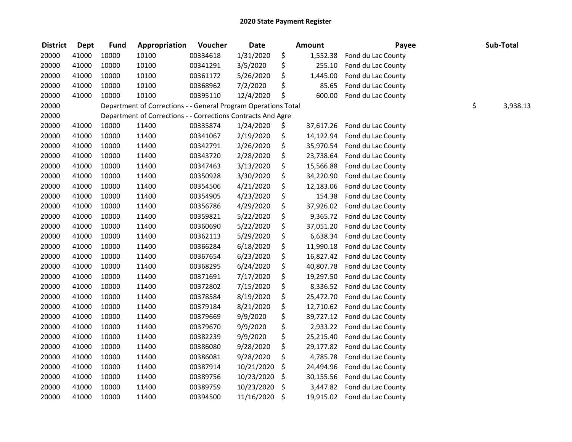| <b>District</b> | <b>Dept</b> | <b>Fund</b> | Appropriation                                                  | Voucher  | <b>Date</b> | <b>Amount</b>   | Payee              | Sub-Total      |
|-----------------|-------------|-------------|----------------------------------------------------------------|----------|-------------|-----------------|--------------------|----------------|
| 20000           | 41000       | 10000       | 10100                                                          | 00334618 | 1/31/2020   | \$<br>1,552.38  | Fond du Lac County |                |
| 20000           | 41000       | 10000       | 10100                                                          | 00341291 | 3/5/2020    | \$<br>255.10    | Fond du Lac County |                |
| 20000           | 41000       | 10000       | 10100                                                          | 00361172 | 5/26/2020   | \$<br>1,445.00  | Fond du Lac County |                |
| 20000           | 41000       | 10000       | 10100                                                          | 00368962 | 7/2/2020    | \$<br>85.65     | Fond du Lac County |                |
| 20000           | 41000       | 10000       | 10100                                                          | 00395110 | 12/4/2020   | \$<br>600.00    | Fond du Lac County |                |
| 20000           |             |             | Department of Corrections - - General Program Operations Total |          |             |                 |                    | \$<br>3,938.13 |
| 20000           |             |             | Department of Corrections - - Corrections Contracts And Agre   |          |             |                 |                    |                |
| 20000           | 41000       | 10000       | 11400                                                          | 00335874 | 1/24/2020   | \$<br>37,617.26 | Fond du Lac County |                |
| 20000           | 41000       | 10000       | 11400                                                          | 00341067 | 2/19/2020   | \$<br>14,122.94 | Fond du Lac County |                |
| 20000           | 41000       | 10000       | 11400                                                          | 00342791 | 2/26/2020   | \$<br>35,970.54 | Fond du Lac County |                |
| 20000           | 41000       | 10000       | 11400                                                          | 00343720 | 2/28/2020   | \$<br>23,738.64 | Fond du Lac County |                |
| 20000           | 41000       | 10000       | 11400                                                          | 00347463 | 3/13/2020   | \$<br>15,566.88 | Fond du Lac County |                |
| 20000           | 41000       | 10000       | 11400                                                          | 00350928 | 3/30/2020   | \$<br>34,220.90 | Fond du Lac County |                |
| 20000           | 41000       | 10000       | 11400                                                          | 00354506 | 4/21/2020   | \$<br>12,183.06 | Fond du Lac County |                |
| 20000           | 41000       | 10000       | 11400                                                          | 00354905 | 4/23/2020   | \$<br>154.38    | Fond du Lac County |                |
| 20000           | 41000       | 10000       | 11400                                                          | 00356786 | 4/29/2020   | \$<br>37,926.02 | Fond du Lac County |                |
| 20000           | 41000       | 10000       | 11400                                                          | 00359821 | 5/22/2020   | \$<br>9,365.72  | Fond du Lac County |                |
| 20000           | 41000       | 10000       | 11400                                                          | 00360690 | 5/22/2020   | \$<br>37,051.20 | Fond du Lac County |                |
| 20000           | 41000       | 10000       | 11400                                                          | 00362113 | 5/29/2020   | \$<br>6,638.34  | Fond du Lac County |                |
| 20000           | 41000       | 10000       | 11400                                                          | 00366284 | 6/18/2020   | \$<br>11,990.18 | Fond du Lac County |                |
| 20000           | 41000       | 10000       | 11400                                                          | 00367654 | 6/23/2020   | \$<br>16,827.42 | Fond du Lac County |                |
| 20000           | 41000       | 10000       | 11400                                                          | 00368295 | 6/24/2020   | \$<br>40,807.78 | Fond du Lac County |                |
| 20000           | 41000       | 10000       | 11400                                                          | 00371691 | 7/17/2020   | \$<br>19,297.50 | Fond du Lac County |                |
| 20000           | 41000       | 10000       | 11400                                                          | 00372802 | 7/15/2020   | \$<br>8,336.52  | Fond du Lac County |                |
| 20000           | 41000       | 10000       | 11400                                                          | 00378584 | 8/19/2020   | \$<br>25,472.70 | Fond du Lac County |                |
| 20000           | 41000       | 10000       | 11400                                                          | 00379184 | 8/21/2020   | \$<br>12,710.62 | Fond du Lac County |                |
| 20000           | 41000       | 10000       | 11400                                                          | 00379669 | 9/9/2020    | \$<br>39,727.12 | Fond du Lac County |                |
| 20000           | 41000       | 10000       | 11400                                                          | 00379670 | 9/9/2020    | \$<br>2,933.22  | Fond du Lac County |                |
| 20000           | 41000       | 10000       | 11400                                                          | 00382239 | 9/9/2020    | \$<br>25,215.40 | Fond du Lac County |                |
| 20000           | 41000       | 10000       | 11400                                                          | 00386080 | 9/28/2020   | \$<br>29,177.82 | Fond du Lac County |                |
| 20000           | 41000       | 10000       | 11400                                                          | 00386081 | 9/28/2020   | \$<br>4,785.78  | Fond du Lac County |                |
| 20000           | 41000       | 10000       | 11400                                                          | 00387914 | 10/21/2020  | \$<br>24,494.96 | Fond du Lac County |                |
| 20000           | 41000       | 10000       | 11400                                                          | 00389756 | 10/23/2020  | \$<br>30,155.56 | Fond du Lac County |                |
| 20000           | 41000       | 10000       | 11400                                                          | 00389759 | 10/23/2020  | \$<br>3,447.82  | Fond du Lac County |                |
| 20000           | 41000       | 10000       | 11400                                                          | 00394500 | 11/16/2020  | \$<br>19,915.02 | Fond du Lac County |                |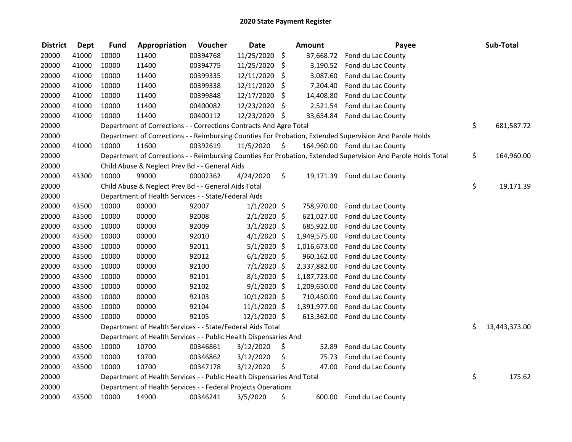| <b>District</b> | <b>Dept</b> | <b>Fund</b> | Appropriation                                                          | Voucher  | <b>Date</b>   | <b>Amount</b>   | Payee                                                                                                         | Sub-Total           |
|-----------------|-------------|-------------|------------------------------------------------------------------------|----------|---------------|-----------------|---------------------------------------------------------------------------------------------------------------|---------------------|
| 20000           | 41000       | 10000       | 11400                                                                  | 00394768 | 11/25/2020    | \$              | 37,668.72 Fond du Lac County                                                                                  |                     |
| 20000           | 41000       | 10000       | 11400                                                                  | 00394775 | 11/25/2020    | \$              | 3,190.52 Fond du Lac County                                                                                   |                     |
| 20000           | 41000       | 10000       | 11400                                                                  | 00399335 | 12/11/2020    | \$<br>3,087.60  | Fond du Lac County                                                                                            |                     |
| 20000           | 41000       | 10000       | 11400                                                                  | 00399338 | 12/11/2020    | \$<br>7,204.40  | Fond du Lac County                                                                                            |                     |
| 20000           | 41000       | 10000       | 11400                                                                  | 00399848 | 12/17/2020    | \$<br>14,408.80 | Fond du Lac County                                                                                            |                     |
| 20000           | 41000       | 10000       | 11400                                                                  | 00400082 | 12/23/2020    | \$              | 2,521.54 Fond du Lac County                                                                                   |                     |
| 20000           | 41000       | 10000       | 11400                                                                  | 00400112 | 12/23/2020 \$ |                 | 33,654.84 Fond du Lac County                                                                                  |                     |
| 20000           |             |             | Department of Corrections - - Corrections Contracts And Agre Total     |          |               |                 |                                                                                                               | \$<br>681,587.72    |
| 20000           |             |             |                                                                        |          |               |                 | Department of Corrections - - Reimbursing Counties For Probation, Extended Supervision And Parole Holds       |                     |
| 20000           | 41000       | 10000       | 11600                                                                  | 00392619 | 11/5/2020     | \$              | 164,960.00 Fond du Lac County                                                                                 |                     |
| 20000           |             |             |                                                                        |          |               |                 | Department of Corrections - - Reimbursing Counties For Probation, Extended Supervision And Parole Holds Total | \$<br>164,960.00    |
| 20000           |             |             | Child Abuse & Neglect Prev Bd - - General Aids                         |          |               |                 |                                                                                                               |                     |
| 20000           | 43300       | 10000       | 99000                                                                  | 00002362 | 4/24/2020     | \$              | 19,171.39 Fond du Lac County                                                                                  |                     |
| 20000           |             |             | Child Abuse & Neglect Prev Bd - - General Aids Total                   |          |               |                 |                                                                                                               | \$<br>19,171.39     |
| 20000           |             |             | Department of Health Services - - State/Federal Aids                   |          |               |                 |                                                                                                               |                     |
| 20000           | 43500       | 10000       | 00000                                                                  | 92007    | $1/1/2020$ \$ | 758,970.00      | Fond du Lac County                                                                                            |                     |
| 20000           | 43500       | 10000       | 00000                                                                  | 92008    | $2/1/2020$ \$ | 621,027.00      | Fond du Lac County                                                                                            |                     |
| 20000           | 43500       | 10000       | 00000                                                                  | 92009    | $3/1/2020$ \$ | 685,922.00      | Fond du Lac County                                                                                            |                     |
| 20000           | 43500       | 10000       | 00000                                                                  | 92010    | $4/1/2020$ \$ | 1,949,575.00    | Fond du Lac County                                                                                            |                     |
| 20000           | 43500       | 10000       | 00000                                                                  | 92011    | $5/1/2020$ \$ | 1,016,673.00    | Fond du Lac County                                                                                            |                     |
| 20000           | 43500       | 10000       | 00000                                                                  | 92012    | $6/1/2020$ \$ | 960,162.00      | Fond du Lac County                                                                                            |                     |
| 20000           | 43500       | 10000       | 00000                                                                  | 92100    | $7/1/2020$ \$ | 2,337,882.00    | Fond du Lac County                                                                                            |                     |
| 20000           | 43500       | 10000       | 00000                                                                  | 92101    | $8/1/2020$ \$ | 1,187,723.00    | Fond du Lac County                                                                                            |                     |
| 20000           | 43500       | 10000       | 00000                                                                  | 92102    | $9/1/2020$ \$ | 1,209,650.00    | Fond du Lac County                                                                                            |                     |
| 20000           | 43500       | 10000       | 00000                                                                  | 92103    | 10/1/2020 \$  | 710,450.00      | Fond du Lac County                                                                                            |                     |
| 20000           | 43500       | 10000       | 00000                                                                  | 92104    | 11/1/2020 \$  | 1,391,977.00    | Fond du Lac County                                                                                            |                     |
| 20000           | 43500       | 10000       | 00000                                                                  | 92105    | 12/1/2020 \$  | 613,362.00      | Fond du Lac County                                                                                            |                     |
| 20000           |             |             | Department of Health Services - - State/Federal Aids Total             |          |               |                 |                                                                                                               | \$<br>13,443,373.00 |
| 20000           |             |             | Department of Health Services - - Public Health Dispensaries And       |          |               |                 |                                                                                                               |                     |
| 20000           | 43500       | 10000       | 10700                                                                  | 00346861 | 3/12/2020     | \$<br>52.89     | Fond du Lac County                                                                                            |                     |
| 20000           | 43500       | 10000       | 10700                                                                  | 00346862 | 3/12/2020     | \$<br>75.73     | Fond du Lac County                                                                                            |                     |
| 20000           | 43500       | 10000       | 10700                                                                  | 00347178 | 3/12/2020     | \$<br>47.00     | Fond du Lac County                                                                                            |                     |
| 20000           |             |             | Department of Health Services - - Public Health Dispensaries And Total |          |               |                 |                                                                                                               | \$<br>175.62        |
| 20000           |             |             | Department of Health Services - - Federal Projects Operations          |          |               |                 |                                                                                                               |                     |
| 20000           | 43500       | 10000       | 14900                                                                  | 00346241 | 3/5/2020      | \$<br>600.00    | Fond du Lac County                                                                                            |                     |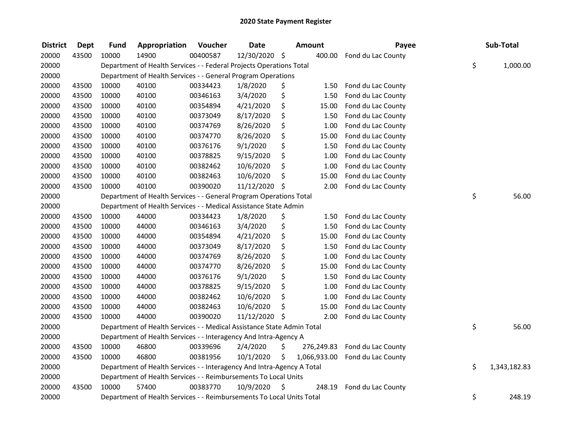| <b>District</b> | <b>Dept</b> | <b>Fund</b> | Appropriation                                                          | Voucher  | <b>Date</b>   |    | Amount       | Payee              | Sub-Total          |
|-----------------|-------------|-------------|------------------------------------------------------------------------|----------|---------------|----|--------------|--------------------|--------------------|
| 20000           | 43500       | 10000       | 14900                                                                  | 00400587 | 12/30/2020 \$ |    | 400.00       | Fond du Lac County |                    |
| 20000           |             |             | Department of Health Services - - Federal Projects Operations Total    |          |               |    |              |                    | \$<br>1,000.00     |
| 20000           |             |             | Department of Health Services - - General Program Operations           |          |               |    |              |                    |                    |
| 20000           | 43500       | 10000       | 40100                                                                  | 00334423 | 1/8/2020      | \$ | 1.50         | Fond du Lac County |                    |
| 20000           | 43500       | 10000       | 40100                                                                  | 00346163 | 3/4/2020      | \$ | 1.50         | Fond du Lac County |                    |
| 20000           | 43500       | 10000       | 40100                                                                  | 00354894 | 4/21/2020     | \$ | 15.00        | Fond du Lac County |                    |
| 20000           | 43500       | 10000       | 40100                                                                  | 00373049 | 8/17/2020     | \$ | 1.50         | Fond du Lac County |                    |
| 20000           | 43500       | 10000       | 40100                                                                  | 00374769 | 8/26/2020     | \$ | 1.00         | Fond du Lac County |                    |
| 20000           | 43500       | 10000       | 40100                                                                  | 00374770 | 8/26/2020     | \$ | 15.00        | Fond du Lac County |                    |
| 20000           | 43500       | 10000       | 40100                                                                  | 00376176 | 9/1/2020      | \$ | 1.50         | Fond du Lac County |                    |
| 20000           | 43500       | 10000       | 40100                                                                  | 00378825 | 9/15/2020     | \$ | 1.00         | Fond du Lac County |                    |
| 20000           | 43500       | 10000       | 40100                                                                  | 00382462 | 10/6/2020     | \$ | 1.00         | Fond du Lac County |                    |
| 20000           | 43500       | 10000       | 40100                                                                  | 00382463 | 10/6/2020     | \$ | 15.00        | Fond du Lac County |                    |
| 20000           | 43500       | 10000       | 40100                                                                  | 00390020 | 11/12/2020    | \$ | 2.00         | Fond du Lac County |                    |
| 20000           |             |             | Department of Health Services - - General Program Operations Total     |          |               |    |              |                    | \$<br>56.00        |
| 20000           |             |             | Department of Health Services - - Medical Assistance State Admin       |          |               |    |              |                    |                    |
| 20000           | 43500       | 10000       | 44000                                                                  | 00334423 | 1/8/2020      | \$ | 1.50         | Fond du Lac County |                    |
| 20000           | 43500       | 10000       | 44000                                                                  | 00346163 | 3/4/2020      | \$ | 1.50         | Fond du Lac County |                    |
| 20000           | 43500       | 10000       | 44000                                                                  | 00354894 | 4/21/2020     | \$ | 15.00        | Fond du Lac County |                    |
| 20000           | 43500       | 10000       | 44000                                                                  | 00373049 | 8/17/2020     | \$ | 1.50         | Fond du Lac County |                    |
| 20000           | 43500       | 10000       | 44000                                                                  | 00374769 | 8/26/2020     | \$ | 1.00         | Fond du Lac County |                    |
| 20000           | 43500       | 10000       | 44000                                                                  | 00374770 | 8/26/2020     | \$ | 15.00        | Fond du Lac County |                    |
| 20000           | 43500       | 10000       | 44000                                                                  | 00376176 | 9/1/2020      | \$ | 1.50         | Fond du Lac County |                    |
| 20000           | 43500       | 10000       | 44000                                                                  | 00378825 | 9/15/2020     | \$ | 1.00         | Fond du Lac County |                    |
| 20000           | 43500       | 10000       | 44000                                                                  | 00382462 | 10/6/2020     | \$ | 1.00         | Fond du Lac County |                    |
| 20000           | 43500       | 10000       | 44000                                                                  | 00382463 | 10/6/2020     | \$ | 15.00        | Fond du Lac County |                    |
| 20000           | 43500       | 10000       | 44000                                                                  | 00390020 | 11/12/2020    | Ŝ. | 2.00         | Fond du Lac County |                    |
| 20000           |             |             | Department of Health Services - - Medical Assistance State Admin Total |          |               |    |              |                    | \$<br>56.00        |
| 20000           |             |             | Department of Health Services - - Interagency And Intra-Agency A       |          |               |    |              |                    |                    |
| 20000           | 43500       | 10000       | 46800                                                                  | 00339696 | 2/4/2020      | \$ | 276,249.83   | Fond du Lac County |                    |
| 20000           | 43500       | 10000       | 46800                                                                  | 00381956 | 10/1/2020     | \$ | 1,066,933.00 | Fond du Lac County |                    |
| 20000           |             |             | Department of Health Services - - Interagency And Intra-Agency A Total |          |               |    |              |                    | \$<br>1,343,182.83 |
| 20000           |             |             | Department of Health Services - - Reimbursements To Local Units        |          |               |    |              |                    |                    |
| 20000           | 43500       | 10000       | 57400                                                                  | 00383770 | 10/9/2020     | \$ | 248.19       | Fond du Lac County |                    |
| 20000           |             |             | Department of Health Services - - Reimbursements To Local Units Total  |          |               |    |              |                    | \$<br>248.19       |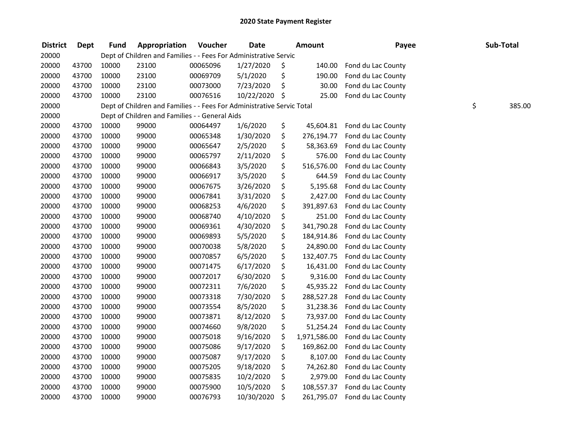| <b>District</b> | <b>Dept</b> | <b>Fund</b> | Appropriation                                                          | Voucher  | <b>Date</b> | <b>Amount</b>      | Payee              | Sub-Total    |
|-----------------|-------------|-------------|------------------------------------------------------------------------|----------|-------------|--------------------|--------------------|--------------|
| 20000           |             |             | Dept of Children and Families - - Fees For Administrative Servic       |          |             |                    |                    |              |
| 20000           | 43700       | 10000       | 23100                                                                  | 00065096 | 1/27/2020   | \$<br>140.00       | Fond du Lac County |              |
| 20000           | 43700       | 10000       | 23100                                                                  | 00069709 | 5/1/2020    | \$<br>190.00       | Fond du Lac County |              |
| 20000           | 43700       | 10000       | 23100                                                                  | 00073000 | 7/23/2020   | \$<br>30.00        | Fond du Lac County |              |
| 20000           | 43700       | 10000       | 23100                                                                  | 00076516 | 10/22/2020  | \$<br>25.00        | Fond du Lac County |              |
| 20000           |             |             | Dept of Children and Families - - Fees For Administrative Servic Total |          |             |                    |                    | \$<br>385.00 |
| 20000           |             |             | Dept of Children and Families - - General Aids                         |          |             |                    |                    |              |
| 20000           | 43700       | 10000       | 99000                                                                  | 00064497 | 1/6/2020    | \$<br>45,604.81    | Fond du Lac County |              |
| 20000           | 43700       | 10000       | 99000                                                                  | 00065348 | 1/30/2020   | \$<br>276,194.77   | Fond du Lac County |              |
| 20000           | 43700       | 10000       | 99000                                                                  | 00065647 | 2/5/2020    | \$<br>58,363.69    | Fond du Lac County |              |
| 20000           | 43700       | 10000       | 99000                                                                  | 00065797 | 2/11/2020   | \$<br>576.00       | Fond du Lac County |              |
| 20000           | 43700       | 10000       | 99000                                                                  | 00066843 | 3/5/2020    | \$<br>516,576.00   | Fond du Lac County |              |
| 20000           | 43700       | 10000       | 99000                                                                  | 00066917 | 3/5/2020    | \$<br>644.59       | Fond du Lac County |              |
| 20000           | 43700       | 10000       | 99000                                                                  | 00067675 | 3/26/2020   | \$<br>5,195.68     | Fond du Lac County |              |
| 20000           | 43700       | 10000       | 99000                                                                  | 00067841 | 3/31/2020   | \$<br>2,427.00     | Fond du Lac County |              |
| 20000           | 43700       | 10000       | 99000                                                                  | 00068253 | 4/6/2020    | \$<br>391,897.63   | Fond du Lac County |              |
| 20000           | 43700       | 10000       | 99000                                                                  | 00068740 | 4/10/2020   | \$<br>251.00       | Fond du Lac County |              |
| 20000           | 43700       | 10000       | 99000                                                                  | 00069361 | 4/30/2020   | \$<br>341,790.28   | Fond du Lac County |              |
| 20000           | 43700       | 10000       | 99000                                                                  | 00069893 | 5/5/2020    | \$<br>184,914.86   | Fond du Lac County |              |
| 20000           | 43700       | 10000       | 99000                                                                  | 00070038 | 5/8/2020    | \$<br>24,890.00    | Fond du Lac County |              |
| 20000           | 43700       | 10000       | 99000                                                                  | 00070857 | 6/5/2020    | \$<br>132,407.75   | Fond du Lac County |              |
| 20000           | 43700       | 10000       | 99000                                                                  | 00071475 | 6/17/2020   | \$<br>16,431.00    | Fond du Lac County |              |
| 20000           | 43700       | 10000       | 99000                                                                  | 00072017 | 6/30/2020   | \$<br>9,316.00     | Fond du Lac County |              |
| 20000           | 43700       | 10000       | 99000                                                                  | 00072311 | 7/6/2020    | \$<br>45,935.22    | Fond du Lac County |              |
| 20000           | 43700       | 10000       | 99000                                                                  | 00073318 | 7/30/2020   | \$<br>288,527.28   | Fond du Lac County |              |
| 20000           | 43700       | 10000       | 99000                                                                  | 00073554 | 8/5/2020    | \$<br>31,238.36    | Fond du Lac County |              |
| 20000           | 43700       | 10000       | 99000                                                                  | 00073871 | 8/12/2020   | \$<br>73,937.00    | Fond du Lac County |              |
| 20000           | 43700       | 10000       | 99000                                                                  | 00074660 | 9/8/2020    | \$<br>51,254.24    | Fond du Lac County |              |
| 20000           | 43700       | 10000       | 99000                                                                  | 00075018 | 9/16/2020   | \$<br>1,971,586.00 | Fond du Lac County |              |
| 20000           | 43700       | 10000       | 99000                                                                  | 00075086 | 9/17/2020   | \$<br>169,862.00   | Fond du Lac County |              |
| 20000           | 43700       | 10000       | 99000                                                                  | 00075087 | 9/17/2020   | \$<br>8,107.00     | Fond du Lac County |              |
| 20000           | 43700       | 10000       | 99000                                                                  | 00075205 | 9/18/2020   | \$<br>74,262.80    | Fond du Lac County |              |
| 20000           | 43700       | 10000       | 99000                                                                  | 00075835 | 10/2/2020   | \$<br>2,979.00     | Fond du Lac County |              |
| 20000           | 43700       | 10000       | 99000                                                                  | 00075900 | 10/5/2020   | \$<br>108,557.37   | Fond du Lac County |              |
| 20000           | 43700       | 10000       | 99000                                                                  | 00076793 | 10/30/2020  | \$<br>261,795.07   | Fond du Lac County |              |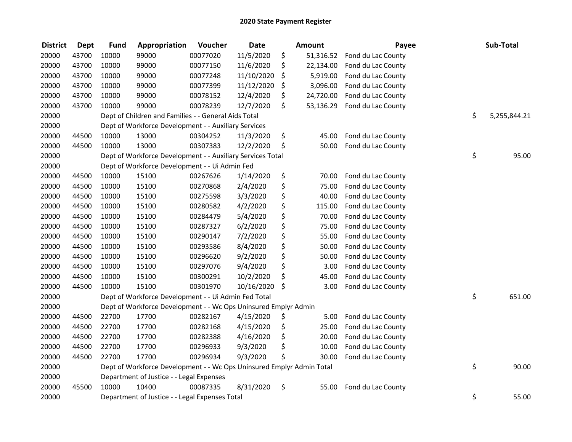| <b>District</b> | <b>Dept</b> | <b>Fund</b> | Appropriation                                                         | Voucher  | <b>Date</b> | <b>Amount</b>   | Payee              | Sub-Total          |
|-----------------|-------------|-------------|-----------------------------------------------------------------------|----------|-------------|-----------------|--------------------|--------------------|
| 20000           | 43700       | 10000       | 99000                                                                 | 00077020 | 11/5/2020   | \$<br>51,316.52 | Fond du Lac County |                    |
| 20000           | 43700       | 10000       | 99000                                                                 | 00077150 | 11/6/2020   | \$<br>22,134.00 | Fond du Lac County |                    |
| 20000           | 43700       | 10000       | 99000                                                                 | 00077248 | 11/10/2020  | \$<br>5,919.00  | Fond du Lac County |                    |
| 20000           | 43700       | 10000       | 99000                                                                 | 00077399 | 11/12/2020  | \$<br>3,096.00  | Fond du Lac County |                    |
| 20000           | 43700       | 10000       | 99000                                                                 | 00078152 | 12/4/2020   | \$<br>24,720.00 | Fond du Lac County |                    |
| 20000           | 43700       | 10000       | 99000                                                                 | 00078239 | 12/7/2020   | \$<br>53,136.29 | Fond du Lac County |                    |
| 20000           |             |             | Dept of Children and Families - - General Aids Total                  |          |             |                 |                    | \$<br>5,255,844.21 |
| 20000           |             |             | Dept of Workforce Development - - Auxiliary Services                  |          |             |                 |                    |                    |
| 20000           | 44500       | 10000       | 13000                                                                 | 00304252 | 11/3/2020   | \$<br>45.00     | Fond du Lac County |                    |
| 20000           | 44500       | 10000       | 13000                                                                 | 00307383 | 12/2/2020   | \$<br>50.00     | Fond du Lac County |                    |
| 20000           |             |             | Dept of Workforce Development - - Auxiliary Services Total            |          |             |                 |                    | \$<br>95.00        |
| 20000           |             |             | Dept of Workforce Development - - Ui Admin Fed                        |          |             |                 |                    |                    |
| 20000           | 44500       | 10000       | 15100                                                                 | 00267626 | 1/14/2020   | \$<br>70.00     | Fond du Lac County |                    |
| 20000           | 44500       | 10000       | 15100                                                                 | 00270868 | 2/4/2020    | \$<br>75.00     | Fond du Lac County |                    |
| 20000           | 44500       | 10000       | 15100                                                                 | 00275598 | 3/3/2020    | \$<br>40.00     | Fond du Lac County |                    |
| 20000           | 44500       | 10000       | 15100                                                                 | 00280582 | 4/2/2020    | \$<br>115.00    | Fond du Lac County |                    |
| 20000           | 44500       | 10000       | 15100                                                                 | 00284479 | 5/4/2020    | \$<br>70.00     | Fond du Lac County |                    |
| 20000           | 44500       | 10000       | 15100                                                                 | 00287327 | 6/2/2020    | \$<br>75.00     | Fond du Lac County |                    |
| 20000           | 44500       | 10000       | 15100                                                                 | 00290147 | 7/2/2020    | \$<br>55.00     | Fond du Lac County |                    |
| 20000           | 44500       | 10000       | 15100                                                                 | 00293586 | 8/4/2020    | \$<br>50.00     | Fond du Lac County |                    |
| 20000           | 44500       | 10000       | 15100                                                                 | 00296620 | 9/2/2020    | \$<br>50.00     | Fond du Lac County |                    |
| 20000           | 44500       | 10000       | 15100                                                                 | 00297076 | 9/4/2020    | \$<br>3.00      | Fond du Lac County |                    |
| 20000           | 44500       | 10000       | 15100                                                                 | 00300291 | 10/2/2020   | \$<br>45.00     | Fond du Lac County |                    |
| 20000           | 44500       | 10000       | 15100                                                                 | 00301970 | 10/16/2020  | \$<br>3.00      | Fond du Lac County |                    |
| 20000           |             |             | Dept of Workforce Development - - Ui Admin Fed Total                  |          |             |                 |                    | \$<br>651.00       |
| 20000           |             |             | Dept of Workforce Development - - Wc Ops Uninsured Emplyr Admin       |          |             |                 |                    |                    |
| 20000           | 44500       | 22700       | 17700                                                                 | 00282167 | 4/15/2020   | \$<br>5.00      | Fond du Lac County |                    |
| 20000           | 44500       | 22700       | 17700                                                                 | 00282168 | 4/15/2020   | \$<br>25.00     | Fond du Lac County |                    |
| 20000           | 44500       | 22700       | 17700                                                                 | 00282388 | 4/16/2020   | \$<br>20.00     | Fond du Lac County |                    |
| 20000           | 44500       | 22700       | 17700                                                                 | 00296933 | 9/3/2020    | \$<br>10.00     | Fond du Lac County |                    |
| 20000           | 44500       | 22700       | 17700                                                                 | 00296934 | 9/3/2020    | \$<br>30.00     | Fond du Lac County |                    |
| 20000           |             |             | Dept of Workforce Development - - Wc Ops Uninsured Emplyr Admin Total |          |             |                 |                    | \$<br>90.00        |
| 20000           |             |             | Department of Justice - - Legal Expenses                              |          |             |                 |                    |                    |
| 20000           | 45500       | 10000       | 10400                                                                 | 00087335 | 8/31/2020   | \$<br>55.00     | Fond du Lac County |                    |
| 20000           |             |             | Department of Justice - - Legal Expenses Total                        |          |             |                 |                    | \$<br>55.00        |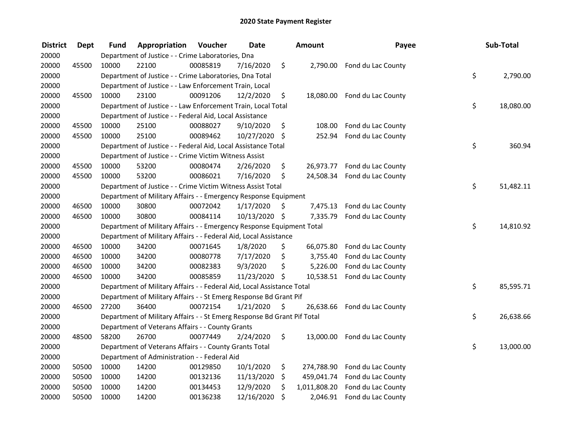| <b>District</b> | <b>Dept</b> | Fund  | Appropriation                                                           | Voucher  | Date          |     | <b>Amount</b> | Payee                        | Sub-Total       |
|-----------------|-------------|-------|-------------------------------------------------------------------------|----------|---------------|-----|---------------|------------------------------|-----------------|
| 20000           |             |       | Department of Justice - - Crime Laboratories, Dna                       |          |               |     |               |                              |                 |
| 20000           | 45500       | 10000 | 22100                                                                   | 00085819 | 7/16/2020     | \$  | 2,790.00      | Fond du Lac County           |                 |
| 20000           |             |       | Department of Justice - - Crime Laboratories, Dna Total                 |          |               |     |               |                              | \$<br>2,790.00  |
| 20000           |             |       | Department of Justice - - Law Enforcement Train, Local                  |          |               |     |               |                              |                 |
| 20000           | 45500       | 10000 | 23100                                                                   | 00091206 | 12/2/2020     | \$  |               | 18,080.00 Fond du Lac County |                 |
| 20000           |             |       | Department of Justice - - Law Enforcement Train, Local Total            |          |               |     |               |                              | \$<br>18,080.00 |
| 20000           |             |       | Department of Justice - - Federal Aid, Local Assistance                 |          |               |     |               |                              |                 |
| 20000           | 45500       | 10000 | 25100                                                                   | 00088027 | 9/10/2020     | \$  | 108.00        | Fond du Lac County           |                 |
| 20000           | 45500       | 10000 | 25100                                                                   | 00089462 | 10/27/2020    | -\$ | 252.94        | Fond du Lac County           |                 |
| 20000           |             |       | Department of Justice - - Federal Aid, Local Assistance Total           |          |               |     |               |                              | \$<br>360.94    |
| 20000           |             |       | Department of Justice - - Crime Victim Witness Assist                   |          |               |     |               |                              |                 |
| 20000           | 45500       | 10000 | 53200                                                                   | 00080474 | 2/26/2020     | \$  | 26,973.77     | Fond du Lac County           |                 |
| 20000           | 45500       | 10000 | 53200                                                                   | 00086021 | 7/16/2020     | \$  | 24,508.34     | Fond du Lac County           |                 |
| 20000           |             |       | Department of Justice - - Crime Victim Witness Assist Total             |          |               |     |               |                              | \$<br>51,482.11 |
| 20000           |             |       | Department of Military Affairs - - Emergency Response Equipment         |          |               |     |               |                              |                 |
| 20000           | 46500       | 10000 | 30800                                                                   | 00072042 | 1/17/2020     | \$. | 7,475.13      | Fond du Lac County           |                 |
| 20000           | 46500       | 10000 | 30800                                                                   | 00084114 | 10/13/2020 \$ |     | 7,335.79      | Fond du Lac County           |                 |
| 20000           |             |       | Department of Military Affairs - - Emergency Response Equipment Total   |          |               |     |               |                              | \$<br>14,810.92 |
| 20000           |             |       | Department of Military Affairs - - Federal Aid, Local Assistance        |          |               |     |               |                              |                 |
| 20000           | 46500       | 10000 | 34200                                                                   | 00071645 | 1/8/2020      | \$  | 66,075.80     | Fond du Lac County           |                 |
| 20000           | 46500       | 10000 | 34200                                                                   | 00080778 | 7/17/2020     | \$  | 3,755.40      | Fond du Lac County           |                 |
| 20000           | 46500       | 10000 | 34200                                                                   | 00082383 | 9/3/2020      | \$  | 5,226.00      | Fond du Lac County           |                 |
| 20000           | 46500       | 10000 | 34200                                                                   | 00085859 | 11/23/2020    | \$  | 10,538.51     | Fond du Lac County           |                 |
| 20000           |             |       | Department of Military Affairs - - Federal Aid, Local Assistance Total  |          |               |     |               |                              | \$<br>85,595.71 |
| 20000           |             |       | Department of Military Affairs - - St Emerg Response Bd Grant Pif       |          |               |     |               |                              |                 |
| 20000           | 46500       | 27200 | 36400                                                                   | 00072154 | 1/21/2020     | \$  | 26,638.66     | Fond du Lac County           |                 |
| 20000           |             |       | Department of Military Affairs - - St Emerg Response Bd Grant Pif Total |          |               |     |               |                              | \$<br>26,638.66 |
| 20000           |             |       | Department of Veterans Affairs - - County Grants                        |          |               |     |               |                              |                 |
| 20000           | 48500       | 58200 | 26700                                                                   | 00077449 | 2/24/2020     | \$  | 13,000.00     | Fond du Lac County           |                 |
| 20000           |             |       | Department of Veterans Affairs - - County Grants Total                  |          |               |     |               |                              | \$<br>13,000.00 |
| 20000           |             |       | Department of Administration - - Federal Aid                            |          |               |     |               |                              |                 |
| 20000           | 50500       | 10000 | 14200                                                                   | 00129850 | 10/1/2020     | \$  | 274,788.90    | Fond du Lac County           |                 |
| 20000           | 50500       | 10000 | 14200                                                                   | 00132136 | 11/13/2020    | \$  | 459,041.74    | Fond du Lac County           |                 |
| 20000           | 50500       | 10000 | 14200                                                                   | 00134453 | 12/9/2020     | \$  | 1,011,808.20  | Fond du Lac County           |                 |
| 20000           | 50500       | 10000 | 14200                                                                   | 00136238 | 12/16/2020    | \$  | 2,046.91      | Fond du Lac County           |                 |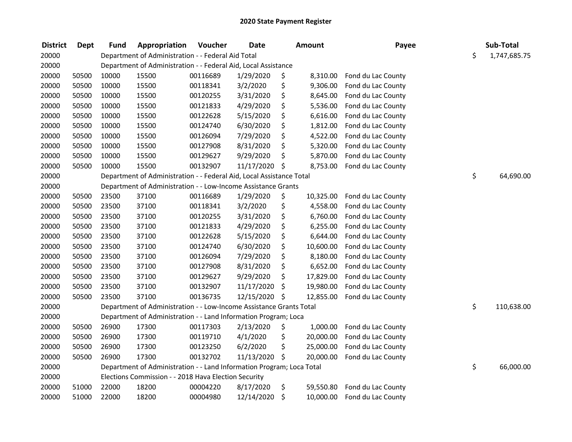| <b>District</b> | <b>Dept</b> | <b>Fund</b> | Appropriation                                                         | Voucher  | <b>Date</b> | Amount          | Payee              | Sub-Total          |
|-----------------|-------------|-------------|-----------------------------------------------------------------------|----------|-------------|-----------------|--------------------|--------------------|
| 20000           |             |             | Department of Administration - - Federal Aid Total                    |          |             |                 |                    | \$<br>1,747,685.75 |
| 20000           |             |             | Department of Administration - - Federal Aid, Local Assistance        |          |             |                 |                    |                    |
| 20000           | 50500       | 10000       | 15500                                                                 | 00116689 | 1/29/2020   | \$<br>8,310.00  | Fond du Lac County |                    |
| 20000           | 50500       | 10000       | 15500                                                                 | 00118341 | 3/2/2020    | \$<br>9,306.00  | Fond du Lac County |                    |
| 20000           | 50500       | 10000       | 15500                                                                 | 00120255 | 3/31/2020   | \$<br>8,645.00  | Fond du Lac County |                    |
| 20000           | 50500       | 10000       | 15500                                                                 | 00121833 | 4/29/2020   | \$<br>5,536.00  | Fond du Lac County |                    |
| 20000           | 50500       | 10000       | 15500                                                                 | 00122628 | 5/15/2020   | \$<br>6,616.00  | Fond du Lac County |                    |
| 20000           | 50500       | 10000       | 15500                                                                 | 00124740 | 6/30/2020   | \$<br>1,812.00  | Fond du Lac County |                    |
| 20000           | 50500       | 10000       | 15500                                                                 | 00126094 | 7/29/2020   | \$<br>4,522.00  | Fond du Lac County |                    |
| 20000           | 50500       | 10000       | 15500                                                                 | 00127908 | 8/31/2020   | \$<br>5,320.00  | Fond du Lac County |                    |
| 20000           | 50500       | 10000       | 15500                                                                 | 00129627 | 9/29/2020   | \$<br>5,870.00  | Fond du Lac County |                    |
| 20000           | 50500       | 10000       | 15500                                                                 | 00132907 | 11/17/2020  | \$<br>8,753.00  | Fond du Lac County |                    |
| 20000           |             |             | Department of Administration - - Federal Aid, Local Assistance Total  |          |             |                 |                    | \$<br>64,690.00    |
| 20000           |             |             | Department of Administration - - Low-Income Assistance Grants         |          |             |                 |                    |                    |
| 20000           | 50500       | 23500       | 37100                                                                 | 00116689 | 1/29/2020   | \$<br>10,325.00 | Fond du Lac County |                    |
| 20000           | 50500       | 23500       | 37100                                                                 | 00118341 | 3/2/2020    | \$<br>4,558.00  | Fond du Lac County |                    |
| 20000           | 50500       | 23500       | 37100                                                                 | 00120255 | 3/31/2020   | \$<br>6,760.00  | Fond du Lac County |                    |
| 20000           | 50500       | 23500       | 37100                                                                 | 00121833 | 4/29/2020   | \$<br>6,255.00  | Fond du Lac County |                    |
| 20000           | 50500       | 23500       | 37100                                                                 | 00122628 | 5/15/2020   | \$<br>6,644.00  | Fond du Lac County |                    |
| 20000           | 50500       | 23500       | 37100                                                                 | 00124740 | 6/30/2020   | \$<br>10,600.00 | Fond du Lac County |                    |
| 20000           | 50500       | 23500       | 37100                                                                 | 00126094 | 7/29/2020   | \$<br>8,180.00  | Fond du Lac County |                    |
| 20000           | 50500       | 23500       | 37100                                                                 | 00127908 | 8/31/2020   | \$<br>6,652.00  | Fond du Lac County |                    |
| 20000           | 50500       | 23500       | 37100                                                                 | 00129627 | 9/29/2020   | \$<br>17,829.00 | Fond du Lac County |                    |
| 20000           | 50500       | 23500       | 37100                                                                 | 00132907 | 11/17/2020  | \$<br>19,980.00 | Fond du Lac County |                    |
| 20000           | 50500       | 23500       | 37100                                                                 | 00136735 | 12/15/2020  | \$<br>12,855.00 | Fond du Lac County |                    |
| 20000           |             |             | Department of Administration - - Low-Income Assistance Grants Total   |          |             |                 |                    | \$<br>110,638.00   |
| 20000           |             |             | Department of Administration - - Land Information Program; Loca       |          |             |                 |                    |                    |
| 20000           | 50500       | 26900       | 17300                                                                 | 00117303 | 2/13/2020   | \$<br>1,000.00  | Fond du Lac County |                    |
| 20000           | 50500       | 26900       | 17300                                                                 | 00119710 | 4/1/2020    | \$<br>20,000.00 | Fond du Lac County |                    |
| 20000           | 50500       | 26900       | 17300                                                                 | 00123250 | 6/2/2020    | \$<br>25,000.00 | Fond du Lac County |                    |
| 20000           | 50500       | 26900       | 17300                                                                 | 00132702 | 11/13/2020  | \$<br>20,000.00 | Fond du Lac County |                    |
| 20000           |             |             | Department of Administration - - Land Information Program; Loca Total |          |             |                 |                    | \$<br>66,000.00    |
| 20000           |             |             | Elections Commission - - 2018 Hava Election Security                  |          |             |                 |                    |                    |
| 20000           | 51000       | 22000       | 18200                                                                 | 00004220 | 8/17/2020   | \$<br>59,550.80 | Fond du Lac County |                    |
| 20000           | 51000       | 22000       | 18200                                                                 | 00004980 | 12/14/2020  | \$<br>10,000.00 | Fond du Lac County |                    |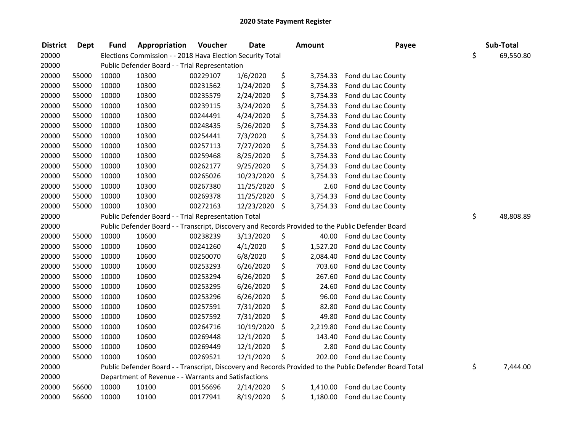| <b>District</b> | Dept  | <b>Fund</b> | Appropriation                                              | Voucher  | <b>Date</b> | <b>Amount</b>  | Payee                                                                                                   | Sub-Total       |
|-----------------|-------|-------------|------------------------------------------------------------|----------|-------------|----------------|---------------------------------------------------------------------------------------------------------|-----------------|
| 20000           |       |             | Elections Commission - - 2018 Hava Election Security Total |          |             |                |                                                                                                         | \$<br>69,550.80 |
| 20000           |       |             | Public Defender Board - - Trial Representation             |          |             |                |                                                                                                         |                 |
| 20000           | 55000 | 10000       | 10300                                                      | 00229107 | 1/6/2020    | \$<br>3,754.33 | Fond du Lac County                                                                                      |                 |
| 20000           | 55000 | 10000       | 10300                                                      | 00231562 | 1/24/2020   | \$<br>3,754.33 | Fond du Lac County                                                                                      |                 |
| 20000           | 55000 | 10000       | 10300                                                      | 00235579 | 2/24/2020   | \$<br>3,754.33 | Fond du Lac County                                                                                      |                 |
| 20000           | 55000 | 10000       | 10300                                                      | 00239115 | 3/24/2020   | \$<br>3,754.33 | Fond du Lac County                                                                                      |                 |
| 20000           | 55000 | 10000       | 10300                                                      | 00244491 | 4/24/2020   | \$<br>3,754.33 | Fond du Lac County                                                                                      |                 |
| 20000           | 55000 | 10000       | 10300                                                      | 00248435 | 5/26/2020   | \$<br>3,754.33 | Fond du Lac County                                                                                      |                 |
| 20000           | 55000 | 10000       | 10300                                                      | 00254441 | 7/3/2020    | \$<br>3,754.33 | Fond du Lac County                                                                                      |                 |
| 20000           | 55000 | 10000       | 10300                                                      | 00257113 | 7/27/2020   | \$<br>3,754.33 | Fond du Lac County                                                                                      |                 |
| 20000           | 55000 | 10000       | 10300                                                      | 00259468 | 8/25/2020   | \$<br>3,754.33 | Fond du Lac County                                                                                      |                 |
| 20000           | 55000 | 10000       | 10300                                                      | 00262177 | 9/25/2020   | \$<br>3,754.33 | Fond du Lac County                                                                                      |                 |
| 20000           | 55000 | 10000       | 10300                                                      | 00265026 | 10/23/2020  | \$<br>3,754.33 | Fond du Lac County                                                                                      |                 |
| 20000           | 55000 | 10000       | 10300                                                      | 00267380 | 11/25/2020  | \$<br>2.60     | Fond du Lac County                                                                                      |                 |
| 20000           | 55000 | 10000       | 10300                                                      | 00269378 | 11/25/2020  | \$<br>3,754.33 | Fond du Lac County                                                                                      |                 |
| 20000           | 55000 | 10000       | 10300                                                      | 00272163 | 12/23/2020  | \$<br>3,754.33 | Fond du Lac County                                                                                      |                 |
| 20000           |       |             | Public Defender Board - - Trial Representation Total       |          |             |                |                                                                                                         | \$<br>48,808.89 |
| 20000           |       |             |                                                            |          |             |                | Public Defender Board - - Transcript, Discovery and Records Provided to the Public Defender Board       |                 |
| 20000           | 55000 | 10000       | 10600                                                      | 00238239 | 3/13/2020   | \$<br>40.00    | Fond du Lac County                                                                                      |                 |
| 20000           | 55000 | 10000       | 10600                                                      | 00241260 | 4/1/2020    | \$<br>1,527.20 | Fond du Lac County                                                                                      |                 |
| 20000           | 55000 | 10000       | 10600                                                      | 00250070 | 6/8/2020    | \$<br>2,084.40 | Fond du Lac County                                                                                      |                 |
| 20000           | 55000 | 10000       | 10600                                                      | 00253293 | 6/26/2020   | \$<br>703.60   | Fond du Lac County                                                                                      |                 |
| 20000           | 55000 | 10000       | 10600                                                      | 00253294 | 6/26/2020   | \$<br>267.60   | Fond du Lac County                                                                                      |                 |
| 20000           | 55000 | 10000       | 10600                                                      | 00253295 | 6/26/2020   | \$<br>24.60    | Fond du Lac County                                                                                      |                 |
| 20000           | 55000 | 10000       | 10600                                                      | 00253296 | 6/26/2020   | \$<br>96.00    | Fond du Lac County                                                                                      |                 |
| 20000           | 55000 | 10000       | 10600                                                      | 00257591 | 7/31/2020   | \$<br>82.80    | Fond du Lac County                                                                                      |                 |
| 20000           | 55000 | 10000       | 10600                                                      | 00257592 | 7/31/2020   | \$<br>49.80    | Fond du Lac County                                                                                      |                 |
| 20000           | 55000 | 10000       | 10600                                                      | 00264716 | 10/19/2020  | \$<br>2,219.80 | Fond du Lac County                                                                                      |                 |
| 20000           | 55000 | 10000       | 10600                                                      | 00269448 | 12/1/2020   | \$<br>143.40   | Fond du Lac County                                                                                      |                 |
| 20000           | 55000 | 10000       | 10600                                                      | 00269449 | 12/1/2020   | \$<br>2.80     | Fond du Lac County                                                                                      |                 |
| 20000           | 55000 | 10000       | 10600                                                      | 00269521 | 12/1/2020   | \$<br>202.00   | Fond du Lac County                                                                                      |                 |
| 20000           |       |             |                                                            |          |             |                | Public Defender Board - - Transcript, Discovery and Records Provided to the Public Defender Board Total | \$<br>7,444.00  |
| 20000           |       |             | Department of Revenue - - Warrants and Satisfactions       |          |             |                |                                                                                                         |                 |
| 20000           | 56600 | 10000       | 10100                                                      | 00156696 | 2/14/2020   | \$<br>1,410.00 | Fond du Lac County                                                                                      |                 |
| 20000           | 56600 | 10000       | 10100                                                      | 00177941 | 8/19/2020   | \$<br>1,180.00 | Fond du Lac County                                                                                      |                 |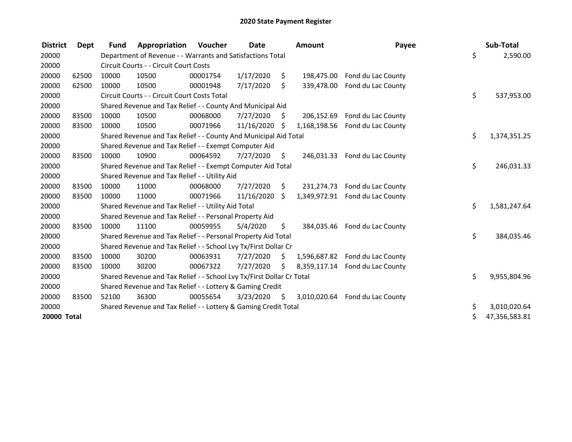| <b>District</b>    | Dept  | <b>Fund</b> | Appropriation                                                         | <b>Voucher</b> | Date       |      | <b>Amount</b> | Payee                           | Sub-Total           |
|--------------------|-------|-------------|-----------------------------------------------------------------------|----------------|------------|------|---------------|---------------------------------|---------------------|
| 20000              |       |             | Department of Revenue - - Warrants and Satisfactions Total            |                |            |      |               |                                 | \$<br>2,590.00      |
| 20000              |       |             | Circuit Courts - - Circuit Court Costs                                |                |            |      |               |                                 |                     |
| 20000              | 62500 | 10000       | 10500                                                                 | 00001754       | 1/17/2020  | \$.  | 198,475.00    | Fond du Lac County              |                     |
| 20000              | 62500 | 10000       | 10500                                                                 | 00001948       | 7/17/2020  | \$   | 339,478.00    | Fond du Lac County              |                     |
| 20000              |       |             | Circuit Courts - - Circuit Court Costs Total                          |                |            |      |               |                                 | \$<br>537,953.00    |
| 20000              |       |             | Shared Revenue and Tax Relief - - County And Municipal Aid            |                |            |      |               |                                 |                     |
| 20000              | 83500 | 10000       | 10500                                                                 | 00068000       | 7/27/2020  | S.   | 206,152.69    | Fond du Lac County              |                     |
| 20000              | 83500 | 10000       | 10500                                                                 | 00071966       | 11/16/2020 | S    | 1,168,198.56  | Fond du Lac County              |                     |
| 20000              |       |             | Shared Revenue and Tax Relief - - County And Municipal Aid Total      |                |            |      |               |                                 | \$<br>1,374,351.25  |
| 20000              |       |             | Shared Revenue and Tax Relief - - Exempt Computer Aid                 |                |            |      |               |                                 |                     |
| 20000              | 83500 | 10000       | 10900                                                                 | 00064592       | 7/27/2020  | \$   | 246,031.33    | Fond du Lac County              |                     |
| 20000              |       |             | Shared Revenue and Tax Relief - - Exempt Computer Aid Total           |                |            |      |               |                                 | \$<br>246,031.33    |
| 20000              |       |             | Shared Revenue and Tax Relief - - Utility Aid                         |                |            |      |               |                                 |                     |
| 20000              | 83500 | 10000       | 11000                                                                 | 00068000       | 7/27/2020  | \$   | 231,274.73    | Fond du Lac County              |                     |
| 20000              | 83500 | 10000       | 11000                                                                 | 00071966       | 11/16/2020 | Ŝ.   | 1,349,972.91  | Fond du Lac County              |                     |
| 20000              |       |             | Shared Revenue and Tax Relief - - Utility Aid Total                   |                |            |      |               |                                 | \$<br>1,581,247.64  |
| 20000              |       |             | Shared Revenue and Tax Relief - - Personal Property Aid               |                |            |      |               |                                 |                     |
| 20000              | 83500 | 10000       | 11100                                                                 | 00059955       | 5/4/2020   | \$   | 384,035.46    | Fond du Lac County              |                     |
| 20000              |       |             | Shared Revenue and Tax Relief - - Personal Property Aid Total         |                |            |      |               |                                 | \$<br>384,035.46    |
| 20000              |       |             | Shared Revenue and Tax Relief - - School Lvy Tx/First Dollar Cr       |                |            |      |               |                                 |                     |
| 20000              | 83500 | 10000       | 30200                                                                 | 00063931       | 7/27/2020  | Ŝ.   | 1,596,687.82  | Fond du Lac County              |                     |
| 20000              | 83500 | 10000       | 30200                                                                 | 00067322       | 7/27/2020  | Ŝ.   | 8,359,117.14  | Fond du Lac County              |                     |
| 20000              |       |             | Shared Revenue and Tax Relief - - School Lvy Tx/First Dollar Cr Total |                |            |      |               |                                 | \$<br>9,955,804.96  |
| 20000              |       |             | Shared Revenue and Tax Relief - - Lottery & Gaming Credit             |                |            |      |               |                                 |                     |
| 20000              | 83500 | 52100       | 36300                                                                 | 00055654       | 3/23/2020  | - \$ |               | 3,010,020.64 Fond du Lac County |                     |
| 20000              |       |             | Shared Revenue and Tax Relief - - Lottery & Gaming Credit Total       |                |            |      |               |                                 | \$<br>3,010,020.64  |
| <b>20000 Total</b> |       |             |                                                                       |                |            |      |               |                                 | \$<br>47,356,583.81 |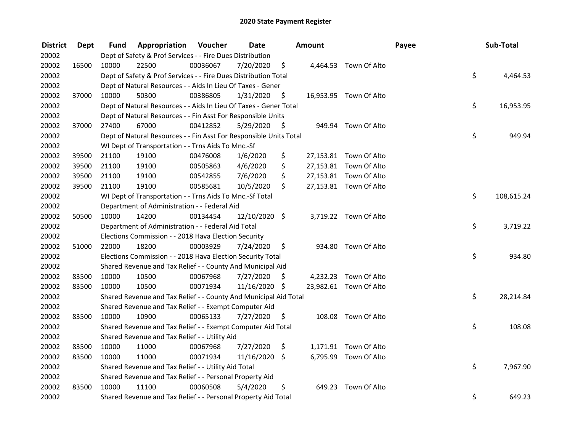| <b>District</b> | Dept  | Fund  | Appropriation                                                      | Voucher  | <b>Date</b>   |      | Amount |                        | Payee | Sub-Total  |
|-----------------|-------|-------|--------------------------------------------------------------------|----------|---------------|------|--------|------------------------|-------|------------|
| 20002           |       |       | Dept of Safety & Prof Services - - Fire Dues Distribution          |          |               |      |        |                        |       |            |
| 20002           | 16500 | 10000 | 22500                                                              | 00036067 | 7/20/2020     | \$   |        | 4,464.53 Town Of Alto  |       |            |
| 20002           |       |       | Dept of Safety & Prof Services - - Fire Dues Distribution Total    |          |               |      |        |                        | \$    | 4,464.53   |
| 20002           |       |       | Dept of Natural Resources - - Aids In Lieu Of Taxes - Gener        |          |               |      |        |                        |       |            |
| 20002           | 37000 | 10000 | 50300                                                              | 00386805 | 1/31/2020     | \$   |        | 16,953.95 Town Of Alto |       |            |
| 20002           |       |       | Dept of Natural Resources - - Aids In Lieu Of Taxes - Gener Total  |          |               |      |        |                        | \$    | 16,953.95  |
| 20002           |       |       | Dept of Natural Resources - - Fin Asst For Responsible Units       |          |               |      |        |                        |       |            |
| 20002           | 37000 | 27400 | 67000                                                              | 00412852 | 5/29/2020     | - \$ |        | 949.94 Town Of Alto    |       |            |
| 20002           |       |       | Dept of Natural Resources - - Fin Asst For Responsible Units Total |          |               |      |        |                        | \$    | 949.94     |
| 20002           |       |       | WI Dept of Transportation - - Trns Aids To Mnc.-Sf                 |          |               |      |        |                        |       |            |
| 20002           | 39500 | 21100 | 19100                                                              | 00476008 | 1/6/2020      | \$   |        | 27,153.81 Town Of Alto |       |            |
| 20002           | 39500 | 21100 | 19100                                                              | 00505863 | 4/6/2020      | \$   |        | 27,153.81 Town Of Alto |       |            |
| 20002           | 39500 | 21100 | 19100                                                              | 00542855 | 7/6/2020      | \$   |        | 27,153.81 Town Of Alto |       |            |
| 20002           | 39500 | 21100 | 19100                                                              | 00585681 | 10/5/2020     | \$   |        | 27,153.81 Town Of Alto |       |            |
| 20002           |       |       | WI Dept of Transportation - - Trns Aids To Mnc.-Sf Total           |          |               |      |        |                        | \$    | 108,615.24 |
| 20002           |       |       | Department of Administration - - Federal Aid                       |          |               |      |        |                        |       |            |
| 20002           | 50500 | 10000 | 14200                                                              | 00134454 | 12/10/2020 \$ |      |        | 3,719.22 Town Of Alto  |       |            |
| 20002           |       |       | Department of Administration - - Federal Aid Total                 |          |               |      |        |                        | \$    | 3,719.22   |
| 20002           |       |       | Elections Commission - - 2018 Hava Election Security               |          |               |      |        |                        |       |            |
| 20002           | 51000 | 22000 | 18200                                                              | 00003929 | 7/24/2020     | \$   |        | 934.80 Town Of Alto    |       |            |
| 20002           |       |       | Elections Commission - - 2018 Hava Election Security Total         |          |               |      |        |                        | \$    | 934.80     |
| 20002           |       |       | Shared Revenue and Tax Relief - - County And Municipal Aid         |          |               |      |        |                        |       |            |
| 20002           | 83500 | 10000 | 10500                                                              | 00067968 | 7/27/2020     | S    |        | 4,232.23 Town Of Alto  |       |            |
| 20002           | 83500 | 10000 | 10500                                                              | 00071934 | 11/16/2020 \$ |      |        | 23,982.61 Town Of Alto |       |            |
| 20002           |       |       | Shared Revenue and Tax Relief - - County And Municipal Aid Total   |          |               |      |        |                        | \$    | 28,214.84  |
| 20002           |       |       | Shared Revenue and Tax Relief - - Exempt Computer Aid              |          |               |      |        |                        |       |            |
| 20002           | 83500 | 10000 | 10900                                                              | 00065133 | 7/27/2020     | \$   |        | 108.08 Town Of Alto    |       |            |
| 20002           |       |       | Shared Revenue and Tax Relief - - Exempt Computer Aid Total        |          |               |      |        |                        | \$    | 108.08     |
| 20002           |       |       | Shared Revenue and Tax Relief - - Utility Aid                      |          |               |      |        |                        |       |            |
| 20002           | 83500 | 10000 | 11000                                                              | 00067968 | 7/27/2020     | \$   |        | 1,171.91 Town Of Alto  |       |            |
| 20002           | 83500 | 10000 | 11000                                                              | 00071934 | 11/16/2020    | \$   |        | 6,795.99 Town Of Alto  |       |            |
| 20002           |       |       | Shared Revenue and Tax Relief - - Utility Aid Total                |          |               |      |        |                        | \$    | 7,967.90   |
| 20002           |       |       | Shared Revenue and Tax Relief - - Personal Property Aid            |          |               |      |        |                        |       |            |
| 20002           | 83500 | 10000 | 11100                                                              | 00060508 | 5/4/2020      | \$   | 649.23 | Town Of Alto           |       |            |
| 20002           |       |       | Shared Revenue and Tax Relief - - Personal Property Aid Total      |          |               |      |        |                        | \$    | 649.23     |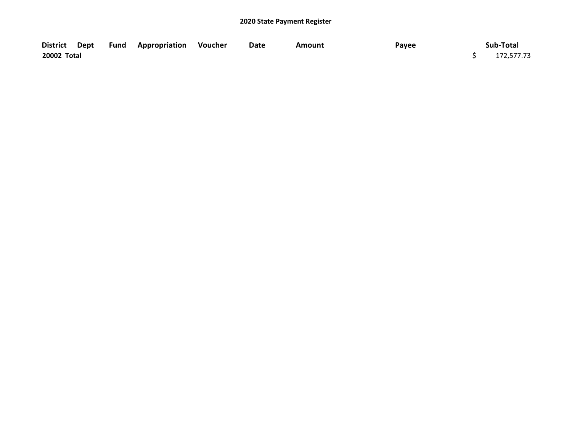|             |  | District Dept Fund Appropriation Voucher | Date | Amount | Payee | Sub-Total  |
|-------------|--|------------------------------------------|------|--------|-------|------------|
| 20002 Total |  |                                          |      |        |       | 172,577.73 |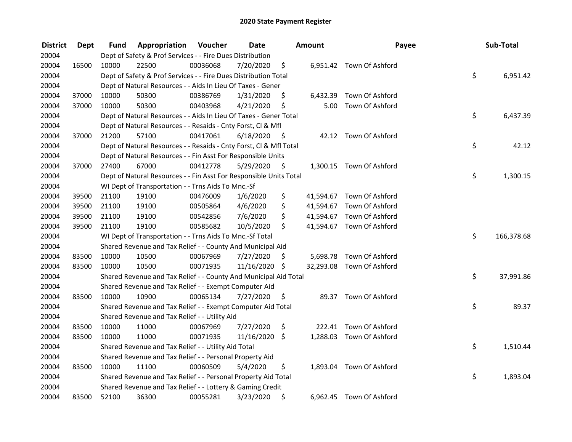| <b>District</b> | Dept  | Fund  | Appropriation                                                      | Voucher  | <b>Date</b>   |      | Amount   | Payee                     | Sub-Total        |
|-----------------|-------|-------|--------------------------------------------------------------------|----------|---------------|------|----------|---------------------------|------------------|
| 20004           |       |       | Dept of Safety & Prof Services - - Fire Dues Distribution          |          |               |      |          |                           |                  |
| 20004           | 16500 | 10000 | 22500                                                              | 00036068 | 7/20/2020     | \$   |          | 6,951.42 Town Of Ashford  |                  |
| 20004           |       |       | Dept of Safety & Prof Services - - Fire Dues Distribution Total    |          |               |      |          |                           | \$<br>6,951.42   |
| 20004           |       |       | Dept of Natural Resources - - Aids In Lieu Of Taxes - Gener        |          |               |      |          |                           |                  |
| 20004           | 37000 | 10000 | 50300                                                              | 00386769 | 1/31/2020     | \$   | 6,432.39 | Town Of Ashford           |                  |
| 20004           | 37000 | 10000 | 50300                                                              | 00403968 | 4/21/2020     | \$   | 5.00     | Town Of Ashford           |                  |
| 20004           |       |       | Dept of Natural Resources - - Aids In Lieu Of Taxes - Gener Total  |          |               |      |          |                           | \$<br>6,437.39   |
| 20004           |       |       | Dept of Natural Resources - - Resaids - Cnty Forst, Cl & Mfl       |          |               |      |          |                           |                  |
| 20004           | 37000 | 21200 | 57100                                                              | 00417061 | 6/18/2020     | - \$ |          | 42.12 Town Of Ashford     |                  |
| 20004           |       |       | Dept of Natural Resources - - Resaids - Cnty Forst, Cl & Mfl Total |          |               |      |          |                           | \$<br>42.12      |
| 20004           |       |       | Dept of Natural Resources - - Fin Asst For Responsible Units       |          |               |      |          |                           |                  |
| 20004           | 37000 | 27400 | 67000                                                              | 00412778 | 5/29/2020     | \$   |          | 1,300.15 Town Of Ashford  |                  |
| 20004           |       |       | Dept of Natural Resources - - Fin Asst For Responsible Units Total |          |               |      |          |                           | \$<br>1,300.15   |
| 20004           |       |       | WI Dept of Transportation - - Trns Aids To Mnc.-Sf                 |          |               |      |          |                           |                  |
| 20004           | 39500 | 21100 | 19100                                                              | 00476009 | 1/6/2020      | \$   |          | 41,594.67 Town Of Ashford |                  |
| 20004           | 39500 | 21100 | 19100                                                              | 00505864 | 4/6/2020      | \$   |          | 41,594.67 Town Of Ashford |                  |
| 20004           | 39500 | 21100 | 19100                                                              | 00542856 | 7/6/2020      | \$   |          | 41,594.67 Town Of Ashford |                  |
| 20004           | 39500 | 21100 | 19100                                                              | 00585682 | 10/5/2020     | \$   |          | 41,594.67 Town Of Ashford |                  |
| 20004           |       |       | WI Dept of Transportation - - Trns Aids To Mnc.-Sf Total           |          |               |      |          |                           | \$<br>166,378.68 |
| 20004           |       |       | Shared Revenue and Tax Relief - - County And Municipal Aid         |          |               |      |          |                           |                  |
| 20004           | 83500 | 10000 | 10500                                                              | 00067969 | 7/27/2020     | \$   |          | 5,698.78 Town Of Ashford  |                  |
| 20004           | 83500 | 10000 | 10500                                                              | 00071935 | 11/16/2020 \$ |      |          | 32,293.08 Town Of Ashford |                  |
| 20004           |       |       | Shared Revenue and Tax Relief - - County And Municipal Aid Total   |          |               |      |          |                           | \$<br>37,991.86  |
| 20004           |       |       | Shared Revenue and Tax Relief - - Exempt Computer Aid              |          |               |      |          |                           |                  |
| 20004           | 83500 | 10000 | 10900                                                              | 00065134 | 7/27/2020     | \$.  |          | 89.37 Town Of Ashford     |                  |
| 20004           |       |       | Shared Revenue and Tax Relief - - Exempt Computer Aid Total        |          |               |      |          |                           | \$<br>89.37      |
| 20004           |       |       | Shared Revenue and Tax Relief - - Utility Aid                      |          |               |      |          |                           |                  |
| 20004           | 83500 | 10000 | 11000                                                              | 00067969 | 7/27/2020     | \$   |          | 222.41 Town Of Ashford    |                  |
| 20004           | 83500 | 10000 | 11000                                                              | 00071935 | 11/16/2020    | \$   |          | 1,288.03 Town Of Ashford  |                  |
| 20004           |       |       | Shared Revenue and Tax Relief - - Utility Aid Total                |          |               |      |          |                           | \$<br>1,510.44   |
| 20004           |       |       | Shared Revenue and Tax Relief - - Personal Property Aid            |          |               |      |          |                           |                  |
| 20004           | 83500 | 10000 | 11100                                                              | 00060509 | 5/4/2020      | \$   |          | 1,893.04 Town Of Ashford  |                  |
| 20004           |       |       | Shared Revenue and Tax Relief - - Personal Property Aid Total      |          |               |      |          |                           | \$<br>1,893.04   |
| 20004           |       |       | Shared Revenue and Tax Relief - - Lottery & Gaming Credit          |          |               |      |          |                           |                  |
| 20004           | 83500 | 52100 | 36300                                                              | 00055281 | 3/23/2020     | \$   |          | 6,962.45 Town Of Ashford  |                  |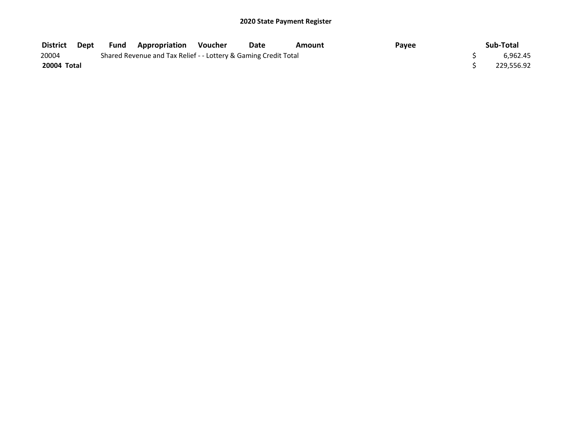| <b>District</b> | Dept | Fund | <b>Appropriation Voucher</b>                                    | Date | Amount | Pavee | Sub-Total  |
|-----------------|------|------|-----------------------------------------------------------------|------|--------|-------|------------|
| 20004           |      |      | Shared Revenue and Tax Relief - - Lottery & Gaming Credit Total |      |        |       | 6.962.45   |
| 20004 Total     |      |      |                                                                 |      |        |       | 229.556.92 |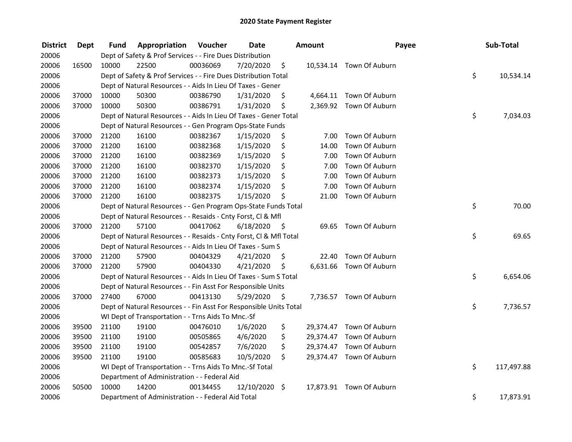| <b>District</b> | <b>Dept</b> | Fund  | Appropriation                                                      | Voucher  | <b>Date</b> |      | Amount | Payee                    | Sub-Total        |
|-----------------|-------------|-------|--------------------------------------------------------------------|----------|-------------|------|--------|--------------------------|------------------|
| 20006           |             |       | Dept of Safety & Prof Services - - Fire Dues Distribution          |          |             |      |        |                          |                  |
| 20006           | 16500       | 10000 | 22500                                                              | 00036069 | 7/20/2020   | \$   |        | 10,534.14 Town Of Auburn |                  |
| 20006           |             |       | Dept of Safety & Prof Services - - Fire Dues Distribution Total    |          |             |      |        |                          | \$<br>10,534.14  |
| 20006           |             |       | Dept of Natural Resources - - Aids In Lieu Of Taxes - Gener        |          |             |      |        |                          |                  |
| 20006           | 37000       | 10000 | 50300                                                              | 00386790 | 1/31/2020   | \$   |        | 4,664.11 Town Of Auburn  |                  |
| 20006           | 37000       | 10000 | 50300                                                              | 00386791 | 1/31/2020   | \$   |        | 2,369.92 Town Of Auburn  |                  |
| 20006           |             |       | Dept of Natural Resources - - Aids In Lieu Of Taxes - Gener Total  |          |             |      |        |                          | \$<br>7,034.03   |
| 20006           |             |       | Dept of Natural Resources - - Gen Program Ops-State Funds          |          |             |      |        |                          |                  |
| 20006           | 37000       | 21200 | 16100                                                              | 00382367 | 1/15/2020   | \$   | 7.00   | Town Of Auburn           |                  |
| 20006           | 37000       | 21200 | 16100                                                              | 00382368 | 1/15/2020   | \$   | 14.00  | Town Of Auburn           |                  |
| 20006           | 37000       | 21200 | 16100                                                              | 00382369 | 1/15/2020   | \$   | 7.00   | Town Of Auburn           |                  |
| 20006           | 37000       | 21200 | 16100                                                              | 00382370 | 1/15/2020   | \$   | 7.00   | Town Of Auburn           |                  |
| 20006           | 37000       | 21200 | 16100                                                              | 00382373 | 1/15/2020   | \$   | 7.00   | Town Of Auburn           |                  |
| 20006           | 37000       | 21200 | 16100                                                              | 00382374 | 1/15/2020   | \$   | 7.00   | Town Of Auburn           |                  |
| 20006           | 37000       | 21200 | 16100                                                              | 00382375 | 1/15/2020   | \$   | 21.00  | Town Of Auburn           |                  |
| 20006           |             |       | Dept of Natural Resources - - Gen Program Ops-State Funds Total    |          |             |      |        |                          | \$<br>70.00      |
| 20006           |             |       | Dept of Natural Resources - - Resaids - Cnty Forst, Cl & Mfl       |          |             |      |        |                          |                  |
| 20006           | 37000       | 21200 | 57100                                                              | 00417062 | 6/18/2020   | - \$ | 69.65  | Town Of Auburn           |                  |
| 20006           |             |       | Dept of Natural Resources - - Resaids - Cnty Forst, Cl & Mfl Total |          |             |      |        |                          | \$<br>69.65      |
| 20006           |             |       | Dept of Natural Resources - - Aids In Lieu Of Taxes - Sum S        |          |             |      |        |                          |                  |
| 20006           | 37000       | 21200 | 57900                                                              | 00404329 | 4/21/2020   | \$   | 22.40  | Town Of Auburn           |                  |
| 20006           | 37000       | 21200 | 57900                                                              | 00404330 | 4/21/2020   | \$   |        | 6,631.66 Town Of Auburn  |                  |
| 20006           |             |       | Dept of Natural Resources - - Aids In Lieu Of Taxes - Sum S Total  |          |             |      |        |                          | \$<br>6,654.06   |
| 20006           |             |       | Dept of Natural Resources - - Fin Asst For Responsible Units       |          |             |      |        |                          |                  |
| 20006           | 37000       | 27400 | 67000                                                              | 00413130 | 5/29/2020   | S    |        | 7,736.57 Town Of Auburn  |                  |
| 20006           |             |       | Dept of Natural Resources - - Fin Asst For Responsible Units Total |          |             |      |        |                          | \$<br>7,736.57   |
| 20006           |             |       | WI Dept of Transportation - - Trns Aids To Mnc.-Sf                 |          |             |      |        |                          |                  |
| 20006           | 39500       | 21100 | 19100                                                              | 00476010 | 1/6/2020    | \$   |        | 29,374.47 Town Of Auburn |                  |
| 20006           | 39500       | 21100 | 19100                                                              | 00505865 | 4/6/2020    | \$   |        | 29,374.47 Town Of Auburn |                  |
| 20006           | 39500       | 21100 | 19100                                                              | 00542857 | 7/6/2020    | \$   |        | 29,374.47 Town Of Auburn |                  |
| 20006           | 39500       | 21100 | 19100                                                              | 00585683 | 10/5/2020   | \$   |        | 29,374.47 Town Of Auburn |                  |
| 20006           |             |       | WI Dept of Transportation - - Trns Aids To Mnc.-Sf Total           |          |             |      |        |                          | \$<br>117,497.88 |
| 20006           |             |       | Department of Administration - - Federal Aid                       |          |             |      |        |                          |                  |
| 20006           | 50500       | 10000 | 14200                                                              | 00134455 | 12/10/2020  | \$.  |        | 17,873.91 Town Of Auburn |                  |
| 20006           |             |       | Department of Administration - - Federal Aid Total                 |          |             |      |        |                          | \$<br>17,873.91  |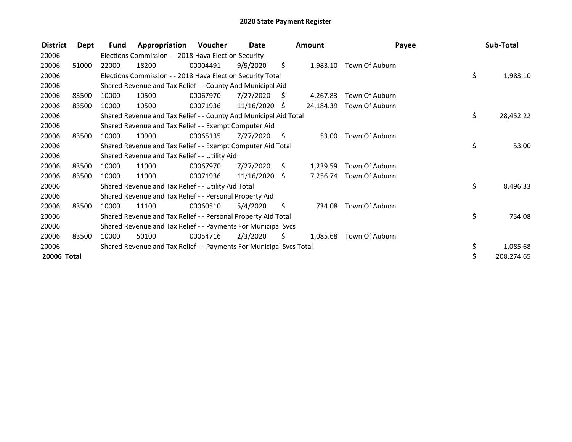| <b>District</b> | Dept  | <b>Fund</b> | Appropriation                                                       | Voucher  | Date            |    | Amount    | Payee                   | Sub-Total        |
|-----------------|-------|-------------|---------------------------------------------------------------------|----------|-----------------|----|-----------|-------------------------|------------------|
| 20006           |       |             | Elections Commission - - 2018 Hava Election Security                |          |                 |    |           |                         |                  |
| 20006           | 51000 | 22000       | 18200                                                               | 00004491 | 9/9/2020        | \$ | 1,983.10  | Town Of Auburn          |                  |
| 20006           |       |             | Elections Commission - - 2018 Hava Election Security Total          |          |                 |    |           |                         | \$<br>1,983.10   |
| 20006           |       |             | Shared Revenue and Tax Relief - - County And Municipal Aid          |          |                 |    |           |                         |                  |
| 20006           | 83500 | 10000       | 10500                                                               | 00067970 | 7/27/2020       | S. | 4.267.83  | Town Of Auburn          |                  |
| 20006           | 83500 | 10000       | 10500                                                               | 00071936 | 11/16/2020      | S  | 24,184.39 | Town Of Auburn          |                  |
| 20006           |       |             | Shared Revenue and Tax Relief - - County And Municipal Aid Total    |          |                 |    |           |                         | \$<br>28,452.22  |
| 20006           |       |             | Shared Revenue and Tax Relief - - Exempt Computer Aid               |          |                 |    |           |                         |                  |
| 20006           | 83500 | 10000       | 10900                                                               | 00065135 | 7/27/2020       | S. | 53.00     | Town Of Auburn          |                  |
| 20006           |       |             | Shared Revenue and Tax Relief - - Exempt Computer Aid Total         |          |                 |    |           |                         | \$<br>53.00      |
| 20006           |       |             | Shared Revenue and Tax Relief - - Utility Aid                       |          |                 |    |           |                         |                  |
| 20006           | 83500 | 10000       | 11000                                                               | 00067970 | 7/27/2020       | S. | 1,239.59  | Town Of Auburn          |                  |
| 20006           | 83500 | 10000       | 11000                                                               | 00071936 | $11/16/2020$ \$ |    |           | 7,256.74 Town Of Auburn |                  |
| 20006           |       |             | Shared Revenue and Tax Relief - - Utility Aid Total                 |          |                 |    |           |                         | \$<br>8,496.33   |
| 20006           |       |             | Shared Revenue and Tax Relief - - Personal Property Aid             |          |                 |    |           |                         |                  |
| 20006           | 83500 | 10000       | 11100                                                               | 00060510 | 5/4/2020        | S  | 734.08    | Town Of Auburn          |                  |
| 20006           |       |             | Shared Revenue and Tax Relief - - Personal Property Aid Total       |          |                 |    |           |                         | \$<br>734.08     |
| 20006           |       |             | Shared Revenue and Tax Relief - - Payments For Municipal Svcs       |          |                 |    |           |                         |                  |
| 20006           | 83500 | 10000       | 50100                                                               | 00054716 | 2/3/2020        | S  | 1,085.68  | Town Of Auburn          |                  |
| 20006           |       |             | Shared Revenue and Tax Relief - - Payments For Municipal Svcs Total |          |                 |    |           |                         | \$<br>1,085.68   |
| 20006 Total     |       |             |                                                                     |          |                 |    |           |                         | \$<br>208,274.65 |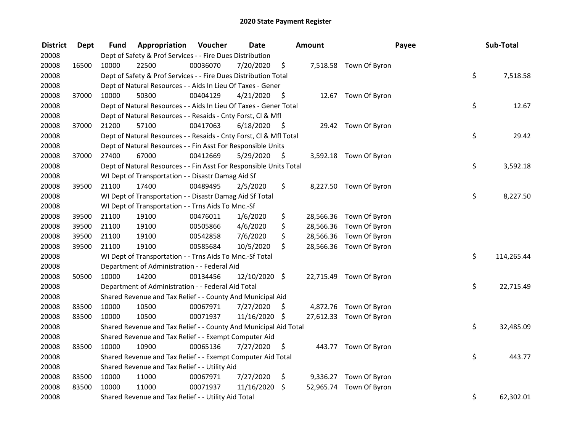| <b>District</b> | <b>Dept</b> | Fund  | Appropriation                                                      | Voucher  | <b>Date</b>   |      | Amount    |                         | Payee | Sub-Total  |
|-----------------|-------------|-------|--------------------------------------------------------------------|----------|---------------|------|-----------|-------------------------|-------|------------|
| 20008           |             |       | Dept of Safety & Prof Services - - Fire Dues Distribution          |          |               |      |           |                         |       |            |
| 20008           | 16500       | 10000 | 22500                                                              | 00036070 | 7/20/2020     | \$   |           | 7,518.58 Town Of Byron  |       |            |
| 20008           |             |       | Dept of Safety & Prof Services - - Fire Dues Distribution Total    |          |               |      |           |                         | \$    | 7,518.58   |
| 20008           |             |       | Dept of Natural Resources - - Aids In Lieu Of Taxes - Gener        |          |               |      |           |                         |       |            |
| 20008           | 37000       | 10000 | 50300                                                              | 00404129 | 4/21/2020     | \$   |           | 12.67 Town Of Byron     |       |            |
| 20008           |             |       | Dept of Natural Resources - - Aids In Lieu Of Taxes - Gener Total  |          |               |      |           |                         | \$    | 12.67      |
| 20008           |             |       | Dept of Natural Resources - - Resaids - Cnty Forst, Cl & Mfl       |          |               |      |           |                         |       |            |
| 20008           | 37000       | 21200 | 57100                                                              | 00417063 | 6/18/2020     | - \$ |           | 29.42 Town Of Byron     |       |            |
| 20008           |             |       | Dept of Natural Resources - - Resaids - Cnty Forst, Cl & Mfl Total |          |               |      |           |                         | \$    | 29.42      |
| 20008           |             |       | Dept of Natural Resources - - Fin Asst For Responsible Units       |          |               |      |           |                         |       |            |
| 20008           | 37000       | 27400 | 67000                                                              | 00412669 | 5/29/2020     | \$   |           | 3,592.18 Town Of Byron  |       |            |
| 20008           |             |       | Dept of Natural Resources - - Fin Asst For Responsible Units Total |          |               |      |           |                         | \$    | 3,592.18   |
| 20008           |             |       | WI Dept of Transportation - - Disastr Damag Aid Sf                 |          |               |      |           |                         |       |            |
| 20008           | 39500       | 21100 | 17400                                                              | 00489495 | 2/5/2020      | \$   |           | 8,227.50 Town Of Byron  |       |            |
| 20008           |             |       | WI Dept of Transportation - - Disastr Damag Aid Sf Total           |          |               |      |           |                         | \$    | 8,227.50   |
| 20008           |             |       | WI Dept of Transportation - - Trns Aids To Mnc.-Sf                 |          |               |      |           |                         |       |            |
| 20008           | 39500       | 21100 | 19100                                                              | 00476011 | 1/6/2020      | \$   | 28,566.36 | Town Of Byron           |       |            |
| 20008           | 39500       | 21100 | 19100                                                              | 00505866 | 4/6/2020      | \$   | 28,566.36 | Town Of Byron           |       |            |
| 20008           | 39500       | 21100 | 19100                                                              | 00542858 | 7/6/2020      | \$   |           | 28,566.36 Town Of Byron |       |            |
| 20008           | 39500       | 21100 | 19100                                                              | 00585684 | 10/5/2020     | \$   |           | 28,566.36 Town Of Byron |       |            |
| 20008           |             |       | WI Dept of Transportation - - Trns Aids To Mnc.-Sf Total           |          |               |      |           |                         | \$    | 114,265.44 |
| 20008           |             |       | Department of Administration - - Federal Aid                       |          |               |      |           |                         |       |            |
| 20008           | 50500       | 10000 | 14200                                                              | 00134456 | 12/10/2020 \$ |      |           | 22,715.49 Town Of Byron |       |            |
| 20008           |             |       | Department of Administration - - Federal Aid Total                 |          |               |      |           |                         | \$    | 22,715.49  |
| 20008           |             |       | Shared Revenue and Tax Relief - - County And Municipal Aid         |          |               |      |           |                         |       |            |
| 20008           | 83500       | 10000 | 10500                                                              | 00067971 | 7/27/2020     | S    |           | 4,872.76 Town Of Byron  |       |            |
| 20008           | 83500       | 10000 | 10500                                                              | 00071937 | 11/16/2020 \$ |      |           | 27,612.33 Town Of Byron |       |            |
| 20008           |             |       | Shared Revenue and Tax Relief - - County And Municipal Aid Total   |          |               |      |           |                         | \$    | 32,485.09  |
| 20008           |             |       | Shared Revenue and Tax Relief - - Exempt Computer Aid              |          |               |      |           |                         |       |            |
| 20008           | 83500       | 10000 | 10900                                                              | 00065136 | 7/27/2020     | \$   |           | 443.77 Town Of Byron    |       |            |
| 20008           |             |       | Shared Revenue and Tax Relief - - Exempt Computer Aid Total        |          |               |      |           |                         | \$    | 443.77     |
| 20008           |             |       | Shared Revenue and Tax Relief - - Utility Aid                      |          |               |      |           |                         |       |            |
| 20008           | 83500       | 10000 | 11000                                                              | 00067971 | 7/27/2020     | \$   |           | 9,336.27 Town Of Byron  |       |            |
| 20008           | 83500       | 10000 | 11000                                                              | 00071937 | 11/16/2020    | \$   | 52,965.74 | Town Of Byron           |       |            |
| 20008           |             |       | Shared Revenue and Tax Relief - - Utility Aid Total                |          |               |      |           |                         | \$    | 62,302.01  |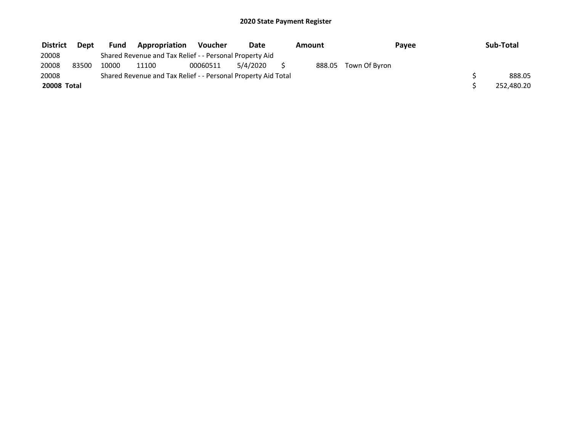| <b>District</b>    | <b>Dept</b> | <b>Fund</b> | Appropriation                                                 | <b>Voucher</b> | Date     | Amount | Payee         | Sub-Total  |
|--------------------|-------------|-------------|---------------------------------------------------------------|----------------|----------|--------|---------------|------------|
| 20008              |             |             | Shared Revenue and Tax Relief - - Personal Property Aid       |                |          |        |               |            |
| 20008              | 83500       | 10000       | 11100                                                         | 00060511       | 5/4/2020 | 888.05 | Town Of Byron |            |
| 20008              |             |             | Shared Revenue and Tax Relief - - Personal Property Aid Total |                |          |        |               | 888.05     |
| <b>20008 Total</b> |             |             |                                                               |                |          |        |               | 252,480.20 |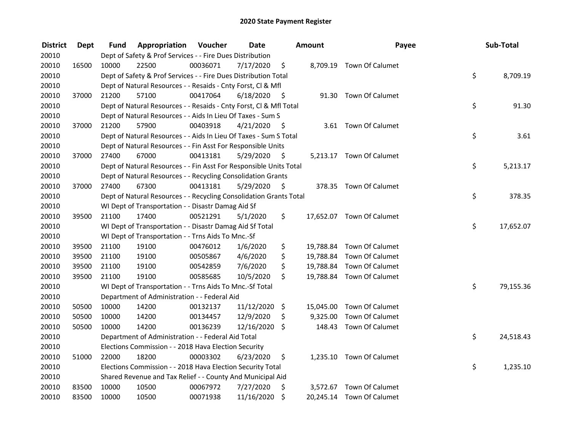| <b>District</b> | <b>Dept</b> | Fund  | Appropriation                                                      | Voucher  | <b>Date</b> |      | Amount   | Payee                     | Sub-Total       |
|-----------------|-------------|-------|--------------------------------------------------------------------|----------|-------------|------|----------|---------------------------|-----------------|
| 20010           |             |       | Dept of Safety & Prof Services - - Fire Dues Distribution          |          |             |      |          |                           |                 |
| 20010           | 16500       | 10000 | 22500                                                              | 00036071 | 7/17/2020   | \$   |          | 8,709.19 Town Of Calumet  |                 |
| 20010           |             |       | Dept of Safety & Prof Services - - Fire Dues Distribution Total    |          |             |      |          |                           | \$<br>8,709.19  |
| 20010           |             |       | Dept of Natural Resources - - Resaids - Cnty Forst, Cl & Mfl       |          |             |      |          |                           |                 |
| 20010           | 37000       | 21200 | 57100                                                              | 00417064 | 6/18/2020   | - \$ |          | 91.30 Town Of Calumet     |                 |
| 20010           |             |       | Dept of Natural Resources - - Resaids - Cnty Forst, Cl & Mfl Total |          |             |      |          |                           | \$<br>91.30     |
| 20010           |             |       | Dept of Natural Resources - - Aids In Lieu Of Taxes - Sum S        |          |             |      |          |                           |                 |
| 20010           | 37000       | 21200 | 57900                                                              | 00403918 | 4/21/2020   | - \$ |          | 3.61 Town Of Calumet      |                 |
| 20010           |             |       | Dept of Natural Resources - - Aids In Lieu Of Taxes - Sum S Total  |          |             |      |          |                           | \$<br>3.61      |
| 20010           |             |       | Dept of Natural Resources - - Fin Asst For Responsible Units       |          |             |      |          |                           |                 |
| 20010           | 37000       | 27400 | 67000                                                              | 00413181 | 5/29/2020   | - \$ |          | 5,213.17 Town Of Calumet  |                 |
| 20010           |             |       | Dept of Natural Resources - - Fin Asst For Responsible Units Total |          |             |      |          |                           | \$<br>5,213.17  |
| 20010           |             |       | Dept of Natural Resources - - Recycling Consolidation Grants       |          |             |      |          |                           |                 |
| 20010           | 37000       | 27400 | 67300                                                              | 00413181 | 5/29/2020   | \$   |          | 378.35 Town Of Calumet    |                 |
| 20010           |             |       | Dept of Natural Resources - - Recycling Consolidation Grants Total |          |             |      |          |                           | \$<br>378.35    |
| 20010           |             |       | WI Dept of Transportation - - Disastr Damag Aid Sf                 |          |             |      |          |                           |                 |
| 20010           | 39500       | 21100 | 17400                                                              | 00521291 | 5/1/2020    | \$   |          | 17,652.07 Town Of Calumet |                 |
| 20010           |             |       | WI Dept of Transportation - - Disastr Damag Aid Sf Total           |          |             |      |          |                           | \$<br>17,652.07 |
| 20010           |             |       | WI Dept of Transportation - - Trns Aids To Mnc.-Sf                 |          |             |      |          |                           |                 |
| 20010           | 39500       | 21100 | 19100                                                              | 00476012 | 1/6/2020    | \$   |          | 19,788.84 Town Of Calumet |                 |
| 20010           | 39500       | 21100 | 19100                                                              | 00505867 | 4/6/2020    | \$   |          | 19,788.84 Town Of Calumet |                 |
| 20010           | 39500       | 21100 | 19100                                                              | 00542859 | 7/6/2020    | \$   |          | 19,788.84 Town Of Calumet |                 |
| 20010           | 39500       | 21100 | 19100                                                              | 00585685 | 10/5/2020   | \$   |          | 19,788.84 Town Of Calumet |                 |
| 20010           |             |       | WI Dept of Transportation - - Trns Aids To Mnc.-Sf Total           |          |             |      |          |                           | \$<br>79,155.36 |
| 20010           |             |       | Department of Administration - - Federal Aid                       |          |             |      |          |                           |                 |
| 20010           | 50500       | 10000 | 14200                                                              | 00132137 | 11/12/2020  | \$   |          | 15,045.00 Town Of Calumet |                 |
| 20010           | 50500       | 10000 | 14200                                                              | 00134457 | 12/9/2020   | \$   | 9,325.00 | Town Of Calumet           |                 |
| 20010           | 50500       | 10000 | 14200                                                              | 00136239 | 12/16/2020  | \$   |          | 148.43 Town Of Calumet    |                 |
| 20010           |             |       | Department of Administration - - Federal Aid Total                 |          |             |      |          |                           | \$<br>24,518.43 |
| 20010           |             |       | Elections Commission - - 2018 Hava Election Security               |          |             |      |          |                           |                 |
| 20010           | 51000       | 22000 | 18200                                                              | 00003302 | 6/23/2020   | \$   |          | 1,235.10 Town Of Calumet  |                 |
| 20010           |             |       | Elections Commission - - 2018 Hava Election Security Total         |          |             |      |          |                           | \$<br>1,235.10  |
| 20010           |             |       | Shared Revenue and Tax Relief - - County And Municipal Aid         |          |             |      |          |                           |                 |
| 20010           | 83500       | 10000 | 10500                                                              | 00067972 | 7/27/2020   | \$   |          | 3,572.67 Town Of Calumet  |                 |
| 20010           | 83500       | 10000 | 10500                                                              | 00071938 | 11/16/2020  | \$   |          | 20,245.14 Town Of Calumet |                 |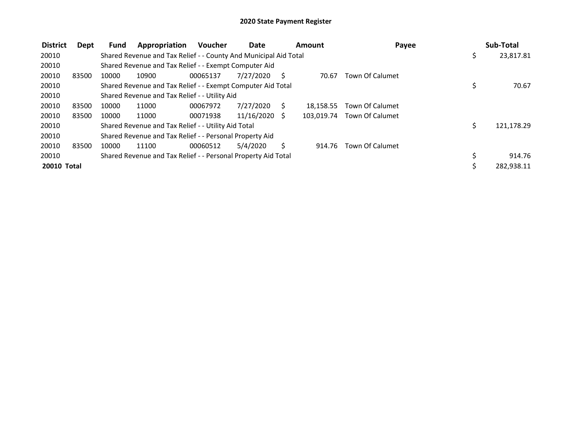| <b>District</b>    | Dept  | <b>Fund</b> | Appropriation                                                    | <b>Voucher</b> | Date          |              | Amount     | Payee                  |     | Sub-Total  |
|--------------------|-------|-------------|------------------------------------------------------------------|----------------|---------------|--------------|------------|------------------------|-----|------------|
| 20010              |       |             | Shared Revenue and Tax Relief - - County And Municipal Aid Total |                |               |              |            |                        | \$  | 23,817.81  |
| 20010              |       |             | Shared Revenue and Tax Relief - - Exempt Computer Aid            |                |               |              |            |                        |     |            |
| 20010              | 83500 | 10000       | 10900                                                            | 00065137       | 7/27/2020     | <sub>S</sub> | 70.67      | <b>Town Of Calumet</b> |     |            |
| 20010              |       |             | Shared Revenue and Tax Relief - - Exempt Computer Aid Total      |                |               |              |            |                        | \$  | 70.67      |
| 20010              |       |             | Shared Revenue and Tax Relief - - Utility Aid                    |                |               |              |            |                        |     |            |
| 20010              | 83500 | 10000       | 11000                                                            | 00067972       | 7/27/2020     | S            | 18.158.55  | <b>Town Of Calumet</b> |     |            |
| 20010              | 83500 | 10000       | 11000                                                            | 00071938       | 11/16/2020 \$ |              | 103.019.74 | Town Of Calumet        |     |            |
| 20010              |       |             | Shared Revenue and Tax Relief - - Utility Aid Total              |                |               |              |            |                        | \$. | 121,178.29 |
| 20010              |       |             | Shared Revenue and Tax Relief - - Personal Property Aid          |                |               |              |            |                        |     |            |
| 20010              | 83500 | 10000       | 11100                                                            | 00060512       | 5/4/2020      | S            | 914.76     | Town Of Calumet        |     |            |
| 20010              |       |             | Shared Revenue and Tax Relief - - Personal Property Aid Total    |                |               |              |            |                        |     | 914.76     |
| <b>20010 Total</b> |       |             |                                                                  |                |               |              |            |                        |     | 282,938.11 |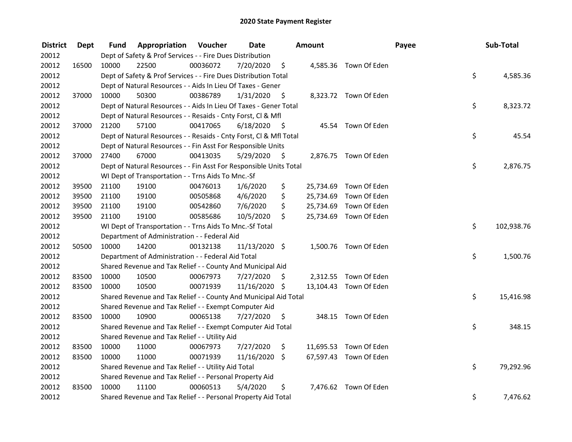| <b>District</b> | Dept  | Fund  | Appropriation                                                      | Voucher  | <b>Date</b>   |      | Amount    |                        | Payee | Sub-Total  |
|-----------------|-------|-------|--------------------------------------------------------------------|----------|---------------|------|-----------|------------------------|-------|------------|
| 20012           |       |       | Dept of Safety & Prof Services - - Fire Dues Distribution          |          |               |      |           |                        |       |            |
| 20012           | 16500 | 10000 | 22500                                                              | 00036072 | 7/20/2020     | \$   |           | 4,585.36 Town Of Eden  |       |            |
| 20012           |       |       | Dept of Safety & Prof Services - - Fire Dues Distribution Total    |          |               |      |           |                        | \$    | 4,585.36   |
| 20012           |       |       | Dept of Natural Resources - - Aids In Lieu Of Taxes - Gener        |          |               |      |           |                        |       |            |
| 20012           | 37000 | 10000 | 50300                                                              | 00386789 | 1/31/2020     | \$   |           | 8,323.72 Town Of Eden  |       |            |
| 20012           |       |       | Dept of Natural Resources - - Aids In Lieu Of Taxes - Gener Total  |          |               |      |           |                        | \$    | 8,323.72   |
| 20012           |       |       | Dept of Natural Resources - - Resaids - Cnty Forst, Cl & Mfl       |          |               |      |           |                        |       |            |
| 20012           | 37000 | 21200 | 57100                                                              | 00417065 | 6/18/2020     | - \$ |           | 45.54 Town Of Eden     |       |            |
| 20012           |       |       | Dept of Natural Resources - - Resaids - Cnty Forst, Cl & Mfl Total |          |               |      |           |                        | \$    | 45.54      |
| 20012           |       |       | Dept of Natural Resources - - Fin Asst For Responsible Units       |          |               |      |           |                        |       |            |
| 20012           | 37000 | 27400 | 67000                                                              | 00413035 | 5/29/2020     | - \$ |           | 2,876.75 Town Of Eden  |       |            |
| 20012           |       |       | Dept of Natural Resources - - Fin Asst For Responsible Units Total |          |               |      |           |                        | \$    | 2,876.75   |
| 20012           |       |       | WI Dept of Transportation - - Trns Aids To Mnc.-Sf                 |          |               |      |           |                        |       |            |
| 20012           | 39500 | 21100 | 19100                                                              | 00476013 | 1/6/2020      | \$   | 25,734.69 | Town Of Eden           |       |            |
| 20012           | 39500 | 21100 | 19100                                                              | 00505868 | 4/6/2020      | \$   |           | 25,734.69 Town Of Eden |       |            |
| 20012           | 39500 | 21100 | 19100                                                              | 00542860 | 7/6/2020      | \$   |           | 25,734.69 Town Of Eden |       |            |
| 20012           | 39500 | 21100 | 19100                                                              | 00585686 | 10/5/2020     | \$   |           | 25,734.69 Town Of Eden |       |            |
| 20012           |       |       | WI Dept of Transportation - - Trns Aids To Mnc.-Sf Total           |          |               |      |           |                        | \$    | 102,938.76 |
| 20012           |       |       | Department of Administration - - Federal Aid                       |          |               |      |           |                        |       |            |
| 20012           | 50500 | 10000 | 14200                                                              | 00132138 | 11/13/2020 \$ |      |           | 1,500.76 Town Of Eden  |       |            |
| 20012           |       |       | Department of Administration - - Federal Aid Total                 |          |               |      |           |                        | \$    | 1,500.76   |
| 20012           |       |       | Shared Revenue and Tax Relief - - County And Municipal Aid         |          |               |      |           |                        |       |            |
| 20012           | 83500 | 10000 | 10500                                                              | 00067973 | 7/27/2020     | \$.  |           | 2,312.55 Town Of Eden  |       |            |
| 20012           | 83500 | 10000 | 10500                                                              | 00071939 | 11/16/2020 \$ |      |           | 13,104.43 Town Of Eden |       |            |
| 20012           |       |       | Shared Revenue and Tax Relief - - County And Municipal Aid Total   |          |               |      |           |                        | \$    | 15,416.98  |
| 20012           |       |       | Shared Revenue and Tax Relief - - Exempt Computer Aid              |          |               |      |           |                        |       |            |
| 20012           | 83500 | 10000 | 10900                                                              | 00065138 | 7/27/2020     | \$   |           | 348.15 Town Of Eden    |       |            |
| 20012           |       |       | Shared Revenue and Tax Relief - - Exempt Computer Aid Total        |          |               |      |           |                        | \$    | 348.15     |
| 20012           |       |       | Shared Revenue and Tax Relief - - Utility Aid                      |          |               |      |           |                        |       |            |
| 20012           | 83500 | 10000 | 11000                                                              | 00067973 | 7/27/2020     | \$   |           | 11,695.53 Town Of Eden |       |            |
| 20012           | 83500 | 10000 | 11000                                                              | 00071939 | 11/16/2020    | \$   |           | 67,597.43 Town Of Eden |       |            |
| 20012           |       |       | Shared Revenue and Tax Relief - - Utility Aid Total                |          |               |      |           |                        | \$    | 79,292.96  |
| 20012           |       |       | Shared Revenue and Tax Relief - - Personal Property Aid            |          |               |      |           |                        |       |            |
| 20012           | 83500 | 10000 | 11100                                                              | 00060513 | 5/4/2020      | \$   |           | 7,476.62 Town Of Eden  |       |            |
| 20012           |       |       | Shared Revenue and Tax Relief - - Personal Property Aid Total      |          |               |      |           |                        | \$    | 7,476.62   |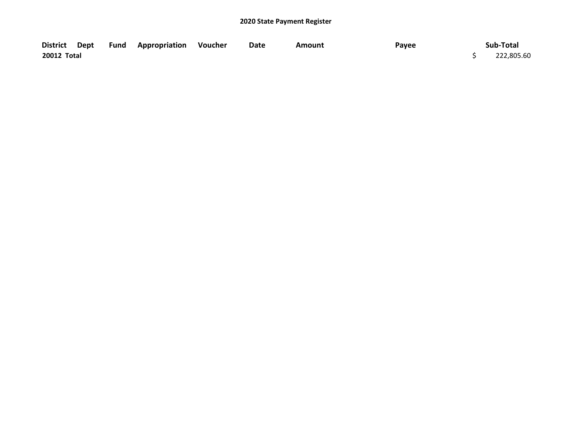|             |  | District Dept Fund Appropriation Voucher | Date | Amount | Payee | Sub-Total  |
|-------------|--|------------------------------------------|------|--------|-------|------------|
| 20012 Total |  |                                          |      |        |       | 222,805.60 |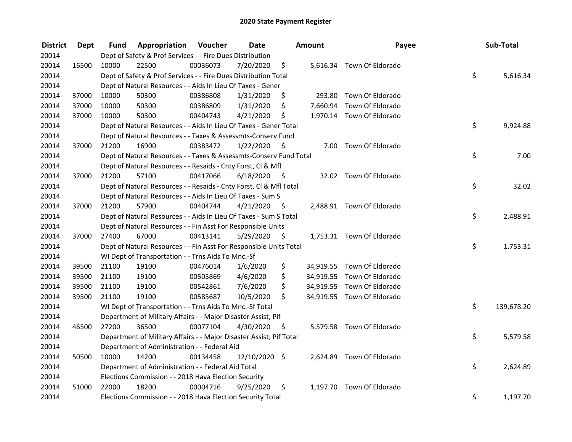| <b>District</b> | Dept  | Fund  | Appropriation                                                       | Voucher  | <b>Date</b>   |      | Amount   | Payee                      | Sub-Total        |
|-----------------|-------|-------|---------------------------------------------------------------------|----------|---------------|------|----------|----------------------------|------------------|
| 20014           |       |       | Dept of Safety & Prof Services - - Fire Dues Distribution           |          |               |      |          |                            |                  |
| 20014           | 16500 | 10000 | 22500                                                               | 00036073 | 7/20/2020     | \$   |          | 5,616.34 Town Of Eldorado  |                  |
| 20014           |       |       | Dept of Safety & Prof Services - - Fire Dues Distribution Total     |          |               |      |          |                            | \$<br>5,616.34   |
| 20014           |       |       | Dept of Natural Resources - - Aids In Lieu Of Taxes - Gener         |          |               |      |          |                            |                  |
| 20014           | 37000 | 10000 | 50300                                                               | 00386808 | 1/31/2020     | \$   | 293.80   | Town Of Eldorado           |                  |
| 20014           | 37000 | 10000 | 50300                                                               | 00386809 | 1/31/2020     | \$   |          | 7,660.94 Town Of Eldorado  |                  |
| 20014           | 37000 | 10000 | 50300                                                               | 00404743 | 4/21/2020     | \$   |          | 1,970.14 Town Of Eldorado  |                  |
| 20014           |       |       | Dept of Natural Resources - - Aids In Lieu Of Taxes - Gener Total   |          |               |      |          |                            | \$<br>9,924.88   |
| 20014           |       |       | Dept of Natural Resources - - Taxes & Assessmts-Conserv Fund        |          |               |      |          |                            |                  |
| 20014           | 37000 | 21200 | 16900                                                               | 00383472 | 1/22/2020     | - \$ |          | 7.00 Town Of Eldorado      |                  |
| 20014           |       |       | Dept of Natural Resources - - Taxes & Assessmts-Conserv Fund Total  |          |               |      |          |                            | \$<br>7.00       |
| 20014           |       |       | Dept of Natural Resources - - Resaids - Cnty Forst, Cl & Mfl        |          |               |      |          |                            |                  |
| 20014           | 37000 | 21200 | 57100                                                               | 00417066 | 6/18/2020     | - Ş  |          | 32.02 Town Of Eldorado     |                  |
| 20014           |       |       | Dept of Natural Resources - - Resaids - Cnty Forst, Cl & Mfl Total  |          |               |      |          |                            | \$<br>32.02      |
| 20014           |       |       | Dept of Natural Resources - - Aids In Lieu Of Taxes - Sum S         |          |               |      |          |                            |                  |
| 20014           | 37000 | 21200 | 57900                                                               | 00404744 | 4/21/2020     | S    |          | 2,488.91 Town Of Eldorado  |                  |
| 20014           |       |       | Dept of Natural Resources - - Aids In Lieu Of Taxes - Sum S Total   |          |               |      |          |                            | \$<br>2,488.91   |
| 20014           |       |       | Dept of Natural Resources - - Fin Asst For Responsible Units        |          |               |      |          |                            |                  |
| 20014           | 37000 | 27400 | 67000                                                               | 00413141 | 5/29/2020     | \$   |          | 1,753.31 Town Of Eldorado  |                  |
| 20014           |       |       | Dept of Natural Resources - - Fin Asst For Responsible Units Total  |          |               |      |          |                            | \$<br>1,753.31   |
| 20014           |       |       | WI Dept of Transportation - - Trns Aids To Mnc.-Sf                  |          |               |      |          |                            |                  |
| 20014           | 39500 | 21100 | 19100                                                               | 00476014 | 1/6/2020      | \$   |          | 34,919.55 Town Of Eldorado |                  |
| 20014           | 39500 | 21100 | 19100                                                               | 00505869 | 4/6/2020      | \$   |          | 34,919.55 Town Of Eldorado |                  |
| 20014           | 39500 | 21100 | 19100                                                               | 00542861 | 7/6/2020      | \$   |          | 34,919.55 Town Of Eldorado |                  |
| 20014           | 39500 | 21100 | 19100                                                               | 00585687 | 10/5/2020     | \$   |          | 34,919.55 Town Of Eldorado |                  |
| 20014           |       |       | WI Dept of Transportation - - Trns Aids To Mnc.-Sf Total            |          |               |      |          |                            | \$<br>139,678.20 |
| 20014           |       |       | Department of Military Affairs - - Major Disaster Assist; Pif       |          |               |      |          |                            |                  |
| 20014           | 46500 | 27200 | 36500                                                               | 00077104 | 4/30/2020     | -\$  |          | 5,579.58 Town Of Eldorado  |                  |
| 20014           |       |       | Department of Military Affairs - - Major Disaster Assist; Pif Total |          |               |      |          |                            | \$<br>5,579.58   |
| 20014           |       |       | Department of Administration - - Federal Aid                        |          |               |      |          |                            |                  |
| 20014           | 50500 | 10000 | 14200                                                               | 00134458 | 12/10/2020 \$ |      |          | 2,624.89 Town Of Eldorado  |                  |
| 20014           |       |       | Department of Administration - - Federal Aid Total                  |          |               |      |          |                            | \$<br>2,624.89   |
| 20014           |       |       | Elections Commission - - 2018 Hava Election Security                |          |               |      |          |                            |                  |
| 20014           | 51000 | 22000 | 18200                                                               | 00004716 | 9/25/2020     | \$   | 1,197.70 | Town Of Eldorado           |                  |
| 20014           |       |       | Elections Commission - - 2018 Hava Election Security Total          |          |               |      |          |                            | \$<br>1,197.70   |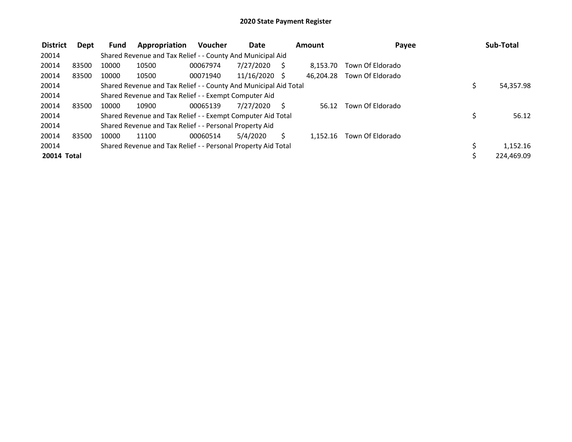| <b>District</b> | Dept  | Fund  | Appropriation                                                    | <b>Voucher</b> | <b>Date</b>     | Amount    | Payee            | Sub-Total       |
|-----------------|-------|-------|------------------------------------------------------------------|----------------|-----------------|-----------|------------------|-----------------|
| 20014           |       |       | Shared Revenue and Tax Relief - - County And Municipal Aid       |                |                 |           |                  |                 |
| 20014           | 83500 | 10000 | 10500                                                            | 00067974       | 7/27/2020       | 8.153.70  | Town Of Eldorado |                 |
| 20014           | 83500 | 10000 | 10500                                                            | 00071940       | $11/16/2020$ \$ | 46.204.28 | Town Of Eldorado |                 |
| 20014           |       |       | Shared Revenue and Tax Relief - - County And Municipal Aid Total |                |                 |           |                  | \$<br>54,357.98 |
| 20014           |       |       | Shared Revenue and Tax Relief - - Exempt Computer Aid            |                |                 |           |                  |                 |
| 20014           | 83500 | 10000 | 10900                                                            | 00065139       | 7/27/2020       | 56.12     | Town Of Eldorado |                 |
| 20014           |       |       | Shared Revenue and Tax Relief - - Exempt Computer Aid Total      |                |                 |           |                  | \$<br>56.12     |
| 20014           |       |       | Shared Revenue and Tax Relief - - Personal Property Aid          |                |                 |           |                  |                 |
| 20014           | 83500 | 10000 | 11100                                                            | 00060514       | 5/4/2020        | 1.152.16  | Town Of Eldorado |                 |
| 20014           |       |       | Shared Revenue and Tax Relief - - Personal Property Aid Total    |                |                 |           |                  | 1,152.16        |
| 20014 Total     |       |       |                                                                  |                |                 |           |                  | 224,469.09      |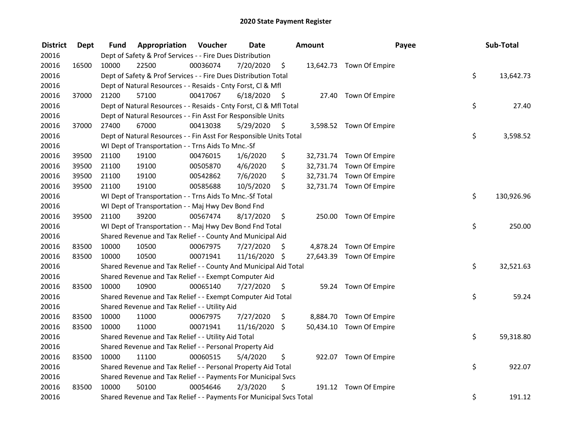| <b>District</b> | <b>Dept</b> | Fund  | Appropriation                                                       | Voucher  | <b>Date</b>   |      | Amount | Payee                    | Sub-Total        |
|-----------------|-------------|-------|---------------------------------------------------------------------|----------|---------------|------|--------|--------------------------|------------------|
| 20016           |             |       | Dept of Safety & Prof Services - - Fire Dues Distribution           |          |               |      |        |                          |                  |
| 20016           | 16500       | 10000 | 22500                                                               | 00036074 | 7/20/2020     | \$   |        | 13,642.73 Town Of Empire |                  |
| 20016           |             |       | Dept of Safety & Prof Services - - Fire Dues Distribution Total     |          |               |      |        |                          | \$<br>13,642.73  |
| 20016           |             |       | Dept of Natural Resources - - Resaids - Cnty Forst, Cl & Mfl        |          |               |      |        |                          |                  |
| 20016           | 37000       | 21200 | 57100                                                               | 00417067 | 6/18/2020     | - \$ |        | 27.40 Town Of Empire     |                  |
| 20016           |             |       | Dept of Natural Resources - - Resaids - Cnty Forst, Cl & Mfl Total  |          |               |      |        |                          | \$<br>27.40      |
| 20016           |             |       | Dept of Natural Resources - - Fin Asst For Responsible Units        |          |               |      |        |                          |                  |
| 20016           | 37000       | 27400 | 67000                                                               | 00413038 | 5/29/2020     | - \$ |        | 3,598.52 Town Of Empire  |                  |
| 20016           |             |       | Dept of Natural Resources - - Fin Asst For Responsible Units Total  |          |               |      |        |                          | \$<br>3,598.52   |
| 20016           |             |       | WI Dept of Transportation - - Trns Aids To Mnc.-Sf                  |          |               |      |        |                          |                  |
| 20016           | 39500       | 21100 | 19100                                                               | 00476015 | 1/6/2020      | \$   |        | 32,731.74 Town Of Empire |                  |
| 20016           | 39500       | 21100 | 19100                                                               | 00505870 | 4/6/2020      | \$   |        | 32,731.74 Town Of Empire |                  |
| 20016           | 39500       | 21100 | 19100                                                               | 00542862 | 7/6/2020      | \$   |        | 32,731.74 Town Of Empire |                  |
| 20016           | 39500       | 21100 | 19100                                                               | 00585688 | 10/5/2020     | \$   |        | 32,731.74 Town Of Empire |                  |
| 20016           |             |       | WI Dept of Transportation - - Trns Aids To Mnc.-Sf Total            |          |               |      |        |                          | \$<br>130,926.96 |
| 20016           |             |       | WI Dept of Transportation - - Maj Hwy Dev Bond Fnd                  |          |               |      |        |                          |                  |
| 20016           | 39500       | 21100 | 39200                                                               | 00567474 | 8/17/2020     | \$   | 250.00 | Town Of Empire           |                  |
| 20016           |             |       | WI Dept of Transportation - - Maj Hwy Dev Bond Fnd Total            |          |               |      |        |                          | \$<br>250.00     |
| 20016           |             |       | Shared Revenue and Tax Relief - - County And Municipal Aid          |          |               |      |        |                          |                  |
| 20016           | 83500       | 10000 | 10500                                                               | 00067975 | 7/27/2020     | \$   |        | 4,878.24 Town Of Empire  |                  |
| 20016           | 83500       | 10000 | 10500                                                               | 00071941 | 11/16/2020 \$ |      |        | 27,643.39 Town Of Empire |                  |
| 20016           |             |       | Shared Revenue and Tax Relief - - County And Municipal Aid Total    |          |               |      |        |                          | \$<br>32,521.63  |
| 20016           |             |       | Shared Revenue and Tax Relief - - Exempt Computer Aid               |          |               |      |        |                          |                  |
| 20016           | 83500       | 10000 | 10900                                                               | 00065140 | 7/27/2020     | \$.  |        | 59.24 Town Of Empire     |                  |
| 20016           |             |       | Shared Revenue and Tax Relief - - Exempt Computer Aid Total         |          |               |      |        |                          | \$<br>59.24      |
| 20016           |             |       | Shared Revenue and Tax Relief - - Utility Aid                       |          |               |      |        |                          |                  |
| 20016           | 83500       | 10000 | 11000                                                               | 00067975 | 7/27/2020     | \$   |        | 8,884.70 Town Of Empire  |                  |
| 20016           | 83500       | 10000 | 11000                                                               | 00071941 | 11/16/2020    | \$   |        | 50,434.10 Town Of Empire |                  |
| 20016           |             |       | Shared Revenue and Tax Relief - - Utility Aid Total                 |          |               |      |        |                          | \$<br>59,318.80  |
| 20016           |             |       | Shared Revenue and Tax Relief - - Personal Property Aid             |          |               |      |        |                          |                  |
| 20016           | 83500       | 10000 | 11100                                                               | 00060515 | 5/4/2020      | \$   |        | 922.07 Town Of Empire    |                  |
| 20016           |             |       | Shared Revenue and Tax Relief - - Personal Property Aid Total       |          |               |      |        |                          | \$<br>922.07     |
| 20016           |             |       | Shared Revenue and Tax Relief - - Payments For Municipal Svcs       |          |               |      |        |                          |                  |
| 20016           | 83500       | 10000 | 50100                                                               | 00054646 | 2/3/2020      | \$   |        | 191.12 Town Of Empire    |                  |
| 20016           |             |       | Shared Revenue and Tax Relief - - Payments For Municipal Svcs Total |          |               |      |        |                          | \$<br>191.12     |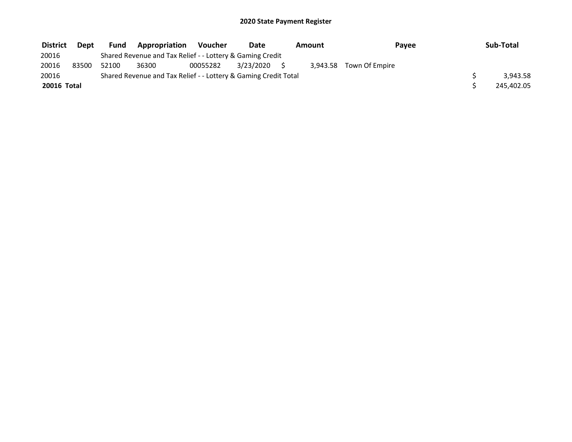| <b>District</b> | <b>Dept</b> | <b>Fund</b> | <b>Appropriation</b>                                            | Voucher  | Date         | Amount | Payee                   | Sub-Total  |
|-----------------|-------------|-------------|-----------------------------------------------------------------|----------|--------------|--------|-------------------------|------------|
| 20016           |             |             | Shared Revenue and Tax Relief - - Lottery & Gaming Credit       |          |              |        |                         |            |
| 20016           | 83500       | 52100       | 36300                                                           | 00055282 | 3/23/2020 \$ |        | 3,943.58 Town Of Empire |            |
| 20016           |             |             | Shared Revenue and Tax Relief - - Lottery & Gaming Credit Total |          |              |        |                         | 3.943.58   |
| 20016 Total     |             |             |                                                                 |          |              |        |                         | 245,402.05 |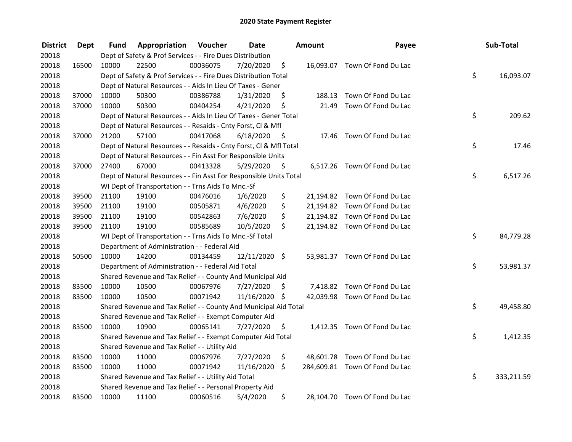| <b>District</b> | <b>Dept</b> | Fund  | Appropriation                                                      | Voucher  | <b>Date</b>   |      | Amount | Payee                          | Sub-Total        |
|-----------------|-------------|-------|--------------------------------------------------------------------|----------|---------------|------|--------|--------------------------------|------------------|
| 20018           |             |       | Dept of Safety & Prof Services - - Fire Dues Distribution          |          |               |      |        |                                |                  |
| 20018           | 16500       | 10000 | 22500                                                              | 00036075 | 7/20/2020     | \$   |        | 16,093.07 Town Of Fond Du Lac  |                  |
| 20018           |             |       | Dept of Safety & Prof Services - - Fire Dues Distribution Total    |          |               |      |        |                                | \$<br>16,093.07  |
| 20018           |             |       | Dept of Natural Resources - - Aids In Lieu Of Taxes - Gener        |          |               |      |        |                                |                  |
| 20018           | 37000       | 10000 | 50300                                                              | 00386788 | 1/31/2020     | \$   | 188.13 | Town Of Fond Du Lac            |                  |
| 20018           | 37000       | 10000 | 50300                                                              | 00404254 | 4/21/2020     | \$   | 21.49  | Town Of Fond Du Lac            |                  |
| 20018           |             |       | Dept of Natural Resources - - Aids In Lieu Of Taxes - Gener Total  |          |               |      |        |                                | \$<br>209.62     |
| 20018           |             |       | Dept of Natural Resources - - Resaids - Cnty Forst, Cl & Mfl       |          |               |      |        |                                |                  |
| 20018           | 37000       | 21200 | 57100                                                              | 00417068 | 6/18/2020     | - \$ |        | 17.46 Town Of Fond Du Lac      |                  |
| 20018           |             |       | Dept of Natural Resources - - Resaids - Cnty Forst, Cl & Mfl Total |          |               |      |        |                                | \$<br>17.46      |
| 20018           |             |       | Dept of Natural Resources - - Fin Asst For Responsible Units       |          |               |      |        |                                |                  |
| 20018           | 37000       | 27400 | 67000                                                              | 00413328 | 5/29/2020     | -\$  |        | 6,517.26 Town Of Fond Du Lac   |                  |
| 20018           |             |       | Dept of Natural Resources - - Fin Asst For Responsible Units Total |          |               |      |        |                                | \$<br>6,517.26   |
| 20018           |             |       | WI Dept of Transportation - - Trns Aids To Mnc.-Sf                 |          |               |      |        |                                |                  |
| 20018           | 39500       | 21100 | 19100                                                              | 00476016 | 1/6/2020      | \$   |        | 21,194.82 Town Of Fond Du Lac  |                  |
| 20018           | 39500       | 21100 | 19100                                                              | 00505871 | 4/6/2020      | \$   |        | 21,194.82 Town Of Fond Du Lac  |                  |
| 20018           | 39500       | 21100 | 19100                                                              | 00542863 | 7/6/2020      | \$   |        | 21,194.82 Town Of Fond Du Lac  |                  |
| 20018           | 39500       | 21100 | 19100                                                              | 00585689 | 10/5/2020     | \$   |        | 21,194.82 Town Of Fond Du Lac  |                  |
| 20018           |             |       | WI Dept of Transportation - - Trns Aids To Mnc.-Sf Total           |          |               |      |        |                                | \$<br>84,779.28  |
| 20018           |             |       | Department of Administration - - Federal Aid                       |          |               |      |        |                                |                  |
| 20018           | 50500       | 10000 | 14200                                                              | 00134459 | 12/11/2020 \$ |      |        | 53,981.37 Town Of Fond Du Lac  |                  |
| 20018           |             |       | Department of Administration - - Federal Aid Total                 |          |               |      |        |                                | \$<br>53,981.37  |
| 20018           |             |       | Shared Revenue and Tax Relief - - County And Municipal Aid         |          |               |      |        |                                |                  |
| 20018           | 83500       | 10000 | 10500                                                              | 00067976 | 7/27/2020     | S.   |        | 7,418.82 Town Of Fond Du Lac   |                  |
| 20018           | 83500       | 10000 | 10500                                                              | 00071942 | 11/16/2020 \$ |      |        | 42,039.98 Town Of Fond Du Lac  |                  |
| 20018           |             |       | Shared Revenue and Tax Relief - - County And Municipal Aid Total   |          |               |      |        |                                | \$<br>49,458.80  |
| 20018           |             |       | Shared Revenue and Tax Relief - - Exempt Computer Aid              |          |               |      |        |                                |                  |
| 20018           | 83500       | 10000 | 10900                                                              | 00065141 | 7/27/2020     | \$   |        | 1,412.35 Town Of Fond Du Lac   |                  |
| 20018           |             |       | Shared Revenue and Tax Relief - - Exempt Computer Aid Total        |          |               |      |        |                                | \$<br>1,412.35   |
| 20018           |             |       | Shared Revenue and Tax Relief - - Utility Aid                      |          |               |      |        |                                |                  |
| 20018           | 83500       | 10000 | 11000                                                              | 00067976 | 7/27/2020     | \$   |        | 48,601.78 Town Of Fond Du Lac  |                  |
| 20018           | 83500       | 10000 | 11000                                                              | 00071942 | 11/16/2020    | \$   |        | 284,609.81 Town Of Fond Du Lac |                  |
| 20018           |             |       | Shared Revenue and Tax Relief - - Utility Aid Total                |          |               |      |        |                                | \$<br>333,211.59 |
| 20018           |             |       | Shared Revenue and Tax Relief - - Personal Property Aid            |          |               |      |        |                                |                  |
| 20018           | 83500       | 10000 | 11100                                                              | 00060516 | 5/4/2020      | \$   |        | 28,104.70 Town Of Fond Du Lac  |                  |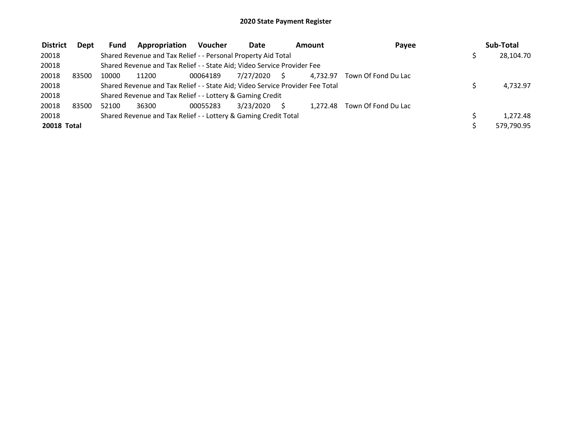| <b>District</b> | <b>Dept</b> | <b>Fund</b> | Appropriation                                                                 | <b>Voucher</b> | <b>Date</b>  | Amount   | Payee               | Sub-Total  |
|-----------------|-------------|-------------|-------------------------------------------------------------------------------|----------------|--------------|----------|---------------------|------------|
| 20018           |             |             | Shared Revenue and Tax Relief - - Personal Property Aid Total                 |                |              |          |                     | 28,104.70  |
| 20018           |             |             | Shared Revenue and Tax Relief - - State Aid; Video Service Provider Fee       |                |              |          |                     |            |
| 20018           | 83500       | 10000       | 11200                                                                         | 00064189       | 7/27/2020 \$ | 4.732.97 | Town Of Fond Du Lac |            |
| 20018           |             |             | Shared Revenue and Tax Relief - - State Aid; Video Service Provider Fee Total |                |              |          |                     | 4,732.97   |
| 20018           |             |             | Shared Revenue and Tax Relief - - Lottery & Gaming Credit                     |                |              |          |                     |            |
| 20018           | 83500       | 52100       | 36300                                                                         | 00055283       | 3/23/2020    | 1.272.48 | Town Of Fond Du Lac |            |
| 20018           |             |             | Shared Revenue and Tax Relief - - Lottery & Gaming Credit Total               |                |              |          |                     | 1,272.48   |
| 20018 Total     |             |             |                                                                               |                |              |          |                     | 579,790.95 |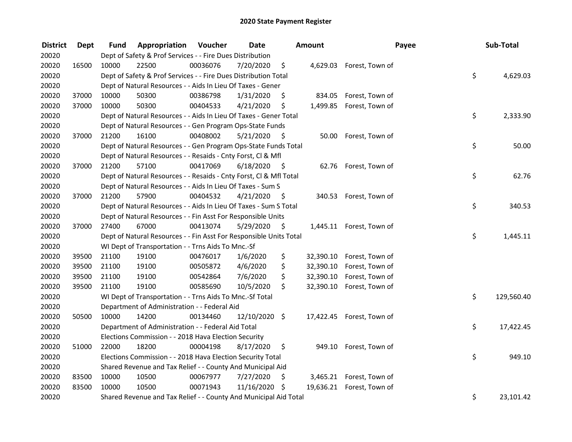| <b>District</b> | <b>Dept</b> | Fund  | Appropriation                                                      | Voucher  | <b>Date</b>   |      | Amount    | Payee                     | Sub-Total        |
|-----------------|-------------|-------|--------------------------------------------------------------------|----------|---------------|------|-----------|---------------------------|------------------|
| 20020           |             |       | Dept of Safety & Prof Services - - Fire Dues Distribution          |          |               |      |           |                           |                  |
| 20020           | 16500       | 10000 | 22500                                                              | 00036076 | 7/20/2020     | \$   |           | 4,629.03 Forest, Town of  |                  |
| 20020           |             |       | Dept of Safety & Prof Services - - Fire Dues Distribution Total    |          |               |      |           |                           | \$<br>4,629.03   |
| 20020           |             |       | Dept of Natural Resources - - Aids In Lieu Of Taxes - Gener        |          |               |      |           |                           |                  |
| 20020           | 37000       | 10000 | 50300                                                              | 00386798 | 1/31/2020     | \$   | 834.05    | Forest, Town of           |                  |
| 20020           | 37000       | 10000 | 50300                                                              | 00404533 | 4/21/2020     | \$   | 1,499.85  | Forest, Town of           |                  |
| 20020           |             |       | Dept of Natural Resources - - Aids In Lieu Of Taxes - Gener Total  |          |               |      |           |                           | \$<br>2,333.90   |
| 20020           |             |       | Dept of Natural Resources - - Gen Program Ops-State Funds          |          |               |      |           |                           |                  |
| 20020           | 37000       | 21200 | 16100                                                              | 00408002 | 5/21/2020     | - \$ | 50.00     | Forest, Town of           |                  |
| 20020           |             |       | Dept of Natural Resources - - Gen Program Ops-State Funds Total    |          |               |      |           |                           | \$<br>50.00      |
| 20020           |             |       | Dept of Natural Resources - - Resaids - Cnty Forst, Cl & Mfl       |          |               |      |           |                           |                  |
| 20020           | 37000       | 21200 | 57100                                                              | 00417069 | 6/18/2020     | - \$ |           | 62.76 Forest, Town of     |                  |
| 20020           |             |       | Dept of Natural Resources - - Resaids - Cnty Forst, Cl & Mfl Total |          |               |      |           |                           | \$<br>62.76      |
| 20020           |             |       | Dept of Natural Resources - - Aids In Lieu Of Taxes - Sum S        |          |               |      |           |                           |                  |
| 20020           | 37000       | 21200 | 57900                                                              | 00404532 | 4/21/2020     | -S   | 340.53    | Forest, Town of           |                  |
| 20020           |             |       | Dept of Natural Resources - - Aids In Lieu Of Taxes - Sum S Total  |          |               |      |           |                           | \$<br>340.53     |
| 20020           |             |       | Dept of Natural Resources - - Fin Asst For Responsible Units       |          |               |      |           |                           |                  |
| 20020           | 37000       | 27400 | 67000                                                              | 00413074 | 5/29/2020     | \$   |           | 1,445.11 Forest, Town of  |                  |
| 20020           |             |       | Dept of Natural Resources - - Fin Asst For Responsible Units Total |          |               |      |           |                           | \$<br>1,445.11   |
| 20020           |             |       | WI Dept of Transportation - - Trns Aids To Mnc.-Sf                 |          |               |      |           |                           |                  |
| 20020           | 39500       | 21100 | 19100                                                              | 00476017 | 1/6/2020      | \$   | 32,390.10 | Forest, Town of           |                  |
| 20020           | 39500       | 21100 | 19100                                                              | 00505872 | 4/6/2020      | \$   | 32,390.10 | Forest, Town of           |                  |
| 20020           | 39500       | 21100 | 19100                                                              | 00542864 | 7/6/2020      | \$   | 32,390.10 | Forest, Town of           |                  |
| 20020           | 39500       | 21100 | 19100                                                              | 00585690 | 10/5/2020     | \$.  | 32,390.10 | Forest, Town of           |                  |
| 20020           |             |       | WI Dept of Transportation - - Trns Aids To Mnc.-Sf Total           |          |               |      |           |                           | \$<br>129,560.40 |
| 20020           |             |       | Department of Administration - - Federal Aid                       |          |               |      |           |                           |                  |
| 20020           | 50500       | 10000 | 14200                                                              | 00134460 | 12/10/2020 \$ |      |           | 17,422.45 Forest, Town of |                  |
| 20020           |             |       | Department of Administration - - Federal Aid Total                 |          |               |      |           |                           | \$<br>17,422.45  |
| 20020           |             |       | Elections Commission - - 2018 Hava Election Security               |          |               |      |           |                           |                  |
| 20020           | 51000       | 22000 | 18200                                                              | 00004198 | 8/17/2020     | \$   | 949.10    | Forest, Town of           |                  |
| 20020           |             |       | Elections Commission - - 2018 Hava Election Security Total         |          |               |      |           |                           | \$<br>949.10     |
| 20020           |             |       | Shared Revenue and Tax Relief - - County And Municipal Aid         |          |               |      |           |                           |                  |
| 20020           | 83500       | 10000 | 10500                                                              | 00067977 | 7/27/2020     | \$   | 3,465.21  | Forest, Town of           |                  |
| 20020           | 83500       | 10000 | 10500                                                              | 00071943 | 11/16/2020    | - \$ |           | 19,636.21 Forest, Town of |                  |
| 20020           |             |       | Shared Revenue and Tax Relief - - County And Municipal Aid Total   |          |               |      |           |                           | \$<br>23,101.42  |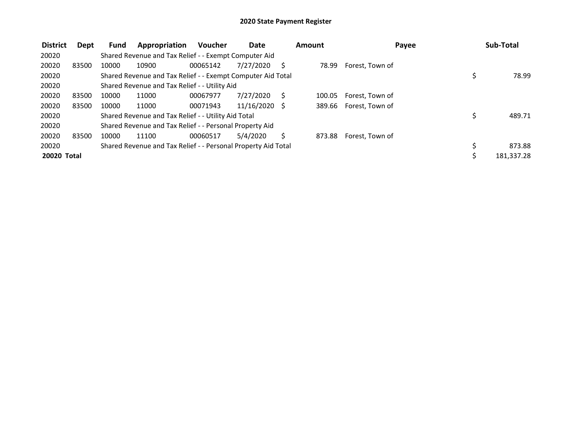| <b>District</b> | Dept  | Fund  | Appropriation                                                 | <b>Voucher</b> | Date          |   | Amount |                 | Payee | Sub-Total  |
|-----------------|-------|-------|---------------------------------------------------------------|----------------|---------------|---|--------|-----------------|-------|------------|
| 20020           |       |       | Shared Revenue and Tax Relief - - Exempt Computer Aid         |                |               |   |        |                 |       |            |
| 20020           | 83500 | 10000 | 10900                                                         | 00065142       | 7/27/2020     |   | 78.99  | Forest, Town of |       |            |
| 20020           |       |       | Shared Revenue and Tax Relief - - Exempt Computer Aid Total   |                |               |   |        |                 | \$,   | 78.99      |
| 20020           |       |       | Shared Revenue and Tax Relief - - Utility Aid                 |                |               |   |        |                 |       |            |
| 20020           | 83500 | 10000 | 11000                                                         | 00067977       | 7/27/2020     | S | 100.05 | Forest, Town of |       |            |
| 20020           | 83500 | 10000 | 11000                                                         | 00071943       | 11/16/2020 \$ |   | 389.66 | Forest, Town of |       |            |
| 20020           |       |       | Shared Revenue and Tax Relief - - Utility Aid Total           |                |               |   |        |                 | \$    | 489.71     |
| 20020           |       |       | Shared Revenue and Tax Relief - - Personal Property Aid       |                |               |   |        |                 |       |            |
| 20020           | 83500 | 10000 | 11100                                                         | 00060517       | 5/4/2020      |   | 873.88 | Forest, Town of |       |            |
| 20020           |       |       | Shared Revenue and Tax Relief - - Personal Property Aid Total |                |               |   |        |                 |       | 873.88     |
| 20020 Total     |       |       |                                                               |                |               |   |        |                 |       | 181,337.28 |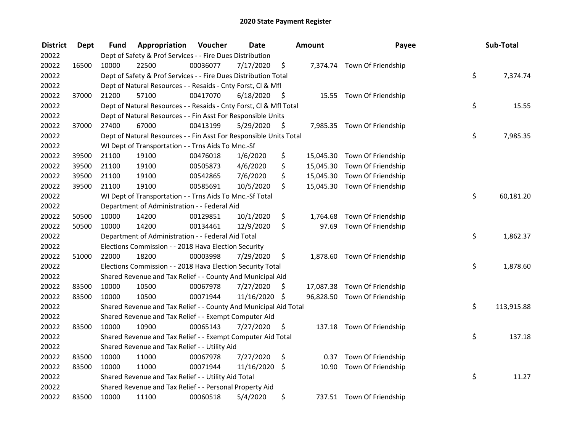| <b>District</b> | <b>Dept</b> | Fund  | Appropriation                                                      | Voucher  | <b>Date</b> |      | <b>Amount</b> | Payee                        | Sub-Total        |
|-----------------|-------------|-------|--------------------------------------------------------------------|----------|-------------|------|---------------|------------------------------|------------------|
| 20022           |             |       | Dept of Safety & Prof Services - - Fire Dues Distribution          |          |             |      |               |                              |                  |
| 20022           | 16500       | 10000 | 22500                                                              | 00036077 | 7/17/2020   | \$   |               | 7,374.74 Town Of Friendship  |                  |
| 20022           |             |       | Dept of Safety & Prof Services - - Fire Dues Distribution Total    |          |             |      |               |                              | \$<br>7,374.74   |
| 20022           |             |       | Dept of Natural Resources - - Resaids - Cnty Forst, Cl & Mfl       |          |             |      |               |                              |                  |
| 20022           | 37000       | 21200 | 57100                                                              | 00417070 | 6/18/2020   | - \$ |               | 15.55 Town Of Friendship     |                  |
| 20022           |             |       | Dept of Natural Resources - - Resaids - Cnty Forst, Cl & Mfl Total |          |             |      |               |                              | \$<br>15.55      |
| 20022           |             |       | Dept of Natural Resources - - Fin Asst For Responsible Units       |          |             |      |               |                              |                  |
| 20022           | 37000       | 27400 | 67000                                                              | 00413199 | 5/29/2020   | - \$ |               | 7,985.35 Town Of Friendship  |                  |
| 20022           |             |       | Dept of Natural Resources - - Fin Asst For Responsible Units Total |          |             |      |               |                              | \$<br>7,985.35   |
| 20022           |             |       | WI Dept of Transportation - - Trns Aids To Mnc.-Sf                 |          |             |      |               |                              |                  |
| 20022           | 39500       | 21100 | 19100                                                              | 00476018 | 1/6/2020    | \$   |               | 15,045.30 Town Of Friendship |                  |
| 20022           | 39500       | 21100 | 19100                                                              | 00505873 | 4/6/2020    | \$   |               | 15,045.30 Town Of Friendship |                  |
| 20022           | 39500       | 21100 | 19100                                                              | 00542865 | 7/6/2020    | \$   |               | 15,045.30 Town Of Friendship |                  |
| 20022           | 39500       | 21100 | 19100                                                              | 00585691 | 10/5/2020   | \$   |               | 15,045.30 Town Of Friendship |                  |
| 20022           |             |       | WI Dept of Transportation - - Trns Aids To Mnc.-Sf Total           |          |             |      |               |                              | \$<br>60,181.20  |
| 20022           |             |       | Department of Administration - - Federal Aid                       |          |             |      |               |                              |                  |
| 20022           | 50500       | 10000 | 14200                                                              | 00129851 | 10/1/2020   | \$   | 1,764.68      | Town Of Friendship           |                  |
| 20022           | 50500       | 10000 | 14200                                                              | 00134461 | 12/9/2020   | \$   | 97.69         | Town Of Friendship           |                  |
| 20022           |             |       | Department of Administration - - Federal Aid Total                 |          |             |      |               |                              | \$<br>1,862.37   |
| 20022           |             |       | Elections Commission - - 2018 Hava Election Security               |          |             |      |               |                              |                  |
| 20022           | 51000       | 22000 | 18200                                                              | 00003998 | 7/29/2020   | \$   |               | 1,878.60 Town Of Friendship  |                  |
| 20022           |             |       | Elections Commission - - 2018 Hava Election Security Total         |          |             |      |               |                              | \$<br>1,878.60   |
| 20022           |             |       | Shared Revenue and Tax Relief - - County And Municipal Aid         |          |             |      |               |                              |                  |
| 20022           | 83500       | 10000 | 10500                                                              | 00067978 | 7/27/2020   | S    |               | 17,087.38 Town Of Friendship |                  |
| 20022           | 83500       | 10000 | 10500                                                              | 00071944 | 11/16/2020  | \$   |               | 96,828.50 Town Of Friendship |                  |
| 20022           |             |       | Shared Revenue and Tax Relief - - County And Municipal Aid Total   |          |             |      |               |                              | \$<br>113,915.88 |
| 20022           |             |       | Shared Revenue and Tax Relief - - Exempt Computer Aid              |          |             |      |               |                              |                  |
| 20022           | 83500       | 10000 | 10900                                                              | 00065143 | 7/27/2020   | \$   |               | 137.18 Town Of Friendship    |                  |
| 20022           |             |       | Shared Revenue and Tax Relief - - Exempt Computer Aid Total        |          |             |      |               |                              | \$<br>137.18     |
| 20022           |             |       | Shared Revenue and Tax Relief - - Utility Aid                      |          |             |      |               |                              |                  |
| 20022           | 83500       | 10000 | 11000                                                              | 00067978 | 7/27/2020   | \$   | 0.37          | Town Of Friendship           |                  |
| 20022           | 83500       | 10000 | 11000                                                              | 00071944 | 11/16/2020  | \$   | 10.90         | Town Of Friendship           |                  |
| 20022           |             |       | Shared Revenue and Tax Relief - - Utility Aid Total                |          |             |      |               |                              | \$<br>11.27      |
| 20022           |             |       | Shared Revenue and Tax Relief - - Personal Property Aid            |          |             |      |               |                              |                  |
| 20022           | 83500       | 10000 | 11100                                                              | 00060518 | 5/4/2020    | \$   |               | 737.51 Town Of Friendship    |                  |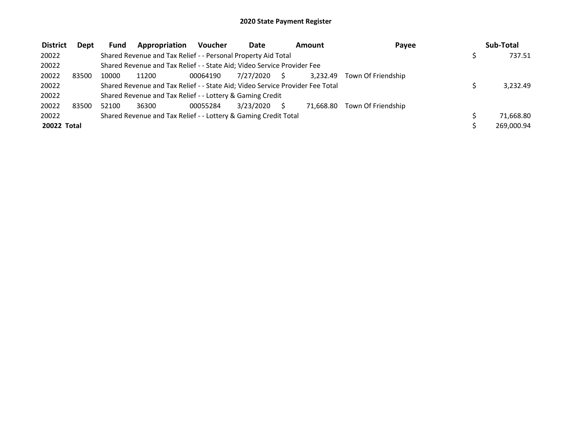| <b>District</b>    | Dept  | <b>Fund</b> | Appropriation                                                                 | <b>Voucher</b> | Date      |    | Amount    | Payee              | Sub-Total  |
|--------------------|-------|-------------|-------------------------------------------------------------------------------|----------------|-----------|----|-----------|--------------------|------------|
| 20022              |       |             | Shared Revenue and Tax Relief - - Personal Property Aid Total                 |                |           |    |           |                    | 737.51     |
| 20022              |       |             | Shared Revenue and Tax Relief - - State Aid; Video Service Provider Fee       |                |           |    |           |                    |            |
| 20022              | 83500 | 10000       | 11200                                                                         | 00064190       | 7/27/2020 | S. | 3.232.49  | Town Of Friendship |            |
| 20022              |       |             | Shared Revenue and Tax Relief - - State Aid; Video Service Provider Fee Total |                |           |    |           |                    | 3,232.49   |
| 20022              |       |             | Shared Revenue and Tax Relief - - Lottery & Gaming Credit                     |                |           |    |           |                    |            |
| 20022              | 83500 | 52100       | 36300                                                                         | 00055284       | 3/23/2020 |    | 71.668.80 | Town Of Friendship |            |
| 20022              |       |             | Shared Revenue and Tax Relief - - Lottery & Gaming Credit Total               |                |           |    |           |                    | 71,668.80  |
| <b>20022 Total</b> |       |             |                                                                               |                |           |    |           |                    | 269.000.94 |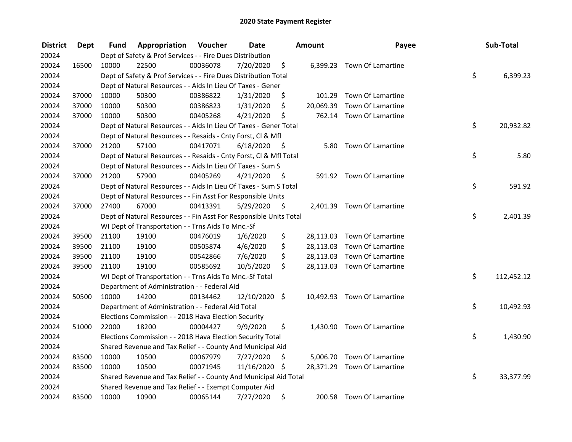| <b>District</b> | <b>Dept</b> | Fund  | Appropriation                                                      | Voucher  | <b>Date</b> |      | Amount    | Payee                       | Sub-Total        |
|-----------------|-------------|-------|--------------------------------------------------------------------|----------|-------------|------|-----------|-----------------------------|------------------|
| 20024           |             |       | Dept of Safety & Prof Services - - Fire Dues Distribution          |          |             |      |           |                             |                  |
| 20024           | 16500       | 10000 | 22500                                                              | 00036078 | 7/20/2020   | \$   |           | 6,399.23 Town Of Lamartine  |                  |
| 20024           |             |       | Dept of Safety & Prof Services - - Fire Dues Distribution Total    |          |             |      |           |                             | \$<br>6,399.23   |
| 20024           |             |       | Dept of Natural Resources - - Aids In Lieu Of Taxes - Gener        |          |             |      |           |                             |                  |
| 20024           | 37000       | 10000 | 50300                                                              | 00386822 | 1/31/2020   | \$   | 101.29    | Town Of Lamartine           |                  |
| 20024           | 37000       | 10000 | 50300                                                              | 00386823 | 1/31/2020   | \$   | 20,069.39 | Town Of Lamartine           |                  |
| 20024           | 37000       | 10000 | 50300                                                              | 00405268 | 4/21/2020   | \$   |           | 762.14 Town Of Lamartine    |                  |
| 20024           |             |       | Dept of Natural Resources - - Aids In Lieu Of Taxes - Gener Total  |          |             |      |           |                             | \$<br>20,932.82  |
| 20024           |             |       | Dept of Natural Resources - - Resaids - Cnty Forst, Cl & Mfl       |          |             |      |           |                             |                  |
| 20024           | 37000       | 21200 | 57100                                                              | 00417071 | 6/18/2020   | - \$ | 5.80      | Town Of Lamartine           |                  |
| 20024           |             |       | Dept of Natural Resources - - Resaids - Cnty Forst, Cl & Mfl Total |          |             |      |           |                             | \$<br>5.80       |
| 20024           |             |       | Dept of Natural Resources - - Aids In Lieu Of Taxes - Sum S        |          |             |      |           |                             |                  |
| 20024           | 37000       | 21200 | 57900                                                              | 00405269 | 4/21/2020   | - \$ |           | 591.92 Town Of Lamartine    |                  |
| 20024           |             |       | Dept of Natural Resources - - Aids In Lieu Of Taxes - Sum S Total  |          |             |      |           |                             | \$<br>591.92     |
| 20024           |             |       | Dept of Natural Resources - - Fin Asst For Responsible Units       |          |             |      |           |                             |                  |
| 20024           | 37000       | 27400 | 67000                                                              | 00413391 | 5/29/2020   | \$   |           | 2,401.39 Town Of Lamartine  |                  |
| 20024           |             |       | Dept of Natural Resources - - Fin Asst For Responsible Units Total |          |             |      |           |                             | \$<br>2,401.39   |
| 20024           |             |       | WI Dept of Transportation - - Trns Aids To Mnc.-Sf                 |          |             |      |           |                             |                  |
| 20024           | 39500       | 21100 | 19100                                                              | 00476019 | 1/6/2020    | \$   |           | 28,113.03 Town Of Lamartine |                  |
| 20024           | 39500       | 21100 | 19100                                                              | 00505874 | 4/6/2020    | \$   |           | 28,113.03 Town Of Lamartine |                  |
| 20024           | 39500       | 21100 | 19100                                                              | 00542866 | 7/6/2020    | \$   |           | 28,113.03 Town Of Lamartine |                  |
| 20024           | 39500       | 21100 | 19100                                                              | 00585692 | 10/5/2020   | \$.  |           | 28,113.03 Town Of Lamartine |                  |
| 20024           |             |       | WI Dept of Transportation - - Trns Aids To Mnc.-Sf Total           |          |             |      |           |                             | \$<br>112,452.12 |
| 20024           |             |       | Department of Administration - - Federal Aid                       |          |             |      |           |                             |                  |
| 20024           | 50500       | 10000 | 14200                                                              | 00134462 | 12/10/2020  | \$   |           | 10,492.93 Town Of Lamartine |                  |
| 20024           |             |       | Department of Administration - - Federal Aid Total                 |          |             |      |           |                             | \$<br>10,492.93  |
| 20024           |             |       | Elections Commission - - 2018 Hava Election Security               |          |             |      |           |                             |                  |
| 20024           | 51000       | 22000 | 18200                                                              | 00004427 | 9/9/2020    | \$   |           | 1,430.90 Town Of Lamartine  |                  |
| 20024           |             |       | Elections Commission - - 2018 Hava Election Security Total         |          |             |      |           |                             | \$<br>1,430.90   |
| 20024           |             |       | Shared Revenue and Tax Relief - - County And Municipal Aid         |          |             |      |           |                             |                  |
| 20024           | 83500       | 10000 | 10500                                                              | 00067979 | 7/27/2020   | \$   |           | 5,006.70 Town Of Lamartine  |                  |
| 20024           | 83500       | 10000 | 10500                                                              | 00071945 | 11/16/2020  | - \$ |           | 28,371.29 Town Of Lamartine |                  |
| 20024           |             |       | Shared Revenue and Tax Relief - - County And Municipal Aid Total   |          |             |      |           |                             | \$<br>33,377.99  |
| 20024           |             |       | Shared Revenue and Tax Relief - - Exempt Computer Aid              |          |             |      |           |                             |                  |
| 20024           | 83500       | 10000 | 10900                                                              | 00065144 | 7/27/2020   | \$   |           | 200.58 Town Of Lamartine    |                  |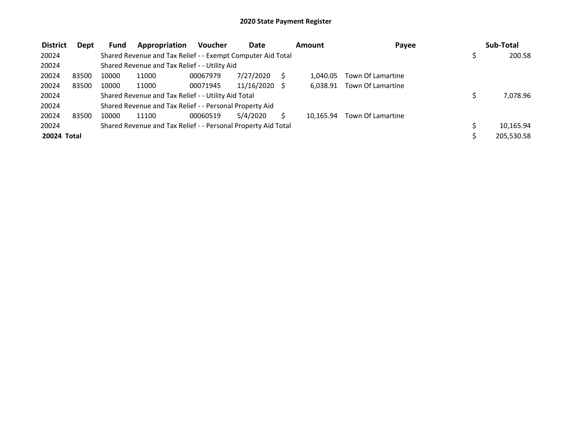| <b>District</b> | Dept  | <b>Fund</b> | Appropriation                                                 | <b>Voucher</b> | Date            | <b>Amount</b> | Payee                      | Sub-Total  |
|-----------------|-------|-------------|---------------------------------------------------------------|----------------|-----------------|---------------|----------------------------|------------|
| 20024           |       |             | Shared Revenue and Tax Relief - - Exempt Computer Aid Total   |                |                 |               |                            | 200.58     |
| 20024           |       |             | Shared Revenue and Tax Relief - - Utility Aid                 |                |                 |               |                            |            |
| 20024           | 83500 | 10000       | 11000                                                         | 00067979       | 7/27/2020       | 1.040.05      | Town Of Lamartine          |            |
| 20024           | 83500 | 10000       | 11000                                                         | 00071945       | $11/16/2020$ \$ |               | 6,038.91 Town Of Lamartine |            |
| 20024           |       |             | Shared Revenue and Tax Relief - - Utility Aid Total           |                |                 |               |                            | 7,078.96   |
| 20024           |       |             | Shared Revenue and Tax Relief - - Personal Property Aid       |                |                 |               |                            |            |
| 20024           | 83500 | 10000       | 11100                                                         | 00060519       | 5/4/2020        | 10.165.94     | Town Of Lamartine          |            |
| 20024           |       |             | Shared Revenue and Tax Relief - - Personal Property Aid Total |                |                 |               |                            | 10,165.94  |
| 20024 Total     |       |             |                                                               |                |                 |               |                            | 205,530.58 |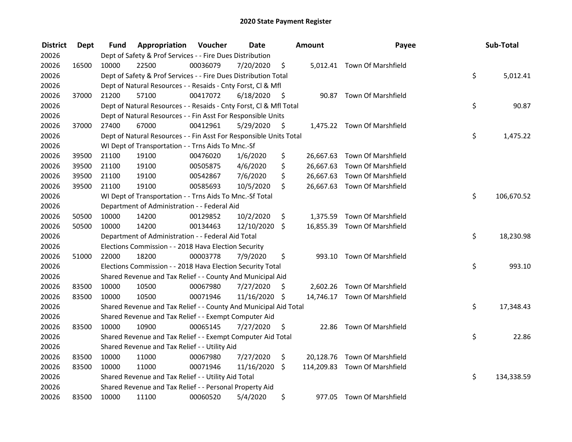| <b>District</b> | <b>Dept</b> | Fund  | Appropriation                                                      | Voucher  | <b>Date</b> |      | Amount   | Payee                         | Sub-Total        |
|-----------------|-------------|-------|--------------------------------------------------------------------|----------|-------------|------|----------|-------------------------------|------------------|
| 20026           |             |       | Dept of Safety & Prof Services - - Fire Dues Distribution          |          |             |      |          |                               |                  |
| 20026           | 16500       | 10000 | 22500                                                              | 00036079 | 7/20/2020   | \$   |          | 5,012.41 Town Of Marshfield   |                  |
| 20026           |             |       | Dept of Safety & Prof Services - - Fire Dues Distribution Total    |          |             |      |          |                               | \$<br>5,012.41   |
| 20026           |             |       | Dept of Natural Resources - - Resaids - Cnty Forst, Cl & Mfl       |          |             |      |          |                               |                  |
| 20026           | 37000       | 21200 | 57100                                                              | 00417072 | 6/18/2020   | - \$ |          | 90.87 Town Of Marshfield      |                  |
| 20026           |             |       | Dept of Natural Resources - - Resaids - Cnty Forst, CI & Mfl Total |          |             |      |          |                               | \$<br>90.87      |
| 20026           |             |       | Dept of Natural Resources - - Fin Asst For Responsible Units       |          |             |      |          |                               |                  |
| 20026           | 37000       | 27400 | 67000                                                              | 00412961 | 5/29/2020   | - \$ |          | 1,475.22 Town Of Marshfield   |                  |
| 20026           |             |       | Dept of Natural Resources - - Fin Asst For Responsible Units Total |          |             |      |          |                               | \$<br>1,475.22   |
| 20026           |             |       | WI Dept of Transportation - - Trns Aids To Mnc.-Sf                 |          |             |      |          |                               |                  |
| 20026           | 39500       | 21100 | 19100                                                              | 00476020 | 1/6/2020    | \$   |          | 26,667.63 Town Of Marshfield  |                  |
| 20026           | 39500       | 21100 | 19100                                                              | 00505875 | 4/6/2020    | \$   |          | 26,667.63 Town Of Marshfield  |                  |
| 20026           | 39500       | 21100 | 19100                                                              | 00542867 | 7/6/2020    | \$   |          | 26,667.63 Town Of Marshfield  |                  |
| 20026           | 39500       | 21100 | 19100                                                              | 00585693 | 10/5/2020   | \$   |          | 26,667.63 Town Of Marshfield  |                  |
| 20026           |             |       | WI Dept of Transportation - - Trns Aids To Mnc.-Sf Total           |          |             |      |          |                               | \$<br>106,670.52 |
| 20026           |             |       | Department of Administration - - Federal Aid                       |          |             |      |          |                               |                  |
| 20026           | 50500       | 10000 | 14200                                                              | 00129852 | 10/2/2020   | \$   | 1,375.59 | Town Of Marshfield            |                  |
| 20026           | 50500       | 10000 | 14200                                                              | 00134463 | 12/10/2020  | \$   |          | 16,855.39 Town Of Marshfield  |                  |
| 20026           |             |       | Department of Administration - - Federal Aid Total                 |          |             |      |          |                               | \$<br>18,230.98  |
| 20026           |             |       | Elections Commission - - 2018 Hava Election Security               |          |             |      |          |                               |                  |
| 20026           | 51000       | 22000 | 18200                                                              | 00003778 | 7/9/2020    | \$   |          | 993.10 Town Of Marshfield     |                  |
| 20026           |             |       | Elections Commission - - 2018 Hava Election Security Total         |          |             |      |          |                               | \$<br>993.10     |
| 20026           |             |       | Shared Revenue and Tax Relief - - County And Municipal Aid         |          |             |      |          |                               |                  |
| 20026           | 83500       | 10000 | 10500                                                              | 00067980 | 7/27/2020   | S    |          | 2,602.26 Town Of Marshfield   |                  |
| 20026           | 83500       | 10000 | 10500                                                              | 00071946 | 11/16/2020  | \$   |          | 14,746.17 Town Of Marshfield  |                  |
| 20026           |             |       | Shared Revenue and Tax Relief - - County And Municipal Aid Total   |          |             |      |          |                               | \$<br>17,348.43  |
| 20026           |             |       | Shared Revenue and Tax Relief - - Exempt Computer Aid              |          |             |      |          |                               |                  |
| 20026           | 83500       | 10000 | 10900                                                              | 00065145 | 7/27/2020   | \$   |          | 22.86 Town Of Marshfield      |                  |
| 20026           |             |       | Shared Revenue and Tax Relief - - Exempt Computer Aid Total        |          |             |      |          |                               | \$<br>22.86      |
| 20026           |             |       | Shared Revenue and Tax Relief - - Utility Aid                      |          |             |      |          |                               |                  |
| 20026           | 83500       | 10000 | 11000                                                              | 00067980 | 7/27/2020   | \$   |          | 20,128.76 Town Of Marshfield  |                  |
| 20026           | 83500       | 10000 | 11000                                                              | 00071946 | 11/16/2020  | \$   |          | 114,209.83 Town Of Marshfield |                  |
| 20026           |             |       | Shared Revenue and Tax Relief - - Utility Aid Total                |          |             |      |          |                               | \$<br>134,338.59 |
| 20026           |             |       | Shared Revenue and Tax Relief - - Personal Property Aid            |          |             |      |          |                               |                  |
| 20026           | 83500       | 10000 | 11100                                                              | 00060520 | 5/4/2020    | \$   |          | 977.05 Town Of Marshfield     |                  |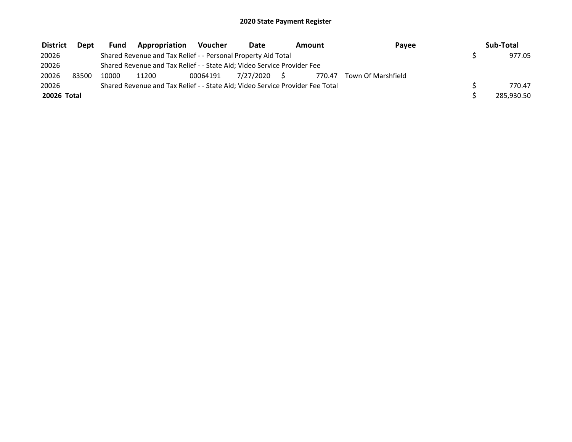| <b>District</b> | <b>Dept</b> | Fund  | Appropriation                                                                 | Voucher  | Date         | Amount | Payee              | Sub-Total  |
|-----------------|-------------|-------|-------------------------------------------------------------------------------|----------|--------------|--------|--------------------|------------|
| 20026           |             |       | Shared Revenue and Tax Relief - - Personal Property Aid Total                 |          |              |        |                    | 977.05     |
| 20026           |             |       | Shared Revenue and Tax Relief - - State Aid; Video Service Provider Fee       |          |              |        |                    |            |
| 20026           | 83500       | 10000 | 11200                                                                         | 00064191 | 7/27/2020 \$ | 770.47 | Town Of Marshfield |            |
| 20026           |             |       | Shared Revenue and Tax Relief - - State Aid; Video Service Provider Fee Total |          |              |        |                    | 770.47     |
| 20026 Total     |             |       |                                                                               |          |              |        |                    | 285,930.50 |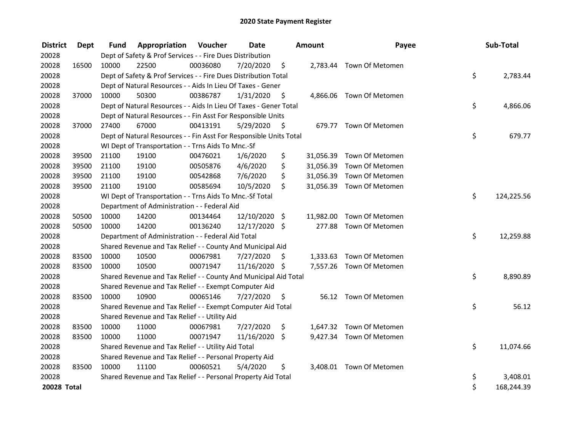| <b>District</b> | Dept  | <b>Fund</b> | Appropriation                                                      | Voucher  | <b>Date</b>   |      | <b>Amount</b> | Payee                     | Sub-Total        |
|-----------------|-------|-------------|--------------------------------------------------------------------|----------|---------------|------|---------------|---------------------------|------------------|
| 20028           |       |             | Dept of Safety & Prof Services - - Fire Dues Distribution          |          |               |      |               |                           |                  |
| 20028           | 16500 | 10000       | 22500                                                              | 00036080 | 7/20/2020     | \$   |               | 2,783.44 Town Of Metomen  |                  |
| 20028           |       |             | Dept of Safety & Prof Services - - Fire Dues Distribution Total    |          |               |      |               |                           | \$<br>2,783.44   |
| 20028           |       |             | Dept of Natural Resources - - Aids In Lieu Of Taxes - Gener        |          |               |      |               |                           |                  |
| 20028           | 37000 | 10000       | 50300                                                              | 00386787 | 1/31/2020     | - \$ |               | 4,866.06 Town Of Metomen  |                  |
| 20028           |       |             | Dept of Natural Resources - - Aids In Lieu Of Taxes - Gener Total  |          |               |      |               |                           | \$<br>4,866.06   |
| 20028           |       |             | Dept of Natural Resources - - Fin Asst For Responsible Units       |          |               |      |               |                           |                  |
| 20028           | 37000 | 27400       | 67000                                                              | 00413191 | 5/29/2020     | \$   |               | 679.77 Town Of Metomen    |                  |
| 20028           |       |             | Dept of Natural Resources - - Fin Asst For Responsible Units Total |          |               |      |               |                           | \$<br>679.77     |
| 20028           |       |             | WI Dept of Transportation - - Trns Aids To Mnc.-Sf                 |          |               |      |               |                           |                  |
| 20028           | 39500 | 21100       | 19100                                                              | 00476021 | 1/6/2020      | \$   | 31,056.39     | Town Of Metomen           |                  |
| 20028           | 39500 | 21100       | 19100                                                              | 00505876 | 4/6/2020      | \$   | 31,056.39     | Town Of Metomen           |                  |
| 20028           | 39500 | 21100       | 19100                                                              | 00542868 | 7/6/2020      | \$   | 31,056.39     | Town Of Metomen           |                  |
| 20028           | 39500 | 21100       | 19100                                                              | 00585694 | 10/5/2020     | \$   |               | 31,056.39 Town Of Metomen |                  |
| 20028           |       |             | WI Dept of Transportation - - Trns Aids To Mnc.-Sf Total           |          |               |      |               |                           | \$<br>124,225.56 |
| 20028           |       |             | Department of Administration - - Federal Aid                       |          |               |      |               |                           |                  |
| 20028           | 50500 | 10000       | 14200                                                              | 00134464 | 12/10/2020 \$ |      | 11,982.00     | Town Of Metomen           |                  |
| 20028           | 50500 | 10000       | 14200                                                              | 00136240 | 12/17/2020 \$ |      | 277.88        | Town Of Metomen           |                  |
| 20028           |       |             | Department of Administration - - Federal Aid Total                 |          |               |      |               |                           | \$<br>12,259.88  |
| 20028           |       |             | Shared Revenue and Tax Relief - - County And Municipal Aid         |          |               |      |               |                           |                  |
| 20028           | 83500 | 10000       | 10500                                                              | 00067981 | 7/27/2020     | S    |               | 1,333.63 Town Of Metomen  |                  |
| 20028           | 83500 | 10000       | 10500                                                              | 00071947 | 11/16/2020 \$ |      |               | 7,557.26 Town Of Metomen  |                  |
| 20028           |       |             | Shared Revenue and Tax Relief - - County And Municipal Aid Total   |          |               |      |               |                           | \$<br>8,890.89   |
| 20028           |       |             | Shared Revenue and Tax Relief - - Exempt Computer Aid              |          |               |      |               |                           |                  |
| 20028           | 83500 | 10000       | 10900                                                              | 00065146 | 7/27/2020     | \$   |               | 56.12 Town Of Metomen     |                  |
| 20028           |       |             | Shared Revenue and Tax Relief - - Exempt Computer Aid Total        |          |               |      |               |                           | \$<br>56.12      |
| 20028           |       |             | Shared Revenue and Tax Relief - - Utility Aid                      |          |               |      |               |                           |                  |
| 20028           | 83500 | 10000       | 11000                                                              | 00067981 | 7/27/2020     | \$   |               | 1,647.32 Town Of Metomen  |                  |
| 20028           | 83500 | 10000       | 11000                                                              | 00071947 | 11/16/2020    | \$   |               | 9,427.34 Town Of Metomen  |                  |
| 20028           |       |             | Shared Revenue and Tax Relief - - Utility Aid Total                |          |               |      |               |                           | \$<br>11,074.66  |
| 20028           |       |             | Shared Revenue and Tax Relief - - Personal Property Aid            |          |               |      |               |                           |                  |
| 20028           | 83500 | 10000       | 11100                                                              | 00060521 | 5/4/2020      | \$   |               | 3,408.01 Town Of Metomen  |                  |
| 20028           |       |             | Shared Revenue and Tax Relief - - Personal Property Aid Total      |          |               |      |               |                           | \$<br>3,408.01   |
| 20028 Total     |       |             |                                                                    |          |               |      |               |                           | \$<br>168,244.39 |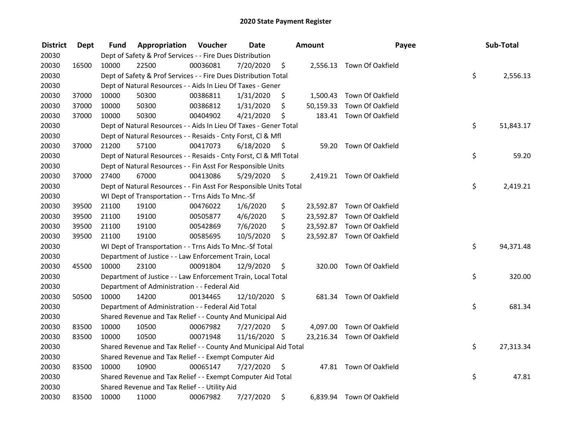| <b>District</b> | <b>Dept</b> | Fund  | Appropriation                                                      | Voucher  | <b>Date</b>   |      | Amount    | Payee                      | Sub-Total       |
|-----------------|-------------|-------|--------------------------------------------------------------------|----------|---------------|------|-----------|----------------------------|-----------------|
| 20030           |             |       | Dept of Safety & Prof Services - - Fire Dues Distribution          |          |               |      |           |                            |                 |
| 20030           | 16500       | 10000 | 22500                                                              | 00036081 | 7/20/2020     | \$   |           | 2,556.13 Town Of Oakfield  |                 |
| 20030           |             |       | Dept of Safety & Prof Services - - Fire Dues Distribution Total    |          |               |      |           |                            | \$<br>2,556.13  |
| 20030           |             |       | Dept of Natural Resources - - Aids In Lieu Of Taxes - Gener        |          |               |      |           |                            |                 |
| 20030           | 37000       | 10000 | 50300                                                              | 00386811 | 1/31/2020     | \$   |           | 1,500.43 Town Of Oakfield  |                 |
| 20030           | 37000       | 10000 | 50300                                                              | 00386812 | 1/31/2020     | \$   | 50,159.33 | Town Of Oakfield           |                 |
| 20030           | 37000       | 10000 | 50300                                                              | 00404902 | 4/21/2020     | \$   |           | 183.41 Town Of Oakfield    |                 |
| 20030           |             |       | Dept of Natural Resources - - Aids In Lieu Of Taxes - Gener Total  |          |               |      |           |                            | \$<br>51,843.17 |
| 20030           |             |       | Dept of Natural Resources - - Resaids - Cnty Forst, Cl & Mfl       |          |               |      |           |                            |                 |
| 20030           | 37000       | 21200 | 57100                                                              | 00417073 | 6/18/2020     | - \$ |           | 59.20 Town Of Oakfield     |                 |
| 20030           |             |       | Dept of Natural Resources - - Resaids - Cnty Forst, Cl & Mfl Total |          |               |      |           |                            | \$<br>59.20     |
| 20030           |             |       | Dept of Natural Resources - - Fin Asst For Responsible Units       |          |               |      |           |                            |                 |
| 20030           | 37000       | 27400 | 67000                                                              | 00413086 | 5/29/2020     | -\$  |           | 2,419.21 Town Of Oakfield  |                 |
| 20030           |             |       | Dept of Natural Resources - - Fin Asst For Responsible Units Total |          |               |      |           |                            | \$<br>2,419.21  |
| 20030           |             |       | WI Dept of Transportation - - Trns Aids To Mnc.-Sf                 |          |               |      |           |                            |                 |
| 20030           | 39500       | 21100 | 19100                                                              | 00476022 | 1/6/2020      | \$   |           | 23,592.87 Town Of Oakfield |                 |
| 20030           | 39500       | 21100 | 19100                                                              | 00505877 | 4/6/2020      | \$   |           | 23,592.87 Town Of Oakfield |                 |
| 20030           | 39500       | 21100 | 19100                                                              | 00542869 | 7/6/2020      | \$   |           | 23,592.87 Town Of Oakfield |                 |
| 20030           | 39500       | 21100 | 19100                                                              | 00585695 | 10/5/2020     | \$   |           | 23,592.87 Town Of Oakfield |                 |
| 20030           |             |       | WI Dept of Transportation - - Trns Aids To Mnc.-Sf Total           |          |               |      |           |                            | \$<br>94,371.48 |
| 20030           |             |       | Department of Justice - - Law Enforcement Train, Local             |          |               |      |           |                            |                 |
| 20030           | 45500       | 10000 | 23100                                                              | 00091804 | 12/9/2020     | \$   |           | 320.00 Town Of Oakfield    |                 |
| 20030           |             |       | Department of Justice - - Law Enforcement Train, Local Total       |          |               |      |           |                            | \$<br>320.00    |
| 20030           |             |       | Department of Administration - - Federal Aid                       |          |               |      |           |                            |                 |
| 20030           | 50500       | 10000 | 14200                                                              | 00134465 | 12/10/2020 \$ |      |           | 681.34 Town Of Oakfield    |                 |
| 20030           |             |       | Department of Administration - - Federal Aid Total                 |          |               |      |           |                            | \$<br>681.34    |
| 20030           |             |       | Shared Revenue and Tax Relief - - County And Municipal Aid         |          |               |      |           |                            |                 |
| 20030           | 83500       | 10000 | 10500                                                              | 00067982 | 7/27/2020     | \$   |           | 4,097.00 Town Of Oakfield  |                 |
| 20030           | 83500       | 10000 | 10500                                                              | 00071948 | 11/16/2020 \$ |      |           | 23,216.34 Town Of Oakfield |                 |
| 20030           |             |       | Shared Revenue and Tax Relief - - County And Municipal Aid Total   |          |               |      |           |                            | \$<br>27,313.34 |
| 20030           |             |       | Shared Revenue and Tax Relief - - Exempt Computer Aid              |          |               |      |           |                            |                 |
| 20030           | 83500       | 10000 | 10900                                                              | 00065147 | 7/27/2020     | \$   |           | 47.81 Town Of Oakfield     |                 |
| 20030           |             |       | Shared Revenue and Tax Relief - - Exempt Computer Aid Total        |          |               |      |           |                            | \$<br>47.81     |
| 20030           |             |       | Shared Revenue and Tax Relief - - Utility Aid                      |          |               |      |           |                            |                 |
| 20030           | 83500       | 10000 | 11000                                                              | 00067982 | 7/27/2020     | \$   |           | 6,839.94 Town Of Oakfield  |                 |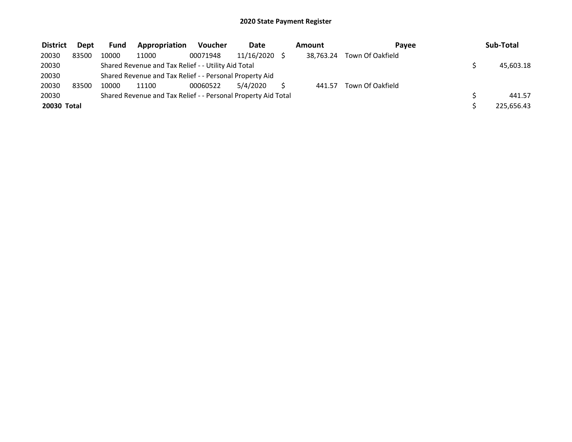| <b>District</b> | <b>Dept</b> | <b>Fund</b> | Appropriation                                                 | <b>Voucher</b> | <b>Date</b> | Amount    | Pavee            | Sub-Total  |
|-----------------|-------------|-------------|---------------------------------------------------------------|----------------|-------------|-----------|------------------|------------|
| 20030           | 83500       | 10000       | 11000                                                         | 00071948       | 11/16/2020  | 38.763.24 | Town Of Oakfield |            |
| 20030           |             |             | Shared Revenue and Tax Relief - - Utility Aid Total           |                |             |           |                  | 45,603.18  |
| 20030           |             |             | Shared Revenue and Tax Relief - - Personal Property Aid       |                |             |           |                  |            |
| 20030           | 83500       | 10000       | 11100                                                         | 00060522       | 5/4/2020    | 441.57    | Town Of Oakfield |            |
| 20030           |             |             | Shared Revenue and Tax Relief - - Personal Property Aid Total |                |             |           |                  | 441.57     |
| 20030 Total     |             |             |                                                               |                |             |           |                  | 225,656.43 |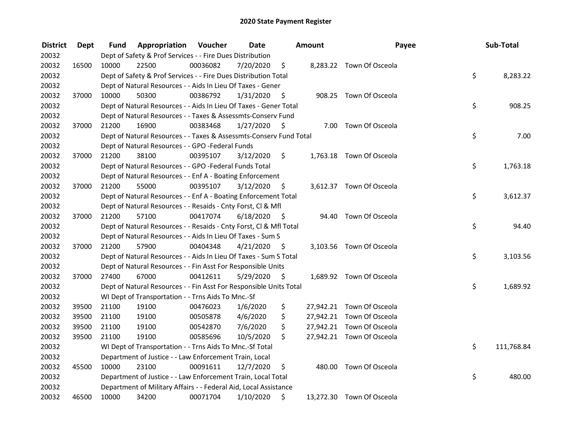| <b>District</b> | Dept  | Fund  | <b>Appropriation Voucher</b>                                       |          | <b>Date</b> |      | Amount | Payee                     | Sub-Total        |
|-----------------|-------|-------|--------------------------------------------------------------------|----------|-------------|------|--------|---------------------------|------------------|
| 20032           |       |       | Dept of Safety & Prof Services - - Fire Dues Distribution          |          |             |      |        |                           |                  |
| 20032           | 16500 | 10000 | 22500                                                              | 00036082 | 7/20/2020   | \$   |        | 8,283.22 Town Of Osceola  |                  |
| 20032           |       |       | Dept of Safety & Prof Services - - Fire Dues Distribution Total    |          |             |      |        |                           | \$<br>8,283.22   |
| 20032           |       |       | Dept of Natural Resources - - Aids In Lieu Of Taxes - Gener        |          |             |      |        |                           |                  |
| 20032           | 37000 | 10000 | 50300                                                              | 00386792 | 1/31/2020   | \$   |        | 908.25 Town Of Osceola    |                  |
| 20032           |       |       | Dept of Natural Resources - - Aids In Lieu Of Taxes - Gener Total  |          |             |      |        |                           | \$<br>908.25     |
| 20032           |       |       | Dept of Natural Resources - - Taxes & Assessmts-Conserv Fund       |          |             |      |        |                           |                  |
| 20032           | 37000 | 21200 | 16900                                                              | 00383468 | 1/27/2020   | - \$ |        | 7.00 Town Of Osceola      |                  |
| 20032           |       |       | Dept of Natural Resources - - Taxes & Assessmts-Conserv Fund Total |          |             |      |        |                           | \$<br>7.00       |
| 20032           |       |       | Dept of Natural Resources - - GPO -Federal Funds                   |          |             |      |        |                           |                  |
| 20032           | 37000 | 21200 | 38100                                                              | 00395107 | 3/12/2020   | \$   |        | 1,763.18 Town Of Osceola  |                  |
| 20032           |       |       | Dept of Natural Resources - - GPO -Federal Funds Total             |          |             |      |        |                           | \$<br>1,763.18   |
| 20032           |       |       | Dept of Natural Resources - - Enf A - Boating Enforcement          |          |             |      |        |                           |                  |
| 20032           | 37000 | 21200 | 55000                                                              | 00395107 | 3/12/2020   | \$   |        | 3,612.37 Town Of Osceola  |                  |
| 20032           |       |       | Dept of Natural Resources - - Enf A - Boating Enforcement Total    |          |             |      |        |                           | \$<br>3,612.37   |
| 20032           |       |       | Dept of Natural Resources - - Resaids - Cnty Forst, CI & Mfl       |          |             |      |        |                           |                  |
| 20032           | 37000 | 21200 | 57100                                                              | 00417074 | 6/18/2020   | - \$ | 94.40  | Town Of Osceola           |                  |
| 20032           |       |       | Dept of Natural Resources - - Resaids - Cnty Forst, Cl & Mfl Total |          |             |      |        |                           | \$<br>94.40      |
| 20032           |       |       | Dept of Natural Resources - - Aids In Lieu Of Taxes - Sum S        |          |             |      |        |                           |                  |
| 20032           | 37000 | 21200 | 57900                                                              | 00404348 | 4/21/2020   | - \$ |        | 3,103.56 Town Of Osceola  |                  |
| 20032           |       |       | Dept of Natural Resources - - Aids In Lieu Of Taxes - Sum S Total  |          |             |      |        |                           | \$<br>3,103.56   |
| 20032           |       |       | Dept of Natural Resources - - Fin Asst For Responsible Units       |          |             |      |        |                           |                  |
| 20032           | 37000 | 27400 | 67000                                                              | 00412611 | 5/29/2020   | - \$ |        | 1,689.92 Town Of Osceola  |                  |
| 20032           |       |       | Dept of Natural Resources - - Fin Asst For Responsible Units Total |          |             |      |        |                           | \$<br>1,689.92   |
| 20032           |       |       | WI Dept of Transportation - - Trns Aids To Mnc.-Sf                 |          |             |      |        |                           |                  |
| 20032           | 39500 | 21100 | 19100                                                              | 00476023 | 1/6/2020    | \$   |        | 27,942.21 Town Of Osceola |                  |
| 20032           | 39500 | 21100 | 19100                                                              | 00505878 | 4/6/2020    | \$   |        | 27,942.21 Town Of Osceola |                  |
| 20032           | 39500 | 21100 | 19100                                                              | 00542870 | 7/6/2020    | \$   |        | 27,942.21 Town Of Osceola |                  |
| 20032           | 39500 | 21100 | 19100                                                              | 00585696 | 10/5/2020   | \$   |        | 27,942.21 Town Of Osceola |                  |
| 20032           |       |       | WI Dept of Transportation - - Trns Aids To Mnc.-Sf Total           |          |             |      |        |                           | \$<br>111,768.84 |
| 20032           |       |       | Department of Justice - - Law Enforcement Train, Local             |          |             |      |        |                           |                  |
| 20032           | 45500 | 10000 | 23100                                                              | 00091611 | 12/7/2020   | \$   |        | 480.00 Town Of Osceola    |                  |
| 20032           |       |       | Department of Justice - - Law Enforcement Train, Local Total       |          |             |      |        |                           | \$<br>480.00     |
| 20032           |       |       | Department of Military Affairs - - Federal Aid, Local Assistance   |          |             |      |        |                           |                  |
| 20032           | 46500 | 10000 | 34200                                                              | 00071704 | 1/10/2020   | \$   |        | 13,272.30 Town Of Osceola |                  |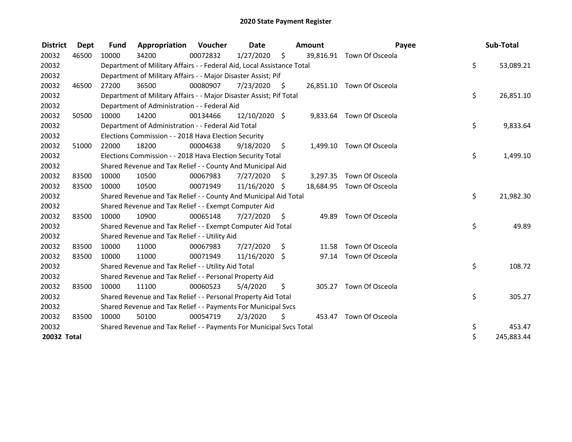| <b>District</b> | <b>Dept</b> | <b>Fund</b> | Appropriation                                                          | Voucher  | <b>Date</b>   |      | Amount   | Payee                     | Sub-Total        |
|-----------------|-------------|-------------|------------------------------------------------------------------------|----------|---------------|------|----------|---------------------------|------------------|
| 20032           | 46500       | 10000       | 34200                                                                  | 00072832 | 1/27/2020     | \$   |          | 39,816.91 Town Of Osceola |                  |
| 20032           |             |             | Department of Military Affairs - - Federal Aid, Local Assistance Total |          |               |      |          |                           | \$<br>53,089.21  |
| 20032           |             |             | Department of Military Affairs - - Major Disaster Assist; Pif          |          |               |      |          |                           |                  |
| 20032           | 46500       | 27200       | 36500                                                                  | 00080907 | 7/23/2020     | \$   |          | 26,851.10 Town Of Osceola |                  |
| 20032           |             |             | Department of Military Affairs - - Major Disaster Assist; Pif Total    |          |               |      |          |                           | \$<br>26,851.10  |
| 20032           |             |             | Department of Administration - - Federal Aid                           |          |               |      |          |                           |                  |
| 20032           | 50500       | 10000       | 14200                                                                  | 00134466 | 12/10/2020 \$ |      |          | 9,833.64 Town Of Osceola  |                  |
| 20032           |             |             | Department of Administration - - Federal Aid Total                     |          |               |      |          |                           | \$<br>9,833.64   |
| 20032           |             |             | Elections Commission - - 2018 Hava Election Security                   |          |               |      |          |                           |                  |
| 20032           | 51000       | 22000       | 18200                                                                  | 00004638 | 9/18/2020     | \$   |          | 1,499.10 Town Of Osceola  |                  |
| 20032           |             |             | Elections Commission - - 2018 Hava Election Security Total             |          |               |      |          |                           | \$<br>1,499.10   |
| 20032           |             |             | Shared Revenue and Tax Relief - - County And Municipal Aid             |          |               |      |          |                           |                  |
| 20032           | 83500       | 10000       | 10500                                                                  | 00067983 | 7/27/2020     | -\$  | 3,297.35 | Town Of Osceola           |                  |
| 20032           | 83500       | 10000       | 10500                                                                  | 00071949 | 11/16/2020 \$ |      |          | 18,684.95 Town Of Osceola |                  |
| 20032           |             |             | Shared Revenue and Tax Relief - - County And Municipal Aid Total       |          |               |      |          |                           | \$<br>21,982.30  |
| 20032           |             |             | Shared Revenue and Tax Relief - - Exempt Computer Aid                  |          |               |      |          |                           |                  |
| 20032           | 83500       | 10000       | 10900                                                                  | 00065148 | 7/27/2020     | - \$ | 49.89    | Town Of Osceola           |                  |
| 20032           |             |             | Shared Revenue and Tax Relief - - Exempt Computer Aid Total            |          |               |      |          |                           | \$<br>49.89      |
| 20032           |             |             | Shared Revenue and Tax Relief - - Utility Aid                          |          |               |      |          |                           |                  |
| 20032           | 83500       | 10000       | 11000                                                                  | 00067983 | 7/27/2020     | S.   | 11.58    | Town Of Osceola           |                  |
| 20032           | 83500       | 10000       | 11000                                                                  | 00071949 | 11/16/2020 \$ |      | 97.14    | Town Of Osceola           |                  |
| 20032           |             |             | Shared Revenue and Tax Relief - - Utility Aid Total                    |          |               |      |          |                           | \$<br>108.72     |
| 20032           |             |             | Shared Revenue and Tax Relief - - Personal Property Aid                |          |               |      |          |                           |                  |
| 20032           | 83500       | 10000       | 11100                                                                  | 00060523 | 5/4/2020      | \$   | 305.27   | Town Of Osceola           |                  |
| 20032           |             |             | Shared Revenue and Tax Relief - - Personal Property Aid Total          |          |               |      |          |                           | \$<br>305.27     |
| 20032           |             |             | Shared Revenue and Tax Relief - - Payments For Municipal Svcs          |          |               |      |          |                           |                  |
| 20032           | 83500       | 10000       | 50100                                                                  | 00054719 | 2/3/2020      | \$   |          | 453.47 Town Of Osceola    |                  |
| 20032           |             |             | Shared Revenue and Tax Relief - - Payments For Municipal Svcs Total    |          |               |      |          |                           | \$<br>453.47     |
| 20032 Total     |             |             |                                                                        |          |               |      |          |                           | \$<br>245,883.44 |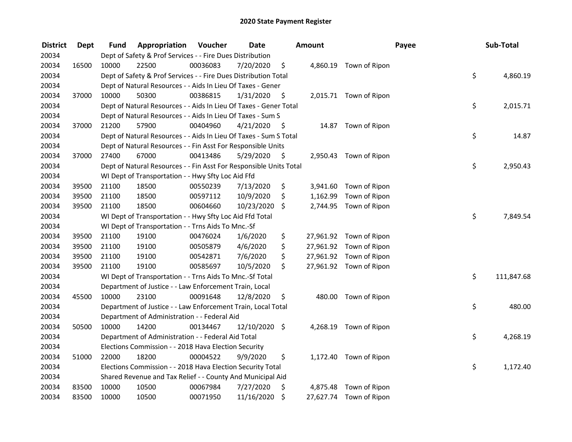| <b>District</b> | Dept  | Fund  | Appropriation                                                      | Voucher  | <b>Date</b>   |      | Amount   |                         | Payee | Sub-Total  |
|-----------------|-------|-------|--------------------------------------------------------------------|----------|---------------|------|----------|-------------------------|-------|------------|
| 20034           |       |       | Dept of Safety & Prof Services - - Fire Dues Distribution          |          |               |      |          |                         |       |            |
| 20034           | 16500 | 10000 | 22500                                                              | 00036083 | 7/20/2020     | \$   |          | 4,860.19 Town of Ripon  |       |            |
| 20034           |       |       | Dept of Safety & Prof Services - - Fire Dues Distribution Total    |          |               |      |          |                         | \$    | 4,860.19   |
| 20034           |       |       | Dept of Natural Resources - - Aids In Lieu Of Taxes - Gener        |          |               |      |          |                         |       |            |
| 20034           | 37000 | 10000 | 50300                                                              | 00386815 | 1/31/2020     | \$   |          | 2,015.71 Town of Ripon  |       |            |
| 20034           |       |       | Dept of Natural Resources - - Aids In Lieu Of Taxes - Gener Total  |          |               |      |          |                         | \$    | 2,015.71   |
| 20034           |       |       | Dept of Natural Resources - - Aids In Lieu Of Taxes - Sum S        |          |               |      |          |                         |       |            |
| 20034           | 37000 | 21200 | 57900                                                              | 00404960 | 4/21/2020     | - \$ |          | 14.87 Town of Ripon     |       |            |
| 20034           |       |       | Dept of Natural Resources - - Aids In Lieu Of Taxes - Sum S Total  |          |               |      |          |                         | \$    | 14.87      |
| 20034           |       |       | Dept of Natural Resources - - Fin Asst For Responsible Units       |          |               |      |          |                         |       |            |
| 20034           | 37000 | 27400 | 67000                                                              | 00413486 | 5/29/2020     | \$   |          | 2,950.43 Town of Ripon  |       |            |
| 20034           |       |       | Dept of Natural Resources - - Fin Asst For Responsible Units Total |          |               |      |          |                         | \$    | 2,950.43   |
| 20034           |       |       | WI Dept of Transportation - - Hwy Sfty Loc Aid Ffd                 |          |               |      |          |                         |       |            |
| 20034           | 39500 | 21100 | 18500                                                              | 00550239 | 7/13/2020     | \$   | 3,941.60 | Town of Ripon           |       |            |
| 20034           | 39500 | 21100 | 18500                                                              | 00597112 | 10/9/2020     | \$   | 1,162.99 | Town of Ripon           |       |            |
| 20034           | 39500 | 21100 | 18500                                                              | 00604660 | 10/23/2020    | \$   |          | 2,744.95 Town of Ripon  |       |            |
| 20034           |       |       | WI Dept of Transportation - - Hwy Sfty Loc Aid Ffd Total           |          |               |      |          |                         | \$    | 7,849.54   |
| 20034           |       |       | WI Dept of Transportation - - Trns Aids To Mnc.-Sf                 |          |               |      |          |                         |       |            |
| 20034           | 39500 | 21100 | 19100                                                              | 00476024 | 1/6/2020      | \$   |          | 27,961.92 Town of Ripon |       |            |
| 20034           | 39500 | 21100 | 19100                                                              | 00505879 | 4/6/2020      | \$   |          | 27,961.92 Town of Ripon |       |            |
| 20034           | 39500 | 21100 | 19100                                                              | 00542871 | 7/6/2020      | \$   |          | 27,961.92 Town of Ripon |       |            |
| 20034           | 39500 | 21100 | 19100                                                              | 00585697 | 10/5/2020     | \$   |          | 27,961.92 Town of Ripon |       |            |
| 20034           |       |       | WI Dept of Transportation - - Trns Aids To Mnc.-Sf Total           |          |               |      |          |                         | \$    | 111,847.68 |
| 20034           |       |       | Department of Justice - - Law Enforcement Train, Local             |          |               |      |          |                         |       |            |
| 20034           | 45500 | 10000 | 23100                                                              | 00091648 | 12/8/2020     | \$   |          | 480.00 Town of Ripon    |       |            |
| 20034           |       |       | Department of Justice - - Law Enforcement Train, Local Total       |          |               |      |          |                         | \$    | 480.00     |
| 20034           |       |       | Department of Administration - - Federal Aid                       |          |               |      |          |                         |       |            |
| 20034           | 50500 | 10000 | 14200                                                              | 00134467 | 12/10/2020 \$ |      |          | 4,268.19 Town of Ripon  |       |            |
| 20034           |       |       | Department of Administration - - Federal Aid Total                 |          |               |      |          |                         | \$    | 4,268.19   |
| 20034           |       |       | Elections Commission - - 2018 Hava Election Security               |          |               |      |          |                         |       |            |
| 20034           | 51000 | 22000 | 18200                                                              | 00004522 | 9/9/2020      | \$   |          | 1,172.40 Town of Ripon  |       |            |
| 20034           |       |       | Elections Commission - - 2018 Hava Election Security Total         |          |               |      |          |                         | \$    | 1,172.40   |
| 20034           |       |       | Shared Revenue and Tax Relief - - County And Municipal Aid         |          |               |      |          |                         |       |            |
| 20034           | 83500 | 10000 | 10500                                                              | 00067984 | 7/27/2020     | \$   |          | 4,875.48 Town of Ripon  |       |            |
| 20034           | 83500 | 10000 | 10500                                                              | 00071950 | 11/16/2020    | \$   |          | 27,627.74 Town of Ripon |       |            |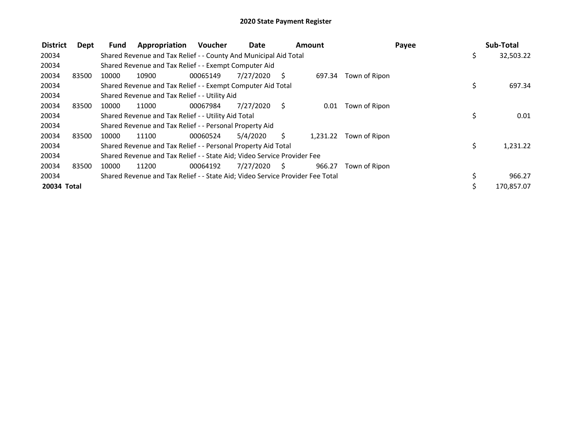| <b>District</b> | Dept  | <b>Fund</b> | Appropriation                                                                 | <b>Voucher</b> | Date      |     | <b>Amount</b> |               | Payee | Sub-Total  |
|-----------------|-------|-------------|-------------------------------------------------------------------------------|----------------|-----------|-----|---------------|---------------|-------|------------|
| 20034           |       |             | Shared Revenue and Tax Relief - - County And Municipal Aid Total              |                |           |     |               |               | \$    | 32,503.22  |
| 20034           |       |             | Shared Revenue and Tax Relief - - Exempt Computer Aid                         |                |           |     |               |               |       |            |
| 20034           | 83500 | 10000       | 10900                                                                         | 00065149       | 7/27/2020 | - S | 697.34        | Town of Ripon |       |            |
| 20034           |       |             | Shared Revenue and Tax Relief - - Exempt Computer Aid Total                   |                |           |     |               |               | \$    | 697.34     |
| 20034           |       |             | Shared Revenue and Tax Relief - - Utility Aid                                 |                |           |     |               |               |       |            |
| 20034           | 83500 | 10000       | 11000                                                                         | 00067984       | 7/27/2020 | - S | 0.01          | Town of Ripon |       |            |
| 20034           |       |             | Shared Revenue and Tax Relief - - Utility Aid Total                           |                |           |     |               |               | \$    | 0.01       |
| 20034           |       |             | Shared Revenue and Tax Relief - - Personal Property Aid                       |                |           |     |               |               |       |            |
| 20034           | 83500 | 10000       | 11100                                                                         | 00060524       | 5/4/2020  | S.  | 1,231.22      | Town of Ripon |       |            |
| 20034           |       |             | Shared Revenue and Tax Relief - - Personal Property Aid Total                 |                |           |     |               |               | \$    | 1,231.22   |
| 20034           |       |             | Shared Revenue and Tax Relief - - State Aid; Video Service Provider Fee       |                |           |     |               |               |       |            |
| 20034           | 83500 | 10000       | 11200                                                                         | 00064192       | 7/27/2020 | S.  | 966.27        | Town of Ripon |       |            |
| 20034           |       |             | Shared Revenue and Tax Relief - - State Aid; Video Service Provider Fee Total |                |           |     |               |               |       | 966.27     |
| 20034 Total     |       |             |                                                                               |                |           |     |               |               | Ś.    | 170,857.07 |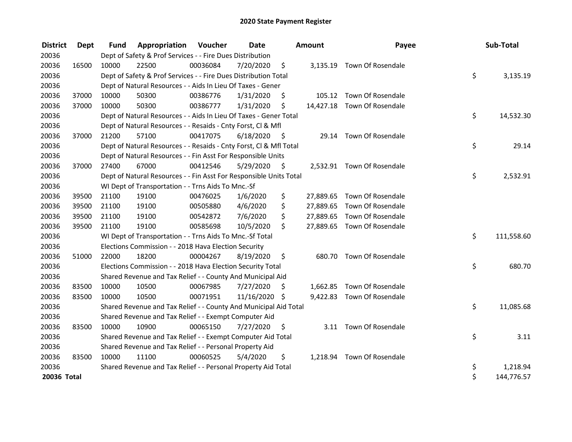| <b>District</b> | <b>Dept</b> | <b>Fund</b> | Appropriation                                                      | Voucher  | <b>Date</b>   |      | <b>Amount</b> | Payee                       | Sub-Total        |
|-----------------|-------------|-------------|--------------------------------------------------------------------|----------|---------------|------|---------------|-----------------------------|------------------|
| 20036           |             |             | Dept of Safety & Prof Services - - Fire Dues Distribution          |          |               |      |               |                             |                  |
| 20036           | 16500       | 10000       | 22500                                                              | 00036084 | 7/20/2020     | \$   |               | 3,135.19 Town Of Rosendale  |                  |
| 20036           |             |             | Dept of Safety & Prof Services - - Fire Dues Distribution Total    |          |               |      |               |                             | \$<br>3,135.19   |
| 20036           |             |             | Dept of Natural Resources - - Aids In Lieu Of Taxes - Gener        |          |               |      |               |                             |                  |
| 20036           | 37000       | 10000       | 50300                                                              | 00386776 | 1/31/2020     | \$.  |               | 105.12 Town Of Rosendale    |                  |
| 20036           | 37000       | 10000       | 50300                                                              | 00386777 | 1/31/2020     | \$   |               | 14,427.18 Town Of Rosendale |                  |
| 20036           |             |             | Dept of Natural Resources - - Aids In Lieu Of Taxes - Gener Total  |          |               |      |               |                             | \$<br>14,532.30  |
| 20036           |             |             | Dept of Natural Resources - - Resaids - Cnty Forst, Cl & Mfl       |          |               |      |               |                             |                  |
| 20036           | 37000       | 21200       | 57100                                                              | 00417075 | 6/18/2020     | - \$ |               | 29.14 Town Of Rosendale     |                  |
| 20036           |             |             | Dept of Natural Resources - - Resaids - Cnty Forst, Cl & Mfl Total |          |               |      |               |                             | \$<br>29.14      |
| 20036           |             |             | Dept of Natural Resources - - Fin Asst For Responsible Units       |          |               |      |               |                             |                  |
| 20036           | 37000       | 27400       | 67000                                                              | 00412546 | 5/29/2020     | - \$ |               | 2,532.91 Town Of Rosendale  |                  |
| 20036           |             |             | Dept of Natural Resources - - Fin Asst For Responsible Units Total |          |               |      |               |                             | \$<br>2,532.91   |
| 20036           |             |             | WI Dept of Transportation - - Trns Aids To Mnc.-Sf                 |          |               |      |               |                             |                  |
| 20036           | 39500       | 21100       | 19100                                                              | 00476025 | 1/6/2020      | \$   | 27,889.65     | Town Of Rosendale           |                  |
| 20036           | 39500       | 21100       | 19100                                                              | 00505880 | 4/6/2020      | \$   | 27,889.65     | Town Of Rosendale           |                  |
| 20036           | 39500       | 21100       | 19100                                                              | 00542872 | 7/6/2020      | \$   |               | 27,889.65 Town Of Rosendale |                  |
| 20036           | 39500       | 21100       | 19100                                                              | 00585698 | 10/5/2020     | \$   |               | 27,889.65 Town Of Rosendale |                  |
| 20036           |             |             | WI Dept of Transportation - - Trns Aids To Mnc.-Sf Total           |          |               |      |               |                             | \$<br>111,558.60 |
| 20036           |             |             | Elections Commission - - 2018 Hava Election Security               |          |               |      |               |                             |                  |
| 20036           | 51000       | 22000       | 18200                                                              | 00004267 | 8/19/2020     | \$   |               | 680.70 Town Of Rosendale    |                  |
| 20036           |             |             | Elections Commission - - 2018 Hava Election Security Total         |          |               |      |               |                             | \$<br>680.70     |
| 20036           |             |             | Shared Revenue and Tax Relief - - County And Municipal Aid         |          |               |      |               |                             |                  |
| 20036           | 83500       | 10000       | 10500                                                              | 00067985 | 7/27/2020     | \$   |               | 1,662.85 Town Of Rosendale  |                  |
| 20036           | 83500       | 10000       | 10500                                                              | 00071951 | 11/16/2020 \$ |      |               | 9,422.83 Town Of Rosendale  |                  |
| 20036           |             |             | Shared Revenue and Tax Relief - - County And Municipal Aid Total   |          |               |      |               |                             | \$<br>11,085.68  |
| 20036           |             |             | Shared Revenue and Tax Relief - - Exempt Computer Aid              |          |               |      |               |                             |                  |
| 20036           | 83500       | 10000       | 10900                                                              | 00065150 | 7/27/2020     | \$   |               | 3.11 Town Of Rosendale      |                  |
| 20036           |             |             | Shared Revenue and Tax Relief - - Exempt Computer Aid Total        |          |               |      |               |                             | \$<br>3.11       |
| 20036           |             |             | Shared Revenue and Tax Relief - - Personal Property Aid            |          |               |      |               |                             |                  |
| 20036           | 83500       | 10000       | 11100                                                              | 00060525 | 5/4/2020      | \$   |               | 1,218.94 Town Of Rosendale  |                  |
| 20036           |             |             | Shared Revenue and Tax Relief - - Personal Property Aid Total      |          |               |      |               |                             | \$<br>1,218.94   |
| 20036 Total     |             |             |                                                                    |          |               |      |               |                             | \$<br>144,776.57 |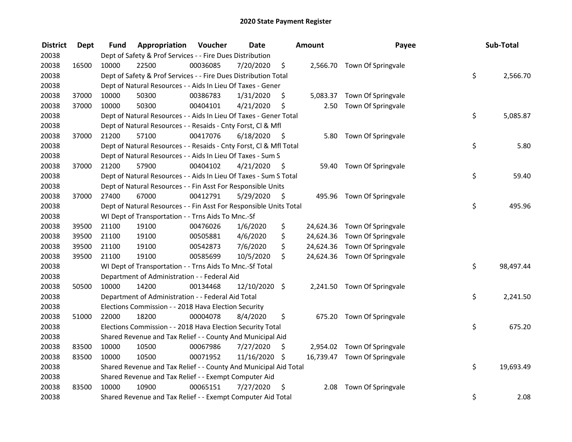| <b>District</b> | <b>Dept</b> | Fund  | Appropriation                                                      | Voucher  | <b>Date</b>   |      | <b>Amount</b> | Payee                        | Sub-Total       |
|-----------------|-------------|-------|--------------------------------------------------------------------|----------|---------------|------|---------------|------------------------------|-----------------|
| 20038           |             |       | Dept of Safety & Prof Services - - Fire Dues Distribution          |          |               |      |               |                              |                 |
| 20038           | 16500       | 10000 | 22500                                                              | 00036085 | 7/20/2020     | \$   |               | 2,566.70 Town Of Springvale  |                 |
| 20038           |             |       | Dept of Safety & Prof Services - - Fire Dues Distribution Total    |          |               |      |               |                              | \$<br>2,566.70  |
| 20038           |             |       | Dept of Natural Resources - - Aids In Lieu Of Taxes - Gener        |          |               |      |               |                              |                 |
| 20038           | 37000       | 10000 | 50300                                                              | 00386783 | 1/31/2020     | \$   | 5,083.37      | Town Of Springvale           |                 |
| 20038           | 37000       | 10000 | 50300                                                              | 00404101 | 4/21/2020     | \$   | 2.50          | Town Of Springvale           |                 |
| 20038           |             |       | Dept of Natural Resources - - Aids In Lieu Of Taxes - Gener Total  |          |               |      |               |                              | \$<br>5,085.87  |
| 20038           |             |       | Dept of Natural Resources - - Resaids - Cnty Forst, Cl & Mfl       |          |               |      |               |                              |                 |
| 20038           | 37000       | 21200 | 57100                                                              | 00417076 | 6/18/2020     | - \$ | 5.80          | Town Of Springvale           |                 |
| 20038           |             |       | Dept of Natural Resources - - Resaids - Cnty Forst, Cl & Mfl Total |          |               |      |               |                              | \$<br>5.80      |
| 20038           |             |       | Dept of Natural Resources - - Aids In Lieu Of Taxes - Sum S        |          |               |      |               |                              |                 |
| 20038           | 37000       | 21200 | 57900                                                              | 00404102 | 4/21/2020     | -\$  | 59.40         | Town Of Springvale           |                 |
| 20038           |             |       | Dept of Natural Resources - - Aids In Lieu Of Taxes - Sum S Total  |          |               |      |               |                              | \$<br>59.40     |
| 20038           |             |       | Dept of Natural Resources - - Fin Asst For Responsible Units       |          |               |      |               |                              |                 |
| 20038           | 37000       | 27400 | 67000                                                              | 00412791 | 5/29/2020     | \$   | 495.96        | Town Of Springvale           |                 |
| 20038           |             |       | Dept of Natural Resources - - Fin Asst For Responsible Units Total |          |               |      |               |                              | \$<br>495.96    |
| 20038           |             |       | WI Dept of Transportation - - Trns Aids To Mnc.-Sf                 |          |               |      |               |                              |                 |
| 20038           | 39500       | 21100 | 19100                                                              | 00476026 | 1/6/2020      | \$   | 24,624.36     | Town Of Springvale           |                 |
| 20038           | 39500       | 21100 | 19100                                                              | 00505881 | 4/6/2020      | \$   |               | 24,624.36 Town Of Springvale |                 |
| 20038           | 39500       | 21100 | 19100                                                              | 00542873 | 7/6/2020      | \$   |               | 24,624.36 Town Of Springvale |                 |
| 20038           | 39500       | 21100 | 19100                                                              | 00585699 | 10/5/2020     | \$   |               | 24,624.36 Town Of Springvale |                 |
| 20038           |             |       | WI Dept of Transportation - - Trns Aids To Mnc.-Sf Total           |          |               |      |               |                              | \$<br>98,497.44 |
| 20038           |             |       | Department of Administration - - Federal Aid                       |          |               |      |               |                              |                 |
| 20038           | 50500       | 10000 | 14200                                                              | 00134468 | 12/10/2020 \$ |      |               | 2,241.50 Town Of Springvale  |                 |
| 20038           |             |       | Department of Administration - - Federal Aid Total                 |          |               |      |               |                              | \$<br>2,241.50  |
| 20038           |             |       | Elections Commission - - 2018 Hava Election Security               |          |               |      |               |                              |                 |
| 20038           | 51000       | 22000 | 18200                                                              | 00004078 | 8/4/2020      | \$   |               | 675.20 Town Of Springvale    |                 |
| 20038           |             |       | Elections Commission - - 2018 Hava Election Security Total         |          |               |      |               |                              | \$<br>675.20    |
| 20038           |             |       | Shared Revenue and Tax Relief - - County And Municipal Aid         |          |               |      |               |                              |                 |
| 20038           | 83500       | 10000 | 10500                                                              | 00067986 | 7/27/2020     | \$   |               | 2,954.02 Town Of Springvale  |                 |
| 20038           | 83500       | 10000 | 10500                                                              | 00071952 | 11/16/2020 \$ |      |               | 16,739.47 Town Of Springvale |                 |
| 20038           |             |       | Shared Revenue and Tax Relief - - County And Municipal Aid Total   |          |               |      |               |                              | \$<br>19,693.49 |
| 20038           |             |       | Shared Revenue and Tax Relief - - Exempt Computer Aid              |          |               |      |               |                              |                 |
| 20038           | 83500       | 10000 | 10900                                                              | 00065151 | 7/27/2020     | \$   | 2.08          | Town Of Springvale           |                 |
| 20038           |             |       | Shared Revenue and Tax Relief - - Exempt Computer Aid Total        |          |               |      |               |                              | \$<br>2.08      |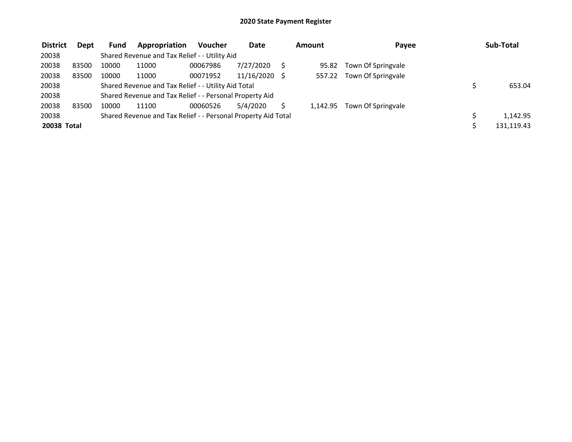| <b>District</b> | Dept  | <b>Fund</b> | Appropriation                                                 | <b>Voucher</b> | Date       | Amount   | Payee              | Sub-Total  |
|-----------------|-------|-------------|---------------------------------------------------------------|----------------|------------|----------|--------------------|------------|
| 20038           |       |             | Shared Revenue and Tax Relief - - Utility Aid                 |                |            |          |                    |            |
| 20038           | 83500 | 10000       | 11000                                                         | 00067986       | 7/27/2020  | 95.82    | Town Of Springvale |            |
| 20038           | 83500 | 10000       | 11000                                                         | 00071952       | 11/16/2020 | 557.22   | Town Of Springvale |            |
| 20038           |       |             | Shared Revenue and Tax Relief - - Utility Aid Total           |                |            |          |                    | 653.04     |
| 20038           |       |             | Shared Revenue and Tax Relief - - Personal Property Aid       |                |            |          |                    |            |
| 20038           | 83500 | 10000       | 11100                                                         | 00060526       | 5/4/2020   | 1.142.95 | Town Of Springvale |            |
| 20038           |       |             | Shared Revenue and Tax Relief - - Personal Property Aid Total |                |            |          |                    | 1,142.95   |
| 20038 Total     |       |             |                                                               |                |            |          |                    | 131.119.43 |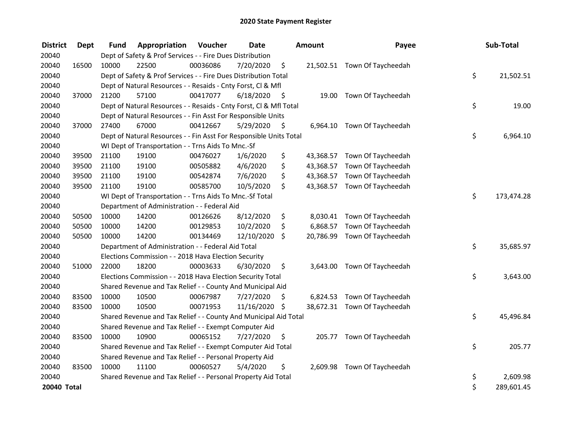| <b>District</b> | <b>Dept</b> | <b>Fund</b> | Appropriation                                                      | Voucher  | <b>Date</b>   |      | <b>Amount</b> | Payee                        | Sub-Total        |
|-----------------|-------------|-------------|--------------------------------------------------------------------|----------|---------------|------|---------------|------------------------------|------------------|
| 20040           |             |             | Dept of Safety & Prof Services - - Fire Dues Distribution          |          |               |      |               |                              |                  |
| 20040           | 16500       | 10000       | 22500                                                              | 00036086 | 7/20/2020     | \$   |               | 21,502.51 Town Of Taycheedah |                  |
| 20040           |             |             | Dept of Safety & Prof Services - - Fire Dues Distribution Total    |          |               |      |               |                              | \$<br>21,502.51  |
| 20040           |             |             | Dept of Natural Resources - - Resaids - Cnty Forst, Cl & Mfl       |          |               |      |               |                              |                  |
| 20040           | 37000       | 21200       | 57100                                                              | 00417077 | 6/18/2020     | - \$ |               | 19.00 Town Of Taycheedah     |                  |
| 20040           |             |             | Dept of Natural Resources - - Resaids - Cnty Forst, Cl & Mfl Total |          |               |      |               |                              | \$<br>19.00      |
| 20040           |             |             | Dept of Natural Resources - - Fin Asst For Responsible Units       |          |               |      |               |                              |                  |
| 20040           | 37000       | 27400       | 67000                                                              | 00412667 | 5/29/2020     | \$.  |               | 6,964.10 Town Of Taycheedah  |                  |
| 20040           |             |             | Dept of Natural Resources - - Fin Asst For Responsible Units Total |          |               |      |               |                              | \$<br>6,964.10   |
| 20040           |             |             | WI Dept of Transportation - - Trns Aids To Mnc.-Sf                 |          |               |      |               |                              |                  |
| 20040           | 39500       | 21100       | 19100                                                              | 00476027 | 1/6/2020      | \$   | 43,368.57     | Town Of Taycheedah           |                  |
| 20040           | 39500       | 21100       | 19100                                                              | 00505882 | 4/6/2020      | \$   | 43,368.57     | Town Of Taycheedah           |                  |
| 20040           | 39500       | 21100       | 19100                                                              | 00542874 | 7/6/2020      | \$   | 43,368.57     | Town Of Taycheedah           |                  |
| 20040           | 39500       | 21100       | 19100                                                              | 00585700 | 10/5/2020     | \$   |               | 43,368.57 Town Of Taycheedah |                  |
| 20040           |             |             | WI Dept of Transportation - - Trns Aids To Mnc.-Sf Total           |          |               |      |               |                              | \$<br>173,474.28 |
| 20040           |             |             | Department of Administration - - Federal Aid                       |          |               |      |               |                              |                  |
| 20040           | 50500       | 10000       | 14200                                                              | 00126626 | 8/12/2020     | \$   |               | 8,030.41 Town Of Taycheedah  |                  |
| 20040           | 50500       | 10000       | 14200                                                              | 00129853 | 10/2/2020     | \$   | 6,868.57      | Town Of Taycheedah           |                  |
| 20040           | 50500       | 10000       | 14200                                                              | 00134469 | 12/10/2020    | \$   | 20,786.99     | Town Of Taycheedah           |                  |
| 20040           |             |             | Department of Administration - - Federal Aid Total                 |          |               |      |               |                              | \$<br>35,685.97  |
| 20040           |             |             | Elections Commission - - 2018 Hava Election Security               |          |               |      |               |                              |                  |
| 20040           | 51000       | 22000       | 18200                                                              | 00003633 | 6/30/2020     | \$   | 3,643.00      | Town Of Taycheedah           |                  |
| 20040           |             |             | Elections Commission - - 2018 Hava Election Security Total         |          |               |      |               |                              | \$<br>3,643.00   |
| 20040           |             |             | Shared Revenue and Tax Relief - - County And Municipal Aid         |          |               |      |               |                              |                  |
| 20040           | 83500       | 10000       | 10500                                                              | 00067987 | 7/27/2020     | \$   | 6,824.53      | Town Of Taycheedah           |                  |
| 20040           | 83500       | 10000       | 10500                                                              | 00071953 | 11/16/2020 \$ |      |               | 38,672.31 Town Of Taycheedah |                  |
| 20040           |             |             | Shared Revenue and Tax Relief - - County And Municipal Aid Total   |          |               |      |               |                              | \$<br>45,496.84  |
| 20040           |             |             | Shared Revenue and Tax Relief - - Exempt Computer Aid              |          |               |      |               |                              |                  |
| 20040           | 83500       | 10000       | 10900                                                              | 00065152 | 7/27/2020     | \$   |               | 205.77 Town Of Taycheedah    |                  |
| 20040           |             |             | Shared Revenue and Tax Relief - - Exempt Computer Aid Total        |          |               |      |               |                              | \$<br>205.77     |
| 20040           |             |             | Shared Revenue and Tax Relief - - Personal Property Aid            |          |               |      |               |                              |                  |
| 20040           | 83500       | 10000       | 11100                                                              | 00060527 | 5/4/2020      | \$   |               | 2,609.98 Town Of Taycheedah  |                  |
| 20040           |             |             | Shared Revenue and Tax Relief - - Personal Property Aid Total      |          |               |      |               |                              | \$<br>2,609.98   |
| 20040 Total     |             |             |                                                                    |          |               |      |               |                              | \$<br>289,601.45 |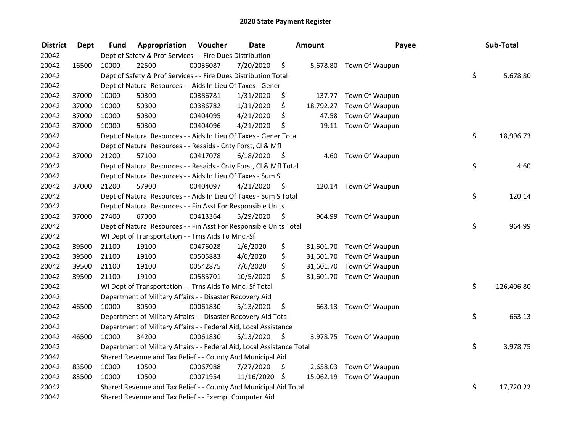| <b>District</b> | <b>Dept</b> | Fund  | Appropriation                                                          | Voucher  | <b>Date</b>   |      | <b>Amount</b> | Payee                    | Sub-Total        |
|-----------------|-------------|-------|------------------------------------------------------------------------|----------|---------------|------|---------------|--------------------------|------------------|
| 20042           |             |       | Dept of Safety & Prof Services - - Fire Dues Distribution              |          |               |      |               |                          |                  |
| 20042           | 16500       | 10000 | 22500                                                                  | 00036087 | 7/20/2020     | \$   |               | 5,678.80 Town Of Waupun  |                  |
| 20042           |             |       | Dept of Safety & Prof Services - - Fire Dues Distribution Total        |          |               |      |               |                          | \$<br>5,678.80   |
| 20042           |             |       | Dept of Natural Resources - - Aids In Lieu Of Taxes - Gener            |          |               |      |               |                          |                  |
| 20042           | 37000       | 10000 | 50300                                                                  | 00386781 | 1/31/2020     | \$   | 137.77        | Town Of Waupun           |                  |
| 20042           | 37000       | 10000 | 50300                                                                  | 00386782 | 1/31/2020     | \$   | 18,792.27     | Town Of Waupun           |                  |
| 20042           | 37000       | 10000 | 50300                                                                  | 00404095 | 4/21/2020     | \$   | 47.58         | Town Of Waupun           |                  |
| 20042           | 37000       | 10000 | 50300                                                                  | 00404096 | 4/21/2020     | \$   |               | 19.11 Town Of Waupun     |                  |
| 20042           |             |       | Dept of Natural Resources - - Aids In Lieu Of Taxes - Gener Total      |          |               |      |               |                          | \$<br>18,996.73  |
| 20042           |             |       | Dept of Natural Resources - - Resaids - Cnty Forst, Cl & Mfl           |          |               |      |               |                          |                  |
| 20042           | 37000       | 21200 | 57100                                                                  | 00417078 | 6/18/2020     | - \$ | 4.60          | Town Of Waupun           |                  |
| 20042           |             |       | Dept of Natural Resources - - Resaids - Cnty Forst, Cl & Mfl Total     |          |               |      |               |                          | \$<br>4.60       |
| 20042           |             |       | Dept of Natural Resources - - Aids In Lieu Of Taxes - Sum S            |          |               |      |               |                          |                  |
| 20042           | 37000       | 21200 | 57900                                                                  | 00404097 | 4/21/2020     | - \$ | 120.14        | Town Of Waupun           |                  |
| 20042           |             |       | Dept of Natural Resources - - Aids In Lieu Of Taxes - Sum S Total      |          |               |      |               |                          | \$<br>120.14     |
| 20042           |             |       | Dept of Natural Resources - - Fin Asst For Responsible Units           |          |               |      |               |                          |                  |
| 20042           | 37000       | 27400 | 67000                                                                  | 00413364 | 5/29/2020     | \$   | 964.99        | Town Of Waupun           |                  |
| 20042           |             |       | Dept of Natural Resources - - Fin Asst For Responsible Units Total     |          |               |      |               |                          | \$<br>964.99     |
| 20042           |             |       | WI Dept of Transportation - - Trns Aids To Mnc.-Sf                     |          |               |      |               |                          |                  |
| 20042           | 39500       | 21100 | 19100                                                                  | 00476028 | 1/6/2020      | \$   |               | 31,601.70 Town Of Waupun |                  |
| 20042           | 39500       | 21100 | 19100                                                                  | 00505883 | 4/6/2020      | \$   |               | 31,601.70 Town Of Waupun |                  |
| 20042           | 39500       | 21100 | 19100                                                                  | 00542875 | 7/6/2020      | \$   |               | 31,601.70 Town Of Waupun |                  |
| 20042           | 39500       | 21100 | 19100                                                                  | 00585701 | 10/5/2020     | \$   |               | 31,601.70 Town Of Waupun |                  |
| 20042           |             |       | WI Dept of Transportation - - Trns Aids To Mnc.-Sf Total               |          |               |      |               |                          | \$<br>126,406.80 |
| 20042           |             |       | Department of Military Affairs - - Disaster Recovery Aid               |          |               |      |               |                          |                  |
| 20042           | 46500       | 10000 | 30500                                                                  | 00061830 | 5/13/2020     | \$   | 663.13        | Town Of Waupun           |                  |
| 20042           |             |       | Department of Military Affairs - - Disaster Recovery Aid Total         |          |               |      |               |                          | \$<br>663.13     |
| 20042           |             |       | Department of Military Affairs - - Federal Aid, Local Assistance       |          |               |      |               |                          |                  |
| 20042           | 46500       | 10000 | 34200                                                                  | 00061830 | 5/13/2020     | \$   |               | 3,978.75 Town Of Waupun  |                  |
| 20042           |             |       | Department of Military Affairs - - Federal Aid, Local Assistance Total |          |               |      |               |                          | \$<br>3,978.75   |
| 20042           |             |       | Shared Revenue and Tax Relief - - County And Municipal Aid             |          |               |      |               |                          |                  |
| 20042           | 83500       | 10000 | 10500                                                                  | 00067988 | 7/27/2020     | \$   | 2,658.03      | Town Of Waupun           |                  |
| 20042           | 83500       | 10000 | 10500                                                                  | 00071954 | 11/16/2020 \$ |      |               | 15,062.19 Town Of Waupun |                  |
| 20042           |             |       | Shared Revenue and Tax Relief - - County And Municipal Aid Total       |          |               |      |               |                          | \$<br>17,720.22  |
| 20042           |             |       | Shared Revenue and Tax Relief - - Exempt Computer Aid                  |          |               |      |               |                          |                  |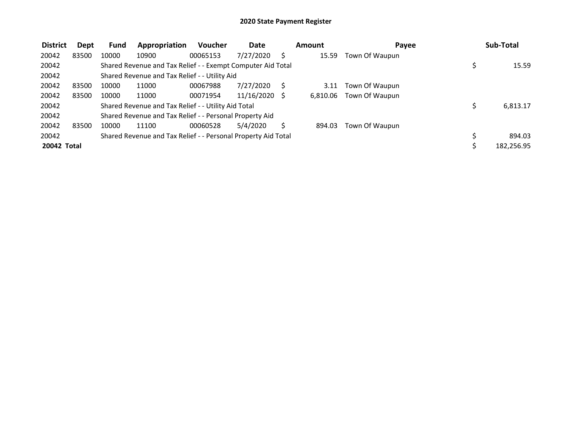| <b>District</b> | Dept  | <b>Fund</b> | Appropriation                                                 | <b>Voucher</b> | Date            | Amount   | Payee          | Sub-Total  |
|-----------------|-------|-------------|---------------------------------------------------------------|----------------|-----------------|----------|----------------|------------|
| 20042           | 83500 | 10000       | 10900                                                         | 00065153       | 7/27/2020       | 15.59    | Town Of Waupun |            |
| 20042           |       |             | Shared Revenue and Tax Relief - - Exempt Computer Aid Total   |                |                 |          |                | 15.59      |
| 20042           |       |             | Shared Revenue and Tax Relief - - Utility Aid                 |                |                 |          |                |            |
| 20042           | 83500 | 10000       | 11000                                                         | 00067988       | 7/27/2020       | 3.11     | Town Of Waupun |            |
| 20042           | 83500 | 10000       | 11000                                                         | 00071954       | $11/16/2020$ \$ | 6,810.06 | Town Of Waupun |            |
| 20042           |       |             | Shared Revenue and Tax Relief - - Utility Aid Total           |                |                 |          |                | 6,813.17   |
| 20042           |       |             | Shared Revenue and Tax Relief - - Personal Property Aid       |                |                 |          |                |            |
| 20042           | 83500 | 10000       | 11100                                                         | 00060528       | 5/4/2020        | 894.03   | Town Of Waupun |            |
| 20042           |       |             | Shared Revenue and Tax Relief - - Personal Property Aid Total |                |                 |          |                | 894.03     |
| 20042 Total     |       |             |                                                               |                |                 |          |                | 182,256.95 |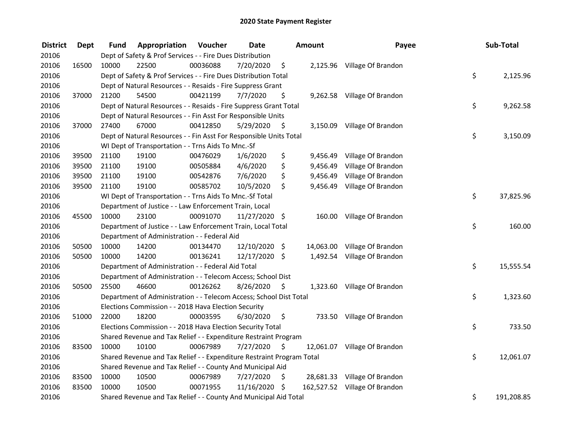| <b>District</b> | Dept  | Fund  | Appropriation                                                         | Voucher  | <b>Date</b>   |      | Amount   | Payee                         | Sub-Total        |
|-----------------|-------|-------|-----------------------------------------------------------------------|----------|---------------|------|----------|-------------------------------|------------------|
| 20106           |       |       | Dept of Safety & Prof Services - - Fire Dues Distribution             |          |               |      |          |                               |                  |
| 20106           | 16500 | 10000 | 22500                                                                 | 00036088 | 7/20/2020     | \$   |          | 2,125.96 Village Of Brandon   |                  |
| 20106           |       |       | Dept of Safety & Prof Services - - Fire Dues Distribution Total       |          |               |      |          |                               | \$<br>2,125.96   |
| 20106           |       |       | Dept of Natural Resources - - Resaids - Fire Suppress Grant           |          |               |      |          |                               |                  |
| 20106           | 37000 | 21200 | 54500                                                                 | 00421199 | 7/7/2020      | \$   |          | 9,262.58 Village Of Brandon   |                  |
| 20106           |       |       | Dept of Natural Resources - - Resaids - Fire Suppress Grant Total     |          |               |      |          |                               | \$<br>9,262.58   |
| 20106           |       |       | Dept of Natural Resources - - Fin Asst For Responsible Units          |          |               |      |          |                               |                  |
| 20106           | 37000 | 27400 | 67000                                                                 | 00412850 | 5/29/2020     | - \$ |          | 3,150.09 Village Of Brandon   |                  |
| 20106           |       |       | Dept of Natural Resources - - Fin Asst For Responsible Units Total    |          |               |      |          |                               | \$<br>3,150.09   |
| 20106           |       |       | WI Dept of Transportation - - Trns Aids To Mnc.-Sf                    |          |               |      |          |                               |                  |
| 20106           | 39500 | 21100 | 19100                                                                 | 00476029 | 1/6/2020      | \$   | 9,456.49 | Village Of Brandon            |                  |
| 20106           | 39500 | 21100 | 19100                                                                 | 00505884 | 4/6/2020      | \$   | 9,456.49 | Village Of Brandon            |                  |
| 20106           | 39500 | 21100 | 19100                                                                 | 00542876 | 7/6/2020      | \$   | 9,456.49 | Village Of Brandon            |                  |
| 20106           | 39500 | 21100 | 19100                                                                 | 00585702 | 10/5/2020     | \$   | 9,456.49 | Village Of Brandon            |                  |
| 20106           |       |       | WI Dept of Transportation - - Trns Aids To Mnc.-Sf Total              |          |               |      |          |                               | \$<br>37,825.96  |
| 20106           |       |       | Department of Justice - - Law Enforcement Train, Local                |          |               |      |          |                               |                  |
| 20106           | 45500 | 10000 | 23100                                                                 | 00091070 | 11/27/2020 \$ |      | 160.00   | Village Of Brandon            |                  |
| 20106           |       |       | Department of Justice - - Law Enforcement Train, Local Total          |          |               |      |          |                               | \$<br>160.00     |
| 20106           |       |       | Department of Administration - - Federal Aid                          |          |               |      |          |                               |                  |
| 20106           | 50500 | 10000 | 14200                                                                 | 00134470 | 12/10/2020 \$ |      |          | 14,063.00 Village Of Brandon  |                  |
| 20106           | 50500 | 10000 | 14200                                                                 | 00136241 | 12/17/2020 \$ |      |          | 1,492.54 Village Of Brandon   |                  |
| 20106           |       |       | Department of Administration - - Federal Aid Total                    |          |               |      |          |                               | \$<br>15,555.54  |
| 20106           |       |       | Department of Administration - - Telecom Access; School Dist          |          |               |      |          |                               |                  |
| 20106           | 50500 | 25500 | 46600                                                                 | 00126262 | 8/26/2020     | \$   |          | 1,323.60 Village Of Brandon   |                  |
| 20106           |       |       | Department of Administration - - Telecom Access; School Dist Total    |          |               |      |          |                               | \$<br>1,323.60   |
| 20106           |       |       | Elections Commission - - 2018 Hava Election Security                  |          |               |      |          |                               |                  |
| 20106           | 51000 | 22000 | 18200                                                                 | 00003595 | 6/30/2020     | \$   |          | 733.50 Village Of Brandon     |                  |
| 20106           |       |       | Elections Commission - - 2018 Hava Election Security Total            |          |               |      |          |                               | \$<br>733.50     |
| 20106           |       |       | Shared Revenue and Tax Relief - - Expenditure Restraint Program       |          |               |      |          |                               |                  |
| 20106           | 83500 | 10000 | 10100                                                                 | 00067989 | 7/27/2020     | \$   |          | 12,061.07 Village Of Brandon  |                  |
| 20106           |       |       | Shared Revenue and Tax Relief - - Expenditure Restraint Program Total |          |               |      |          |                               | \$<br>12,061.07  |
| 20106           |       |       | Shared Revenue and Tax Relief - - County And Municipal Aid            |          |               |      |          |                               |                  |
| 20106           | 83500 | 10000 | 10500                                                                 | 00067989 | 7/27/2020     | \$   |          | 28,681.33 Village Of Brandon  |                  |
| 20106           | 83500 | 10000 | 10500                                                                 | 00071955 | 11/16/2020    | \$   |          | 162,527.52 Village Of Brandon |                  |
| 20106           |       |       | Shared Revenue and Tax Relief - - County And Municipal Aid Total      |          |               |      |          |                               | \$<br>191,208.85 |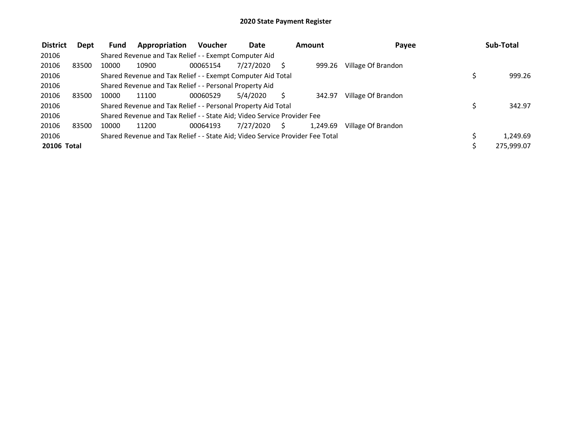| <b>District</b>    | Dept  | <b>Fund</b> | Appropriation                                                                 | <b>Voucher</b> | <b>Date</b> |              | Amount   | Payee              | Sub-Total  |
|--------------------|-------|-------------|-------------------------------------------------------------------------------|----------------|-------------|--------------|----------|--------------------|------------|
| 20106              |       |             | Shared Revenue and Tax Relief - - Exempt Computer Aid                         |                |             |              |          |                    |            |
| 20106              | 83500 | 10000       | 10900                                                                         | 00065154       | 7/27/2020   |              | 999.26   | Village Of Brandon |            |
| 20106              |       |             | Shared Revenue and Tax Relief - - Exempt Computer Aid Total                   |                |             |              |          |                    | 999.26     |
| 20106              |       |             | Shared Revenue and Tax Relief - - Personal Property Aid                       |                |             |              |          |                    |            |
| 20106              | 83500 | 10000       | 11100                                                                         | 00060529       | 5/4/2020    |              | 342.97   | Village Of Brandon |            |
| 20106              |       |             | Shared Revenue and Tax Relief - - Personal Property Aid Total                 |                |             |              |          |                    | 342.97     |
| 20106              |       |             | Shared Revenue and Tax Relief - - State Aid; Video Service Provider Fee       |                |             |              |          |                    |            |
| 20106              | 83500 | 10000       | 11200                                                                         | 00064193       | 7/27/2020   | <sub>S</sub> | 1,249.69 | Village Of Brandon |            |
| 20106              |       |             | Shared Revenue and Tax Relief - - State Aid; Video Service Provider Fee Total |                |             |              |          |                    | 1.249.69   |
| <b>20106 Total</b> |       |             |                                                                               |                |             |              |          |                    | 275,999.07 |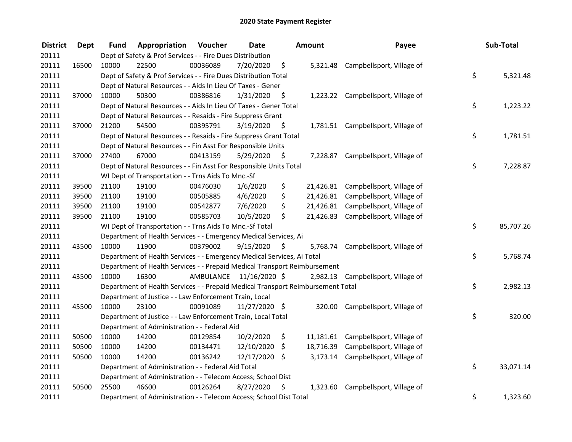| <b>District</b> | Dept  | Fund  | Appropriation                                                                   | Voucher  | <b>Date</b>             |      | Amount    | Payee                               | Sub-Total       |
|-----------------|-------|-------|---------------------------------------------------------------------------------|----------|-------------------------|------|-----------|-------------------------------------|-----------------|
| 20111           |       |       | Dept of Safety & Prof Services - - Fire Dues Distribution                       |          |                         |      |           |                                     |                 |
| 20111           | 16500 | 10000 | 22500                                                                           | 00036089 | 7/20/2020               | \$   |           | 5,321.48 Campbellsport, Village of  |                 |
| 20111           |       |       | Dept of Safety & Prof Services - - Fire Dues Distribution Total                 |          |                         |      |           |                                     | \$<br>5,321.48  |
| 20111           |       |       | Dept of Natural Resources - - Aids In Lieu Of Taxes - Gener                     |          |                         |      |           |                                     |                 |
| 20111           | 37000 | 10000 | 50300                                                                           | 00386816 | 1/31/2020               | \$   |           | 1,223.22 Campbellsport, Village of  |                 |
| 20111           |       |       | Dept of Natural Resources - - Aids In Lieu Of Taxes - Gener Total               |          |                         |      |           |                                     | \$<br>1,223.22  |
| 20111           |       |       | Dept of Natural Resources - - Resaids - Fire Suppress Grant                     |          |                         |      |           |                                     |                 |
| 20111           | 37000 | 21200 | 54500                                                                           | 00395791 | 3/19/2020               | - \$ |           | 1,781.51 Campbellsport, Village of  |                 |
| 20111           |       |       | Dept of Natural Resources - - Resaids - Fire Suppress Grant Total               |          |                         |      |           |                                     | \$<br>1,781.51  |
| 20111           |       |       | Dept of Natural Resources - - Fin Asst For Responsible Units                    |          |                         |      |           |                                     |                 |
| 20111           | 37000 | 27400 | 67000                                                                           | 00413159 | 5/29/2020               | \$   |           | 7,228.87 Campbellsport, Village of  |                 |
| 20111           |       |       | Dept of Natural Resources - - Fin Asst For Responsible Units Total              |          |                         |      |           |                                     | \$<br>7,228.87  |
| 20111           |       |       | WI Dept of Transportation - - Trns Aids To Mnc.-Sf                              |          |                         |      |           |                                     |                 |
| 20111           | 39500 | 21100 | 19100                                                                           | 00476030 | 1/6/2020                | \$   |           | 21,426.81 Campbellsport, Village of |                 |
| 20111           | 39500 | 21100 | 19100                                                                           | 00505885 | 4/6/2020                | \$   |           | 21,426.81 Campbellsport, Village of |                 |
| 20111           | 39500 | 21100 | 19100                                                                           | 00542877 | 7/6/2020                | \$   |           | 21,426.81 Campbellsport, Village of |                 |
| 20111           | 39500 | 21100 | 19100                                                                           | 00585703 | 10/5/2020               | \$   | 21,426.83 | Campbellsport, Village of           |                 |
| 20111           |       |       | WI Dept of Transportation - - Trns Aids To Mnc.-Sf Total                        |          |                         |      |           |                                     | \$<br>85,707.26 |
| 20111           |       |       | Department of Health Services - - Emergency Medical Services, Ai                |          |                         |      |           |                                     |                 |
| 20111           | 43500 | 10000 | 11900                                                                           | 00379002 | 9/15/2020               | \$   |           | 5,768.74 Campbellsport, Village of  |                 |
| 20111           |       |       | Department of Health Services - - Emergency Medical Services, Ai Total          |          |                         |      |           |                                     | \$<br>5,768.74  |
| 20111           |       |       | Department of Health Services - - Prepaid Medical Transport Reimbursement       |          |                         |      |           |                                     |                 |
| 20111           | 43500 | 10000 | 16300                                                                           |          | AMBULANCE 11/16/2020 \$ |      |           | 2,982.13 Campbellsport, Village of  |                 |
| 20111           |       |       | Department of Health Services - - Prepaid Medical Transport Reimbursement Total |          |                         |      |           |                                     | \$<br>2,982.13  |
| 20111           |       |       | Department of Justice - - Law Enforcement Train, Local                          |          |                         |      |           |                                     |                 |
| 20111           | 45500 | 10000 | 23100                                                                           | 00091089 | 11/27/2020 \$           |      |           | 320.00 Campbellsport, Village of    |                 |
| 20111           |       |       | Department of Justice - - Law Enforcement Train, Local Total                    |          |                         |      |           |                                     | \$<br>320.00    |
| 20111           |       |       | Department of Administration - - Federal Aid                                    |          |                         |      |           |                                     |                 |
| 20111           | 50500 | 10000 | 14200                                                                           | 00129854 | 10/2/2020               | \$   |           | 11,181.61 Campbellsport, Village of |                 |
| 20111           | 50500 | 10000 | 14200                                                                           | 00134471 | 12/10/2020              | \$   | 18,716.39 | Campbellsport, Village of           |                 |
| 20111           | 50500 | 10000 | 14200                                                                           | 00136242 | 12/17/2020              | \$   | 3,173.14  | Campbellsport, Village of           |                 |
| 20111           |       |       | Department of Administration - - Federal Aid Total                              |          |                         |      |           |                                     | \$<br>33,071.14 |
| 20111           |       |       | Department of Administration - - Telecom Access; School Dist                    |          |                         |      |           |                                     |                 |
| 20111           | 50500 | 25500 | 46600                                                                           | 00126264 | 8/27/2020               | \$   | 1,323.60  | Campbellsport, Village of           |                 |
| 20111           |       |       | Department of Administration - - Telecom Access; School Dist Total              |          |                         |      |           |                                     | \$<br>1,323.60  |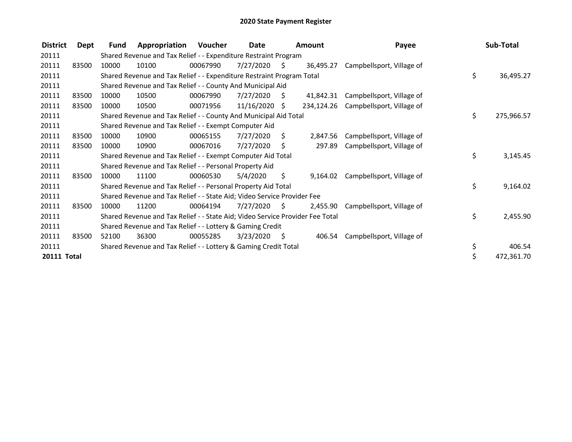| <b>District</b> | Dept  | Fund  | Appropriation                                                                 | Voucher  | Date       |     | <b>Amount</b> | Payee                     | Sub-Total        |
|-----------------|-------|-------|-------------------------------------------------------------------------------|----------|------------|-----|---------------|---------------------------|------------------|
| 20111           |       |       | Shared Revenue and Tax Relief - - Expenditure Restraint Program               |          |            |     |               |                           |                  |
| 20111           | 83500 | 10000 | 10100                                                                         | 00067990 | 7/27/2020  | S.  | 36,495.27     | Campbellsport, Village of |                  |
| 20111           |       |       | Shared Revenue and Tax Relief - - Expenditure Restraint Program Total         |          |            |     |               |                           | \$<br>36,495.27  |
| 20111           |       |       | Shared Revenue and Tax Relief - - County And Municipal Aid                    |          |            |     |               |                           |                  |
| 20111           | 83500 | 10000 | 10500                                                                         | 00067990 | 7/27/2020  | Ŝ.  | 41,842.31     | Campbellsport, Village of |                  |
| 20111           | 83500 | 10000 | 10500                                                                         | 00071956 | 11/16/2020 | S   | 234,124.26    | Campbellsport, Village of |                  |
| 20111           |       |       | Shared Revenue and Tax Relief - - County And Municipal Aid Total              |          |            |     |               |                           | \$<br>275,966.57 |
| 20111           |       |       | Shared Revenue and Tax Relief - - Exempt Computer Aid                         |          |            |     |               |                           |                  |
| 20111           | 83500 | 10000 | 10900                                                                         | 00065155 | 7/27/2020  | S.  | 2,847.56      | Campbellsport, Village of |                  |
| 20111           | 83500 | 10000 | 10900                                                                         | 00067016 | 7/27/2020  | \$. | 297.89        | Campbellsport, Village of |                  |
| 20111           |       |       | Shared Revenue and Tax Relief - - Exempt Computer Aid Total                   |          |            |     |               |                           | \$<br>3,145.45   |
| 20111           |       |       | Shared Revenue and Tax Relief - - Personal Property Aid                       |          |            |     |               |                           |                  |
| 20111           | 83500 | 10000 | 11100                                                                         | 00060530 | 5/4/2020   | \$  | 9,164.02      | Campbellsport, Village of |                  |
| 20111           |       |       | Shared Revenue and Tax Relief - - Personal Property Aid Total                 |          |            |     |               |                           | \$<br>9,164.02   |
| 20111           |       |       | Shared Revenue and Tax Relief - - State Aid; Video Service Provider Fee       |          |            |     |               |                           |                  |
| 20111           | 83500 | 10000 | 11200                                                                         | 00064194 | 7/27/2020  | -S  | 2,455.90      | Campbellsport, Village of |                  |
| 20111           |       |       | Shared Revenue and Tax Relief - - State Aid; Video Service Provider Fee Total |          |            |     |               |                           | \$<br>2,455.90   |
| 20111           |       |       | Shared Revenue and Tax Relief - - Lottery & Gaming Credit                     |          |            |     |               |                           |                  |
| 20111           | 83500 | 52100 | 36300                                                                         | 00055285 | 3/23/2020  | S   | 406.54        | Campbellsport, Village of |                  |
| 20111           |       |       | Shared Revenue and Tax Relief - - Lottery & Gaming Credit Total               |          |            |     |               |                           | \$<br>406.54     |
| 20111 Total     |       |       |                                                                               |          |            |     |               |                           | \$<br>472,361.70 |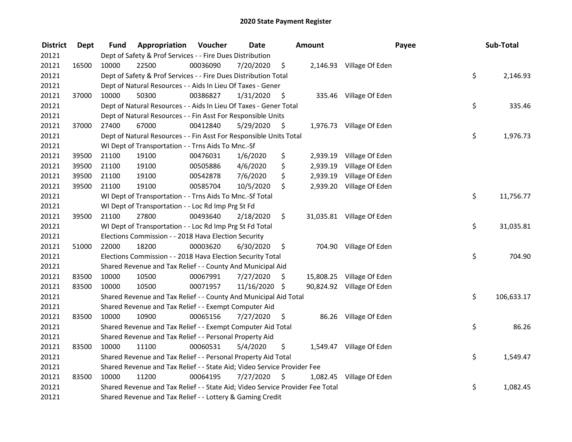| <b>District</b> | <b>Dept</b> | Fund  | Appropriation                                                                 | Voucher  | <b>Date</b>   |      | <b>Amount</b> |                           | Payee | Sub-Total  |
|-----------------|-------------|-------|-------------------------------------------------------------------------------|----------|---------------|------|---------------|---------------------------|-------|------------|
| 20121           |             |       | Dept of Safety & Prof Services - - Fire Dues Distribution                     |          |               |      |               |                           |       |            |
| 20121           | 16500       | 10000 | 22500                                                                         | 00036090 | 7/20/2020     | \$   |               | 2,146.93 Village Of Eden  |       |            |
| 20121           |             |       | Dept of Safety & Prof Services - - Fire Dues Distribution Total               |          |               |      |               |                           | \$    | 2,146.93   |
| 20121           |             |       | Dept of Natural Resources - - Aids In Lieu Of Taxes - Gener                   |          |               |      |               |                           |       |            |
| 20121           | 37000       | 10000 | 50300                                                                         | 00386827 | 1/31/2020     | - \$ |               | 335.46 Village Of Eden    |       |            |
| 20121           |             |       | Dept of Natural Resources - - Aids In Lieu Of Taxes - Gener Total             |          |               |      |               |                           | \$    | 335.46     |
| 20121           |             |       | Dept of Natural Resources - - Fin Asst For Responsible Units                  |          |               |      |               |                           |       |            |
| 20121           | 37000       | 27400 | 67000                                                                         | 00412840 | 5/29/2020     | - \$ |               | 1,976.73 Village Of Eden  |       |            |
| 20121           |             |       | Dept of Natural Resources - - Fin Asst For Responsible Units Total            |          |               |      |               |                           | \$    | 1,976.73   |
| 20121           |             |       | WI Dept of Transportation - - Trns Aids To Mnc.-Sf                            |          |               |      |               |                           |       |            |
| 20121           | 39500       | 21100 | 19100                                                                         | 00476031 | 1/6/2020      | \$   |               | 2,939.19 Village Of Eden  |       |            |
| 20121           | 39500       | 21100 | 19100                                                                         | 00505886 | 4/6/2020      | \$   | 2,939.19      | Village Of Eden           |       |            |
| 20121           | 39500       | 21100 | 19100                                                                         | 00542878 | 7/6/2020      | \$   | 2,939.19      | Village Of Eden           |       |            |
| 20121           | 39500       | 21100 | 19100                                                                         | 00585704 | 10/5/2020     | \$   | 2,939.20      | Village Of Eden           |       |            |
| 20121           |             |       | WI Dept of Transportation - - Trns Aids To Mnc.-Sf Total                      |          |               |      |               |                           | \$    | 11,756.77  |
| 20121           |             |       | WI Dept of Transportation - - Loc Rd Imp Prg St Fd                            |          |               |      |               |                           |       |            |
| 20121           | 39500       | 21100 | 27800                                                                         | 00493640 | 2/18/2020     | \$   |               | 31,035.81 Village Of Eden |       |            |
| 20121           |             |       | WI Dept of Transportation - - Loc Rd Imp Prg St Fd Total                      |          |               |      |               |                           | \$    | 31,035.81  |
| 20121           |             |       | Elections Commission - - 2018 Hava Election Security                          |          |               |      |               |                           |       |            |
| 20121           | 51000       | 22000 | 18200                                                                         | 00003620 | 6/30/2020     | \$   |               | 704.90 Village Of Eden    |       |            |
| 20121           |             |       | Elections Commission - - 2018 Hava Election Security Total                    |          |               |      |               |                           | \$    | 704.90     |
| 20121           |             |       | Shared Revenue and Tax Relief - - County And Municipal Aid                    |          |               |      |               |                           |       |            |
| 20121           | 83500       | 10000 | 10500                                                                         | 00067991 | 7/27/2020     | \$   |               | 15,808.25 Village Of Eden |       |            |
| 20121           | 83500       | 10000 | 10500                                                                         | 00071957 | 11/16/2020 \$ |      |               | 90,824.92 Village Of Eden |       |            |
| 20121           |             |       | Shared Revenue and Tax Relief - - County And Municipal Aid Total              |          |               |      |               |                           | \$    | 106,633.17 |
| 20121           |             |       | Shared Revenue and Tax Relief - - Exempt Computer Aid                         |          |               |      |               |                           |       |            |
| 20121           | 83500       | 10000 | 10900                                                                         | 00065156 | 7/27/2020     | -S   |               | 86.26 Village Of Eden     |       |            |
| 20121           |             |       | Shared Revenue and Tax Relief - - Exempt Computer Aid Total                   |          |               |      |               |                           | \$    | 86.26      |
| 20121           |             |       | Shared Revenue and Tax Relief - - Personal Property Aid                       |          |               |      |               |                           |       |            |
| 20121           | 83500       | 10000 | 11100                                                                         | 00060531 | 5/4/2020      | \$   |               | 1,549.47 Village Of Eden  |       |            |
| 20121           |             |       | Shared Revenue and Tax Relief - - Personal Property Aid Total                 |          |               |      |               |                           | \$    | 1,549.47   |
| 20121           |             |       | Shared Revenue and Tax Relief - - State Aid; Video Service Provider Fee       |          |               |      |               |                           |       |            |
| 20121           | 83500       | 10000 | 11200                                                                         | 00064195 | 7/27/2020     | \$   | 1,082.45      | Village Of Eden           |       |            |
| 20121           |             |       | Shared Revenue and Tax Relief - - State Aid; Video Service Provider Fee Total |          |               |      |               |                           | \$    | 1,082.45   |
| 20121           |             |       | Shared Revenue and Tax Relief - - Lottery & Gaming Credit                     |          |               |      |               |                           |       |            |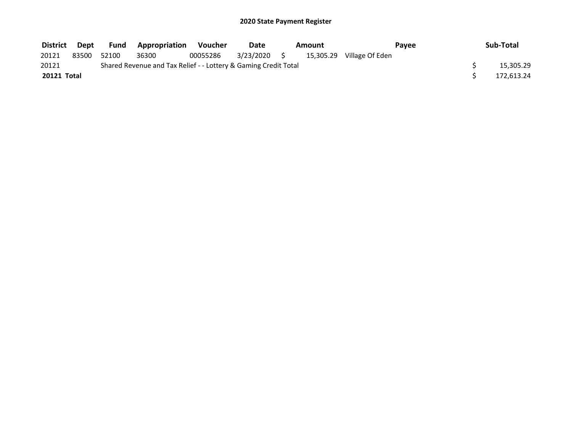| District    | Dept  |       | <b>Fund Appropriation</b>                                       | Voucher  | Date         | Amount |                           | Pavee | Sub-Total  |
|-------------|-------|-------|-----------------------------------------------------------------|----------|--------------|--------|---------------------------|-------|------------|
| 20121       | 83500 | 52100 | 36300                                                           | 00055286 | 3/23/2020 \$ |        | 15,305.29 Village Of Eden |       |            |
| 20121       |       |       | Shared Revenue and Tax Relief - - Lottery & Gaming Credit Total |          |              |        |                           |       | 15,305.29  |
| 20121 Total |       |       |                                                                 |          |              |        |                           |       | 172.613.24 |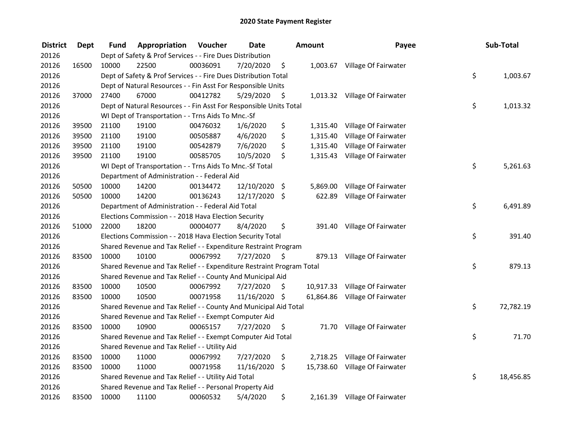| <b>District</b> | <b>Dept</b> | Fund  | Appropriation                                                         | Voucher  | <b>Date</b>   |      | <b>Amount</b> | Payee                          | Sub-Total       |
|-----------------|-------------|-------|-----------------------------------------------------------------------|----------|---------------|------|---------------|--------------------------------|-----------------|
| 20126           |             |       | Dept of Safety & Prof Services - - Fire Dues Distribution             |          |               |      |               |                                |                 |
| 20126           | 16500       | 10000 | 22500                                                                 | 00036091 | 7/20/2020     | \$   |               | 1,003.67 Village Of Fairwater  |                 |
| 20126           |             |       | Dept of Safety & Prof Services - - Fire Dues Distribution Total       |          |               |      |               |                                | \$<br>1,003.67  |
| 20126           |             |       | Dept of Natural Resources - - Fin Asst For Responsible Units          |          |               |      |               |                                |                 |
| 20126           | 37000       | 27400 | 67000                                                                 | 00412782 | 5/29/2020     | \$   |               | 1,013.32 Village Of Fairwater  |                 |
| 20126           |             |       | Dept of Natural Resources - - Fin Asst For Responsible Units Total    |          |               |      |               |                                | \$<br>1,013.32  |
| 20126           |             |       | WI Dept of Transportation - - Trns Aids To Mnc.-Sf                    |          |               |      |               |                                |                 |
| 20126           | 39500       | 21100 | 19100                                                                 | 00476032 | 1/6/2020      | \$   |               | 1,315.40 Village Of Fairwater  |                 |
| 20126           | 39500       | 21100 | 19100                                                                 | 00505887 | 4/6/2020      | \$   | 1,315.40      | Village Of Fairwater           |                 |
| 20126           | 39500       | 21100 | 19100                                                                 | 00542879 | 7/6/2020      | \$   |               | 1,315.40 Village Of Fairwater  |                 |
| 20126           | 39500       | 21100 | 19100                                                                 | 00585705 | 10/5/2020     | \$   |               | 1,315.43 Village Of Fairwater  |                 |
| 20126           |             |       | WI Dept of Transportation - - Trns Aids To Mnc.-Sf Total              |          |               |      |               |                                | \$<br>5,261.63  |
| 20126           |             |       | Department of Administration - - Federal Aid                          |          |               |      |               |                                |                 |
| 20126           | 50500       | 10000 | 14200                                                                 | 00134472 | 12/10/2020 \$ |      | 5,869.00      | Village Of Fairwater           |                 |
| 20126           | 50500       | 10000 | 14200                                                                 | 00136243 | 12/17/2020 \$ |      | 622.89        | Village Of Fairwater           |                 |
| 20126           |             |       | Department of Administration - - Federal Aid Total                    |          |               |      |               |                                | \$<br>6,491.89  |
| 20126           |             |       | Elections Commission - - 2018 Hava Election Security                  |          |               |      |               |                                |                 |
| 20126           | 51000       | 22000 | 18200                                                                 | 00004077 | 8/4/2020      | \$   | 391.40        | Village Of Fairwater           |                 |
| 20126           |             |       | Elections Commission - - 2018 Hava Election Security Total            |          |               |      |               |                                | \$<br>391.40    |
| 20126           |             |       | Shared Revenue and Tax Relief - - Expenditure Restraint Program       |          |               |      |               |                                |                 |
| 20126           | 83500       | 10000 | 10100                                                                 | 00067992 | 7/27/2020     | - \$ |               | 879.13 Village Of Fairwater    |                 |
| 20126           |             |       | Shared Revenue and Tax Relief - - Expenditure Restraint Program Total |          |               |      |               |                                | \$<br>879.13    |
| 20126           |             |       | Shared Revenue and Tax Relief - - County And Municipal Aid            |          |               |      |               |                                |                 |
| 20126           | 83500       | 10000 | 10500                                                                 | 00067992 | 7/27/2020     | S.   |               | 10,917.33 Village Of Fairwater |                 |
| 20126           | 83500       | 10000 | 10500                                                                 | 00071958 | 11/16/2020 \$ |      | 61,864.86     | Village Of Fairwater           |                 |
| 20126           |             |       | Shared Revenue and Tax Relief - - County And Municipal Aid Total      |          |               |      |               |                                | \$<br>72,782.19 |
| 20126           |             |       | Shared Revenue and Tax Relief - - Exempt Computer Aid                 |          |               |      |               |                                |                 |
| 20126           | 83500       | 10000 | 10900                                                                 | 00065157 | 7/27/2020     | \$   |               | 71.70 Village Of Fairwater     |                 |
| 20126           |             |       | Shared Revenue and Tax Relief - - Exempt Computer Aid Total           |          |               |      |               |                                | \$<br>71.70     |
| 20126           |             |       | Shared Revenue and Tax Relief - - Utility Aid                         |          |               |      |               |                                |                 |
| 20126           | 83500       | 10000 | 11000                                                                 | 00067992 | 7/27/2020     | \$   |               | 2,718.25 Village Of Fairwater  |                 |
| 20126           | 83500       | 10000 | 11000                                                                 | 00071958 | 11/16/2020    | \$   |               | 15,738.60 Village Of Fairwater |                 |
| 20126           |             |       | Shared Revenue and Tax Relief - - Utility Aid Total                   |          |               |      |               |                                | \$<br>18,456.85 |
| 20126           |             |       | Shared Revenue and Tax Relief - - Personal Property Aid               |          |               |      |               |                                |                 |
| 20126           | 83500       | 10000 | 11100                                                                 | 00060532 | 5/4/2020      | \$   |               | 2,161.39 Village Of Fairwater  |                 |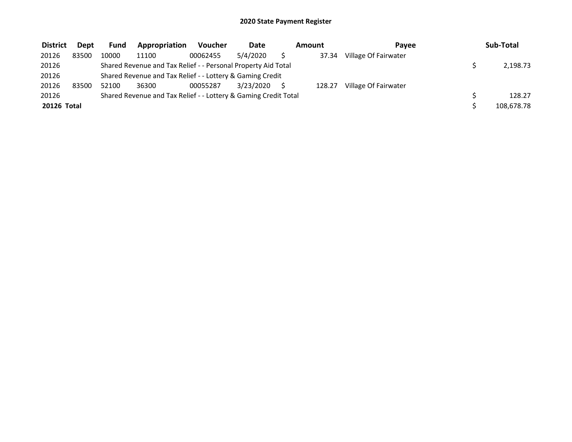| <b>District</b> | <b>Dept</b> | <b>Fund</b> | Appropriation                                                   | <b>Voucher</b> | Date      | Amount | Pavee                | Sub-Total  |
|-----------------|-------------|-------------|-----------------------------------------------------------------|----------------|-----------|--------|----------------------|------------|
| 20126           | 83500       | 10000       | 11100                                                           | 00062455       | 5/4/2020  | 37.34  | Village Of Fairwater |            |
| 20126           |             |             | Shared Revenue and Tax Relief - - Personal Property Aid Total   |                |           |        |                      | 2,198.73   |
| 20126           |             |             | Shared Revenue and Tax Relief - - Lottery & Gaming Credit       |                |           |        |                      |            |
| 20126           | 83500       | 52100       | 36300                                                           | 00055287       | 3/23/2020 | 128.27 | Village Of Fairwater |            |
| 20126           |             |             | Shared Revenue and Tax Relief - - Lottery & Gaming Credit Total |                |           |        |                      | 128.27     |
| 20126 Total     |             |             |                                                                 |                |           |        |                      | 108,678.78 |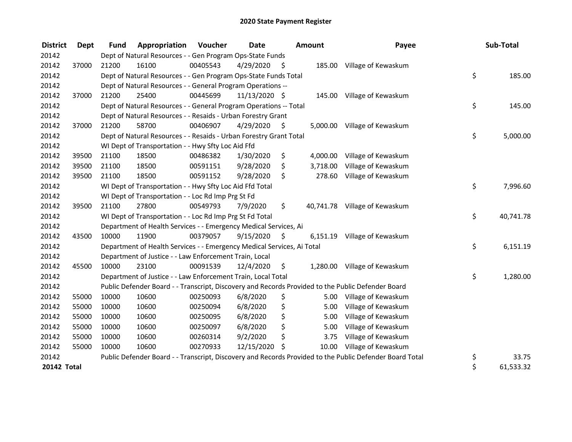| <b>District</b>    | <b>Dept</b> | <b>Fund</b> | Appropriation                                                          | <b>Voucher</b> | Date          |      | <b>Amount</b> | Payee                                                                                                   | Sub-Total       |
|--------------------|-------------|-------------|------------------------------------------------------------------------|----------------|---------------|------|---------------|---------------------------------------------------------------------------------------------------------|-----------------|
| 20142              |             |             | Dept of Natural Resources - - Gen Program Ops-State Funds              |                |               |      |               |                                                                                                         |                 |
| 20142              | 37000       | 21200       | 16100                                                                  | 00405543       | 4/29/2020     | - \$ |               | 185.00 Village of Kewaskum                                                                              |                 |
| 20142              |             |             | Dept of Natural Resources - - Gen Program Ops-State Funds Total        |                |               |      |               |                                                                                                         | \$<br>185.00    |
| 20142              |             |             | Dept of Natural Resources - - General Program Operations --            |                |               |      |               |                                                                                                         |                 |
| 20142              | 37000       | 21200       | 25400                                                                  | 00445699       | 11/13/2020 \$ |      |               | 145.00 Village of Kewaskum                                                                              |                 |
| 20142              |             |             | Dept of Natural Resources - - General Program Operations -- Total      |                |               |      |               |                                                                                                         | \$<br>145.00    |
| 20142              |             |             | Dept of Natural Resources - - Resaids - Urban Forestry Grant           |                |               |      |               |                                                                                                         |                 |
| 20142              | 37000       | 21200       | 58700                                                                  | 00406907       | 4/29/2020     | S.   |               | 5,000.00 Village of Kewaskum                                                                            |                 |
| 20142              |             |             | Dept of Natural Resources - - Resaids - Urban Forestry Grant Total     |                |               |      |               |                                                                                                         | \$<br>5,000.00  |
| 20142              |             |             | WI Dept of Transportation - - Hwy Sfty Loc Aid Ffd                     |                |               |      |               |                                                                                                         |                 |
| 20142              | 39500       | 21100       | 18500                                                                  | 00486382       | 1/30/2020     | \$   | 4,000.00      | Village of Kewaskum                                                                                     |                 |
| 20142              | 39500       | 21100       | 18500                                                                  | 00591151       | 9/28/2020     | \$   | 3,718.00      | Village of Kewaskum                                                                                     |                 |
| 20142              | 39500       | 21100       | 18500                                                                  | 00591152       | 9/28/2020     | \$   | 278.60        | Village of Kewaskum                                                                                     |                 |
| 20142              |             |             | WI Dept of Transportation - - Hwy Sfty Loc Aid Ffd Total               |                |               |      |               |                                                                                                         | \$<br>7,996.60  |
| 20142              |             |             | WI Dept of Transportation - - Loc Rd Imp Prg St Fd                     |                |               |      |               |                                                                                                         |                 |
| 20142              | 39500       | 21100       | 27800                                                                  | 00549793       | 7/9/2020      | \$   |               | 40,741.78 Village of Kewaskum                                                                           |                 |
| 20142              |             |             | WI Dept of Transportation - - Loc Rd Imp Prg St Fd Total               |                |               |      |               |                                                                                                         | \$<br>40,741.78 |
| 20142              |             |             | Department of Health Services - - Emergency Medical Services, Ai       |                |               |      |               |                                                                                                         |                 |
| 20142              | 43500       | 10000       | 11900                                                                  | 00379057       | 9/15/2020     | \$   | 6,151.19      | Village of Kewaskum                                                                                     |                 |
| 20142              |             |             | Department of Health Services - - Emergency Medical Services, Ai Total |                |               |      |               |                                                                                                         | \$<br>6,151.19  |
| 20142              |             |             | Department of Justice - - Law Enforcement Train, Local                 |                |               |      |               |                                                                                                         |                 |
| 20142              | 45500       | 10000       | 23100                                                                  | 00091539       | 12/4/2020     | \$   |               | 1,280.00 Village of Kewaskum                                                                            |                 |
| 20142              |             |             | Department of Justice - - Law Enforcement Train, Local Total           |                |               |      |               |                                                                                                         | \$<br>1,280.00  |
| 20142              |             |             |                                                                        |                |               |      |               | Public Defender Board - - Transcript, Discovery and Records Provided to the Public Defender Board       |                 |
| 20142              | 55000       | 10000       | 10600                                                                  | 00250093       | 6/8/2020      | \$   |               | 5.00 Village of Kewaskum                                                                                |                 |
| 20142              | 55000       | 10000       | 10600                                                                  | 00250094       | 6/8/2020      | \$   | 5.00          | Village of Kewaskum                                                                                     |                 |
| 20142              | 55000       | 10000       | 10600                                                                  | 00250095       | 6/8/2020      | \$   | 5.00          | Village of Kewaskum                                                                                     |                 |
| 20142              | 55000       | 10000       | 10600                                                                  | 00250097       | 6/8/2020      | \$   | 5.00          | Village of Kewaskum                                                                                     |                 |
| 20142              | 55000       | 10000       | 10600                                                                  | 00260314       | 9/2/2020      | \$   | 3.75          | Village of Kewaskum                                                                                     |                 |
| 20142              | 55000       | 10000       | 10600                                                                  | 00270933       | 12/15/2020    | \$   | 10.00         | Village of Kewaskum                                                                                     |                 |
| 20142              |             |             |                                                                        |                |               |      |               | Public Defender Board - - Transcript, Discovery and Records Provided to the Public Defender Board Total | \$<br>33.75     |
| <b>20142 Total</b> |             |             |                                                                        |                |               |      |               |                                                                                                         | \$<br>61,533.32 |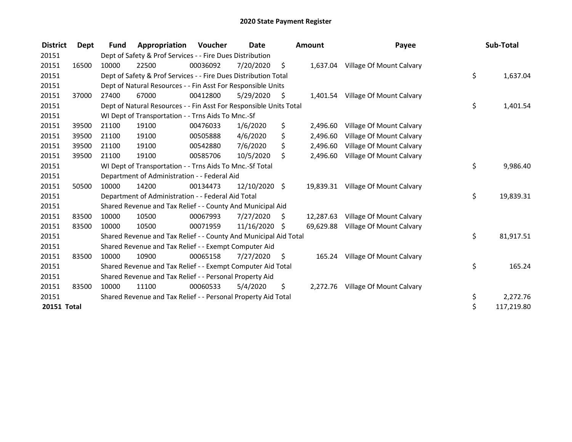| <b>District</b>    | Dept  | <b>Fund</b> | Appropriation                                                      | Voucher  | Date          | <b>Amount</b>   | Payee                             | Sub-Total        |
|--------------------|-------|-------------|--------------------------------------------------------------------|----------|---------------|-----------------|-----------------------------------|------------------|
| 20151              |       |             | Dept of Safety & Prof Services - - Fire Dues Distribution          |          |               |                 |                                   |                  |
| 20151              | 16500 | 10000       | 22500                                                              | 00036092 | 7/20/2020     | \$              | 1,637.04 Village Of Mount Calvary |                  |
| 20151              |       |             | Dept of Safety & Prof Services - - Fire Dues Distribution Total    |          |               |                 |                                   | \$<br>1,637.04   |
| 20151              |       |             | Dept of Natural Resources - - Fin Asst For Responsible Units       |          |               |                 |                                   |                  |
| 20151              | 37000 | 27400       | 67000                                                              | 00412800 | 5/29/2020     | \$              | 1,401.54 Village Of Mount Calvary |                  |
| 20151              |       |             | Dept of Natural Resources - - Fin Asst For Responsible Units Total |          |               |                 |                                   | \$<br>1,401.54   |
| 20151              |       |             | WI Dept of Transportation - - Trns Aids To Mnc.-Sf                 |          |               |                 |                                   |                  |
| 20151              | 39500 | 21100       | 19100                                                              | 00476033 | 1/6/2020      | \$<br>2,496.60  | Village Of Mount Calvary          |                  |
| 20151              | 39500 | 21100       | 19100                                                              | 00505888 | 4/6/2020      | \$<br>2,496.60  | Village Of Mount Calvary          |                  |
| 20151              | 39500 | 21100       | 19100                                                              | 00542880 | 7/6/2020      | \$<br>2,496.60  | Village Of Mount Calvary          |                  |
| 20151              | 39500 | 21100       | 19100                                                              | 00585706 | 10/5/2020     | \$<br>2.496.60  | Village Of Mount Calvary          |                  |
| 20151              |       |             | WI Dept of Transportation - - Trns Aids To Mnc.-Sf Total           |          |               |                 |                                   | \$<br>9,986.40   |
| 20151              |       |             | Department of Administration - - Federal Aid                       |          |               |                 |                                   |                  |
| 20151              | 50500 | 10000       | 14200                                                              | 00134473 | 12/10/2020 \$ | 19,839.31       | Village Of Mount Calvary          |                  |
| 20151              |       |             | Department of Administration - - Federal Aid Total                 |          |               |                 |                                   | \$<br>19,839.31  |
| 20151              |       |             | Shared Revenue and Tax Relief - - County And Municipal Aid         |          |               |                 |                                   |                  |
| 20151              | 83500 | 10000       | 10500                                                              | 00067993 | 7/27/2020     | \$<br>12,287.63 | Village Of Mount Calvary          |                  |
| 20151              | 83500 | 10000       | 10500                                                              | 00071959 | 11/16/2020 \$ | 69,629.88       | Village Of Mount Calvary          |                  |
| 20151              |       |             | Shared Revenue and Tax Relief - - County And Municipal Aid Total   |          |               |                 |                                   | \$<br>81,917.51  |
| 20151              |       |             | Shared Revenue and Tax Relief - - Exempt Computer Aid              |          |               |                 |                                   |                  |
| 20151              | 83500 | 10000       | 10900                                                              | 00065158 | 7/27/2020     | \$<br>165.24    | Village Of Mount Calvary          |                  |
| 20151              |       |             | Shared Revenue and Tax Relief - - Exempt Computer Aid Total        |          |               |                 |                                   | \$<br>165.24     |
| 20151              |       |             | Shared Revenue and Tax Relief - - Personal Property Aid            |          |               |                 |                                   |                  |
| 20151              | 83500 | 10000       | 11100                                                              | 00060533 | 5/4/2020      | \$<br>2,272.76  | Village Of Mount Calvary          |                  |
| 20151              |       |             | Shared Revenue and Tax Relief - - Personal Property Aid Total      |          |               |                 |                                   | \$<br>2,272.76   |
| <b>20151 Total</b> |       |             |                                                                    |          |               |                 |                                   | \$<br>117,219.80 |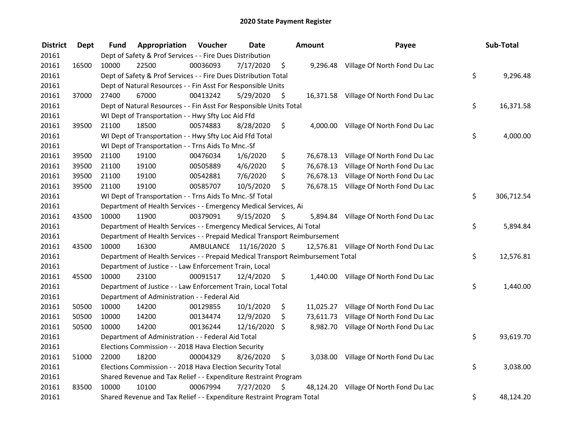| <b>District</b> | <b>Dept</b> | Fund  | Appropriation                                                                   | Voucher  | <b>Date</b>             | Amount          | Payee                                  | Sub-Total        |
|-----------------|-------------|-------|---------------------------------------------------------------------------------|----------|-------------------------|-----------------|----------------------------------------|------------------|
| 20161           |             |       | Dept of Safety & Prof Services - - Fire Dues Distribution                       |          |                         |                 |                                        |                  |
| 20161           | 16500       | 10000 | 22500                                                                           | 00036093 | 7/17/2020               | \$              | 9,296.48 Village Of North Fond Du Lac  |                  |
| 20161           |             |       | Dept of Safety & Prof Services - - Fire Dues Distribution Total                 |          |                         |                 |                                        | \$<br>9,296.48   |
| 20161           |             |       | Dept of Natural Resources - - Fin Asst For Responsible Units                    |          |                         |                 |                                        |                  |
| 20161           | 37000       | 27400 | 67000                                                                           | 00413242 | 5/29/2020               | \$              | 16,371.58 Village Of North Fond Du Lac |                  |
| 20161           |             |       | Dept of Natural Resources - - Fin Asst For Responsible Units Total              |          |                         |                 |                                        | \$<br>16,371.58  |
| 20161           |             |       | WI Dept of Transportation - - Hwy Sfty Loc Aid Ffd                              |          |                         |                 |                                        |                  |
| 20161           | 39500       | 21100 | 18500                                                                           | 00574883 | 8/28/2020               | \$              | 4,000.00 Village Of North Fond Du Lac  |                  |
| 20161           |             |       | WI Dept of Transportation - - Hwy Sfty Loc Aid Ffd Total                        |          |                         |                 |                                        | \$<br>4,000.00   |
| 20161           |             |       | WI Dept of Transportation - - Trns Aids To Mnc.-Sf                              |          |                         |                 |                                        |                  |
| 20161           | 39500       | 21100 | 19100                                                                           | 00476034 | 1/6/2020                | \$<br>76,678.13 | Village Of North Fond Du Lac           |                  |
| 20161           | 39500       | 21100 | 19100                                                                           | 00505889 | 4/6/2020                | \$<br>76,678.13 | Village Of North Fond Du Lac           |                  |
| 20161           | 39500       | 21100 | 19100                                                                           | 00542881 | 7/6/2020                | \$<br>76,678.13 | Village Of North Fond Du Lac           |                  |
| 20161           | 39500       | 21100 | 19100                                                                           | 00585707 | 10/5/2020               | \$<br>76,678.15 | Village Of North Fond Du Lac           |                  |
| 20161           |             |       | WI Dept of Transportation - - Trns Aids To Mnc.-Sf Total                        |          |                         |                 |                                        | \$<br>306,712.54 |
| 20161           |             |       | Department of Health Services - - Emergency Medical Services, Ai                |          |                         |                 |                                        |                  |
| 20161           | 43500       | 10000 | 11900                                                                           | 00379091 | 9/15/2020               | \$<br>5,894.84  | Village Of North Fond Du Lac           |                  |
| 20161           |             |       | Department of Health Services - - Emergency Medical Services, Ai Total          |          |                         |                 |                                        | \$<br>5,894.84   |
| 20161           |             |       | Department of Health Services - - Prepaid Medical Transport Reimbursement       |          |                         |                 |                                        |                  |
| 20161           | 43500       | 10000 | 16300                                                                           |          | AMBULANCE 11/16/2020 \$ |                 | 12,576.81 Village Of North Fond Du Lac |                  |
| 20161           |             |       | Department of Health Services - - Prepaid Medical Transport Reimbursement Total |          |                         |                 |                                        | \$<br>12,576.81  |
| 20161           |             |       | Department of Justice - - Law Enforcement Train, Local                          |          |                         |                 |                                        |                  |
| 20161           | 45500       | 10000 | 23100                                                                           | 00091517 | 12/4/2020               | \$              | 1,440.00 Village Of North Fond Du Lac  |                  |
| 20161           |             |       | Department of Justice - - Law Enforcement Train, Local Total                    |          |                         |                 |                                        | \$<br>1,440.00   |
| 20161           |             |       | Department of Administration - - Federal Aid                                    |          |                         |                 |                                        |                  |
| 20161           | 50500       | 10000 | 14200                                                                           | 00129855 | 10/1/2020               | \$              | 11,025.27 Village Of North Fond Du Lac |                  |
| 20161           | 50500       | 10000 | 14200                                                                           | 00134474 | 12/9/2020               | \$<br>73,611.73 | Village Of North Fond Du Lac           |                  |
| 20161           | 50500       | 10000 | 14200                                                                           | 00136244 | 12/16/2020              | \$              | 8,982.70 Village Of North Fond Du Lac  |                  |
| 20161           |             |       | Department of Administration - - Federal Aid Total                              |          |                         |                 |                                        | \$<br>93,619.70  |
| 20161           |             |       | Elections Commission - - 2018 Hava Election Security                            |          |                         |                 |                                        |                  |
| 20161           | 51000       | 22000 | 18200                                                                           | 00004329 | 8/26/2020               | \$<br>3,038.00  | Village Of North Fond Du Lac           |                  |
| 20161           |             |       | Elections Commission - - 2018 Hava Election Security Total                      |          |                         |                 |                                        | \$<br>3,038.00   |
| 20161           |             |       | Shared Revenue and Tax Relief - - Expenditure Restraint Program                 |          |                         |                 |                                        |                  |
| 20161           | 83500       | 10000 | 10100                                                                           | 00067994 | 7/27/2020               | \$              | 48,124.20 Village Of North Fond Du Lac |                  |
| 20161           |             |       | Shared Revenue and Tax Relief - - Expenditure Restraint Program Total           |          |                         |                 |                                        | \$<br>48,124.20  |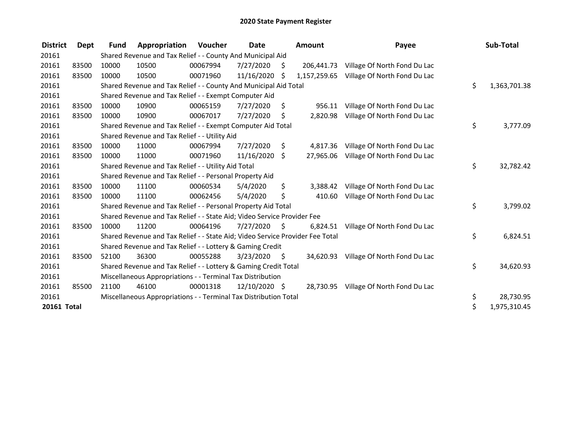| <b>District</b>    | Dept  | <b>Fund</b> | Appropriation                                                                 | Voucher  | <b>Date</b>   |      | Amount       | Payee                                  | Sub-Total          |
|--------------------|-------|-------------|-------------------------------------------------------------------------------|----------|---------------|------|--------------|----------------------------------------|--------------------|
| 20161              |       |             | Shared Revenue and Tax Relief - - County And Municipal Aid                    |          |               |      |              |                                        |                    |
| 20161              | 83500 | 10000       | 10500                                                                         | 00067994 | 7/27/2020     | S    | 206,441.73   | Village Of North Fond Du Lac           |                    |
| 20161              | 83500 | 10000       | 10500                                                                         | 00071960 | 11/16/2020    | S    | 1,157,259.65 | Village Of North Fond Du Lac           |                    |
| 20161              |       |             | Shared Revenue and Tax Relief - - County And Municipal Aid Total              |          |               |      |              |                                        | \$<br>1,363,701.38 |
| 20161              |       |             | Shared Revenue and Tax Relief - - Exempt Computer Aid                         |          |               |      |              |                                        |                    |
| 20161              | 83500 | 10000       | 10900                                                                         | 00065159 | 7/27/2020     | \$   | 956.11       | Village Of North Fond Du Lac           |                    |
| 20161              | 83500 | 10000       | 10900                                                                         | 00067017 | 7/27/2020     | \$   | 2,820.98     | Village Of North Fond Du Lac           |                    |
| 20161              |       |             | Shared Revenue and Tax Relief - - Exempt Computer Aid Total                   |          |               |      |              |                                        | \$<br>3,777.09     |
| 20161              |       |             | Shared Revenue and Tax Relief - - Utility Aid                                 |          |               |      |              |                                        |                    |
| 20161              | 83500 | 10000       | 11000                                                                         | 00067994 | 7/27/2020     | \$   | 4,817.36     | Village Of North Fond Du Lac           |                    |
| 20161              | 83500 | 10000       | 11000                                                                         | 00071960 | 11/16/2020    | Ŝ.   | 27,965.06    | Village Of North Fond Du Lac           |                    |
| 20161              |       |             | Shared Revenue and Tax Relief - - Utility Aid Total                           |          |               |      |              |                                        | \$<br>32,782.42    |
| 20161              |       |             | Shared Revenue and Tax Relief - - Personal Property Aid                       |          |               |      |              |                                        |                    |
| 20161              | 83500 | 10000       | 11100                                                                         | 00060534 | 5/4/2020      | \$   | 3.388.42     | Village Of North Fond Du Lac           |                    |
| 20161              | 83500 | 10000       | 11100                                                                         | 00062456 | 5/4/2020      | \$   | 410.60       | Village Of North Fond Du Lac           |                    |
| 20161              |       |             | Shared Revenue and Tax Relief - - Personal Property Aid Total                 |          |               |      |              |                                        | \$<br>3,799.02     |
| 20161              |       |             | Shared Revenue and Tax Relief - - State Aid; Video Service Provider Fee       |          |               |      |              |                                        |                    |
| 20161              | 83500 | 10000       | 11200                                                                         | 00064196 | 7/27/2020     | S    | 6,824.51     | Village Of North Fond Du Lac           |                    |
| 20161              |       |             | Shared Revenue and Tax Relief - - State Aid; Video Service Provider Fee Total |          |               |      |              |                                        | \$<br>6,824.51     |
| 20161              |       |             | Shared Revenue and Tax Relief - - Lottery & Gaming Credit                     |          |               |      |              |                                        |                    |
| 20161              | 83500 | 52100       | 36300                                                                         | 00055288 | 3/23/2020     | - \$ |              | 34,620.93 Village Of North Fond Du Lac |                    |
| 20161              |       |             | Shared Revenue and Tax Relief - - Lottery & Gaming Credit Total               |          |               |      |              |                                        | \$<br>34,620.93    |
| 20161              |       |             | Miscellaneous Appropriations - - Terminal Tax Distribution                    |          |               |      |              |                                        |                    |
| 20161              | 85500 | 21100       | 46100                                                                         | 00001318 | 12/10/2020 \$ |      | 28,730.95    | Village Of North Fond Du Lac           |                    |
| 20161              |       |             | Miscellaneous Appropriations - - Terminal Tax Distribution Total              |          |               |      |              |                                        | \$<br>28,730.95    |
| <b>20161 Total</b> |       |             |                                                                               |          |               |      |              |                                        | \$<br>1,975,310.45 |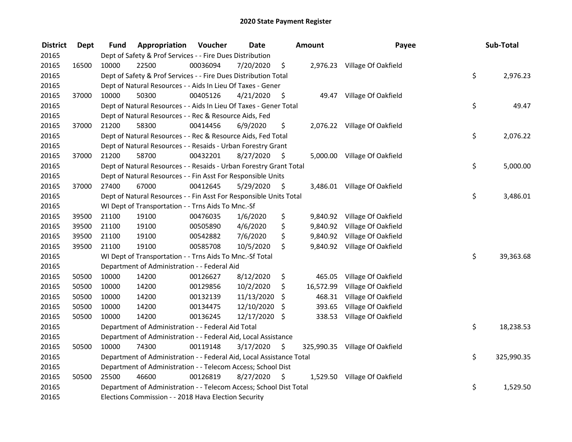| <b>District</b> | <b>Dept</b> | Fund  | Appropriation                                                        | Voucher  | <b>Date</b>   |      | <b>Amount</b> | Payee                          | Sub-Total        |
|-----------------|-------------|-------|----------------------------------------------------------------------|----------|---------------|------|---------------|--------------------------------|------------------|
| 20165           |             |       | Dept of Safety & Prof Services - - Fire Dues Distribution            |          |               |      |               |                                |                  |
| 20165           | 16500       | 10000 | 22500                                                                | 00036094 | 7/20/2020     | \$   |               | 2,976.23 Village Of Oakfield   |                  |
| 20165           |             |       | Dept of Safety & Prof Services - - Fire Dues Distribution Total      |          |               |      |               |                                | \$<br>2,976.23   |
| 20165           |             |       | Dept of Natural Resources - - Aids In Lieu Of Taxes - Gener          |          |               |      |               |                                |                  |
| 20165           | 37000       | 10000 | 50300                                                                | 00405126 | 4/21/2020     | \$   |               | 49.47 Village Of Oakfield      |                  |
| 20165           |             |       | Dept of Natural Resources - - Aids In Lieu Of Taxes - Gener Total    |          |               |      |               |                                | \$<br>49.47      |
| 20165           |             |       | Dept of Natural Resources - - Rec & Resource Aids, Fed               |          |               |      |               |                                |                  |
| 20165           | 37000       | 21200 | 58300                                                                | 00414456 | 6/9/2020      | \$   |               | 2,076.22 Village Of Oakfield   |                  |
| 20165           |             |       | Dept of Natural Resources - - Rec & Resource Aids, Fed Total         |          |               |      |               |                                | \$<br>2,076.22   |
| 20165           |             |       | Dept of Natural Resources - - Resaids - Urban Forestry Grant         |          |               |      |               |                                |                  |
| 20165           | 37000       | 21200 | 58700                                                                | 00432201 | 8/27/2020     | \$   |               | 5,000.00 Village Of Oakfield   |                  |
| 20165           |             |       | Dept of Natural Resources - - Resaids - Urban Forestry Grant Total   |          |               |      |               |                                | \$<br>5,000.00   |
| 20165           |             |       | Dept of Natural Resources - - Fin Asst For Responsible Units         |          |               |      |               |                                |                  |
| 20165           | 37000       | 27400 | 67000                                                                | 00412645 | 5/29/2020     | \$.  |               | 3,486.01 Village Of Oakfield   |                  |
| 20165           |             |       | Dept of Natural Resources - - Fin Asst For Responsible Units Total   |          |               |      |               |                                | \$<br>3,486.01   |
| 20165           |             |       | WI Dept of Transportation - - Trns Aids To Mnc.-Sf                   |          |               |      |               |                                |                  |
| 20165           | 39500       | 21100 | 19100                                                                | 00476035 | 1/6/2020      | \$   | 9,840.92      | Village Of Oakfield            |                  |
| 20165           | 39500       | 21100 | 19100                                                                | 00505890 | 4/6/2020      | \$   | 9,840.92      | Village Of Oakfield            |                  |
| 20165           | 39500       | 21100 | 19100                                                                | 00542882 | 7/6/2020      | \$   |               | 9,840.92 Village Of Oakfield   |                  |
| 20165           | 39500       | 21100 | 19100                                                                | 00585708 | 10/5/2020     | \$   |               | 9,840.92 Village Of Oakfield   |                  |
| 20165           |             |       | WI Dept of Transportation - - Trns Aids To Mnc.-Sf Total             |          |               |      |               |                                | \$<br>39,363.68  |
| 20165           |             |       | Department of Administration - - Federal Aid                         |          |               |      |               |                                |                  |
| 20165           | 50500       | 10000 | 14200                                                                | 00126627 | 8/12/2020     | \$   | 465.05        | Village Of Oakfield            |                  |
| 20165           | 50500       | 10000 | 14200                                                                | 00129856 | 10/2/2020     | \$   | 16,572.99     | Village Of Oakfield            |                  |
| 20165           | 50500       | 10000 | 14200                                                                | 00132139 | 11/13/2020    | \$   | 468.31        | Village Of Oakfield            |                  |
| 20165           | 50500       | 10000 | 14200                                                                | 00134475 | 12/10/2020    | \$   | 393.65        | Village Of Oakfield            |                  |
| 20165           | 50500       | 10000 | 14200                                                                | 00136245 | 12/17/2020 \$ |      | 338.53        | Village Of Oakfield            |                  |
| 20165           |             |       | Department of Administration - - Federal Aid Total                   |          |               |      |               |                                | \$<br>18,238.53  |
| 20165           |             |       | Department of Administration - - Federal Aid, Local Assistance       |          |               |      |               |                                |                  |
| 20165           | 50500       | 10000 | 74300                                                                | 00119148 | 3/17/2020     | \$   |               | 325,990.35 Village Of Oakfield |                  |
| 20165           |             |       | Department of Administration - - Federal Aid, Local Assistance Total |          |               |      |               |                                | \$<br>325,990.35 |
| 20165           |             |       | Department of Administration - - Telecom Access; School Dist         |          |               |      |               |                                |                  |
| 20165           | 50500       | 25500 | 46600                                                                | 00126819 | 8/27/2020     | - \$ |               | 1,529.50 Village Of Oakfield   |                  |
| 20165           |             |       | Department of Administration - - Telecom Access; School Dist Total   |          |               |      |               |                                | \$<br>1,529.50   |
| 20165           |             |       | Elections Commission - - 2018 Hava Election Security                 |          |               |      |               |                                |                  |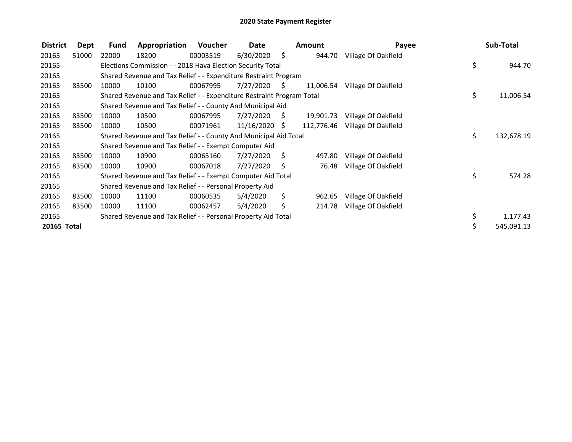| <b>District</b> | Dept  | Fund  | Appropriation                                                         | Voucher  | Date          |      | <b>Amount</b> | Payee               | Sub-Total        |
|-----------------|-------|-------|-----------------------------------------------------------------------|----------|---------------|------|---------------|---------------------|------------------|
| 20165           | 51000 | 22000 | 18200                                                                 | 00003519 | 6/30/2020     | - \$ | 944.70        | Village Of Oakfield |                  |
| 20165           |       |       | Elections Commission - - 2018 Hava Election Security Total            |          |               |      |               |                     | \$<br>944.70     |
| 20165           |       |       | Shared Revenue and Tax Relief - - Expenditure Restraint Program       |          |               |      |               |                     |                  |
| 20165           | 83500 | 10000 | 10100                                                                 | 00067995 | 7/27/2020     | - S  | 11,006.54     | Village Of Oakfield |                  |
| 20165           |       |       | Shared Revenue and Tax Relief - - Expenditure Restraint Program Total |          |               |      |               |                     | \$<br>11,006.54  |
| 20165           |       |       | Shared Revenue and Tax Relief - - County And Municipal Aid            |          |               |      |               |                     |                  |
| 20165           | 83500 | 10000 | 10500                                                                 | 00067995 | 7/27/2020     | - \$ | 19,901.73     | Village Of Oakfield |                  |
| 20165           | 83500 | 10000 | 10500                                                                 | 00071961 | 11/16/2020 \$ |      | 112,776.46    | Village Of Oakfield |                  |
| 20165           |       |       | Shared Revenue and Tax Relief - - County And Municipal Aid Total      |          |               |      |               |                     | \$<br>132,678.19 |
| 20165           |       |       | Shared Revenue and Tax Relief - - Exempt Computer Aid                 |          |               |      |               |                     |                  |
| 20165           | 83500 | 10000 | 10900                                                                 | 00065160 | 7/27/2020     | - \$ | 497.80        | Village Of Oakfield |                  |
| 20165           | 83500 | 10000 | 10900                                                                 | 00067018 | 7/27/2020     | -S   | 76.48         | Village Of Oakfield |                  |
| 20165           |       |       | Shared Revenue and Tax Relief - - Exempt Computer Aid Total           |          |               |      |               |                     | \$<br>574.28     |
| 20165           |       |       | Shared Revenue and Tax Relief - - Personal Property Aid               |          |               |      |               |                     |                  |
| 20165           | 83500 | 10000 | 11100                                                                 | 00060535 | 5/4/2020      | \$   | 962.65        | Village Of Oakfield |                  |
| 20165           | 83500 | 10000 | 11100                                                                 | 00062457 | 5/4/2020      | \$   | 214.78        | Village Of Oakfield |                  |
| 20165           |       |       | Shared Revenue and Tax Relief - - Personal Property Aid Total         |          |               |      |               |                     | \$<br>1,177.43   |
| 20165 Total     |       |       |                                                                       |          |               |      |               |                     | \$<br>545,091.13 |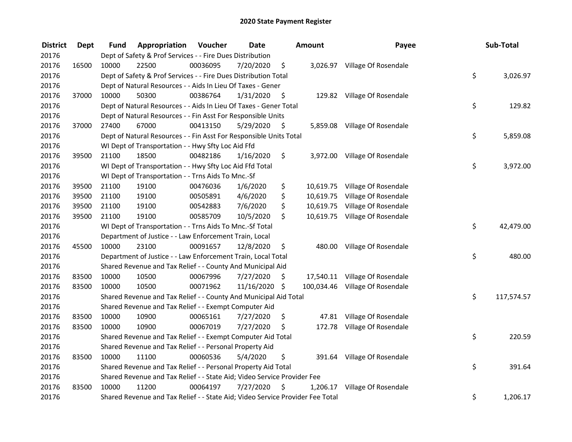| <b>District</b> | <b>Dept</b> | Fund  | Appropriation                                                                 | Voucher  | <b>Date</b>   |      | <b>Amount</b> | Payee                           | Sub-Total        |
|-----------------|-------------|-------|-------------------------------------------------------------------------------|----------|---------------|------|---------------|---------------------------------|------------------|
| 20176           |             |       | Dept of Safety & Prof Services - - Fire Dues Distribution                     |          |               |      |               |                                 |                  |
| 20176           | 16500       | 10000 | 22500                                                                         | 00036095 | 7/20/2020     | \$   |               | 3,026.97 Village Of Rosendale   |                  |
| 20176           |             |       | Dept of Safety & Prof Services - - Fire Dues Distribution Total               |          |               |      |               |                                 | \$<br>3,026.97   |
| 20176           |             |       | Dept of Natural Resources - - Aids In Lieu Of Taxes - Gener                   |          |               |      |               |                                 |                  |
| 20176           | 37000       | 10000 | 50300                                                                         | 00386764 | 1/31/2020     | \$   |               | 129.82 Village Of Rosendale     |                  |
| 20176           |             |       | Dept of Natural Resources - - Aids In Lieu Of Taxes - Gener Total             |          |               |      |               |                                 | \$<br>129.82     |
| 20176           |             |       | Dept of Natural Resources - - Fin Asst For Responsible Units                  |          |               |      |               |                                 |                  |
| 20176           | 37000       | 27400 | 67000                                                                         | 00413150 | 5/29/2020     | - \$ |               | 5,859.08 Village Of Rosendale   |                  |
| 20176           |             |       | Dept of Natural Resources - - Fin Asst For Responsible Units Total            |          |               |      |               |                                 | \$<br>5,859.08   |
| 20176           |             |       | WI Dept of Transportation - - Hwy Sfty Loc Aid Ffd                            |          |               |      |               |                                 |                  |
| 20176           | 39500       | 21100 | 18500                                                                         | 00482186 | 1/16/2020     | \$   |               | 3,972.00 Village Of Rosendale   |                  |
| 20176           |             |       | WI Dept of Transportation - - Hwy Sfty Loc Aid Ffd Total                      |          |               |      |               |                                 | \$<br>3,972.00   |
| 20176           |             |       | WI Dept of Transportation - - Trns Aids To Mnc.-Sf                            |          |               |      |               |                                 |                  |
| 20176           | 39500       | 21100 | 19100                                                                         | 00476036 | 1/6/2020      | \$   |               | 10,619.75 Village Of Rosendale  |                  |
| 20176           | 39500       | 21100 | 19100                                                                         | 00505891 | 4/6/2020      | \$   | 10,619.75     | Village Of Rosendale            |                  |
| 20176           | 39500       | 21100 | 19100                                                                         | 00542883 | 7/6/2020      | \$   |               | 10,619.75 Village Of Rosendale  |                  |
| 20176           | 39500       | 21100 | 19100                                                                         | 00585709 | 10/5/2020     | \$   |               | 10,619.75 Village Of Rosendale  |                  |
| 20176           |             |       | WI Dept of Transportation - - Trns Aids To Mnc.-Sf Total                      |          |               |      |               |                                 | \$<br>42,479.00  |
| 20176           |             |       | Department of Justice - - Law Enforcement Train, Local                        |          |               |      |               |                                 |                  |
| 20176           | 45500       | 10000 | 23100                                                                         | 00091657 | 12/8/2020     | \$   |               | 480.00 Village Of Rosendale     |                  |
| 20176           |             |       | Department of Justice - - Law Enforcement Train, Local Total                  |          |               |      |               |                                 | \$<br>480.00     |
| 20176           |             |       | Shared Revenue and Tax Relief - - County And Municipal Aid                    |          |               |      |               |                                 |                  |
| 20176           | 83500       | 10000 | 10500                                                                         | 00067996 | 7/27/2020     | S    |               | 17,540.11 Village Of Rosendale  |                  |
| 20176           | 83500       | 10000 | 10500                                                                         | 00071962 | 11/16/2020 \$ |      |               | 100,034.46 Village Of Rosendale |                  |
| 20176           |             |       | Shared Revenue and Tax Relief - - County And Municipal Aid Total              |          |               |      |               |                                 | \$<br>117,574.57 |
| 20176           |             |       | Shared Revenue and Tax Relief - - Exempt Computer Aid                         |          |               |      |               |                                 |                  |
| 20176           | 83500       | 10000 | 10900                                                                         | 00065161 | 7/27/2020     | \$   |               | 47.81 Village Of Rosendale      |                  |
| 20176           | 83500       | 10000 | 10900                                                                         | 00067019 | 7/27/2020     | \$   |               | 172.78 Village Of Rosendale     |                  |
| 20176           |             |       | Shared Revenue and Tax Relief - - Exempt Computer Aid Total                   |          |               |      |               |                                 | \$<br>220.59     |
| 20176           |             |       | Shared Revenue and Tax Relief - - Personal Property Aid                       |          |               |      |               |                                 |                  |
| 20176           | 83500       | 10000 | 11100                                                                         | 00060536 | 5/4/2020      | \$   |               | 391.64 Village Of Rosendale     |                  |
| 20176           |             |       | Shared Revenue and Tax Relief - - Personal Property Aid Total                 |          |               |      |               |                                 | \$<br>391.64     |
| 20176           |             |       | Shared Revenue and Tax Relief - - State Aid; Video Service Provider Fee       |          |               |      |               |                                 |                  |
| 20176           | 83500       | 10000 | 11200                                                                         | 00064197 | 7/27/2020     | \$   | 1,206.17      | Village Of Rosendale            |                  |
| 20176           |             |       | Shared Revenue and Tax Relief - - State Aid; Video Service Provider Fee Total |          |               |      |               |                                 | \$<br>1,206.17   |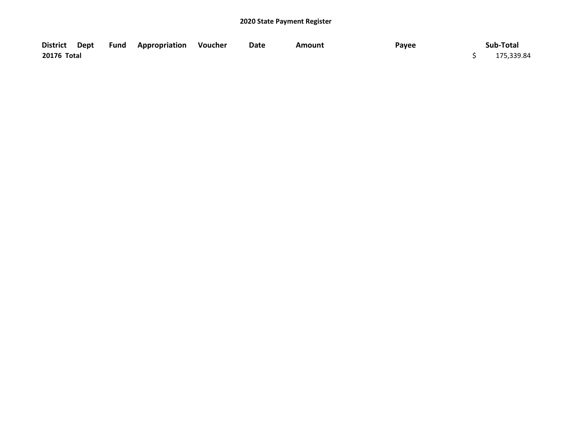|             |  | District Dept Fund Appropriation Voucher | Date | Amount | Payee | Sub-Total  |
|-------------|--|------------------------------------------|------|--------|-------|------------|
| 20176 Total |  |                                          |      |        |       | 175,339.84 |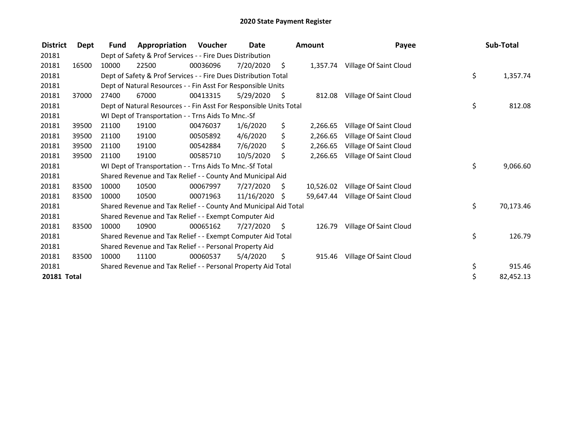| <b>District</b> | Dept  | <b>Fund</b> | Appropriation                                                      | Voucher  | <b>Date</b> |      | <b>Amount</b> | Payee                           | Sub-Total       |
|-----------------|-------|-------------|--------------------------------------------------------------------|----------|-------------|------|---------------|---------------------------------|-----------------|
| 20181           |       |             | Dept of Safety & Prof Services - - Fire Dues Distribution          |          |             |      |               |                                 |                 |
| 20181           | 16500 | 10000       | 22500                                                              | 00036096 | 7/20/2020   | \$   |               | 1,357.74 Village Of Saint Cloud |                 |
| 20181           |       |             | Dept of Safety & Prof Services - - Fire Dues Distribution Total    |          |             |      |               |                                 | \$<br>1,357.74  |
| 20181           |       |             | Dept of Natural Resources - - Fin Asst For Responsible Units       |          |             |      |               |                                 |                 |
| 20181           | 37000 | 27400       | 67000                                                              | 00413315 | 5/29/2020   | - \$ | 812.08        | Village Of Saint Cloud          |                 |
| 20181           |       |             | Dept of Natural Resources - - Fin Asst For Responsible Units Total |          |             |      |               |                                 | \$<br>812.08    |
| 20181           |       |             | WI Dept of Transportation - - Trns Aids To Mnc.-Sf                 |          |             |      |               |                                 |                 |
| 20181           | 39500 | 21100       | 19100                                                              | 00476037 | 1/6/2020    | \$   | 2,266.65      | Village Of Saint Cloud          |                 |
| 20181           | 39500 | 21100       | 19100                                                              | 00505892 | 4/6/2020    | \$   | 2,266.65      | Village Of Saint Cloud          |                 |
| 20181           | 39500 | 21100       | 19100                                                              | 00542884 | 7/6/2020    | \$   | 2,266.65      | Village Of Saint Cloud          |                 |
| 20181           | 39500 | 21100       | 19100                                                              | 00585710 | 10/5/2020   | Ŝ.   | 2,266.65      | Village Of Saint Cloud          |                 |
| 20181           |       |             | WI Dept of Transportation - - Trns Aids To Mnc.-Sf Total           |          |             |      |               |                                 | \$<br>9,066.60  |
| 20181           |       |             | Shared Revenue and Tax Relief - - County And Municipal Aid         |          |             |      |               |                                 |                 |
| 20181           | 83500 | 10000       | 10500                                                              | 00067997 | 7/27/2020   | S    | 10,526.02     | Village Of Saint Cloud          |                 |
| 20181           | 83500 | 10000       | 10500                                                              | 00071963 | 11/16/2020  | S.   | 59,647.44     | Village Of Saint Cloud          |                 |
| 20181           |       |             | Shared Revenue and Tax Relief - - County And Municipal Aid Total   |          |             |      |               |                                 | \$<br>70,173.46 |
| 20181           |       |             | Shared Revenue and Tax Relief - - Exempt Computer Aid              |          |             |      |               |                                 |                 |
| 20181           | 83500 | 10000       | 10900                                                              | 00065162 | 7/27/2020   | \$   | 126.79        | Village Of Saint Cloud          |                 |
| 20181           |       |             | Shared Revenue and Tax Relief - - Exempt Computer Aid Total        |          |             |      |               |                                 | \$<br>126.79    |
| 20181           |       |             | Shared Revenue and Tax Relief - - Personal Property Aid            |          |             |      |               |                                 |                 |
| 20181           | 83500 | 10000       | 11100                                                              | 00060537 | 5/4/2020    | \$   | 915.46        | Village Of Saint Cloud          |                 |
| 20181           |       |             | Shared Revenue and Tax Relief - - Personal Property Aid Total      |          |             |      |               |                                 | \$<br>915.46    |
| 20181 Total     |       |             |                                                                    |          |             |      |               |                                 | \$<br>82,452.13 |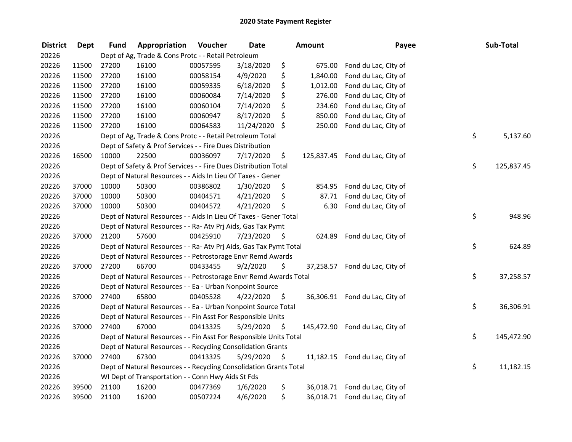| <b>District</b> | <b>Dept</b> | <b>Fund</b> | Appropriation                                                      | Voucher  | <b>Date</b> |         | Amount     | Payee                          | Sub-Total        |
|-----------------|-------------|-------------|--------------------------------------------------------------------|----------|-------------|---------|------------|--------------------------------|------------------|
| 20226           |             |             | Dept of Ag, Trade & Cons Protc - - Retail Petroleum                |          |             |         |            |                                |                  |
| 20226           | 11500       | 27200       | 16100                                                              | 00057595 | 3/18/2020   | \$      | 675.00     | Fond du Lac, City of           |                  |
| 20226           | 11500       | 27200       | 16100                                                              | 00058154 | 4/9/2020    | \$      | 1,840.00   | Fond du Lac, City of           |                  |
| 20226           | 11500       | 27200       | 16100                                                              | 00059335 | 6/18/2020   | \$      | 1,012.00   | Fond du Lac, City of           |                  |
| 20226           | 11500       | 27200       | 16100                                                              | 00060084 | 7/14/2020   | \$      | 276.00     | Fond du Lac, City of           |                  |
| 20226           | 11500       | 27200       | 16100                                                              | 00060104 | 7/14/2020   | \$      | 234.60     | Fond du Lac, City of           |                  |
| 20226           | 11500       | 27200       | 16100                                                              | 00060947 | 8/17/2020   | \$      | 850.00     | Fond du Lac, City of           |                  |
| 20226           | 11500       | 27200       | 16100                                                              | 00064583 | 11/24/2020  | $\zeta$ | 250.00     | Fond du Lac, City of           |                  |
| 20226           |             |             | Dept of Ag, Trade & Cons Protc - - Retail Petroleum Total          |          |             |         |            |                                | \$<br>5,137.60   |
| 20226           |             |             | Dept of Safety & Prof Services - - Fire Dues Distribution          |          |             |         |            |                                |                  |
| 20226           | 16500       | 10000       | 22500                                                              | 00036097 | 7/17/2020   | \$      | 125,837.45 | Fond du Lac, City of           |                  |
| 20226           |             |             | Dept of Safety & Prof Services - - Fire Dues Distribution Total    |          |             |         |            |                                | \$<br>125,837.45 |
| 20226           |             |             | Dept of Natural Resources - - Aids In Lieu Of Taxes - Gener        |          |             |         |            |                                |                  |
| 20226           | 37000       | 10000       | 50300                                                              | 00386802 | 1/30/2020   | Ş.      | 854.95     | Fond du Lac, City of           |                  |
| 20226           | 37000       | 10000       | 50300                                                              | 00404571 | 4/21/2020   | \$      | 87.71      | Fond du Lac, City of           |                  |
| 20226           | 37000       | 10000       | 50300                                                              | 00404572 | 4/21/2020   | \$      | 6.30       | Fond du Lac, City of           |                  |
| 20226           |             |             | Dept of Natural Resources - - Aids In Lieu Of Taxes - Gener Total  |          |             |         |            |                                | \$<br>948.96     |
| 20226           |             |             | Dept of Natural Resources - - Ra- Atv Prj Aids, Gas Tax Pymt       |          |             |         |            |                                |                  |
| 20226           | 37000       | 21200       | 57600                                                              | 00425910 | 7/23/2020   | - \$    | 624.89     | Fond du Lac, City of           |                  |
| 20226           |             |             | Dept of Natural Resources - - Ra- Atv Prj Aids, Gas Tax Pymt Total |          |             |         |            |                                | \$<br>624.89     |
| 20226           |             |             | Dept of Natural Resources - - Petrostorage Envr Remd Awards        |          |             |         |            |                                |                  |
| 20226           | 37000       | 27200       | 66700                                                              | 00433455 | 9/2/2020    | \$      | 37,258.57  | Fond du Lac, City of           |                  |
| 20226           |             |             | Dept of Natural Resources - - Petrostorage Envr Remd Awards Total  |          |             |         |            |                                | \$<br>37,258.57  |
| 20226           |             |             | Dept of Natural Resources - - Ea - Urban Nonpoint Source           |          |             |         |            |                                |                  |
| 20226           | 37000       | 27400       | 65800                                                              | 00405528 | 4/22/2020   | - S     | 36,306.91  | Fond du Lac, City of           |                  |
| 20226           |             |             | Dept of Natural Resources - - Ea - Urban Nonpoint Source Total     |          |             |         |            |                                | \$<br>36,306.91  |
| 20226           |             |             | Dept of Natural Resources - - Fin Asst For Responsible Units       |          |             |         |            |                                |                  |
| 20226           | 37000       | 27400       | 67000                                                              | 00413325 | 5/29/2020   | \$      | 145,472.90 | Fond du Lac, City of           |                  |
| 20226           |             |             | Dept of Natural Resources - - Fin Asst For Responsible Units Total |          |             |         |            |                                | \$<br>145,472.90 |
| 20226           |             |             | Dept of Natural Resources - - Recycling Consolidation Grants       |          |             |         |            |                                |                  |
| 20226           | 37000       | 27400       | 67300                                                              | 00413325 | 5/29/2020   | \$      | 11,182.15  | Fond du Lac, City of           |                  |
| 20226           |             |             | Dept of Natural Resources - - Recycling Consolidation Grants Total |          |             |         |            |                                | \$<br>11,182.15  |
| 20226           |             |             | WI Dept of Transportation - - Conn Hwy Aids St Fds                 |          |             |         |            |                                |                  |
| 20226           | 39500       | 21100       | 16200                                                              | 00477369 | 1/6/2020    | \$      |            | 36,018.71 Fond du Lac, City of |                  |
| 20226           | 39500       | 21100       | 16200                                                              | 00507224 | 4/6/2020    | \$      | 36,018.71  | Fond du Lac, City of           |                  |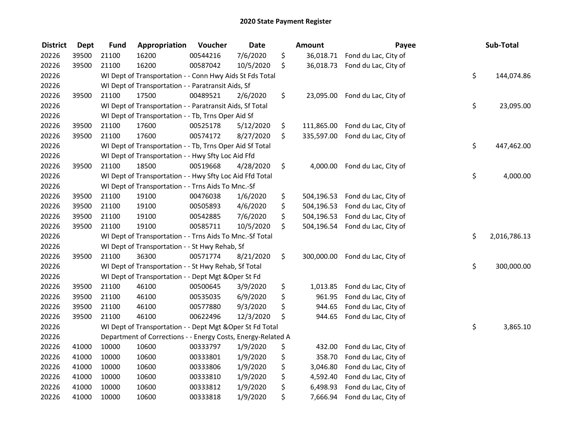| <b>District</b> | <b>Dept</b> | <b>Fund</b> | Appropriation                                                | Voucher  | <b>Date</b> | <b>Amount</b>    | Payee                           | Sub-Total          |
|-----------------|-------------|-------------|--------------------------------------------------------------|----------|-------------|------------------|---------------------------------|--------------------|
| 20226           | 39500       | 21100       | 16200                                                        | 00544216 | 7/6/2020    | \$<br>36,018.71  | Fond du Lac, City of            |                    |
| 20226           | 39500       | 21100       | 16200                                                        | 00587042 | 10/5/2020   | \$<br>36,018.73  | Fond du Lac, City of            |                    |
| 20226           |             |             | WI Dept of Transportation - - Conn Hwy Aids St Fds Total     |          |             |                  |                                 | \$<br>144,074.86   |
| 20226           |             |             | WI Dept of Transportation - - Paratransit Aids, Sf           |          |             |                  |                                 |                    |
| 20226           | 39500       | 21100       | 17500                                                        | 00489521 | 2/6/2020    | \$               | 23,095.00 Fond du Lac, City of  |                    |
| 20226           |             |             | WI Dept of Transportation - - Paratransit Aids, Sf Total     |          |             |                  |                                 | \$<br>23,095.00    |
| 20226           |             |             | WI Dept of Transportation - - Tb, Trns Oper Aid Sf           |          |             |                  |                                 |                    |
| 20226           | 39500       | 21100       | 17600                                                        | 00525178 | 5/12/2020   | \$<br>111,865.00 | Fond du Lac, City of            |                    |
| 20226           | 39500       | 21100       | 17600                                                        | 00574172 | 8/27/2020   | \$               | 335,597.00 Fond du Lac, City of |                    |
| 20226           |             |             | WI Dept of Transportation - - Tb, Trns Oper Aid Sf Total     |          |             |                  |                                 | \$<br>447,462.00   |
| 20226           |             |             | WI Dept of Transportation - - Hwy Sfty Loc Aid Ffd           |          |             |                  |                                 |                    |
| 20226           | 39500       | 21100       | 18500                                                        | 00519668 | 4/28/2020   | \$<br>4,000.00   | Fond du Lac, City of            |                    |
| 20226           |             |             | WI Dept of Transportation - - Hwy Sfty Loc Aid Ffd Total     |          |             |                  |                                 | \$<br>4,000.00     |
| 20226           |             |             | WI Dept of Transportation - - Trns Aids To Mnc.-Sf           |          |             |                  |                                 |                    |
| 20226           | 39500       | 21100       | 19100                                                        | 00476038 | 1/6/2020    | \$<br>504,196.53 | Fond du Lac, City of            |                    |
| 20226           | 39500       | 21100       | 19100                                                        | 00505893 | 4/6/2020    | \$<br>504,196.53 | Fond du Lac, City of            |                    |
| 20226           | 39500       | 21100       | 19100                                                        | 00542885 | 7/6/2020    | \$<br>504,196.53 | Fond du Lac, City of            |                    |
| 20226           | 39500       | 21100       | 19100                                                        | 00585711 | 10/5/2020   | \$<br>504,196.54 | Fond du Lac, City of            |                    |
| 20226           |             |             | WI Dept of Transportation - - Trns Aids To Mnc.-Sf Total     |          |             |                  |                                 | \$<br>2,016,786.13 |
| 20226           |             |             | WI Dept of Transportation - - St Hwy Rehab, Sf               |          |             |                  |                                 |                    |
| 20226           | 39500       | 21100       | 36300                                                        | 00571774 | 8/21/2020   | \$<br>300,000.00 | Fond du Lac, City of            |                    |
| 20226           |             |             | WI Dept of Transportation - - St Hwy Rehab, Sf Total         |          |             |                  |                                 | \$<br>300,000.00   |
| 20226           |             |             | WI Dept of Transportation - - Dept Mgt & Oper St Fd          |          |             |                  |                                 |                    |
| 20226           | 39500       | 21100       | 46100                                                        | 00500645 | 3/9/2020    | \$<br>1,013.85   | Fond du Lac, City of            |                    |
| 20226           | 39500       | 21100       | 46100                                                        | 00535035 | 6/9/2020    | \$<br>961.95     | Fond du Lac, City of            |                    |
| 20226           | 39500       | 21100       | 46100                                                        | 00577880 | 9/3/2020    | \$<br>944.65     | Fond du Lac, City of            |                    |
| 20226           | 39500       | 21100       | 46100                                                        | 00622496 | 12/3/2020   | \$<br>944.65     | Fond du Lac, City of            |                    |
| 20226           |             |             | WI Dept of Transportation - - Dept Mgt & Oper St Fd Total    |          |             |                  |                                 | \$<br>3,865.10     |
| 20226           |             |             | Department of Corrections - - Energy Costs, Energy-Related A |          |             |                  |                                 |                    |
| 20226           | 41000       | 10000       | 10600                                                        | 00333797 | 1/9/2020    | \$<br>432.00     | Fond du Lac, City of            |                    |
| 20226           | 41000       | 10000       | 10600                                                        | 00333801 | 1/9/2020    | \$<br>358.70     | Fond du Lac, City of            |                    |
| 20226           | 41000       | 10000       | 10600                                                        | 00333806 | 1/9/2020    | \$<br>3,046.80   | Fond du Lac, City of            |                    |
| 20226           | 41000       | 10000       | 10600                                                        | 00333810 | 1/9/2020    | \$<br>4,592.40   | Fond du Lac, City of            |                    |
| 20226           | 41000       | 10000       | 10600                                                        | 00333812 | 1/9/2020    | \$<br>6,498.93   | Fond du Lac, City of            |                    |
| 20226           | 41000       | 10000       | 10600                                                        | 00333818 | 1/9/2020    | \$<br>7,666.94   | Fond du Lac, City of            |                    |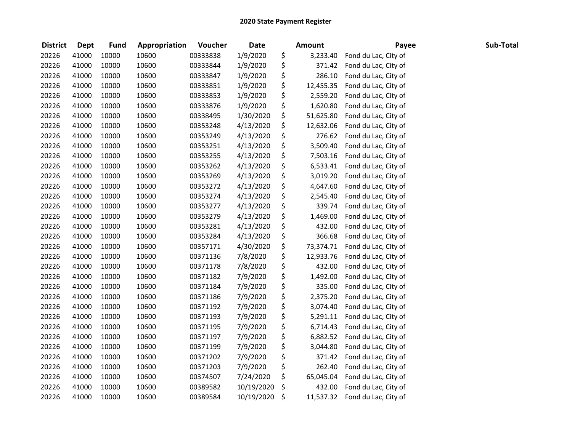| <b>District</b> | <b>Dept</b> | <b>Fund</b> | Appropriation | Voucher  | <b>Date</b> | <b>Amount</b>   | Payee                | Sub-Total |
|-----------------|-------------|-------------|---------------|----------|-------------|-----------------|----------------------|-----------|
| 20226           | 41000       | 10000       | 10600         | 00333838 | 1/9/2020    | \$<br>3,233.40  | Fond du Lac, City of |           |
| 20226           | 41000       | 10000       | 10600         | 00333844 | 1/9/2020    | \$<br>371.42    | Fond du Lac, City of |           |
| 20226           | 41000       | 10000       | 10600         | 00333847 | 1/9/2020    | \$<br>286.10    | Fond du Lac, City of |           |
| 20226           | 41000       | 10000       | 10600         | 00333851 | 1/9/2020    | \$<br>12,455.35 | Fond du Lac, City of |           |
| 20226           | 41000       | 10000       | 10600         | 00333853 | 1/9/2020    | \$<br>2,559.20  | Fond du Lac, City of |           |
| 20226           | 41000       | 10000       | 10600         | 00333876 | 1/9/2020    | \$<br>1,620.80  | Fond du Lac, City of |           |
| 20226           | 41000       | 10000       | 10600         | 00338495 | 1/30/2020   | \$<br>51,625.80 | Fond du Lac, City of |           |
| 20226           | 41000       | 10000       | 10600         | 00353248 | 4/13/2020   | \$<br>12,632.06 | Fond du Lac, City of |           |
| 20226           | 41000       | 10000       | 10600         | 00353249 | 4/13/2020   | \$<br>276.62    | Fond du Lac, City of |           |
| 20226           | 41000       | 10000       | 10600         | 00353251 | 4/13/2020   | \$<br>3,509.40  | Fond du Lac, City of |           |
| 20226           | 41000       | 10000       | 10600         | 00353255 | 4/13/2020   | \$<br>7,503.16  | Fond du Lac, City of |           |
| 20226           | 41000       | 10000       | 10600         | 00353262 | 4/13/2020   | \$<br>6,533.41  | Fond du Lac, City of |           |
| 20226           | 41000       | 10000       | 10600         | 00353269 | 4/13/2020   | \$<br>3,019.20  | Fond du Lac, City of |           |
| 20226           | 41000       | 10000       | 10600         | 00353272 | 4/13/2020   | \$<br>4,647.60  | Fond du Lac, City of |           |
| 20226           | 41000       | 10000       | 10600         | 00353274 | 4/13/2020   | \$<br>2,545.40  | Fond du Lac, City of |           |
| 20226           | 41000       | 10000       | 10600         | 00353277 | 4/13/2020   | \$<br>339.74    | Fond du Lac, City of |           |
| 20226           | 41000       | 10000       | 10600         | 00353279 | 4/13/2020   | \$<br>1,469.00  | Fond du Lac, City of |           |
| 20226           | 41000       | 10000       | 10600         | 00353281 | 4/13/2020   | \$<br>432.00    | Fond du Lac, City of |           |
| 20226           | 41000       | 10000       | 10600         | 00353284 | 4/13/2020   | \$<br>366.68    | Fond du Lac, City of |           |
| 20226           | 41000       | 10000       | 10600         | 00357171 | 4/30/2020   | \$<br>73,374.71 | Fond du Lac, City of |           |
| 20226           | 41000       | 10000       | 10600         | 00371136 | 7/8/2020    | \$<br>12,933.76 | Fond du Lac, City of |           |
| 20226           | 41000       | 10000       | 10600         | 00371178 | 7/8/2020    | \$<br>432.00    | Fond du Lac, City of |           |
| 20226           | 41000       | 10000       | 10600         | 00371182 | 7/9/2020    | \$<br>1,492.00  | Fond du Lac, City of |           |
| 20226           | 41000       | 10000       | 10600         | 00371184 | 7/9/2020    | \$<br>335.00    | Fond du Lac, City of |           |
| 20226           | 41000       | 10000       | 10600         | 00371186 | 7/9/2020    | \$<br>2,375.20  | Fond du Lac, City of |           |
| 20226           | 41000       | 10000       | 10600         | 00371192 | 7/9/2020    | \$<br>3,074.40  | Fond du Lac, City of |           |
| 20226           | 41000       | 10000       | 10600         | 00371193 | 7/9/2020    | \$<br>5,291.11  | Fond du Lac, City of |           |
| 20226           | 41000       | 10000       | 10600         | 00371195 | 7/9/2020    | \$<br>6,714.43  | Fond du Lac, City of |           |
| 20226           | 41000       | 10000       | 10600         | 00371197 | 7/9/2020    | \$<br>6,882.52  | Fond du Lac, City of |           |
| 20226           | 41000       | 10000       | 10600         | 00371199 | 7/9/2020    | \$<br>3,044.80  | Fond du Lac, City of |           |
| 20226           | 41000       | 10000       | 10600         | 00371202 | 7/9/2020    | \$<br>371.42    | Fond du Lac, City of |           |
| 20226           | 41000       | 10000       | 10600         | 00371203 | 7/9/2020    | \$<br>262.40    | Fond du Lac, City of |           |
| 20226           | 41000       | 10000       | 10600         | 00374507 | 7/24/2020   | \$<br>65,045.04 | Fond du Lac, City of |           |
| 20226           | 41000       | 10000       | 10600         | 00389582 | 10/19/2020  | \$<br>432.00    | Fond du Lac, City of |           |
| 20226           | 41000       | 10000       | 10600         | 00389584 | 10/19/2020  | \$<br>11,537.32 | Fond du Lac, City of |           |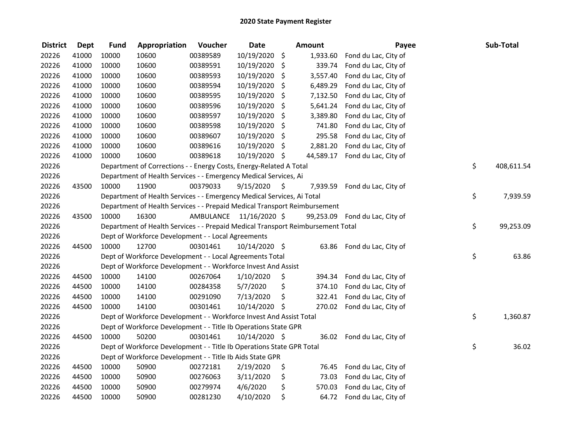| <b>District</b> | <b>Dept</b> | <b>Fund</b> | Appropriation                                                                   | Voucher                 | <b>Date</b>   |             | <b>Amount</b> | Payee                | Sub-Total        |
|-----------------|-------------|-------------|---------------------------------------------------------------------------------|-------------------------|---------------|-------------|---------------|----------------------|------------------|
| 20226           | 41000       | 10000       | 10600                                                                           | 00389589                | 10/19/2020    | \$          | 1,933.60      | Fond du Lac, City of |                  |
| 20226           | 41000       | 10000       | 10600                                                                           | 00389591                | 10/19/2020    | \$          | 339.74        | Fond du Lac, City of |                  |
| 20226           | 41000       | 10000       | 10600                                                                           | 00389593                | 10/19/2020    | \$          | 3,557.40      | Fond du Lac, City of |                  |
| 20226           | 41000       | 10000       | 10600                                                                           | 00389594                | 10/19/2020    | \$          | 6,489.29      | Fond du Lac, City of |                  |
| 20226           | 41000       | 10000       | 10600                                                                           | 00389595                | 10/19/2020    | \$          | 7,132.50      | Fond du Lac, City of |                  |
| 20226           | 41000       | 10000       | 10600                                                                           | 00389596                | 10/19/2020    | \$          | 5,641.24      | Fond du Lac, City of |                  |
| 20226           | 41000       | 10000       | 10600                                                                           | 00389597                | 10/19/2020    | \$          | 3,389.80      | Fond du Lac, City of |                  |
| 20226           | 41000       | 10000       | 10600                                                                           | 00389598                | 10/19/2020    | \$          | 741.80        | Fond du Lac, City of |                  |
| 20226           | 41000       | 10000       | 10600                                                                           | 00389607                | 10/19/2020    | \$          | 295.58        | Fond du Lac, City of |                  |
| 20226           | 41000       | 10000       | 10600                                                                           | 00389616                | 10/19/2020    | \$          | 2,881.20      | Fond du Lac, City of |                  |
| 20226           | 41000       | 10000       | 10600                                                                           | 00389618                | 10/19/2020 \$ |             | 44,589.17     | Fond du Lac, City of |                  |
| 20226           |             |             | Department of Corrections - - Energy Costs, Energy-Related A Total              |                         |               |             |               |                      | \$<br>408,611.54 |
| 20226           |             |             | Department of Health Services - - Emergency Medical Services, Ai                |                         |               |             |               |                      |                  |
| 20226           | 43500       | 10000       | 11900                                                                           | 00379033                | 9/15/2020     | $\varsigma$ | 7,939.59      | Fond du Lac, City of |                  |
| 20226           |             |             | Department of Health Services - - Emergency Medical Services, Ai Total          |                         |               |             |               |                      | \$<br>7,939.59   |
| 20226           |             |             | Department of Health Services - - Prepaid Medical Transport Reimbursement       |                         |               |             |               |                      |                  |
| 20226           | 43500       | 10000       | 16300                                                                           | AMBULANCE 11/16/2020 \$ |               |             | 99,253.09     | Fond du Lac, City of |                  |
| 20226           |             |             | Department of Health Services - - Prepaid Medical Transport Reimbursement Total |                         |               |             |               |                      | \$<br>99,253.09  |
| 20226           |             |             | Dept of Workforce Development - - Local Agreements                              |                         |               |             |               |                      |                  |
| 20226           | 44500       | 10000       | 12700                                                                           | 00301461                | 10/14/2020 \$ |             | 63.86         | Fond du Lac, City of |                  |
| 20226           |             |             | Dept of Workforce Development - - Local Agreements Total                        |                         |               |             |               |                      | \$<br>63.86      |
| 20226           |             |             | Dept of Workforce Development - - Workforce Invest And Assist                   |                         |               |             |               |                      |                  |
| 20226           | 44500       | 10000       | 14100                                                                           | 00267064                | 1/10/2020     | \$          | 394.34        | Fond du Lac, City of |                  |
| 20226           | 44500       | 10000       | 14100                                                                           | 00284358                | 5/7/2020      | \$          | 374.10        | Fond du Lac, City of |                  |
| 20226           | 44500       | 10000       | 14100                                                                           | 00291090                | 7/13/2020     | \$          | 322.41        | Fond du Lac, City of |                  |
| 20226           | 44500       | 10000       | 14100                                                                           | 00301461                | 10/14/2020    | \$          | 270.02        | Fond du Lac, City of |                  |
| 20226           |             |             | Dept of Workforce Development - - Workforce Invest And Assist Total             |                         |               |             |               |                      | \$<br>1,360.87   |
| 20226           |             |             | Dept of Workforce Development - - Title Ib Operations State GPR                 |                         |               |             |               |                      |                  |
| 20226           | 44500       | 10000       | 50200                                                                           | 00301461                | 10/14/2020 \$ |             | 36.02         | Fond du Lac, City of |                  |
| 20226           |             |             | Dept of Workforce Development - - Title Ib Operations State GPR Total           |                         |               |             |               |                      | \$<br>36.02      |
| 20226           |             |             | Dept of Workforce Development - - Title Ib Aids State GPR                       |                         |               |             |               |                      |                  |
| 20226           | 44500       | 10000       | 50900                                                                           | 00272181                | 2/19/2020     | \$          | 76.45         | Fond du Lac, City of |                  |
| 20226           | 44500       | 10000       | 50900                                                                           | 00276063                | 3/11/2020     | \$          | 73.03         | Fond du Lac, City of |                  |
| 20226           | 44500       | 10000       | 50900                                                                           | 00279974                | 4/6/2020      | \$          | 570.03        | Fond du Lac, City of |                  |
| 20226           | 44500       | 10000       | 50900                                                                           | 00281230                | 4/10/2020     | \$          | 64.72         | Fond du Lac, City of |                  |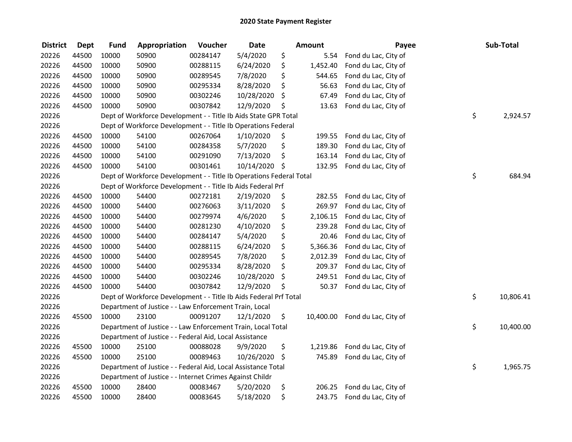| <b>District</b> | <b>Dept</b> | <b>Fund</b> | Appropriation                                                       | Voucher  | <b>Date</b> | Amount |           | Payee                | Sub-Total       |
|-----------------|-------------|-------------|---------------------------------------------------------------------|----------|-------------|--------|-----------|----------------------|-----------------|
| 20226           | 44500       | 10000       | 50900                                                               | 00284147 | 5/4/2020    | \$     | 5.54      | Fond du Lac, City of |                 |
| 20226           | 44500       | 10000       | 50900                                                               | 00288115 | 6/24/2020   | \$     | 1,452.40  | Fond du Lac, City of |                 |
| 20226           | 44500       | 10000       | 50900                                                               | 00289545 | 7/8/2020    | \$     | 544.65    | Fond du Lac, City of |                 |
| 20226           | 44500       | 10000       | 50900                                                               | 00295334 | 8/28/2020   | \$     | 56.63     | Fond du Lac, City of |                 |
| 20226           | 44500       | 10000       | 50900                                                               | 00302246 | 10/28/2020  | \$     | 67.49     | Fond du Lac, City of |                 |
| 20226           | 44500       | 10000       | 50900                                                               | 00307842 | 12/9/2020   | \$     | 13.63     | Fond du Lac, City of |                 |
| 20226           |             |             | Dept of Workforce Development - - Title Ib Aids State GPR Total     |          |             |        |           |                      | \$<br>2,924.57  |
| 20226           |             |             | Dept of Workforce Development - - Title Ib Operations Federal       |          |             |        |           |                      |                 |
| 20226           | 44500       | 10000       | 54100                                                               | 00267064 | 1/10/2020   | \$     | 199.55    | Fond du Lac, City of |                 |
| 20226           | 44500       | 10000       | 54100                                                               | 00284358 | 5/7/2020    | \$     | 189.30    | Fond du Lac, City of |                 |
| 20226           | 44500       | 10000       | 54100                                                               | 00291090 | 7/13/2020   | \$     | 163.14    | Fond du Lac, City of |                 |
| 20226           | 44500       | 10000       | 54100                                                               | 00301461 | 10/14/2020  | \$     | 132.95    | Fond du Lac, City of |                 |
| 20226           |             |             | Dept of Workforce Development - - Title Ib Operations Federal Total |          |             |        |           |                      | \$<br>684.94    |
| 20226           |             |             | Dept of Workforce Development - - Title Ib Aids Federal Prf         |          |             |        |           |                      |                 |
| 20226           | 44500       | 10000       | 54400                                                               | 00272181 | 2/19/2020   | \$     | 282.55    | Fond du Lac, City of |                 |
| 20226           | 44500       | 10000       | 54400                                                               | 00276063 | 3/11/2020   | \$     | 269.97    | Fond du Lac, City of |                 |
| 20226           | 44500       | 10000       | 54400                                                               | 00279974 | 4/6/2020    | \$     | 2,106.15  | Fond du Lac, City of |                 |
| 20226           | 44500       | 10000       | 54400                                                               | 00281230 | 4/10/2020   | \$     | 239.28    | Fond du Lac, City of |                 |
| 20226           | 44500       | 10000       | 54400                                                               | 00284147 | 5/4/2020    | \$     | 20.46     | Fond du Lac, City of |                 |
| 20226           | 44500       | 10000       | 54400                                                               | 00288115 | 6/24/2020   | \$     | 5,366.36  | Fond du Lac, City of |                 |
| 20226           | 44500       | 10000       | 54400                                                               | 00289545 | 7/8/2020    | \$     | 2,012.39  | Fond du Lac, City of |                 |
| 20226           | 44500       | 10000       | 54400                                                               | 00295334 | 8/28/2020   | \$     | 209.37    | Fond du Lac, City of |                 |
| 20226           | 44500       | 10000       | 54400                                                               | 00302246 | 10/28/2020  | \$     | 249.51    | Fond du Lac, City of |                 |
| 20226           | 44500       | 10000       | 54400                                                               | 00307842 | 12/9/2020   | \$     | 50.37     | Fond du Lac, City of |                 |
| 20226           |             |             | Dept of Workforce Development - - Title Ib Aids Federal Prf Total   |          |             |        |           |                      | \$<br>10,806.41 |
| 20226           |             |             | Department of Justice - - Law Enforcement Train, Local              |          |             |        |           |                      |                 |
| 20226           | 45500       | 10000       | 23100                                                               | 00091207 | 12/1/2020   | \$     | 10,400.00 | Fond du Lac, City of |                 |
| 20226           |             |             | Department of Justice - - Law Enforcement Train, Local Total        |          |             |        |           |                      | \$<br>10,400.00 |
| 20226           |             |             | Department of Justice - - Federal Aid, Local Assistance             |          |             |        |           |                      |                 |
| 20226           | 45500       | 10000       | 25100                                                               | 00088028 | 9/9/2020    | \$     | 1,219.86  | Fond du Lac, City of |                 |
| 20226           | 45500       | 10000       | 25100                                                               | 00089463 | 10/26/2020  | \$     | 745.89    | Fond du Lac, City of |                 |
| 20226           |             |             | Department of Justice - - Federal Aid, Local Assistance Total       |          |             |        |           |                      | \$<br>1,965.75  |
| 20226           |             |             | Department of Justice - - Internet Crimes Against Childr            |          |             |        |           |                      |                 |
| 20226           | 45500       | 10000       | 28400                                                               | 00083467 | 5/20/2020   | \$     | 206.25    | Fond du Lac, City of |                 |
| 20226           | 45500       | 10000       | 28400                                                               | 00083645 | 5/18/2020   | \$     | 243.75    | Fond du Lac, City of |                 |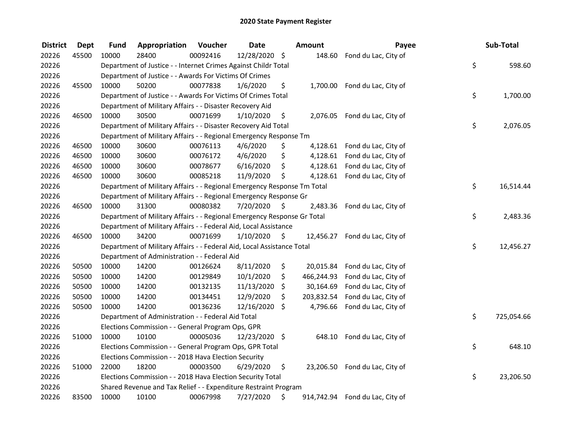## 2020 State Payment Register

| <b>District</b> | <b>Dept</b> | Fund  | Appropriation                                                           | Voucher  | <b>Date</b>   |                     | Amount     | Payee                           | Sub-Total        |
|-----------------|-------------|-------|-------------------------------------------------------------------------|----------|---------------|---------------------|------------|---------------------------------|------------------|
| 20226           | 45500       | 10000 | 28400                                                                   | 00092416 | 12/28/2020    | \$                  |            | 148.60 Fond du Lac, City of     |                  |
| 20226           |             |       | Department of Justice - - Internet Crimes Against Childr Total          |          |               |                     |            |                                 | \$<br>598.60     |
| 20226           |             |       | Department of Justice - - Awards For Victims Of Crimes                  |          |               |                     |            |                                 |                  |
| 20226           | 45500       | 10000 | 50200                                                                   | 00077838 | 1/6/2020      | \$                  |            | 1,700.00 Fond du Lac, City of   |                  |
| 20226           |             |       | Department of Justice - - Awards For Victims Of Crimes Total            |          |               |                     |            |                                 | \$<br>1,700.00   |
| 20226           |             |       | Department of Military Affairs - - Disaster Recovery Aid                |          |               |                     |            |                                 |                  |
| 20226           | 46500       | 10000 | 30500                                                                   | 00071699 | 1/10/2020     | \$                  |            | 2,076.05 Fond du Lac, City of   |                  |
| 20226           |             |       | Department of Military Affairs - - Disaster Recovery Aid Total          |          |               |                     |            |                                 | \$<br>2,076.05   |
| 20226           |             |       | Department of Military Affairs - - Regional Emergency Response Tm       |          |               |                     |            |                                 |                  |
| 20226           | 46500       | 10000 | 30600                                                                   | 00076113 | 4/6/2020      | \$                  |            | 4,128.61 Fond du Lac, City of   |                  |
| 20226           | 46500       | 10000 | 30600                                                                   | 00076172 | 4/6/2020      | \$                  |            | 4,128.61 Fond du Lac, City of   |                  |
| 20226           | 46500       | 10000 | 30600                                                                   | 00078677 | 6/16/2020     | \$                  |            | 4,128.61 Fond du Lac, City of   |                  |
| 20226           | 46500       | 10000 | 30600                                                                   | 00085218 | 11/9/2020     | \$                  |            | 4,128.61 Fond du Lac, City of   |                  |
| 20226           |             |       | Department of Military Affairs - - Regional Emergency Response Tm Total |          |               |                     |            |                                 | \$<br>16,514.44  |
| 20226           |             |       | Department of Military Affairs - - Regional Emergency Response Gr       |          |               |                     |            |                                 |                  |
| 20226           | 46500       | 10000 | 31300                                                                   | 00080382 | 7/20/2020     | \$                  |            | 2,483.36 Fond du Lac, City of   |                  |
| 20226           |             |       | Department of Military Affairs - - Regional Emergency Response Gr Total |          |               |                     |            |                                 | \$<br>2,483.36   |
| 20226           |             |       | Department of Military Affairs - - Federal Aid, Local Assistance        |          |               |                     |            |                                 |                  |
| 20226           | 46500       | 10000 | 34200                                                                   | 00071699 | 1/10/2020     | $\ddot{\mathsf{S}}$ |            | 12,456.27 Fond du Lac, City of  |                  |
| 20226           |             |       | Department of Military Affairs - - Federal Aid, Local Assistance Total  |          |               |                     |            |                                 | \$<br>12,456.27  |
| 20226           |             |       | Department of Administration - - Federal Aid                            |          |               |                     |            |                                 |                  |
| 20226           | 50500       | 10000 | 14200                                                                   | 00126624 | 8/11/2020     | \$                  |            | 20,015.84 Fond du Lac, City of  |                  |
| 20226           | 50500       | 10000 | 14200                                                                   | 00129849 | 10/1/2020     | \$                  | 466,244.93 | Fond du Lac, City of            |                  |
| 20226           | 50500       | 10000 | 14200                                                                   | 00132135 | 11/13/2020    | \$                  | 30,164.69  | Fond du Lac, City of            |                  |
| 20226           | 50500       | 10000 | 14200                                                                   | 00134451 | 12/9/2020     | \$                  | 203,832.54 | Fond du Lac, City of            |                  |
| 20226           | 50500       | 10000 | 14200                                                                   | 00136236 | 12/16/2020    | \$                  |            | 4,796.66 Fond du Lac, City of   |                  |
| 20226           |             |       | Department of Administration - - Federal Aid Total                      |          |               |                     |            |                                 | \$<br>725,054.66 |
| 20226           |             |       | Elections Commission - - General Program Ops, GPR                       |          |               |                     |            |                                 |                  |
| 20226           | 51000       | 10000 | 10100                                                                   | 00005036 | 12/23/2020 \$ |                     |            | 648.10 Fond du Lac, City of     |                  |
| 20226           |             |       | Elections Commission - - General Program Ops, GPR Total                 |          |               |                     |            |                                 | \$<br>648.10     |
| 20226           |             |       | Elections Commission - - 2018 Hava Election Security                    |          |               |                     |            |                                 |                  |
| 20226           | 51000       | 22000 | 18200                                                                   | 00003500 | 6/29/2020     | \$                  |            | 23,206.50 Fond du Lac, City of  |                  |
| 20226           |             |       | Elections Commission - - 2018 Hava Election Security Total              |          |               |                     |            |                                 | \$<br>23,206.50  |
| 20226           |             |       | Shared Revenue and Tax Relief - - Expenditure Restraint Program         |          |               |                     |            |                                 |                  |
| 20226           | 83500       | 10000 | 10100                                                                   | 00067998 | 7/27/2020     | \$                  |            | 914,742.94 Fond du Lac, City of |                  |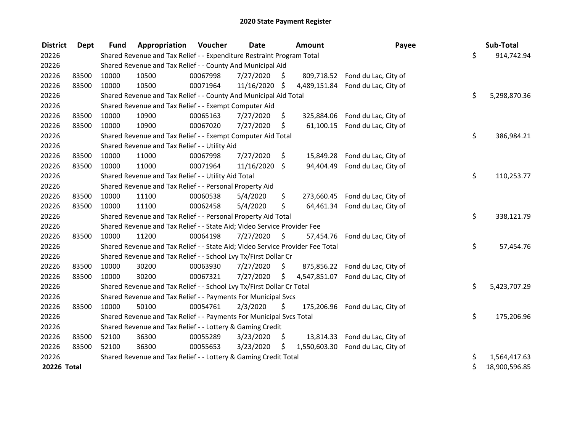| <b>District</b> | <b>Dept</b> | <b>Fund</b> | Appropriation                                                                 | <b>Voucher</b> | Date       |    | <b>Amount</b> | Payee                          | Sub-Total           |
|-----------------|-------------|-------------|-------------------------------------------------------------------------------|----------------|------------|----|---------------|--------------------------------|---------------------|
| 20226           |             |             | Shared Revenue and Tax Relief - - Expenditure Restraint Program Total         |                |            |    |               |                                | \$<br>914,742.94    |
| 20226           |             |             | Shared Revenue and Tax Relief - - County And Municipal Aid                    |                |            |    |               |                                |                     |
| 20226           | 83500       | 10000       | 10500                                                                         | 00067998       | 7/27/2020  | Ŝ. | 809,718.52    | Fond du Lac, City of           |                     |
| 20226           | 83500       | 10000       | 10500                                                                         | 00071964       | 11/16/2020 | Ŝ. | 4,489,151.84  | Fond du Lac, City of           |                     |
| 20226           |             |             | Shared Revenue and Tax Relief - - County And Municipal Aid Total              |                |            |    |               |                                | \$<br>5,298,870.36  |
| 20226           |             |             | Shared Revenue and Tax Relief - - Exempt Computer Aid                         |                |            |    |               |                                |                     |
| 20226           | 83500       | 10000       | 10900                                                                         | 00065163       | 7/27/2020  | S  | 325,884.06    | Fond du Lac, City of           |                     |
| 20226           | 83500       | 10000       | 10900                                                                         | 00067020       | 7/27/2020  | \$ | 61,100.15     | Fond du Lac, City of           |                     |
| 20226           |             |             | Shared Revenue and Tax Relief - - Exempt Computer Aid Total                   |                |            |    |               |                                | \$<br>386,984.21    |
| 20226           |             |             | Shared Revenue and Tax Relief - - Utility Aid                                 |                |            |    |               |                                |                     |
| 20226           | 83500       | 10000       | 11000                                                                         | 00067998       | 7/27/2020  | \$ | 15,849.28     | Fond du Lac, City of           |                     |
| 20226           | 83500       | 10000       | 11000                                                                         | 00071964       | 11/16/2020 | \$ | 94,404.49     | Fond du Lac, City of           |                     |
| 20226           |             |             | Shared Revenue and Tax Relief - - Utility Aid Total                           |                |            |    |               |                                | \$<br>110,253.77    |
| 20226           |             |             | Shared Revenue and Tax Relief - - Personal Property Aid                       |                |            |    |               |                                |                     |
| 20226           | 83500       | 10000       | 11100                                                                         | 00060538       | 5/4/2020   | \$ | 273,660.45    | Fond du Lac, City of           |                     |
| 20226           | 83500       | 10000       | 11100                                                                         | 00062458       | 5/4/2020   | \$ |               | 64,461.34 Fond du Lac, City of |                     |
| 20226           |             |             | Shared Revenue and Tax Relief - - Personal Property Aid Total                 |                |            |    |               |                                | \$<br>338,121.79    |
| 20226           |             |             | Shared Revenue and Tax Relief - - State Aid; Video Service Provider Fee       |                |            |    |               |                                |                     |
| 20226           | 83500       | 10000       | 11200                                                                         | 00064198       | 7/27/2020  | \$ | 57,454.76     | Fond du Lac, City of           |                     |
| 20226           |             |             | Shared Revenue and Tax Relief - - State Aid; Video Service Provider Fee Total |                |            |    |               |                                | \$<br>57,454.76     |
| 20226           |             |             | Shared Revenue and Tax Relief - - School Lvy Tx/First Dollar Cr               |                |            |    |               |                                |                     |
| 20226           | 83500       | 10000       | 30200                                                                         | 00063930       | 7/27/2020  | \$ | 875,856.22    | Fond du Lac, City of           |                     |
| 20226           | 83500       | 10000       | 30200                                                                         | 00067321       | 7/27/2020  | \$ | 4,547,851.07  | Fond du Lac, City of           |                     |
| 20226           |             |             | Shared Revenue and Tax Relief - - School Lvy Tx/First Dollar Cr Total         |                |            |    |               |                                | \$<br>5,423,707.29  |
| 20226           |             |             | Shared Revenue and Tax Relief - - Payments For Municipal Svcs                 |                |            |    |               |                                |                     |
| 20226           | 83500       | 10000       | 50100                                                                         | 00054761       | 2/3/2020   | Ś. | 175,206.96    | Fond du Lac, City of           |                     |
| 20226           |             |             | Shared Revenue and Tax Relief - - Payments For Municipal Svcs Total           |                |            |    |               |                                | \$<br>175,206.96    |
| 20226           |             |             | Shared Revenue and Tax Relief - - Lottery & Gaming Credit                     |                |            |    |               |                                |                     |
| 20226           | 83500       | 52100       | 36300                                                                         | 00055289       | 3/23/2020  | \$ |               | 13,814.33 Fond du Lac, City of |                     |
| 20226           | 83500       | 52100       | 36300                                                                         | 00055653       | 3/23/2020  | Ś. | 1,550,603.30  | Fond du Lac, City of           |                     |
| 20226           |             |             | Shared Revenue and Tax Relief - - Lottery & Gaming Credit Total               |                |            |    |               |                                | \$<br>1,564,417.63  |
| 20226 Total     |             |             |                                                                               |                |            |    |               |                                | \$<br>18,900,596.85 |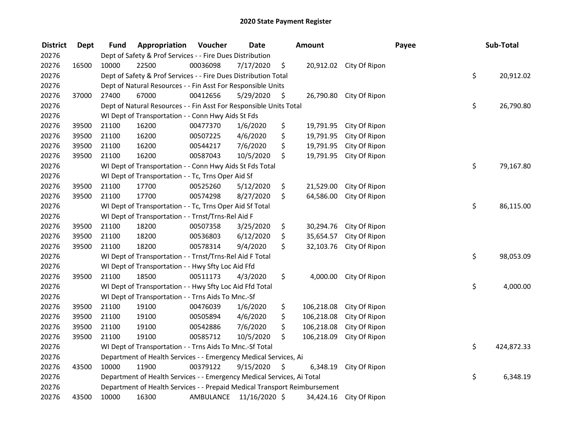## 2020 State Payment Register

| <b>District</b> | <b>Dept</b> | <b>Fund</b> | Appropriation                                                             | Voucher   | <b>Date</b>   | Amount           |                         | Payee | Sub-Total        |
|-----------------|-------------|-------------|---------------------------------------------------------------------------|-----------|---------------|------------------|-------------------------|-------|------------------|
| 20276           |             |             | Dept of Safety & Prof Services - - Fire Dues Distribution                 |           |               |                  |                         |       |                  |
| 20276           | 16500       | 10000       | 22500                                                                     | 00036098  | 7/17/2020     | \$               | 20,912.02 City Of Ripon |       |                  |
| 20276           |             |             | Dept of Safety & Prof Services - - Fire Dues Distribution Total           |           |               |                  |                         |       | \$<br>20,912.02  |
| 20276           |             |             | Dept of Natural Resources - - Fin Asst For Responsible Units              |           |               |                  |                         |       |                  |
| 20276           | 37000       | 27400       | 67000                                                                     | 00412656  | 5/29/2020     | \$               | 26,790.80 City Of Ripon |       |                  |
| 20276           |             |             | Dept of Natural Resources - - Fin Asst For Responsible Units Total        |           |               |                  |                         |       | \$<br>26,790.80  |
| 20276           |             |             | WI Dept of Transportation - - Conn Hwy Aids St Fds                        |           |               |                  |                         |       |                  |
| 20276           | 39500       | 21100       | 16200                                                                     | 00477370  | 1/6/2020      | \$               | 19,791.95 City Of Ripon |       |                  |
| 20276           | 39500       | 21100       | 16200                                                                     | 00507225  | 4/6/2020      | \$<br>19,791.95  | City Of Ripon           |       |                  |
| 20276           | 39500       | 21100       | 16200                                                                     | 00544217  | 7/6/2020      | \$<br>19,791.95  | City Of Ripon           |       |                  |
| 20276           | 39500       | 21100       | 16200                                                                     | 00587043  | 10/5/2020     | \$<br>19,791.95  | City Of Ripon           |       |                  |
| 20276           |             |             | WI Dept of Transportation - - Conn Hwy Aids St Fds Total                  |           |               |                  |                         |       | \$<br>79,167.80  |
| 20276           |             |             | WI Dept of Transportation - - Tc, Trns Oper Aid Sf                        |           |               |                  |                         |       |                  |
| 20276           | 39500       | 21100       | 17700                                                                     | 00525260  | 5/12/2020     | \$<br>21,529.00  | City Of Ripon           |       |                  |
| 20276           | 39500       | 21100       | 17700                                                                     | 00574298  | 8/27/2020     | \$<br>64,586.00  | City Of Ripon           |       |                  |
| 20276           |             |             | WI Dept of Transportation - - Tc, Trns Oper Aid Sf Total                  |           |               |                  |                         |       | \$<br>86,115.00  |
| 20276           |             |             | WI Dept of Transportation - - Trnst/Trns-Rel Aid F                        |           |               |                  |                         |       |                  |
| 20276           | 39500       | 21100       | 18200                                                                     | 00507358  | 3/25/2020     | \$<br>30,294.76  | City Of Ripon           |       |                  |
| 20276           | 39500       | 21100       | 18200                                                                     | 00536803  | 6/12/2020     | \$<br>35,654.57  | City Of Ripon           |       |                  |
| 20276           | 39500       | 21100       | 18200                                                                     | 00578314  | 9/4/2020      | \$<br>32,103.76  | City Of Ripon           |       |                  |
| 20276           |             |             | WI Dept of Transportation - - Trnst/Trns-Rel Aid F Total                  |           |               |                  |                         |       | \$<br>98,053.09  |
| 20276           |             |             | WI Dept of Transportation - - Hwy Sfty Loc Aid Ffd                        |           |               |                  |                         |       |                  |
| 20276           | 39500       | 21100       | 18500                                                                     | 00511173  | 4/3/2020      | \$<br>4,000.00   | City Of Ripon           |       |                  |
| 20276           |             |             | WI Dept of Transportation - - Hwy Sfty Loc Aid Ffd Total                  |           |               |                  |                         |       | \$<br>4,000.00   |
| 20276           |             |             | WI Dept of Transportation - - Trns Aids To Mnc.-Sf                        |           |               |                  |                         |       |                  |
| 20276           | 39500       | 21100       | 19100                                                                     | 00476039  | 1/6/2020      | \$<br>106,218.08 | City Of Ripon           |       |                  |
| 20276           | 39500       | 21100       | 19100                                                                     | 00505894  | 4/6/2020      | \$<br>106,218.08 | City Of Ripon           |       |                  |
| 20276           | 39500       | 21100       | 19100                                                                     | 00542886  | 7/6/2020      | \$<br>106,218.08 | City Of Ripon           |       |                  |
| 20276           | 39500       | 21100       | 19100                                                                     | 00585712  | 10/5/2020     | \$<br>106,218.09 | City Of Ripon           |       |                  |
| 20276           |             |             | WI Dept of Transportation - - Trns Aids To Mnc.-Sf Total                  |           |               |                  |                         |       | \$<br>424,872.33 |
| 20276           |             |             | Department of Health Services - - Emergency Medical Services, Ai          |           |               |                  |                         |       |                  |
| 20276           | 43500       | 10000       | 11900                                                                     | 00379122  | 9/15/2020     | \$<br>6,348.19   | City Of Ripon           |       |                  |
| 20276           |             |             | Department of Health Services - - Emergency Medical Services, Ai Total    |           |               |                  |                         |       | \$<br>6,348.19   |
| 20276           |             |             | Department of Health Services - - Prepaid Medical Transport Reimbursement |           |               |                  |                         |       |                  |
| 20276           | 43500       | 10000       | 16300                                                                     | AMBULANCE | 11/16/2020 \$ | 34,424.16        | City Of Ripon           |       |                  |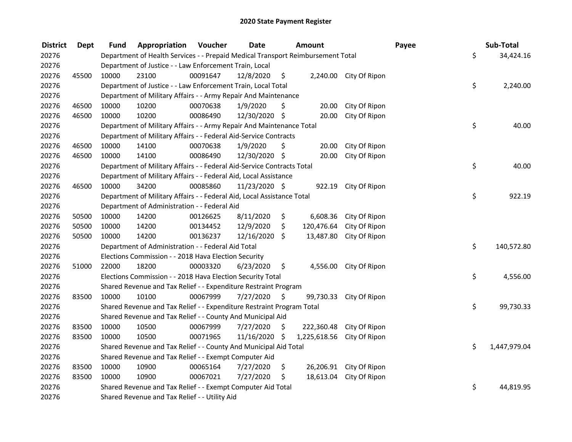| <b>District</b> | <b>Dept</b> | Fund  | Appropriation                                                                   | Voucher  | <b>Date</b>   |     | <b>Amount</b> |                         | Payee |     | Sub-Total    |
|-----------------|-------------|-------|---------------------------------------------------------------------------------|----------|---------------|-----|---------------|-------------------------|-------|-----|--------------|
| 20276           |             |       | Department of Health Services - - Prepaid Medical Transport Reimbursement Total |          |               |     |               |                         |       | \$  | 34,424.16    |
| 20276           |             |       | Department of Justice - - Law Enforcement Train, Local                          |          |               |     |               |                         |       |     |              |
| 20276           | 45500       | 10000 | 23100                                                                           | 00091647 | 12/8/2020     | \$  |               | 2,240.00 City Of Ripon  |       |     |              |
| 20276           |             |       | Department of Justice - - Law Enforcement Train, Local Total                    |          |               |     |               |                         |       | \$  | 2,240.00     |
| 20276           |             |       | Department of Military Affairs - - Army Repair And Maintenance                  |          |               |     |               |                         |       |     |              |
| 20276           | 46500       | 10000 | 10200                                                                           | 00070638 | 1/9/2020      | \$  | 20.00         | City Of Ripon           |       |     |              |
| 20276           | 46500       | 10000 | 10200                                                                           | 00086490 | 12/30/2020 \$ |     | 20.00         | City Of Ripon           |       |     |              |
| 20276           |             |       | Department of Military Affairs - - Army Repair And Maintenance Total            |          |               |     |               |                         |       | \$  | 40.00        |
| 20276           |             |       | Department of Military Affairs - - Federal Aid-Service Contracts                |          |               |     |               |                         |       |     |              |
| 20276           | 46500       | 10000 | 14100                                                                           | 00070638 | 1/9/2020      | \$  | 20.00         | City Of Ripon           |       |     |              |
| 20276           | 46500       | 10000 | 14100                                                                           | 00086490 | 12/30/2020 \$ |     | 20.00         | City Of Ripon           |       |     |              |
| 20276           |             |       | Department of Military Affairs - - Federal Aid-Service Contracts Total          |          |               |     |               |                         |       | \$  | 40.00        |
| 20276           |             |       | Department of Military Affairs - - Federal Aid, Local Assistance                |          |               |     |               |                         |       |     |              |
| 20276           | 46500       | 10000 | 34200                                                                           | 00085860 | 11/23/2020 \$ |     | 922.19        | City Of Ripon           |       |     |              |
| 20276           |             |       | Department of Military Affairs - - Federal Aid, Local Assistance Total          |          |               |     |               |                         |       | \$  | 922.19       |
| 20276           |             |       | Department of Administration - - Federal Aid                                    |          |               |     |               |                         |       |     |              |
| 20276           | 50500       | 10000 | 14200                                                                           | 00126625 | 8/11/2020     | \$  | 6,608.36      | City Of Ripon           |       |     |              |
| 20276           | 50500       | 10000 | 14200                                                                           | 00134452 | 12/9/2020     | \$  | 120,476.64    | City Of Ripon           |       |     |              |
| 20276           | 50500       | 10000 | 14200                                                                           | 00136237 | 12/16/2020 \$ |     | 13,487.80     | City Of Ripon           |       |     |              |
| 20276           |             |       | Department of Administration - - Federal Aid Total                              |          |               |     |               |                         |       | \$  | 140,572.80   |
| 20276           |             |       | Elections Commission - - 2018 Hava Election Security                            |          |               |     |               |                         |       |     |              |
| 20276           | 51000       | 22000 | 18200                                                                           | 00003320 | 6/23/2020     | \$. | 4,556.00      | City Of Ripon           |       |     |              |
| 20276           |             |       | Elections Commission - - 2018 Hava Election Security Total                      |          |               |     |               |                         |       | \$  | 4,556.00     |
| 20276           |             |       | Shared Revenue and Tax Relief - - Expenditure Restraint Program                 |          |               |     |               |                         |       |     |              |
| 20276           | 83500       | 10000 | 10100                                                                           | 00067999 | 7/27/2020     | S   | 99,730.33     | City Of Ripon           |       |     |              |
| 20276           |             |       | Shared Revenue and Tax Relief - - Expenditure Restraint Program Total           |          |               |     |               |                         |       | \$  | 99,730.33    |
| 20276           |             |       | Shared Revenue and Tax Relief - - County And Municipal Aid                      |          |               |     |               |                         |       |     |              |
| 20276           | 83500       | 10000 | 10500                                                                           | 00067999 | 7/27/2020     | \$  | 222,360.48    | City Of Ripon           |       |     |              |
| 20276           | 83500       | 10000 | 10500                                                                           | 00071965 | 11/16/2020 \$ |     | 1,225,618.56  | City Of Ripon           |       |     |              |
| 20276           |             |       | Shared Revenue and Tax Relief - - County And Municipal Aid Total                |          |               |     |               |                         |       | \$. | 1,447,979.04 |
| 20276           |             |       | Shared Revenue and Tax Relief - - Exempt Computer Aid                           |          |               |     |               |                         |       |     |              |
| 20276           | 83500       | 10000 | 10900                                                                           | 00065164 | 7/27/2020     | \$  |               | 26,206.91 City Of Ripon |       |     |              |
| 20276           | 83500       | 10000 | 10900                                                                           | 00067021 | 7/27/2020     | \$  | 18,613.04     | City Of Ripon           |       |     |              |
| 20276           |             |       | Shared Revenue and Tax Relief - - Exempt Computer Aid Total                     |          |               |     |               |                         |       | \$  | 44,819.95    |
| 20276           |             |       | Shared Revenue and Tax Relief - - Utility Aid                                   |          |               |     |               |                         |       |     |              |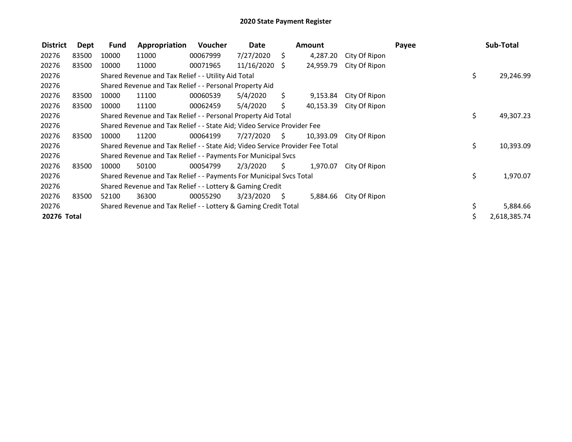| <b>District</b> | Dept  | Fund  | Appropriation                                                                 | Voucher  | Date       |      | <b>Amount</b> |               | Payee |     | Sub-Total    |
|-----------------|-------|-------|-------------------------------------------------------------------------------|----------|------------|------|---------------|---------------|-------|-----|--------------|
| 20276           | 83500 | 10000 | 11000                                                                         | 00067999 | 7/27/2020  | \$   | 4,287.20      | City Of Ripon |       |     |              |
| 20276           | 83500 | 10000 | 11000                                                                         | 00071965 | 11/16/2020 | S.   | 24,959.79     | City Of Ripon |       |     |              |
| 20276           |       |       | Shared Revenue and Tax Relief - - Utility Aid Total                           |          |            |      |               |               |       | \$. | 29,246.99    |
| 20276           |       |       | Shared Revenue and Tax Relief - - Personal Property Aid                       |          |            |      |               |               |       |     |              |
| 20276           | 83500 | 10000 | 11100                                                                         | 00060539 | 5/4/2020   | Ś.   | 9,153.84      | City Of Ripon |       |     |              |
| 20276           | 83500 | 10000 | 11100                                                                         | 00062459 | 5/4/2020   | Ś.   | 40,153.39     | City Of Ripon |       |     |              |
| 20276           |       |       | Shared Revenue and Tax Relief - - Personal Property Aid Total                 |          |            |      |               |               |       | \$  | 49,307.23    |
| 20276           |       |       | Shared Revenue and Tax Relief - - State Aid; Video Service Provider Fee       |          |            |      |               |               |       |     |              |
| 20276           | 83500 | 10000 | 11200                                                                         | 00064199 | 7/27/2020  | - \$ | 10,393.09     | City Of Ripon |       |     |              |
| 20276           |       |       | Shared Revenue and Tax Relief - - State Aid; Video Service Provider Fee Total |          |            |      |               |               |       | \$  | 10,393.09    |
| 20276           |       |       | Shared Revenue and Tax Relief - - Payments For Municipal Svcs                 |          |            |      |               |               |       |     |              |
| 20276           | 83500 | 10000 | 50100                                                                         | 00054799 | 2/3/2020   | S.   | 1,970.07      | City Of Ripon |       |     |              |
| 20276           |       |       | Shared Revenue and Tax Relief - - Payments For Municipal Svcs Total           |          |            |      |               |               |       | \$  | 1,970.07     |
| 20276           |       |       | Shared Revenue and Tax Relief - - Lottery & Gaming Credit                     |          |            |      |               |               |       |     |              |
| 20276           | 83500 | 52100 | 36300                                                                         | 00055290 | 3/23/2020  | - \$ | 5,884.66      | City Of Ripon |       |     |              |
| 20276           |       |       | Shared Revenue and Tax Relief - - Lottery & Gaming Credit Total               |          |            |      |               |               |       | \$  | 5,884.66     |
| 20276 Total     |       |       |                                                                               |          |            |      |               |               |       |     | 2,618,385.74 |